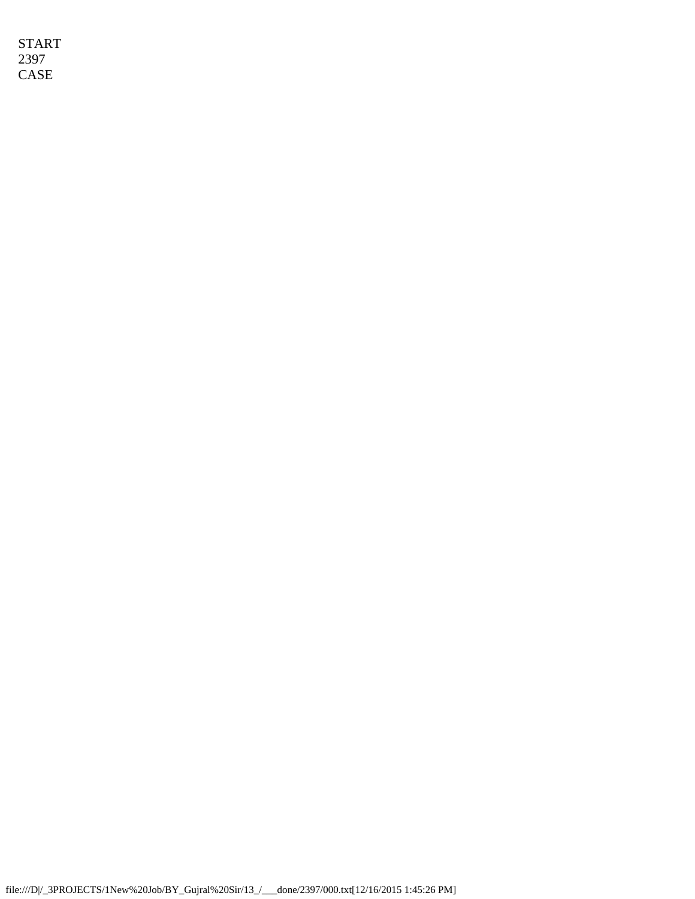START 2397 CASE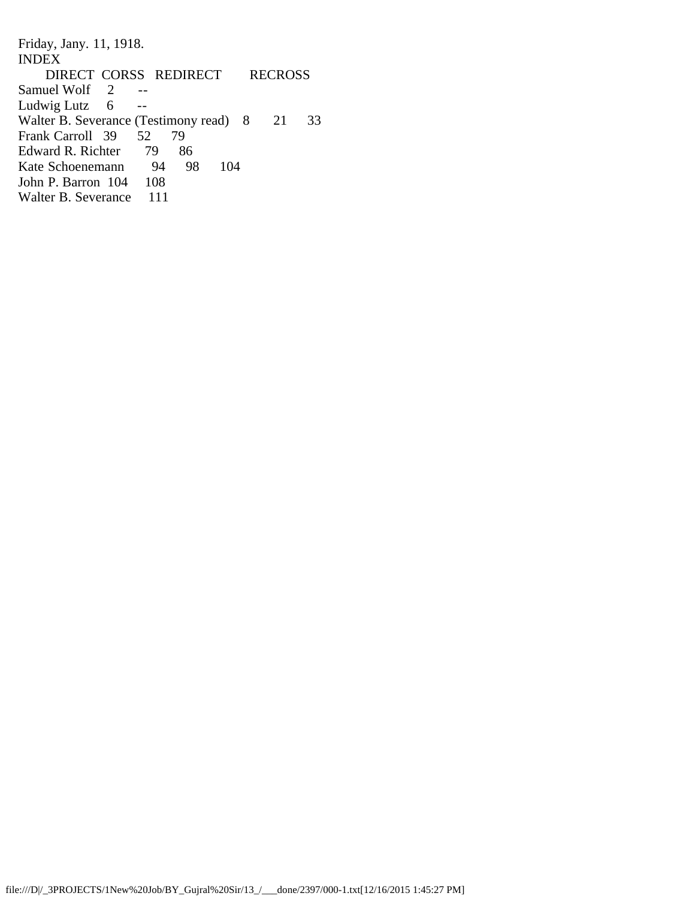Friday, Jany. 11, 1918. INDEX DIRECT CORSS REDIRECT RECROSS Samuel Wolf 2 --<br>Ludwig Lutz 6 --Ludwig Lutz Walter B. Severance (Testimony read) 8 21 33<br>Frank Carroll 39 52 79 Frank Carroll 39 Edward R. Richter 79 86<br>Kate Schoenemann 94 98 Kate Schoenemann 94 98 104<br>John P. Barron 104 108 John P. Barron 104 Walter B. Severance 111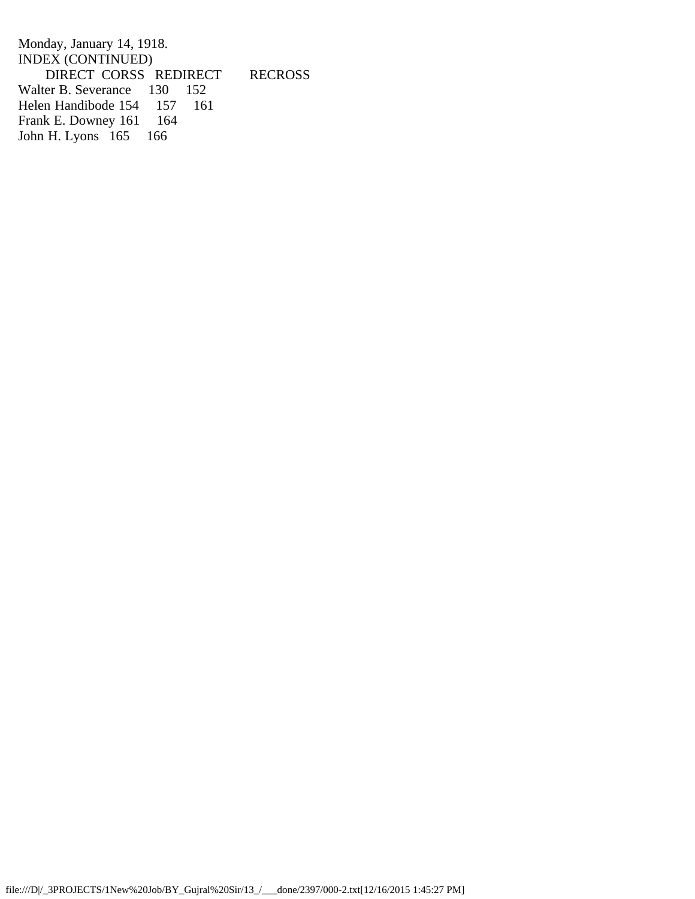Monday, January 14, 1918. INDEX (CONTINUED) DIRECT CORSS REDIRECT RECROSS<br>ter B. Severance 130 152 Walter B. Severance 130 152<br>Helen Handibode 154 157 161 Helen Handibode 154 157<br>Frank E. Downey 161 164 Frank E. Downey 161 16<br>John H. Lyons 165 166 John H. Lyons 165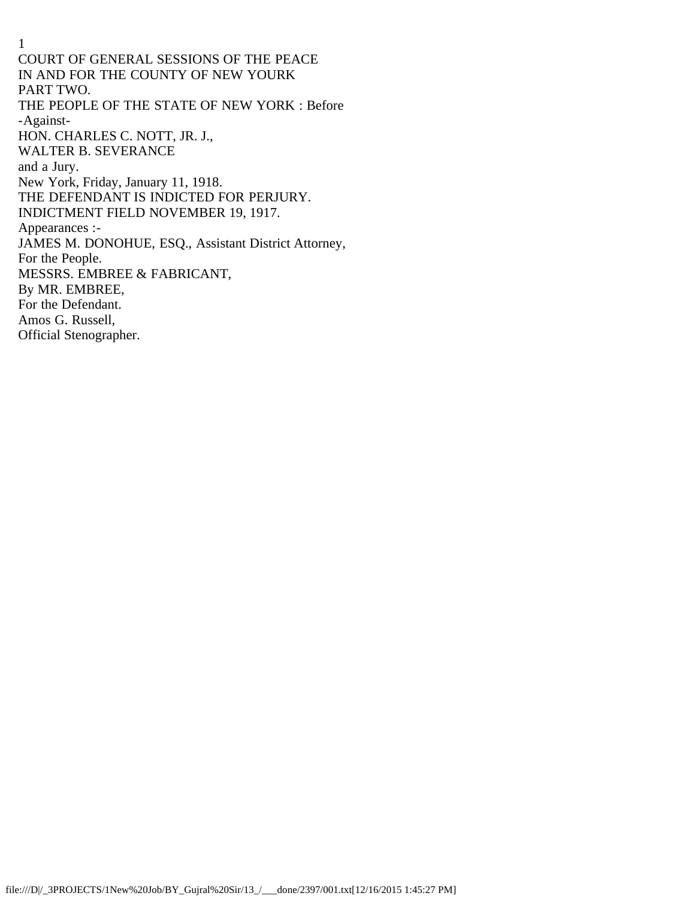1 COURT OF GENERAL SESSIONS OF THE PEACE IN AND FOR THE COUNTY OF NEW YOURK PART TWO. THE PEOPLE OF THE STATE OF NEW YORK : Before -Against-HON. CHARLES C. NOTT, JR. J., WALTER B. SEVERANCE and a Jury. New York, Friday, January 11, 1918. THE DEFENDANT IS INDICTED FOR PERJURY. INDICTMENT FIELD NOVEMBER 19, 1917. Appearances :- JAMES M. DONOHUE, ESQ., Assistant District Attorney, For the People. MESSRS. EMBREE & FABRICANT, By MR. EMBREE, For the Defendant. Amos G. Russell, Official Stenographer.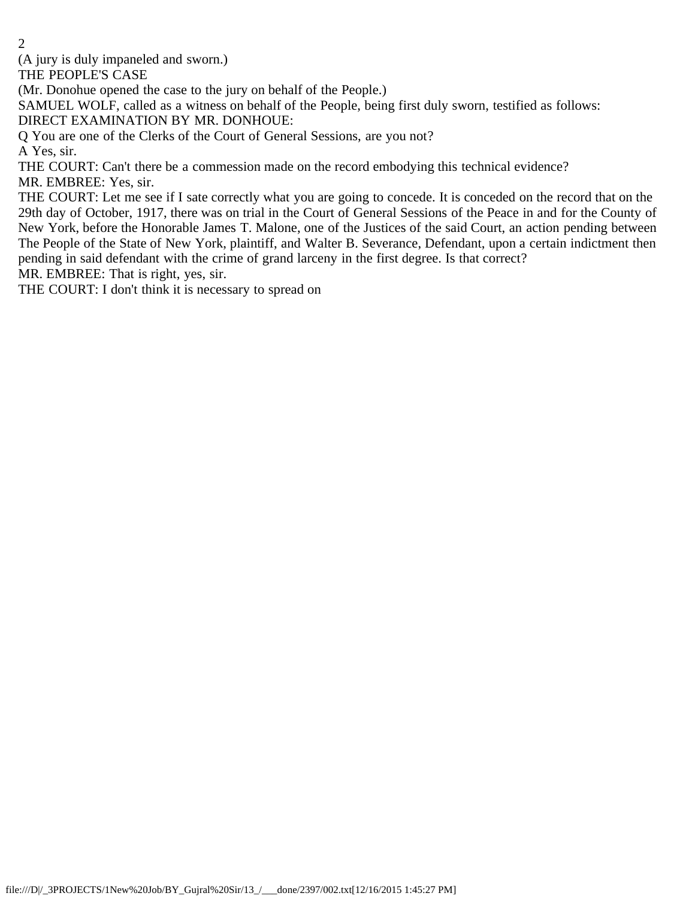(A jury is duly impaneled and sworn.)

THE PEOPLE'S CASE

(Mr. Donohue opened the case to the jury on behalf of the People.)

SAMUEL WOLF, called as a witness on behalf of the People, being first duly sworn, testified as follows:

DIRECT EXAMINATION BY MR. DONHOUE:

Q You are one of the Clerks of the Court of General Sessions, are you not?

A Yes, sir.

THE COURT: Can't there be a commession made on the record embodying this technical evidence? MR. EMBREE: Yes, sir.

THE COURT: Let me see if I sate correctly what you are going to concede. It is conceded on the record that on the 29th day of October, 1917, there was on trial in the Court of General Sessions of the Peace in and for the County of New York, before the Honorable James T. Malone, one of the Justices of the said Court, an action pending between The People of the State of New York, plaintiff, and Walter B. Severance, Defendant, upon a certain indictment then pending in said defendant with the crime of grand larceny in the first degree. Is that correct?

MR. EMBREE: That is right, yes, sir.

THE COURT: I don't think it is necessary to spread on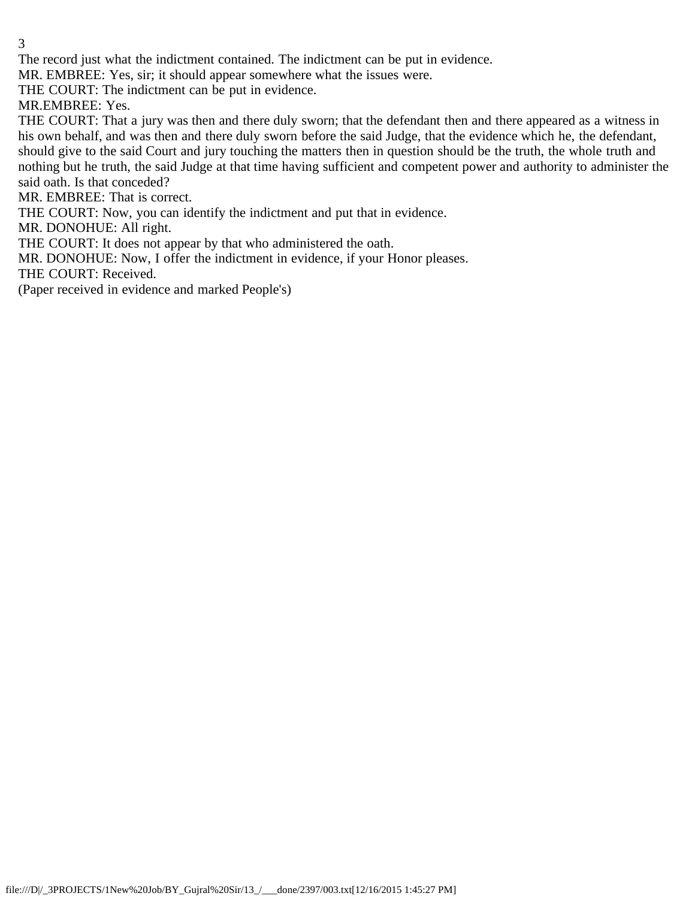The record just what the indictment contained. The indictment can be put in evidence.

MR. EMBREE: Yes, sir; it should appear somewhere what the issues were.

THE COURT: The indictment can be put in evidence.

MR.EMBREE: Yes.

THE COURT: That a jury was then and there duly sworn; that the defendant then and there appeared as a witness in his own behalf, and was then and there duly sworn before the said Judge, that the evidence which he, the defendant, should give to the said Court and jury touching the matters then in question should be the truth, the whole truth and nothing but he truth, the said Judge at that time having sufficient and competent power and authority to administer the said oath. Is that conceded?

MR. EMBREE: That is correct.

THE COURT: Now, you can identify the indictment and put that in evidence.

MR. DONOHUE: All right.

THE COURT: It does not appear by that who administered the oath.

MR. DONOHUE: Now, I offer the indictment in evidence, if your Honor pleases.

THE COURT: Received.

(Paper received in evidence and marked People's)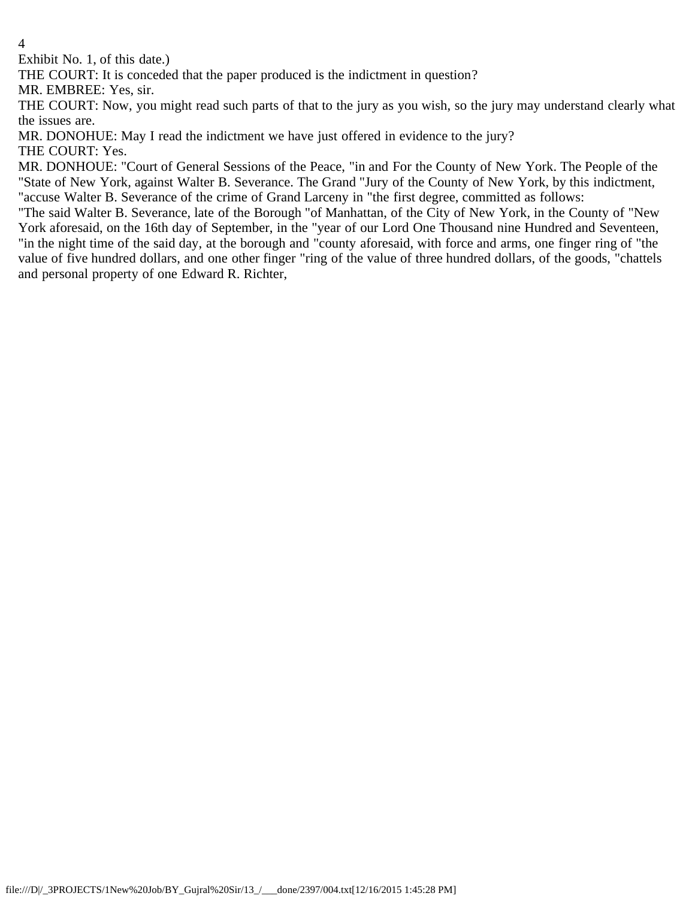Exhibit No. 1, of this date.)

THE COURT: It is conceded that the paper produced is the indictment in question?

MR. EMBREE: Yes, sir.

THE COURT: Now, you might read such parts of that to the jury as you wish, so the jury may understand clearly what the issues are.

MR. DONOHUE: May I read the indictment we have just offered in evidence to the jury?

THE COURT: Yes.

MR. DONHOUE: "Court of General Sessions of the Peace, "in and For the County of New York. The People of the "State of New York, against Walter B. Severance. The Grand "Jury of the County of New York, by this indictment, "accuse Walter B. Severance of the crime of Grand Larceny in "the first degree, committed as follows:

"The said Walter B. Severance, late of the Borough "of Manhattan, of the City of New York, in the County of "New York aforesaid, on the 16th day of September, in the "year of our Lord One Thousand nine Hundred and Seventeen, "in the night time of the said day, at the borough and "county aforesaid, with force and arms, one finger ring of "the value of five hundred dollars, and one other finger "ring of the value of three hundred dollars, of the goods, "chattels and personal property of one Edward R. Richter,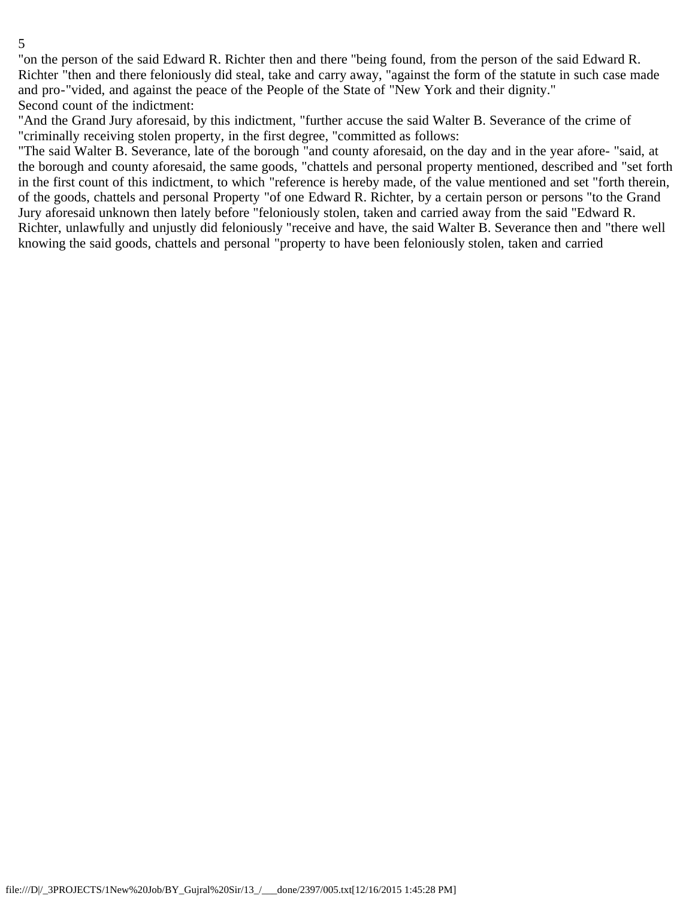"on the person of the said Edward R. Richter then and there "being found, from the person of the said Edward R. Richter "then and there feloniously did steal, take and carry away, "against the form of the statute in such case made and pro-"vided, and against the peace of the People of the State of "New York and their dignity." Second count of the indictment:

"And the Grand Jury aforesaid, by this indictment, "further accuse the said Walter B. Severance of the crime of "criminally receiving stolen property, in the first degree, "committed as follows:

"The said Walter B. Severance, late of the borough "and county aforesaid, on the day and in the year afore- "said, at the borough and county aforesaid, the same goods, "chattels and personal property mentioned, described and "set forth in the first count of this indictment, to which "reference is hereby made, of the value mentioned and set "forth therein, of the goods, chattels and personal Property "of one Edward R. Richter, by a certain person or persons "to the Grand Jury aforesaid unknown then lately before "feloniously stolen, taken and carried away from the said "Edward R. Richter, unlawfully and unjustly did feloniously "receive and have, the said Walter B. Severance then and "there well knowing the said goods, chattels and personal "property to have been feloniously stolen, taken and carried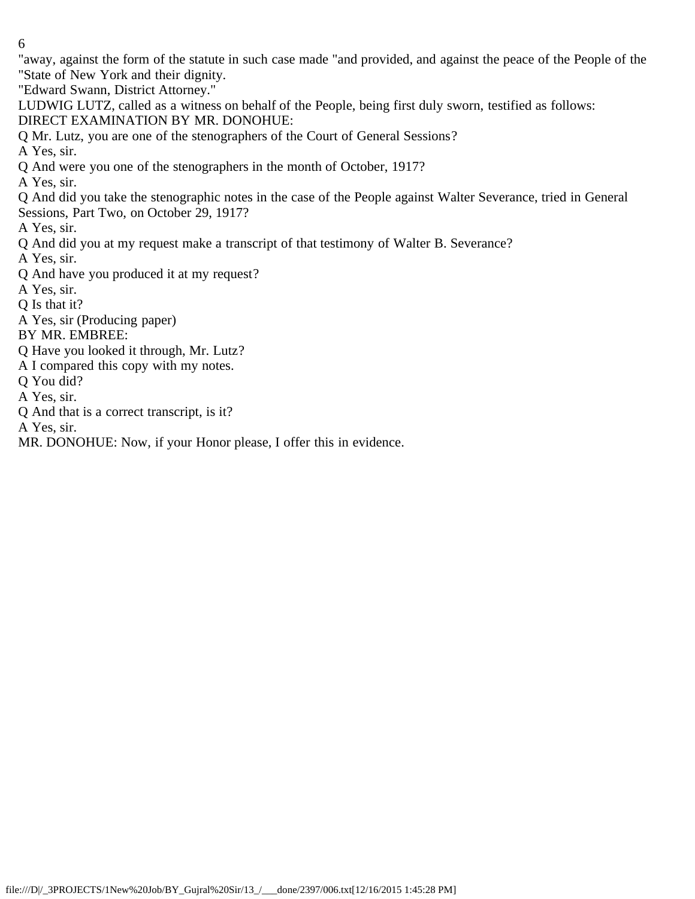"away, against the form of the statute in such case made "and provided, and against the peace of the People of the "State of New York and their dignity.

"Edward Swann, District Attorney."

LUDWIG LUTZ, called as a witness on behalf of the People, being first duly sworn, testified as follows: DIRECT EXAMINATION BY MR. DONOHUE:

Q Mr. Lutz, you are one of the stenographers of the Court of General Sessions?

A Yes, sir.

Q And were you one of the stenographers in the month of October, 1917?

A Yes, sir.

Q And did you take the stenographic notes in the case of the People against Walter Severance, tried in General Sessions, Part Two, on October 29, 1917?

A Yes, sir.

Q And did you at my request make a transcript of that testimony of Walter B. Severance?

A Yes, sir.

Q And have you produced it at my request?

A Yes, sir.

Q Is that it?

A Yes, sir (Producing paper)

BY MR. EMBREE:

Q Have you looked it through, Mr. Lutz?

A I compared this copy with my notes.

Q You did?

A Yes, sir.

Q And that is a correct transcript, is it?

A Yes, sir.

MR. DONOHUE: Now, if your Honor please, I offer this in evidence.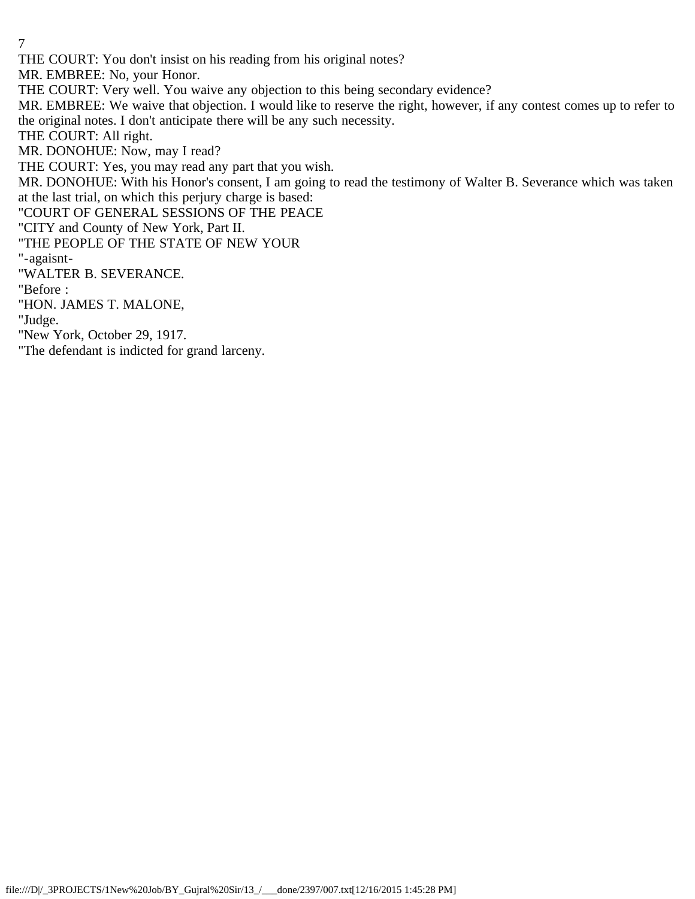THE COURT: You don't insist on his reading from his original notes?

MR. EMBREE: No, your Honor.

THE COURT: Very well. You waive any objection to this being secondary evidence?

MR. EMBREE: We waive that objection. I would like to reserve the right, however, if any contest comes up to refer to the original notes. I don't anticipate there will be any such necessity.

THE COURT: All right.

MR. DONOHUE: Now, may I read?

THE COURT: Yes, you may read any part that you wish.

MR. DONOHUE: With his Honor's consent, I am going to read the testimony of Walter B. Severance which was taken at the last trial, on which this perjury charge is based:

"COURT OF GENERAL SESSIONS OF THE PEACE

"CITY and County of New York, Part II.

"THE PEOPLE OF THE STATE OF NEW YOUR

"-agaisnt-

"WALTER B. SEVERANCE.

"Before :

"HON. JAMES T. MALONE,

"Judge.

"New York, October 29, 1917.

"The defendant is indicted for grand larceny.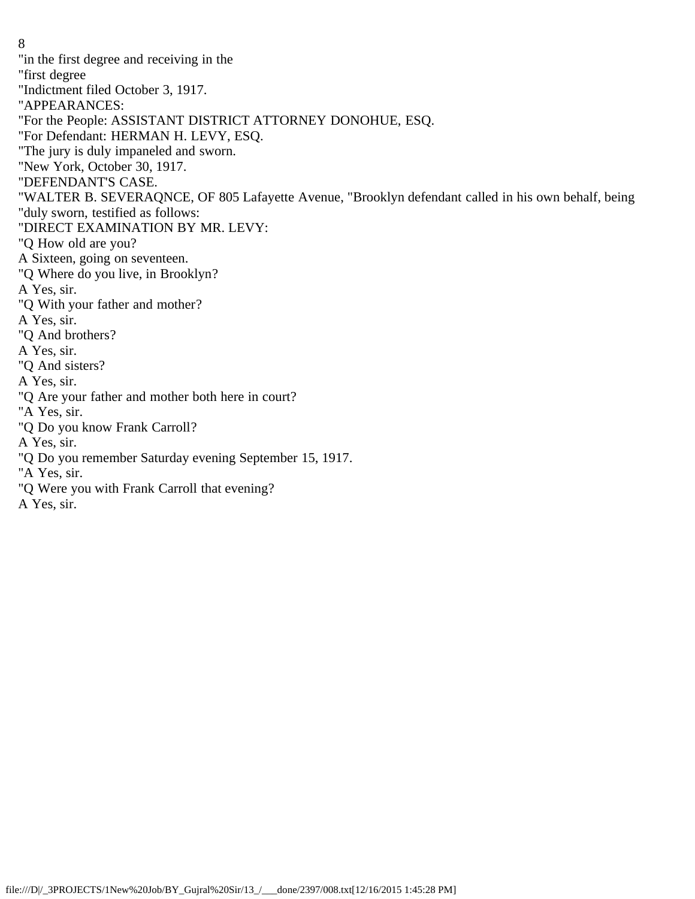"in the first degree and receiving in the "first degree "Indictment filed October 3, 1917. "APPEARANCES: "For the People: ASSISTANT DISTRICT ATTORNEY DONOHUE, ESQ. "For Defendant: HERMAN H. LEVY, ESQ. "The jury is duly impaneled and sworn. "New York, October 30, 1917. "DEFENDANT'S CASE. "WALTER B. SEVERAQNCE, OF 805 Lafayette Avenue, "Brooklyn defendant called in his own behalf, being "duly sworn, testified as follows: "DIRECT EXAMINATION BY MR. LEVY: "Q How old are you? A Sixteen, going on seventeen. "Q Where do you live, in Brooklyn? A Yes, sir. "Q With your father and mother? A Yes, sir. "Q And brothers? A Yes, sir. "Q And sisters? A Yes, sir. "Q Are your father and mother both here in court? "A Yes, sir. "Q Do you know Frank Carroll? A Yes, sir. "Q Do you remember Saturday evening September 15, 1917. "A Yes, sir. "Q Were you with Frank Carroll that evening? A Yes, sir.

8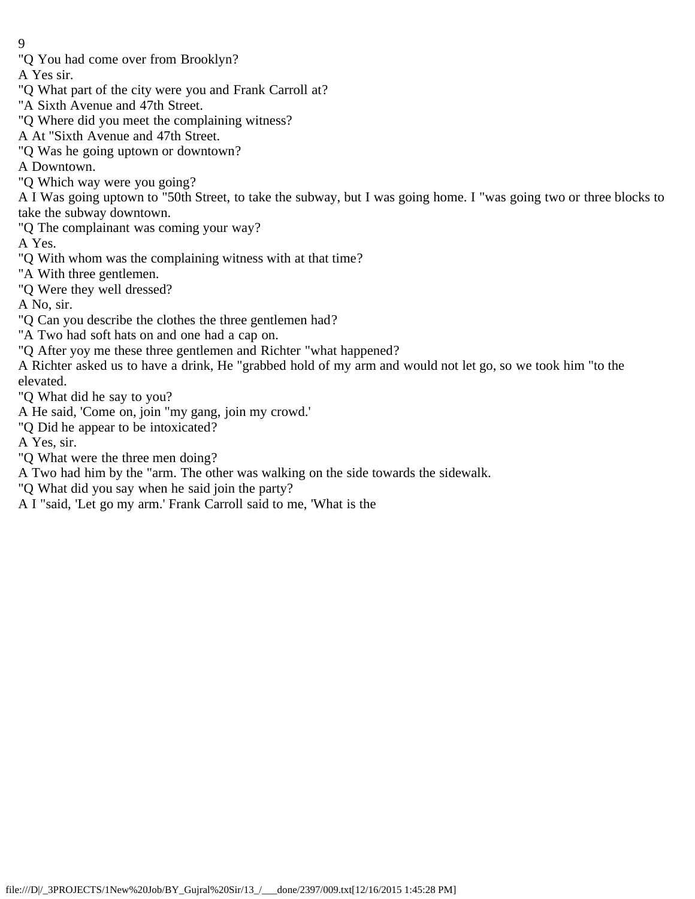- 9
- "Q You had come over from Brooklyn?

A Yes sir.

- "Q What part of the city were you and Frank Carroll at?
- "A Sixth Avenue and 47th Street.
- "Q Where did you meet the complaining witness?
- A At "Sixth Avenue and 47th Street.
- "Q Was he going uptown or downtown?

A Downtown.

"Q Which way were you going?

A I Was going uptown to "50th Street, to take the subway, but I was going home. I "was going two or three blocks to take the subway downtown.

"Q The complainant was coming your way?

A Yes.

- "Q With whom was the complaining witness with at that time?
- "A With three gentlemen.
- "Q Were they well dressed?

A No, sir.

- "Q Can you describe the clothes the three gentlemen had?
- "A Two had soft hats on and one had a cap on.
- "Q After yoy me these three gentlemen and Richter "what happened?

A Richter asked us to have a drink, He "grabbed hold of my arm and would not let go, so we took him "to the elevated.

"Q What did he say to you?

- A He said, 'Come on, join "my gang, join my crowd.'
- "Q Did he appear to be intoxicated?

A Yes, sir.

"Q What were the three men doing?

A Two had him by the "arm. The other was walking on the side towards the sidewalk.

- "Q What did you say when he said join the party?
- A I "said, 'Let go my arm.' Frank Carroll said to me, 'What is the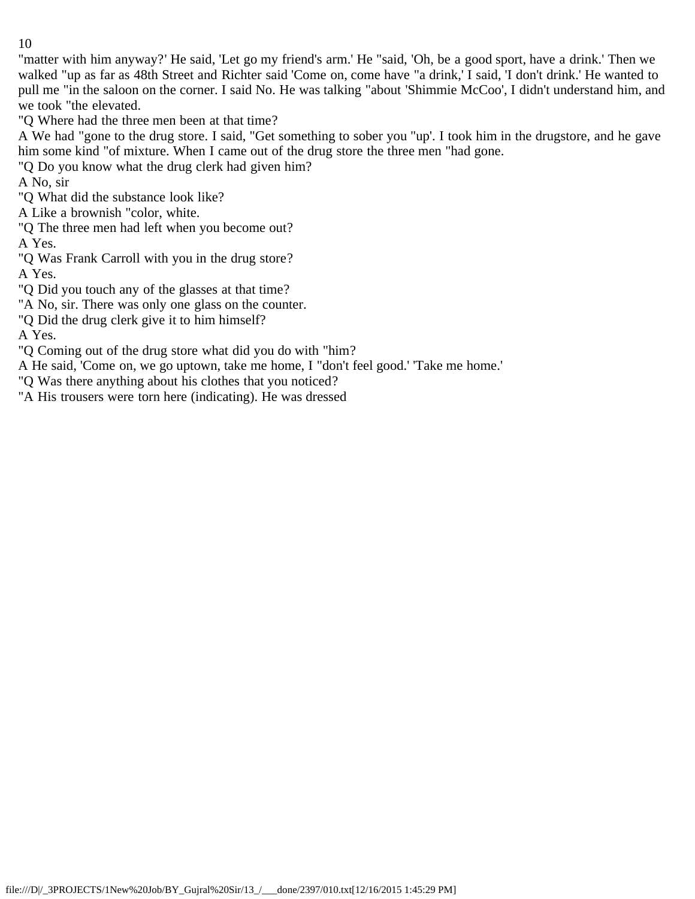"matter with him anyway?' He said, 'Let go my friend's arm.' He "said, 'Oh, be a good sport, have a drink.' Then we walked "up as far as 48th Street and Richter said 'Come on, come have "a drink,' I said, 'I don't drink.' He wanted to pull me "in the saloon on the corner. I said No. He was talking "about 'Shimmie McCoo', I didn't understand him, and we took "the elevated.

"Q Where had the three men been at that time?

A We had "gone to the drug store. I said, "Get something to sober you "up'. I took him in the drugstore, and he gave him some kind "of mixture. When I came out of the drug store the three men "had gone.

"Q Do you know what the drug clerk had given him?

A No, sir

"Q What did the substance look like?

A Like a brownish "color, white.

"Q The three men had left when you become out?

A Yes.

"Q Was Frank Carroll with you in the drug store?

A Yes.

"Q Did you touch any of the glasses at that time?

"A No, sir. There was only one glass on the counter.

"Q Did the drug clerk give it to him himself?

A Yes.

"Q Coming out of the drug store what did you do with "him?

A He said, 'Come on, we go uptown, take me home, I "don't feel good.' 'Take me home.'

"Q Was there anything about his clothes that you noticed?

"A His trousers were torn here (indicating). He was dressed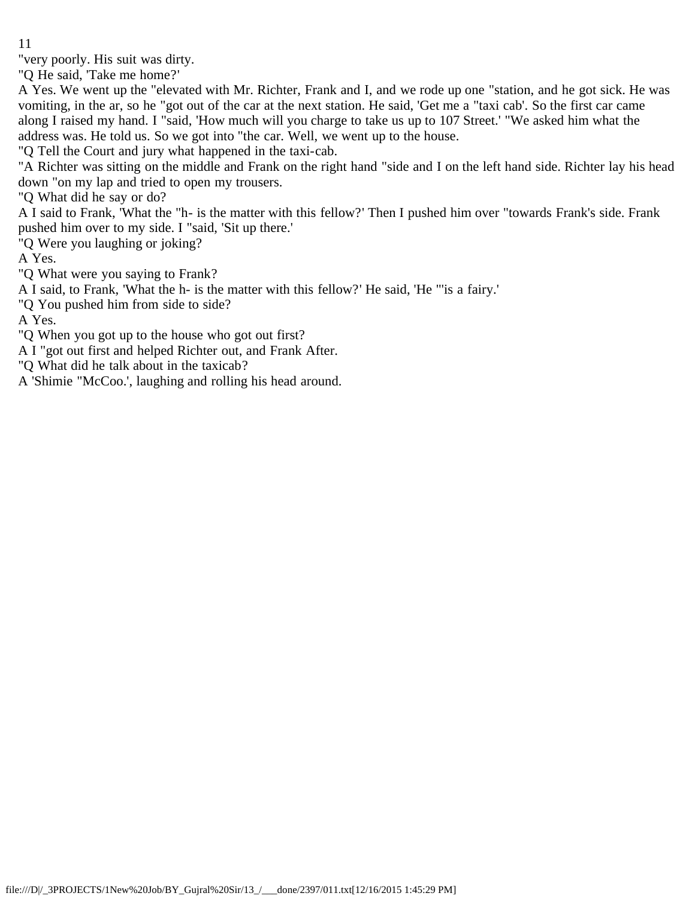"very poorly. His suit was dirty.

"Q He said, 'Take me home?'

A Yes. We went up the "elevated with Mr. Richter, Frank and I, and we rode up one "station, and he got sick. He was vomiting, in the ar, so he "got out of the car at the next station. He said, 'Get me a "taxi cab'. So the first car came along I raised my hand. I "said, 'How much will you charge to take us up to 107 Street.' "We asked him what the address was. He told us. So we got into "the car. Well, we went up to the house.

"Q Tell the Court and jury what happened in the taxi-cab.

"A Richter was sitting on the middle and Frank on the right hand "side and I on the left hand side. Richter lay his head down "on my lap and tried to open my trousers.

"Q What did he say or do?

A I said to Frank, 'What the "h- is the matter with this fellow?' Then I pushed him over "towards Frank's side. Frank pushed him over to my side. I "said, 'Sit up there.'

"Q Were you laughing or joking?

A Yes.

"Q What were you saying to Frank?

A I said, to Frank, 'What the h- is the matter with this fellow?' He said, 'He "'is a fairy.'

"Q You pushed him from side to side?

A Yes.

"Q When you got up to the house who got out first?

A I "got out first and helped Richter out, and Frank After.

"Q What did he talk about in the taxicab?

A 'Shimie "McCoo.', laughing and rolling his head around.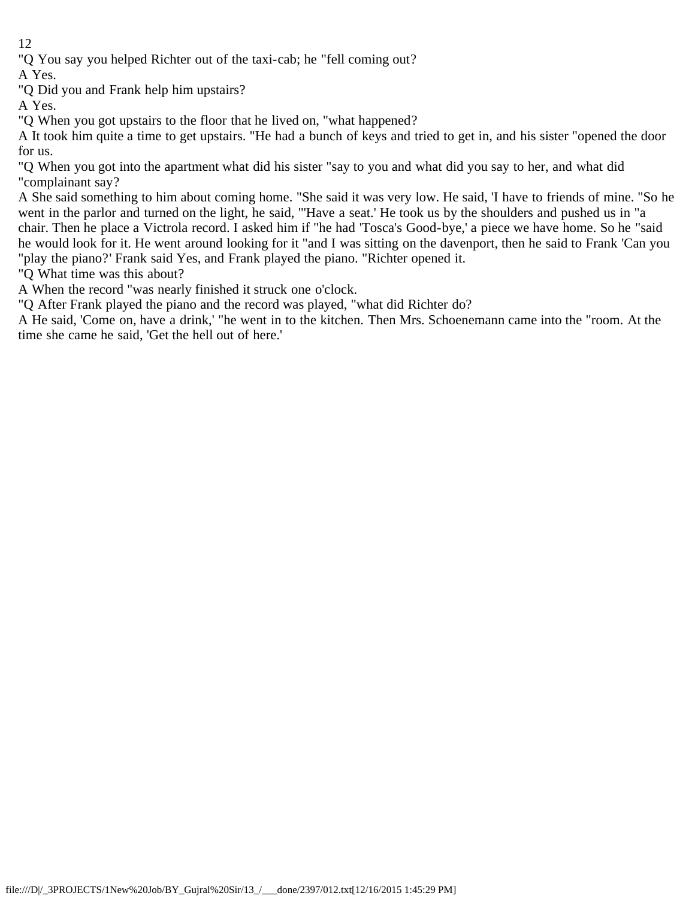"Q You say you helped Richter out of the taxi-cab; he "fell coming out?

A Yes.

"Q Did you and Frank help him upstairs?

A Yes.

"Q When you got upstairs to the floor that he lived on, "what happened?

A It took him quite a time to get upstairs. "He had a bunch of keys and tried to get in, and his sister "opened the door for us.

"Q When you got into the apartment what did his sister "say to you and what did you say to her, and what did "complainant say?

A She said something to him about coming home. "She said it was very low. He said, 'I have to friends of mine. "So he went in the parlor and turned on the light, he said, "'Have a seat.' He took us by the shoulders and pushed us in "a chair. Then he place a Victrola record. I asked him if "he had 'Tosca's Good-bye,' a piece we have home. So he "said he would look for it. He went around looking for it "and I was sitting on the davenport, then he said to Frank 'Can you "play the piano?' Frank said Yes, and Frank played the piano. "Richter opened it.

"Q What time was this about?

A When the record "was nearly finished it struck one o'clock.

"Q After Frank played the piano and the record was played, "what did Richter do?

A He said, 'Come on, have a drink,' "he went in to the kitchen. Then Mrs. Schoenemann came into the "room. At the time she came he said, 'Get the hell out of here.'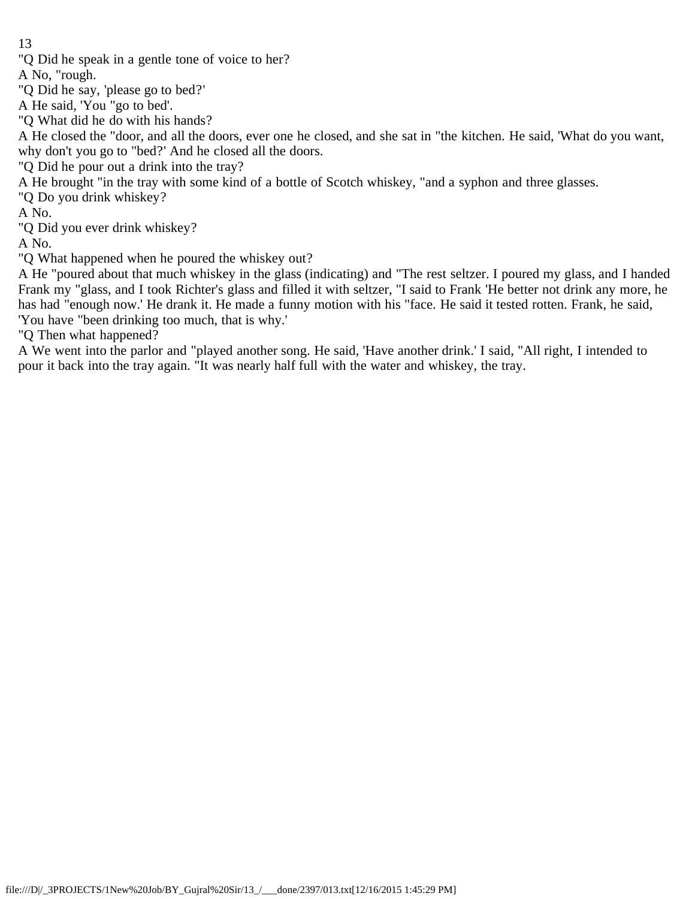"Q Did he speak in a gentle tone of voice to her?

A No, "rough.

"Q Did he say, 'please go to bed?'

A He said, 'You "go to bed'.

"Q What did he do with his hands?

A He closed the "door, and all the doors, ever one he closed, and she sat in "the kitchen. He said, 'What do you want, why don't you go to "bed?' And he closed all the doors.

"Q Did he pour out a drink into the tray?

A He brought "in the tray with some kind of a bottle of Scotch whiskey, "and a syphon and three glasses.

"Q Do you drink whiskey?

A No.

"Q Did you ever drink whiskey?

A No.

"Q What happened when he poured the whiskey out?

A He "poured about that much whiskey in the glass (indicating) and "The rest seltzer. I poured my glass, and I handed Frank my "glass, and I took Richter's glass and filled it with seltzer, "I said to Frank 'He better not drink any more, he has had "enough now.' He drank it. He made a funny motion with his "face. He said it tested rotten. Frank, he said, 'You have "been drinking too much, that is why.'

"Q Then what happened?

A We went into the parlor and "played another song. He said, 'Have another drink.' I said, "All right, I intended to pour it back into the tray again. "It was nearly half full with the water and whiskey, the tray.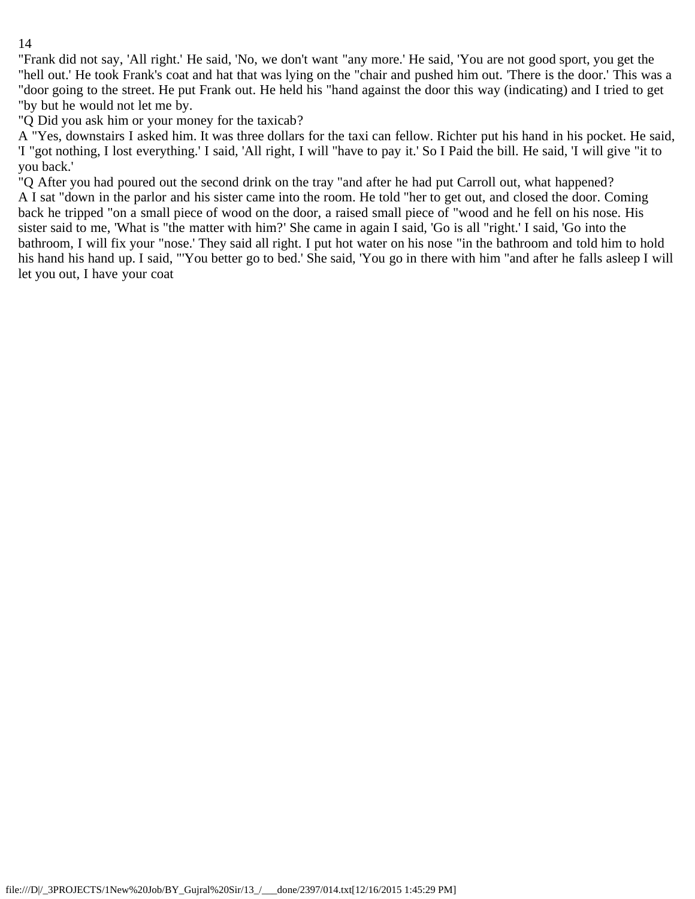"Frank did not say, 'All right.' He said, 'No, we don't want "any more.' He said, 'You are not good sport, you get the "hell out.' He took Frank's coat and hat that was lying on the "chair and pushed him out. 'There is the door.' This was a "door going to the street. He put Frank out. He held his "hand against the door this way (indicating) and I tried to get "by but he would not let me by.

"Q Did you ask him or your money for the taxicab?

A "Yes, downstairs I asked him. It was three dollars for the taxi can fellow. Richter put his hand in his pocket. He said, 'I "got nothing, I lost everything.' I said, 'All right, I will "have to pay it.' So I Paid the bill. He said, 'I will give "it to you back.'

"Q After you had poured out the second drink on the tray "and after he had put Carroll out, what happened? A I sat "down in the parlor and his sister came into the room. He told "her to get out, and closed the door. Coming back he tripped "on a small piece of wood on the door, a raised small piece of "wood and he fell on his nose. His sister said to me, 'What is "the matter with him?' She came in again I said, 'Go is all "right.' I said, 'Go into the bathroom, I will fix your "nose.' They said all right. I put hot water on his nose "in the bathroom and told him to hold his hand his hand up. I said, "'You better go to bed.' She said, 'You go in there with him "and after he falls asleep I will let you out, I have your coat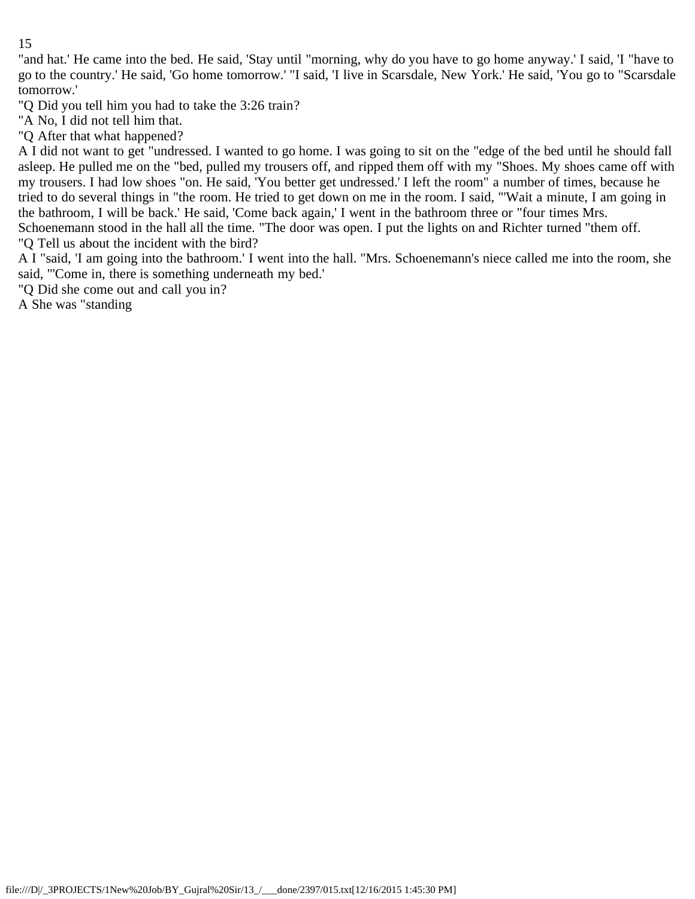"and hat.' He came into the bed. He said, 'Stay until "morning, why do you have to go home anyway.' I said, 'I "have to go to the country.' He said, 'Go home tomorrow.' "I said, 'I live in Scarsdale, New York.' He said, 'You go to "Scarsdale tomorrow.'

"Q Did you tell him you had to take the 3:26 train?

"A No, I did not tell him that.

"Q After that what happened?

A I did not want to get "undressed. I wanted to go home. I was going to sit on the "edge of the bed until he should fall asleep. He pulled me on the "bed, pulled my trousers off, and ripped them off with my "Shoes. My shoes came off with my trousers. I had low shoes "on. He said, 'You better get undressed.' I left the room" a number of times, because he tried to do several things in "the room. He tried to get down on me in the room. I said, "'Wait a minute, I am going in the bathroom, I will be back.' He said, 'Come back again,' I went in the bathroom three or "four times Mrs. Schoenemann stood in the hall all the time. "The door was open. I put the lights on and Richter turned "them off.

"Q Tell us about the incident with the bird?

A I "said, 'I am going into the bathroom.' I went into the hall. "Mrs. Schoenemann's niece called me into the room, she said, "'Come in, there is something underneath my bed.'

"Q Did she come out and call you in?

A She was "standing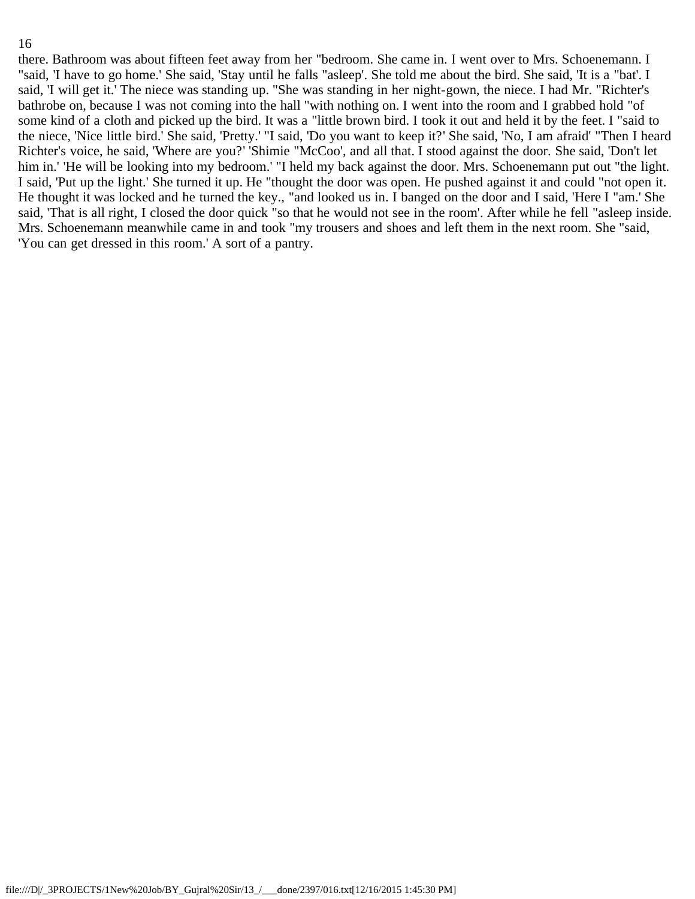there. Bathroom was about fifteen feet away from her "bedroom. She came in. I went over to Mrs. Schoenemann. I "said, 'I have to go home.' She said, 'Stay until he falls "asleep'. She told me about the bird. She said, 'It is a "bat'. I said, 'I will get it.' The niece was standing up. "She was standing in her night-gown, the niece. I had Mr. "Richter's bathrobe on, because I was not coming into the hall "with nothing on. I went into the room and I grabbed hold "of some kind of a cloth and picked up the bird. It was a "little brown bird. I took it out and held it by the feet. I "said to the niece, 'Nice little bird.' She said, 'Pretty.' "I said, 'Do you want to keep it?' She said, 'No, I am afraid' "Then I heard Richter's voice, he said, 'Where are you?' 'Shimie "McCoo', and all that. I stood against the door. She said, 'Don't let him in.' 'He will be looking into my bedroom.' "I held my back against the door. Mrs. Schoenemann put out "the light. I said, 'Put up the light.' She turned it up. He "thought the door was open. He pushed against it and could "not open it. He thought it was locked and he turned the key., "and looked us in. I banged on the door and I said, 'Here I "am.' She said, 'That is all right, I closed the door quick "so that he would not see in the room'. After while he fell "asleep inside. Mrs. Schoenemann meanwhile came in and took "my trousers and shoes and left them in the next room. She "said, 'You can get dressed in this room.' A sort of a pantry.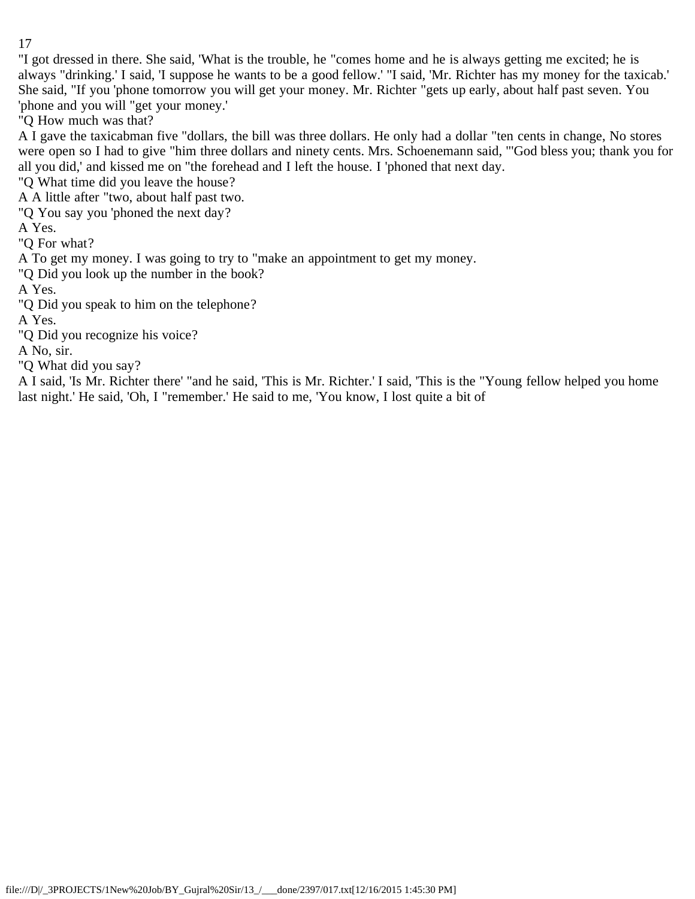"I got dressed in there. She said, 'What is the trouble, he "comes home and he is always getting me excited; he is always "drinking.' I said, 'I suppose he wants to be a good fellow.' "I said, 'Mr. Richter has my money for the taxicab.' She said, "If you 'phone tomorrow you will get your money. Mr. Richter "gets up early, about half past seven. You 'phone and you will "get your money.'

"Q How much was that?

A I gave the taxicabman five "dollars, the bill was three dollars. He only had a dollar "ten cents in change, No stores were open so I had to give "him three dollars and ninety cents. Mrs. Schoenemann said, "'God bless you; thank you for all you did,' and kissed me on "the forehead and I left the house. I 'phoned that next day.

"Q What time did you leave the house?

A A little after "two, about half past two.

"Q You say you 'phoned the next day?

A Yes.

"Q For what?

A To get my money. I was going to try to "make an appointment to get my money.

"Q Did you look up the number in the book?

A Yes.

"Q Did you speak to him on the telephone?

A Yes.

"Q Did you recognize his voice?

A No, sir.

"Q What did you say?

A I said, 'Is Mr. Richter there' "and he said, 'This is Mr. Richter.' I said, 'This is the "Young fellow helped you home last night.' He said, 'Oh, I "remember.' He said to me, 'You know, I lost quite a bit of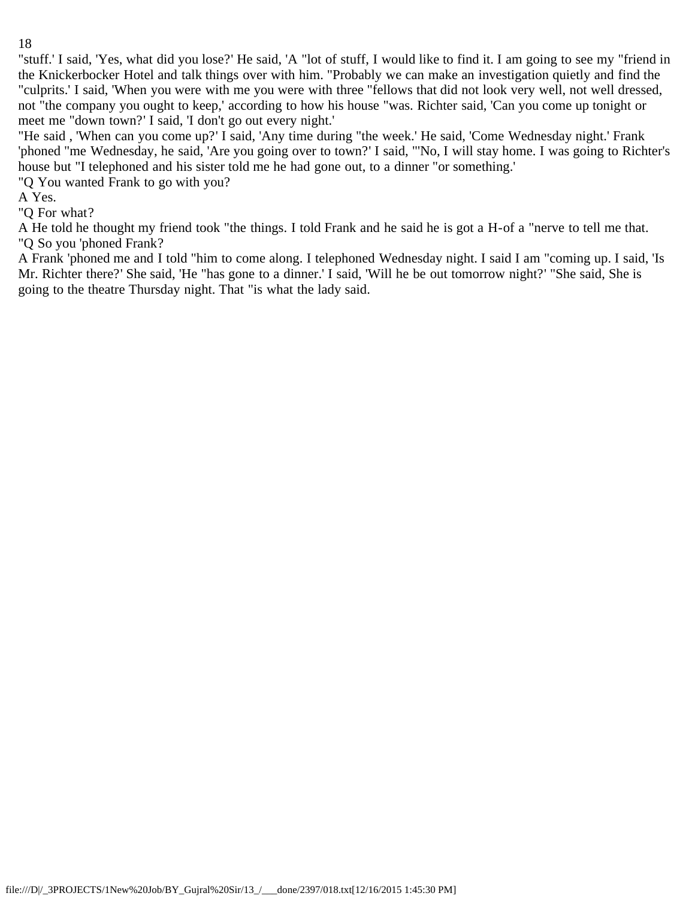"stuff.' I said, 'Yes, what did you lose?' He said, 'A "lot of stuff, I would like to find it. I am going to see my "friend in the Knickerbocker Hotel and talk things over with him. "Probably we can make an investigation quietly and find the "culprits.' I said, 'When you were with me you were with three "fellows that did not look very well, not well dressed, not "the company you ought to keep,' according to how his house "was. Richter said, 'Can you come up tonight or meet me "down town?' I said, 'I don't go out every night.'

"He said , 'When can you come up?' I said, 'Any time during "the week.' He said, 'Come Wednesday night.' Frank 'phoned "me Wednesday, he said, 'Are you going over to town?' I said, "'No, I will stay home. I was going to Richter's house but "I telephoned and his sister told me he had gone out, to a dinner "or something.'

"Q You wanted Frank to go with you?

A Yes.

"Q For what?

A He told he thought my friend took "the things. I told Frank and he said he is got a H-of a "nerve to tell me that. "Q So you 'phoned Frank?

A Frank 'phoned me and I told "him to come along. I telephoned Wednesday night. I said I am "coming up. I said, 'Is Mr. Richter there?' She said, 'He "has gone to a dinner.' I said, 'Will he be out tomorrow night?' "She said, She is going to the theatre Thursday night. That "is what the lady said.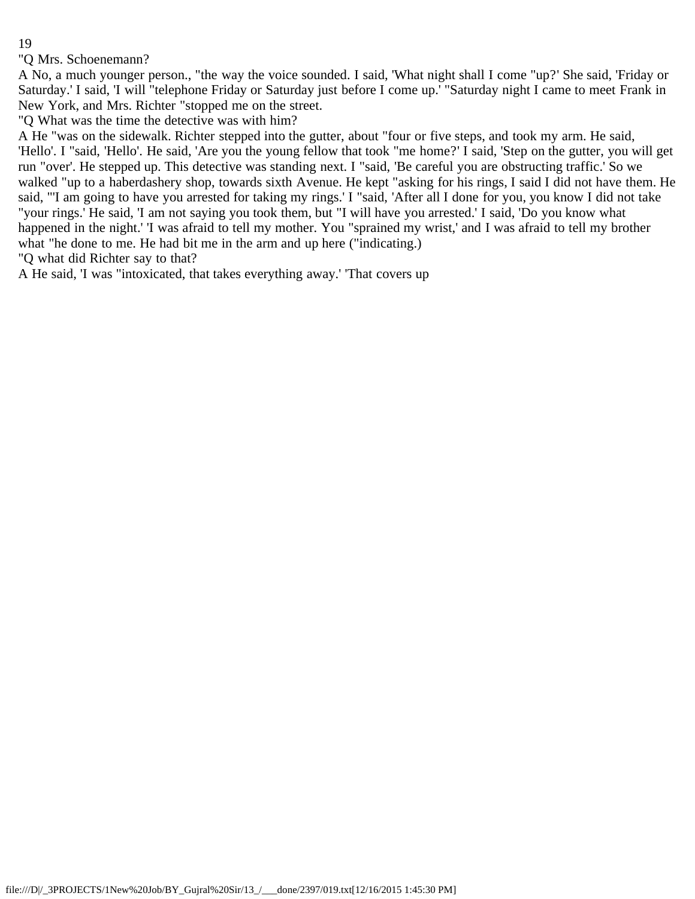"Q Mrs. Schoenemann?

A No, a much younger person., "the way the voice sounded. I said, 'What night shall I come "up?' She said, 'Friday or Saturday.' I said, 'I will "telephone Friday or Saturday just before I come up.' "Saturday night I came to meet Frank in New York, and Mrs. Richter "stopped me on the street.

"Q What was the time the detective was with him?

A He "was on the sidewalk. Richter stepped into the gutter, about "four or five steps, and took my arm. He said, 'Hello'. I "said, 'Hello'. He said, 'Are you the young fellow that took "me home?' I said, 'Step on the gutter, you will get run "over'. He stepped up. This detective was standing next. I "said, 'Be careful you are obstructing traffic.' So we walked "up to a haberdashery shop, towards sixth Avenue. He kept "asking for his rings, I said I did not have them. He said, "'I am going to have you arrested for taking my rings.' I "said, 'After all I done for you, you know I did not take "your rings.' He said, 'I am not saying you took them, but "I will have you arrested.' I said, 'Do you know what happened in the night.' 'I was afraid to tell my mother. You "sprained my wrist,' and I was afraid to tell my brother what "he done to me. He had bit me in the arm and up here ("indicating.)

"Q what did Richter say to that?

A He said, 'I was "intoxicated, that takes everything away.' 'That covers up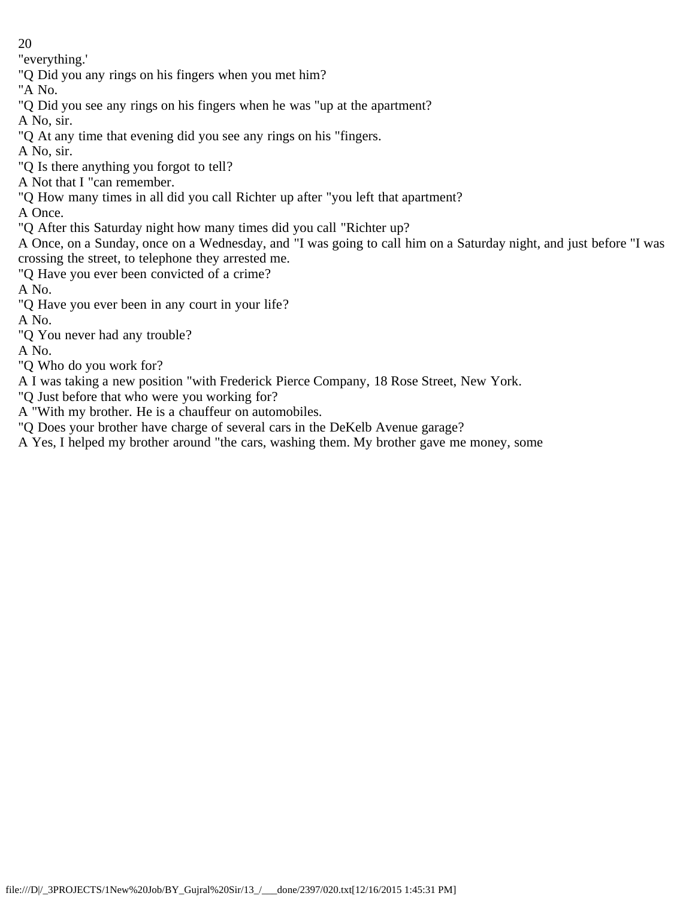"everything.'

"Q Did you any rings on his fingers when you met him?

"A No.

"Q Did you see any rings on his fingers when he was "up at the apartment?

A No, sir.

- "Q At any time that evening did you see any rings on his "fingers.
- A No, sir.
- "Q Is there anything you forgot to tell?
- A Not that I "can remember.
- "Q How many times in all did you call Richter up after "you left that apartment?

A Once.

"Q After this Saturday night how many times did you call "Richter up?

A Once, on a Sunday, once on a Wednesday, and "I was going to call him on a Saturday night, and just before "I was crossing the street, to telephone they arrested me.

"Q Have you ever been convicted of a crime?

A No.

"Q Have you ever been in any court in your life?

A No.

"Q You never had any trouble?

A No.

"Q Who do you work for?

A I was taking a new position "with Frederick Pierce Company, 18 Rose Street, New York.

- "Q Just before that who were you working for?
- A "With my brother. He is a chauffeur on automobiles.
- "Q Does your brother have charge of several cars in the DeKelb Avenue garage?
- A Yes, I helped my brother around "the cars, washing them. My brother gave me money, some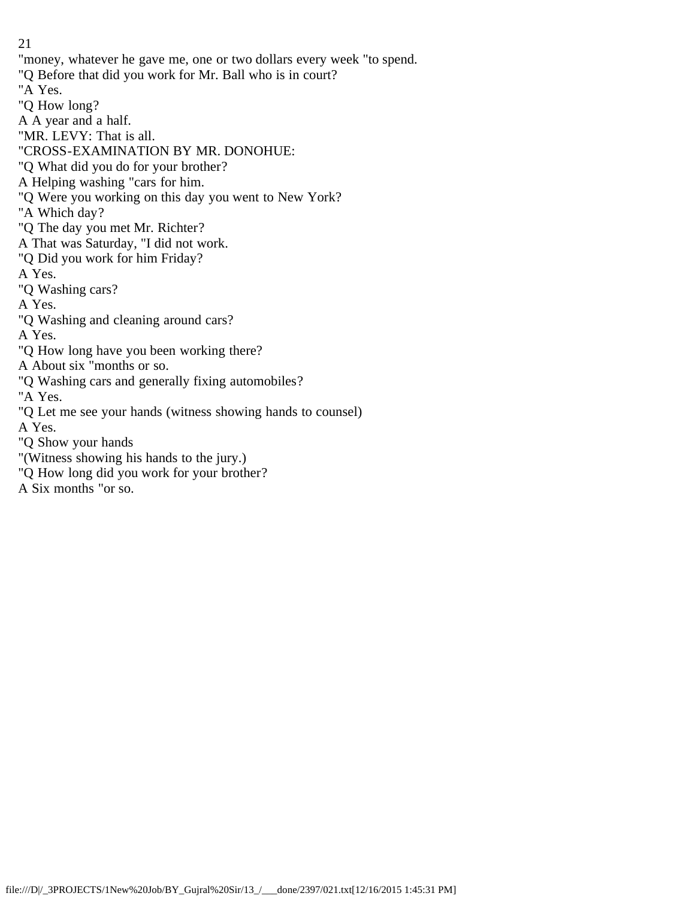"money, whatever he gave me, one or two dollars every week "to spend. "Q Before that did you work for Mr. Ball who is in court? "A Yes. "Q How long? A A year and a half. "MR. LEVY: That is all. "CROSS-EXAMINATION BY MR. DONOHUE: "Q What did you do for your brother? A Helping washing "cars for him. "Q Were you working on this day you went to New York? "A Which day? "Q The day you met Mr. Richter? A That was Saturday, "I did not work. "Q Did you work for him Friday? A Yes. "Q Washing cars? A Yes. "Q Washing and cleaning around cars? A Yes. "Q How long have you been working there? A About six "months or so. "Q Washing cars and generally fixing automobiles? "A Yes. "Q Let me see your hands (witness showing hands to counsel) A Yes. "Q Show your hands "(Witness showing his hands to the jury.) "Q How long did you work for your brother? A Six months "or so.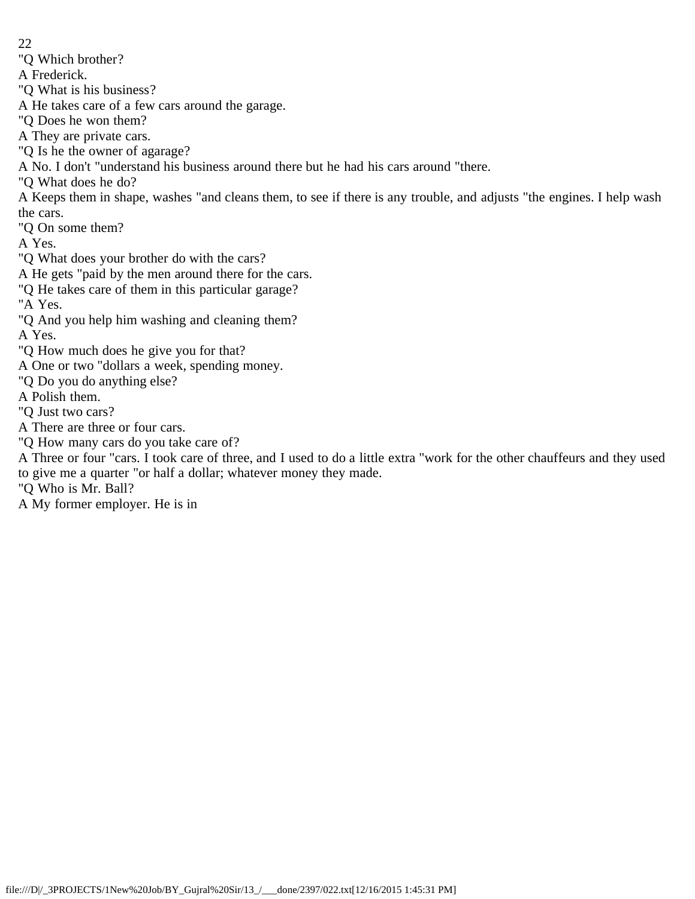"Q Which brother?

A Frederick.

"Q What is his business?

A He takes care of a few cars around the garage.

"Q Does he won them?

A They are private cars.

"Q Is he the owner of agarage?

A No. I don't "understand his business around there but he had his cars around "there.

"Q What does he do?

A Keeps them in shape, washes "and cleans them, to see if there is any trouble, and adjusts "the engines. I help wash the cars.

"Q On some them?

A Yes.

"Q What does your brother do with the cars?

A He gets "paid by the men around there for the cars.

"Q He takes care of them in this particular garage?

"A Yes.

"Q And you help him washing and cleaning them?

A Yes.

"Q How much does he give you for that?

A One or two "dollars a week, spending money.

"Q Do you do anything else?

A Polish them.

"Q Just two cars?

A There are three or four cars.

"Q How many cars do you take care of?

A Three or four "cars. I took care of three, and I used to do a little extra "work for the other chauffeurs and they used to give me a quarter "or half a dollar; whatever money they made.

"Q Who is Mr. Ball?

A My former employer. He is in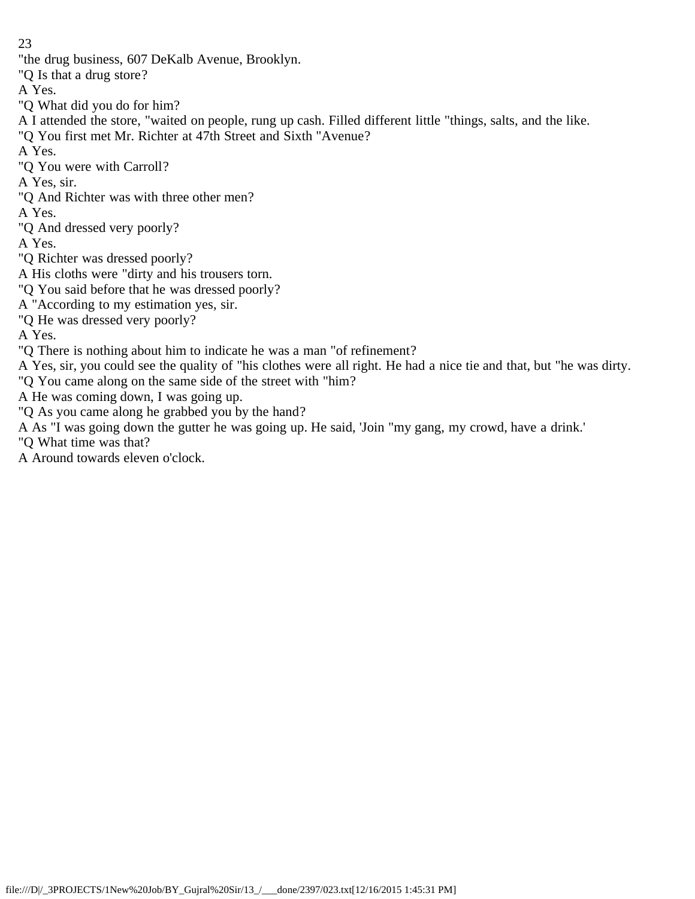"the drug business, 607 DeKalb Avenue, Brooklyn.

"Q Is that a drug store?

A Yes.

"Q What did you do for him?

A I attended the store, "waited on people, rung up cash. Filled different little "things, salts, and the like.

"Q You first met Mr. Richter at 47th Street and Sixth "Avenue?

A Yes.

"Q You were with Carroll?

A Yes, sir.

"Q And Richter was with three other men?

A Yes.

"Q And dressed very poorly?

A Yes.

"Q Richter was dressed poorly?

A His cloths were "dirty and his trousers torn.

"Q You said before that he was dressed poorly?

A "According to my estimation yes, sir.

"Q He was dressed very poorly?

A Yes.

"Q There is nothing about him to indicate he was a man "of refinement?

A Yes, sir, you could see the quality of "his clothes were all right. He had a nice tie and that, but "he was dirty.

"Q You came along on the same side of the street with "him?

A He was coming down, I was going up.

"Q As you came along he grabbed you by the hand?

A As "I was going down the gutter he was going up. He said, 'Join "my gang, my crowd, have a drink.'

"Q What time was that?

A Around towards eleven o'clock.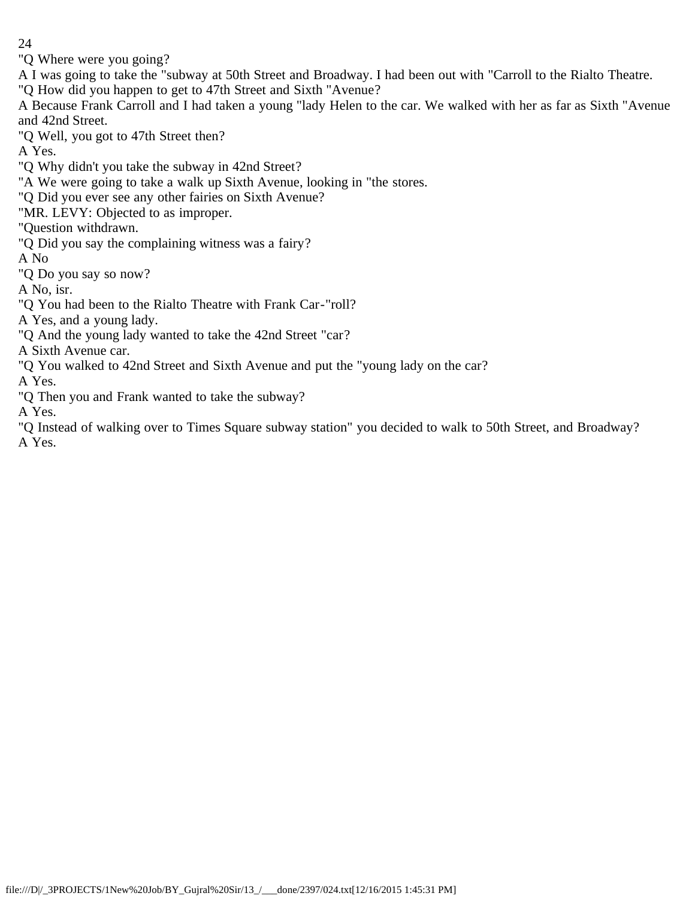"Q Where were you going?

A I was going to take the "subway at 50th Street and Broadway. I had been out with "Carroll to the Rialto Theatre.

"Q How did you happen to get to 47th Street and Sixth "Avenue?

A Because Frank Carroll and I had taken a young "lady Helen to the car. We walked with her as far as Sixth "Avenue and 42nd Street.

"Q Well, you got to 47th Street then?

A Yes.

"Q Why didn't you take the subway in 42nd Street?

"A We were going to take a walk up Sixth Avenue, looking in "the stores.

"Q Did you ever see any other fairies on Sixth Avenue?

"MR. LEVY: Objected to as improper.

"Question withdrawn.

"Q Did you say the complaining witness was a fairy?

A No

"Q Do you say so now?

A No, isr.

"Q You had been to the Rialto Theatre with Frank Car-"roll?

A Yes, and a young lady.

"Q And the young lady wanted to take the 42nd Street "car?

A Sixth Avenue car.

"Q You walked to 42nd Street and Sixth Avenue and put the "young lady on the car?

A Yes.

"Q Then you and Frank wanted to take the subway?

A Yes.

"Q Instead of walking over to Times Square subway station" you decided to walk to 50th Street, and Broadway? A Yes.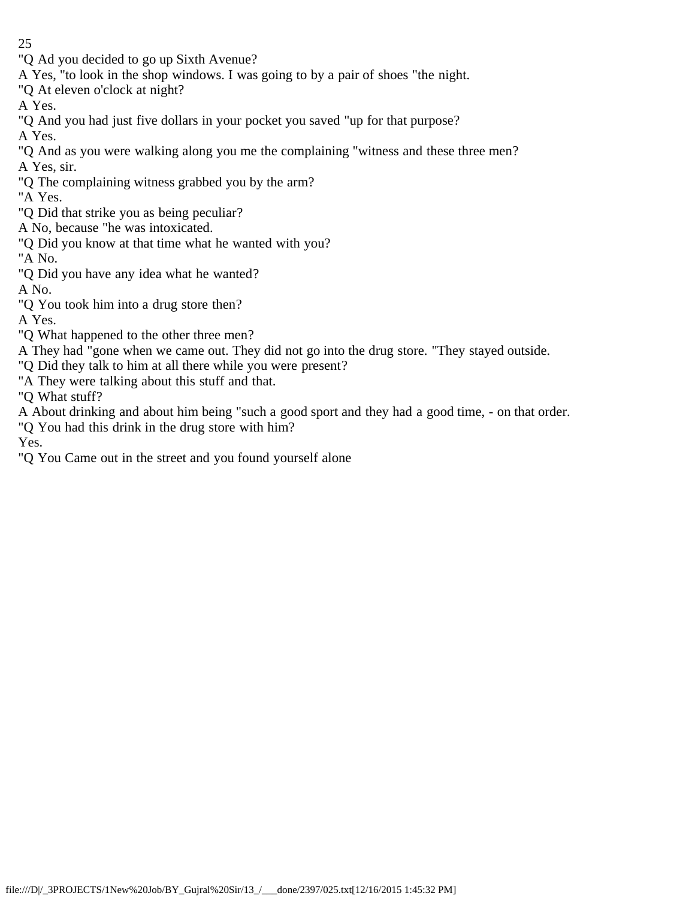- 25
- "Q Ad you decided to go up Sixth Avenue?
- A Yes, "to look in the shop windows. I was going to by a pair of shoes "the night.
- "Q At eleven o'clock at night?
- A Yes.
- "Q And you had just five dollars in your pocket you saved "up for that purpose?
- A Yes.
- "Q And as you were walking along you me the complaining "witness and these three men? A Yes, sir.
- "Q The complaining witness grabbed you by the arm?
- "A Yes.
- "Q Did that strike you as being peculiar?
- A No, because "he was intoxicated.
- "Q Did you know at that time what he wanted with you?
- "A No.
- "Q Did you have any idea what he wanted?
- A No.
- "Q You took him into a drug store then?

A Yes.

- "Q What happened to the other three men?
- A They had "gone when we came out. They did not go into the drug store. "They stayed outside.
- "Q Did they talk to him at all there while you were present?
- "A They were talking about this stuff and that.

"Q What stuff?

- A About drinking and about him being "such a good sport and they had a good time, on that order.
- "Q You had this drink in the drug store with him?

Yes.

"Q You Came out in the street and you found yourself alone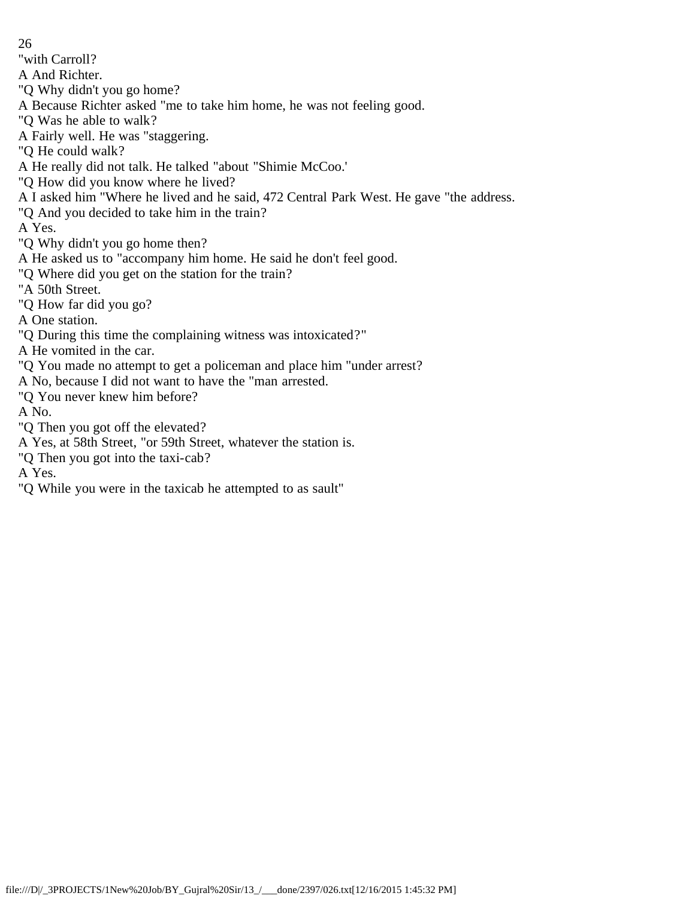26 "with Carroll? A And Richter. "Q Why didn't you go home? A Because Richter asked "me to take him home, he was not feeling good. "Q Was he able to walk? A Fairly well. He was "staggering. "Q He could walk? A He really did not talk. He talked "about "Shimie McCoo.' "Q How did you know where he lived? A I asked him "Where he lived and he said, 472 Central Park West. He gave "the address. "Q And you decided to take him in the train? A Yes. "Q Why didn't you go home then? A He asked us to "accompany him home. He said he don't feel good. "Q Where did you get on the station for the train? "A 50th Street. "Q How far did you go? A One station. "Q During this time the complaining witness was intoxicated?" A He vomited in the car. "Q You made no attempt to get a policeman and place him "under arrest? A No, because I did not want to have the "man arrested. "Q You never knew him before? A No. "Q Then you got off the elevated? A Yes, at 58th Street, "or 59th Street, whatever the station is. "Q Then you got into the taxi-cab?

A Yes.

"Q While you were in the taxicab he attempted to as sault"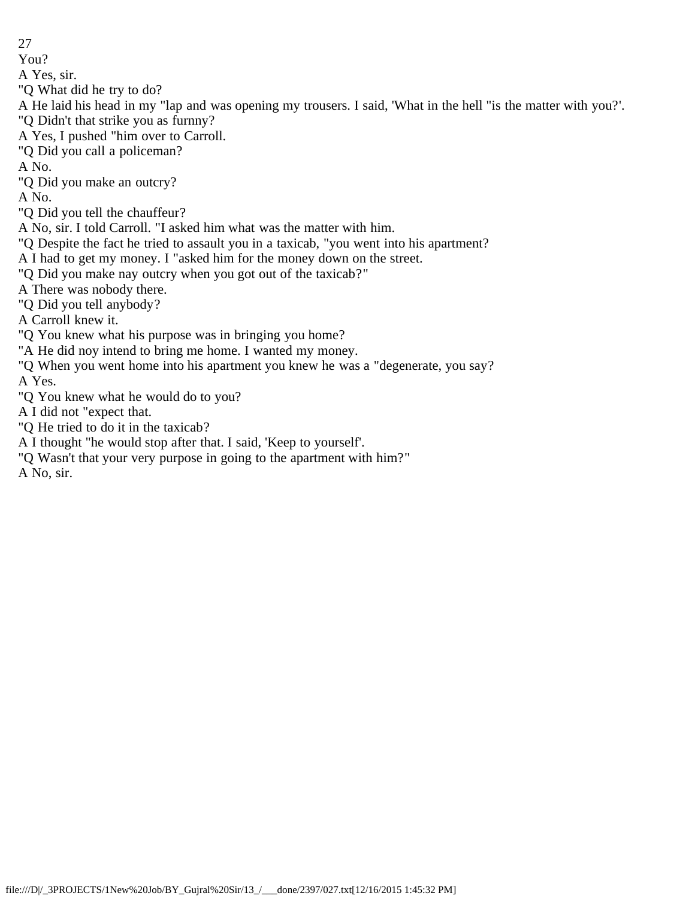You?

A Yes, sir.

"Q What did he try to do?

A He laid his head in my "lap and was opening my trousers. I said, 'What in the hell "is the matter with you?'. "Q Didn't that strike you as furnny?

A Yes, I pushed "him over to Carroll.

"Q Did you call a policeman?

A No.

"Q Did you make an outcry?

A No.

"Q Did you tell the chauffeur?

A No, sir. I told Carroll. "I asked him what was the matter with him.

"Q Despite the fact he tried to assault you in a taxicab, "you went into his apartment?

A I had to get my money. I "asked him for the money down on the street.

"Q Did you make nay outcry when you got out of the taxicab?"

A There was nobody there.

"Q Did you tell anybody?

A Carroll knew it.

"Q You knew what his purpose was in bringing you home?

"A He did noy intend to bring me home. I wanted my money.

"Q When you went home into his apartment you knew he was a "degenerate, you say? A Yes.

"Q You knew what he would do to you?

A I did not "expect that.

"Q He tried to do it in the taxicab?

A I thought "he would stop after that. I said, 'Keep to yourself'.

"Q Wasn't that your very purpose in going to the apartment with him?"

A No, sir.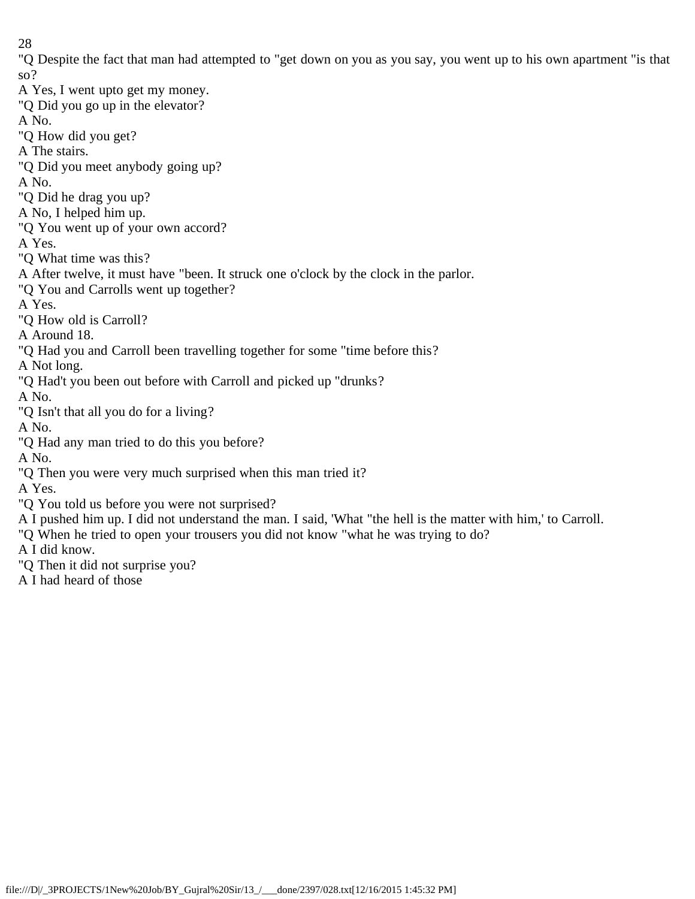"Q Despite the fact that man had attempted to "get down on you as you say, you went up to his own apartment "is that so?

A Yes, I went upto get my money. "Q Did you go up in the elevator? A No. "Q How did you get? A The stairs. "Q Did you meet anybody going up? A No. "Q Did he drag you up? A No, I helped him up. "Q You went up of your own accord? A Yes. "Q What time was this? A After twelve, it must have "been. It struck one o'clock by the clock in the parlor. "Q You and Carrolls went up together? A Yes. "Q How old is Carroll? A Around 18. "Q Had you and Carroll been travelling together for some "time before this? A Not long. "Q Had't you been out before with Carroll and picked up "drunks? A No. "Q Isn't that all you do for a living? A No. "Q Had any man tried to do this you before? A No. "Q Then you were very much surprised when this man tried it? A Yes. "Q You told us before you were not surprised? A I pushed him up. I did not understand the man. I said, 'What "the hell is the matter with him,' to Carroll. "Q When he tried to open your trousers you did not know "what he was trying to do? A I did know.

"Q Then it did not surprise you?

A I had heard of those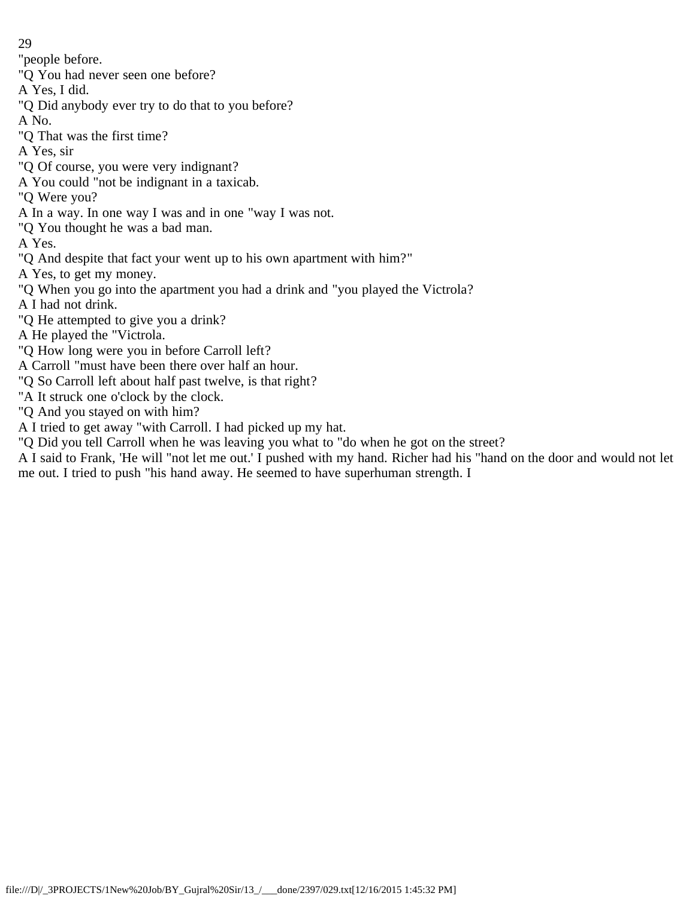- 29
- "people before.
- "Q You had never seen one before?
- A Yes, I did.
- "Q Did anybody ever try to do that to you before?
- A No.
- "Q That was the first time?
- A Yes, sir
- "Q Of course, you were very indignant?
- A You could "not be indignant in a taxicab.
- "Q Were you?
- A In a way. In one way I was and in one "way I was not.
- "Q You thought he was a bad man.
- A Yes.
- "Q And despite that fact your went up to his own apartment with him?"
- A Yes, to get my money.
- "Q When you go into the apartment you had a drink and "you played the Victrola?
- A I had not drink.
- "Q He attempted to give you a drink?
- A He played the "Victrola.
- "Q How long were you in before Carroll left?
- A Carroll "must have been there over half an hour.
- "Q So Carroll left about half past twelve, is that right?
- "A It struck one o'clock by the clock.
- "Q And you stayed on with him?
- A I tried to get away "with Carroll. I had picked up my hat.
- "Q Did you tell Carroll when he was leaving you what to "do when he got on the street?
- A I said to Frank, 'He will "not let me out.' I pushed with my hand. Richer had his "hand on the door and would not let me out. I tried to push "his hand away. He seemed to have superhuman strength. I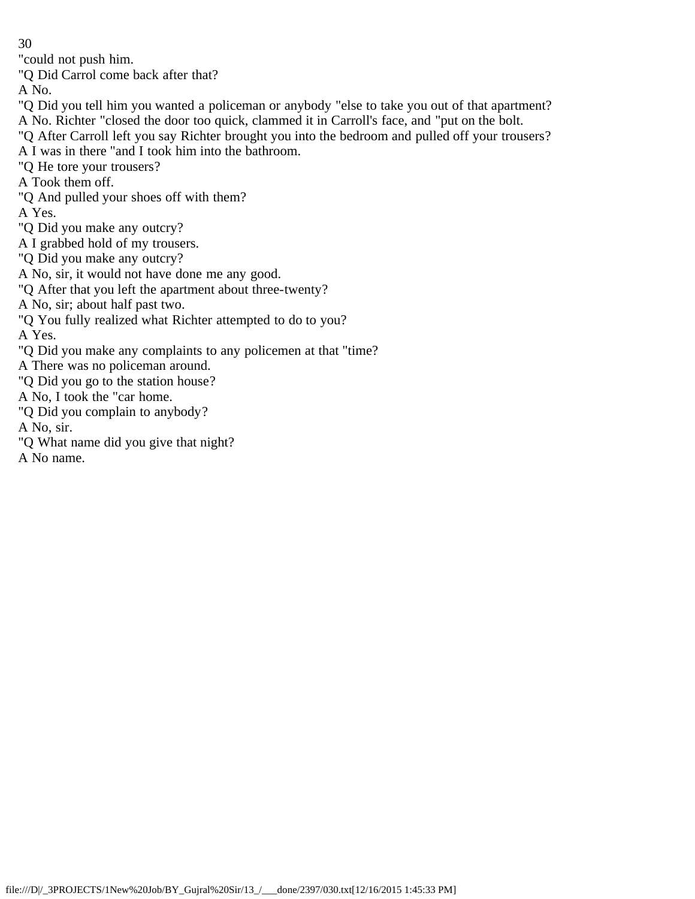"could not push him.

"Q Did Carrol come back after that?

A No.

"Q Did you tell him you wanted a policeman or anybody "else to take you out of that apartment? A No. Richter "closed the door too quick, clammed it in Carroll's face, and "put on the bolt.

"Q After Carroll left you say Richter brought you into the bedroom and pulled off your trousers?

A I was in there "and I took him into the bathroom.

"Q He tore your trousers?

A Took them off.

"Q And pulled your shoes off with them?

A Yes.

"Q Did you make any outcry?

A I grabbed hold of my trousers.

"Q Did you make any outcry?

A No, sir, it would not have done me any good.

"Q After that you left the apartment about three-twenty?

A No, sir; about half past two.

"Q You fully realized what Richter attempted to do to you?

A Yes.

"Q Did you make any complaints to any policemen at that "time?

A There was no policeman around.

"Q Did you go to the station house?

A No, I took the "car home.

"Q Did you complain to anybody?

A No, sir.

"Q What name did you give that night?

A No name.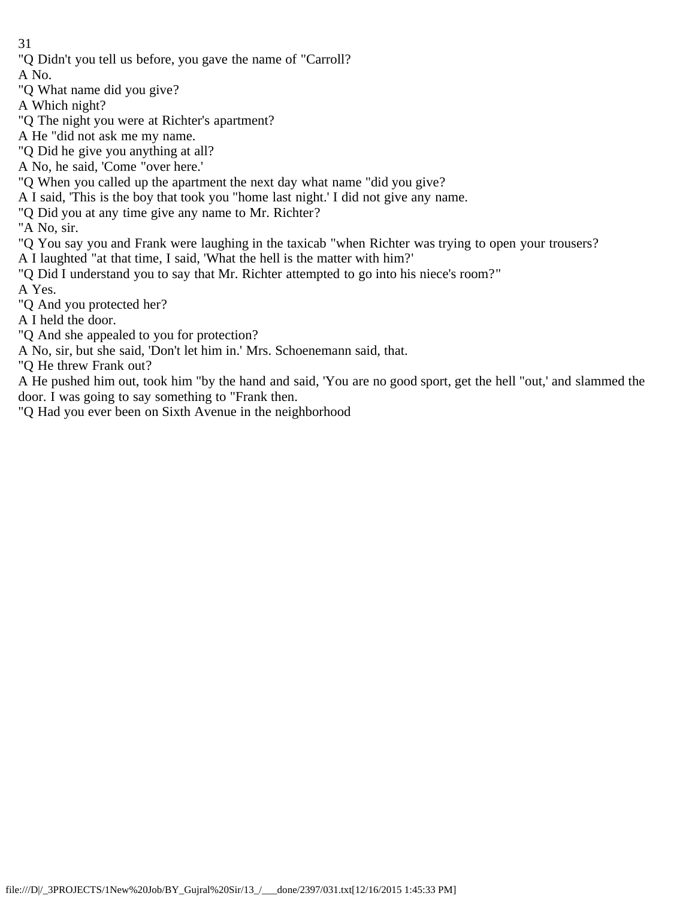"Q Didn't you tell us before, you gave the name of "Carroll?

A No.

- "Q What name did you give?
- A Which night?
- "Q The night you were at Richter's apartment?
- A He "did not ask me my name.
- "Q Did he give you anything at all?
- A No, he said, 'Come "over here.'
- "Q When you called up the apartment the next day what name "did you give?
- A I said, 'This is the boy that took you "home last night.' I did not give any name.
- "Q Did you at any time give any name to Mr. Richter?
- "A No, sir.
- "Q You say you and Frank were laughing in the taxicab "when Richter was trying to open your trousers?
- A I laughted "at that time, I said, 'What the hell is the matter with him?'
- "Q Did I understand you to say that Mr. Richter attempted to go into his niece's room?" A Yes.
- "Q And you protected her?
- A I held the door.
- "Q And she appealed to you for protection?
- A No, sir, but she said, 'Don't let him in.' Mrs. Schoenemann said, that.
- "Q He threw Frank out?
- A He pushed him out, took him "by the hand and said, 'You are no good sport, get the hell "out,' and slammed the door. I was going to say something to "Frank then.
- "Q Had you ever been on Sixth Avenue in the neighborhood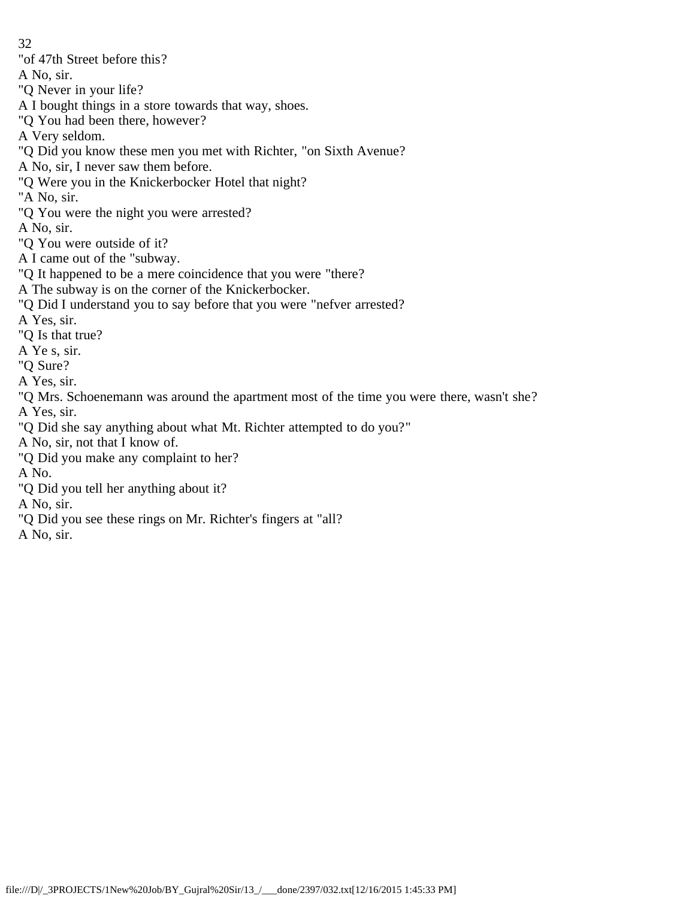32 "of 47th Street before this? A No, sir. "Q Never in your life? A I bought things in a store towards that way, shoes. "Q You had been there, however? A Very seldom. "Q Did you know these men you met with Richter, "on Sixth Avenue? A No, sir, I never saw them before. "Q Were you in the Knickerbocker Hotel that night? "A No, sir. "Q You were the night you were arrested? A No, sir. "Q You were outside of it? A I came out of the "subway. "Q It happened to be a mere coincidence that you were "there? A The subway is on the corner of the Knickerbocker. "Q Did I understand you to say before that you were "nefver arrested? A Yes, sir. "Q Is that true? A Ye s, sir. "Q Sure? A Yes, sir. "Q Mrs. Schoenemann was around the apartment most of the time you were there, wasn't she? A Yes, sir. "Q Did she say anything about what Mt. Richter attempted to do you?" A No, sir, not that I know of. "Q Did you make any complaint to her? A No. "Q Did you tell her anything about it? A No, sir. "Q Did you see these rings on Mr. Richter's fingers at "all?

A No, sir.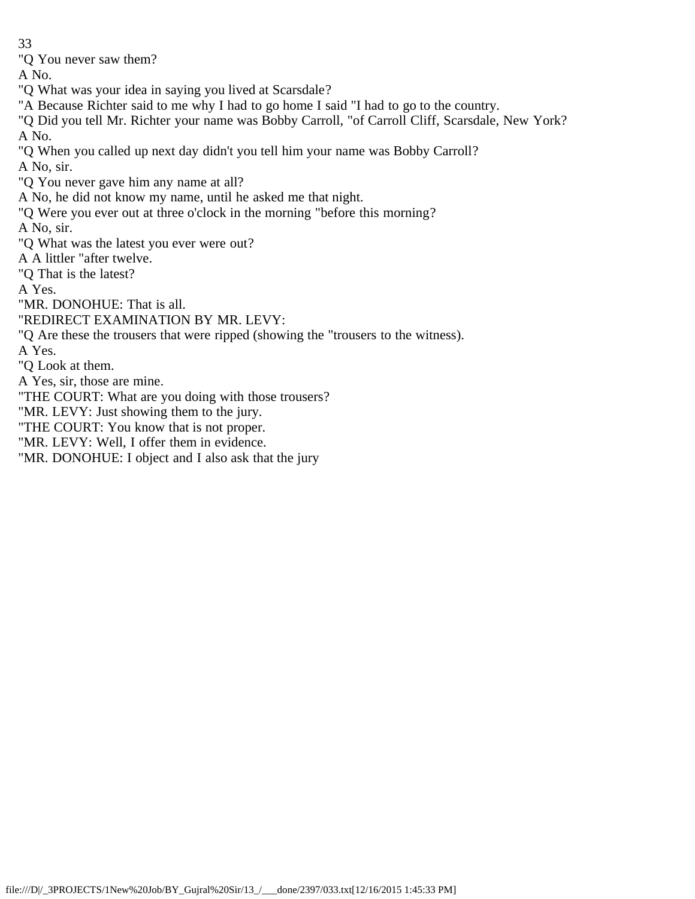"Q You never saw them?

A No.

"Q What was your idea in saying you lived at Scarsdale?

"A Because Richter said to me why I had to go home I said "I had to go to the country.

"Q Did you tell Mr. Richter your name was Bobby Carroll, "of Carroll Cliff, Scarsdale, New York? A No.

"Q When you called up next day didn't you tell him your name was Bobby Carroll?

A No, sir.

"Q You never gave him any name at all?

A No, he did not know my name, until he asked me that night.

"Q Were you ever out at three o'clock in the morning "before this morning?

A No, sir.

"Q What was the latest you ever were out?

A A littler "after twelve.

"Q That is the latest?

A Yes.

"MR. DONOHUE: That is all.

"REDIRECT EXAMINATION BY MR. LEVY:

"Q Are these the trousers that were ripped (showing the "trousers to the witness).

A Yes.

"Q Look at them.

A Yes, sir, those are mine.

"THE COURT: What are you doing with those trousers?

"MR. LEVY: Just showing them to the jury.

"THE COURT: You know that is not proper.

"MR. LEVY: Well, I offer them in evidence.

"MR. DONOHUE: I object and I also ask that the jury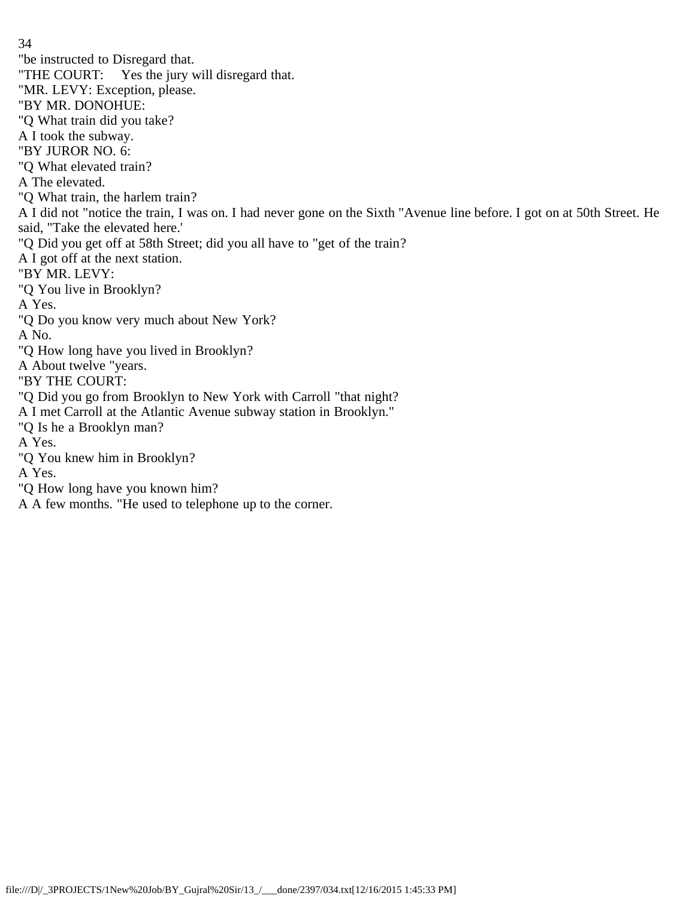34 "be instructed to Disregard that. "THE COURT: Yes the jury will disregard that. "MR. LEVY: Exception, please. "BY MR. DONOHUE: "Q What train did you take? A I took the subway. "BY JUROR NO. 6: "Q What elevated train? A The elevated. "Q What train, the harlem train? A I did not "notice the train, I was on. I had never gone on the Sixth "Avenue line before. I got on at 50th Street. He said, "Take the elevated here.' "Q Did you get off at 58th Street; did you all have to "get of the train? A I got off at the next station. "BY MR. LEVY: "Q You live in Brooklyn? A Yes. "Q Do you know very much about New York? A No. "Q How long have you lived in Brooklyn? A About twelve "years. "BY THE COURT: "Q Did you go from Brooklyn to New York with Carroll "that night? A I met Carroll at the Atlantic Avenue subway station in Brooklyn." "Q Is he a Brooklyn man? A Yes. "Q You knew him in Brooklyn? A Yes. "Q How long have you known him? A A few months. "He used to telephone up to the corner.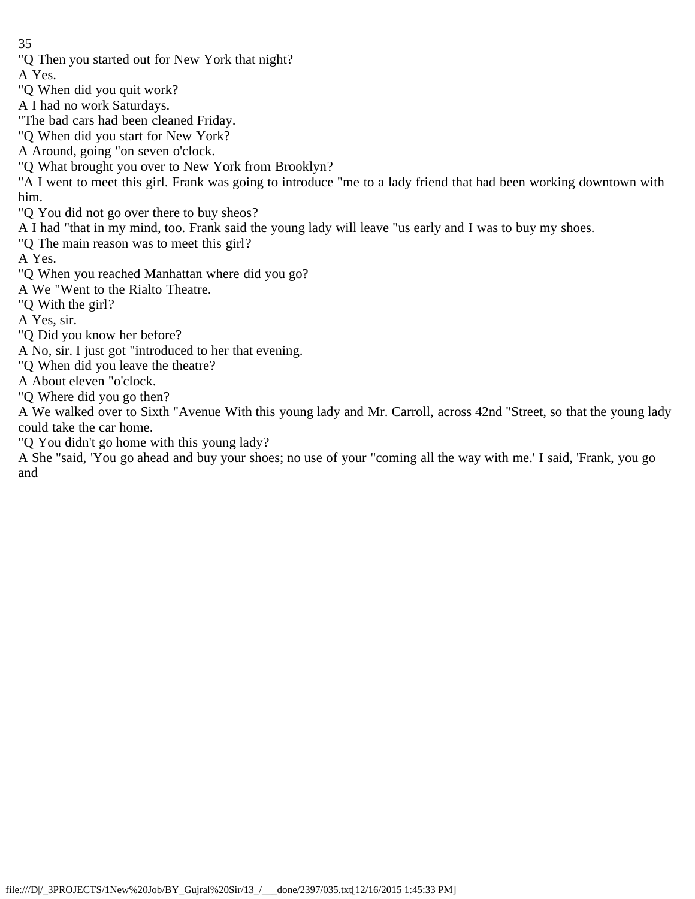"Q Then you started out for New York that night?

A Yes.

- "Q When did you quit work?
- A I had no work Saturdays.
- "The bad cars had been cleaned Friday.
- "Q When did you start for New York?
- A Around, going "on seven o'clock.
- "Q What brought you over to New York from Brooklyn?
- "A I went to meet this girl. Frank was going to introduce "me to a lady friend that had been working downtown with him.
- "Q You did not go over there to buy sheos?
- A I had "that in my mind, too. Frank said the young lady will leave "us early and I was to buy my shoes.
- "Q The main reason was to meet this girl?

A Yes.

- "Q When you reached Manhattan where did you go?
- A We "Went to the Rialto Theatre.
- "Q With the girl?
- A Yes, sir.
- "Q Did you know her before?
- A No, sir. I just got "introduced to her that evening.
- "Q When did you leave the theatre?
- A About eleven "o'clock.
- "Q Where did you go then?
- A We walked over to Sixth "Avenue With this young lady and Mr. Carroll, across 42nd "Street, so that the young lady could take the car home.
- "Q You didn't go home with this young lady?
- A She "said, 'You go ahead and buy your shoes; no use of your "coming all the way with me.' I said, 'Frank, you go and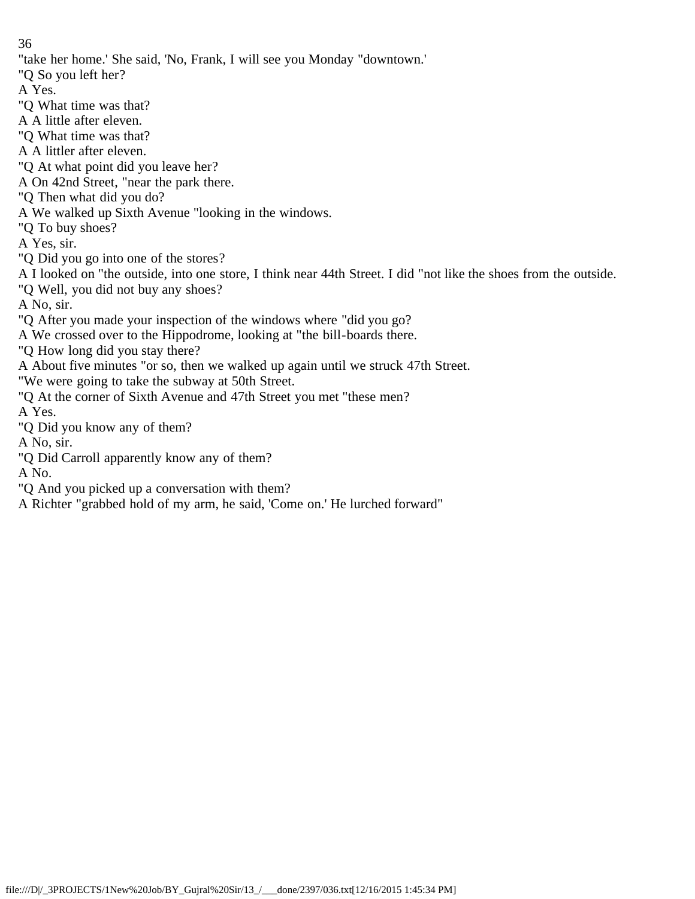"take her home.' She said, 'No, Frank, I will see you Monday "downtown.'

"Q So you left her?

A Yes.

"Q What time was that?

A A little after eleven.

"Q What time was that?

A A littler after eleven.

"Q At what point did you leave her?

A On 42nd Street, "near the park there.

"Q Then what did you do?

A We walked up Sixth Avenue "looking in the windows.

"Q To buy shoes?

A Yes, sir.

"Q Did you go into one of the stores?

A I looked on "the outside, into one store, I think near 44th Street. I did "not like the shoes from the outside.

"Q Well, you did not buy any shoes?

A No, sir.

"Q After you made your inspection of the windows where "did you go?

A We crossed over to the Hippodrome, looking at "the bill-boards there.

"Q How long did you stay there?

A About five minutes "or so, then we walked up again until we struck 47th Street.

"We were going to take the subway at 50th Street.

"Q At the corner of Sixth Avenue and 47th Street you met "these men?

A Yes.

"Q Did you know any of them?

A No, sir.

"Q Did Carroll apparently know any of them?

A No.

"Q And you picked up a conversation with them?

A Richter "grabbed hold of my arm, he said, 'Come on.' He lurched forward"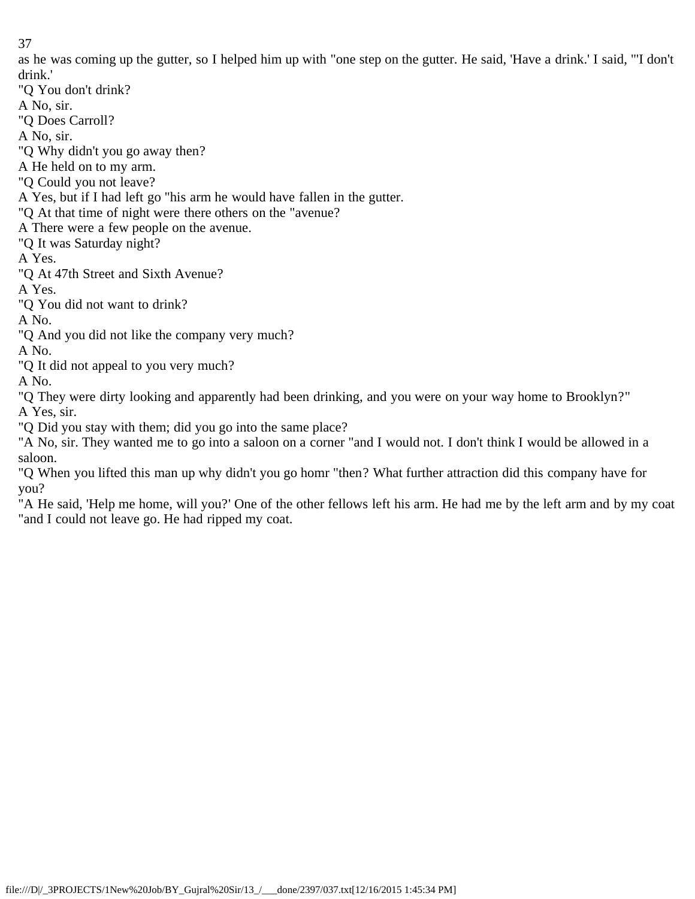as he was coming up the gutter, so I helped him up with "one step on the gutter. He said, 'Have a drink.' I said, "'I don't drink.'

"Q You don't drink?

A No, sir.

"Q Does Carroll?

A No, sir.

"Q Why didn't you go away then?

A He held on to my arm.

"Q Could you not leave?

A Yes, but if I had left go "his arm he would have fallen in the gutter.

"Q At that time of night were there others on the "avenue?

A There were a few people on the avenue.

"Q It was Saturday night?

A Yes.

"Q At 47th Street and Sixth Avenue?

A Yes.

"Q You did not want to drink?

A No.

"Q And you did not like the company very much?

A No.

"Q It did not appeal to you very much?

A No.

"Q They were dirty looking and apparently had been drinking, and you were on your way home to Brooklyn?" A Yes, sir.

"Q Did you stay with them; did you go into the same place?

"A No, sir. They wanted me to go into a saloon on a corner "and I would not. I don't think I would be allowed in a saloon.

"Q When you lifted this man up why didn't you go homr "then? What further attraction did this company have for you?

"A He said, 'Help me home, will you?' One of the other fellows left his arm. He had me by the left arm and by my coat "and I could not leave go. He had ripped my coat.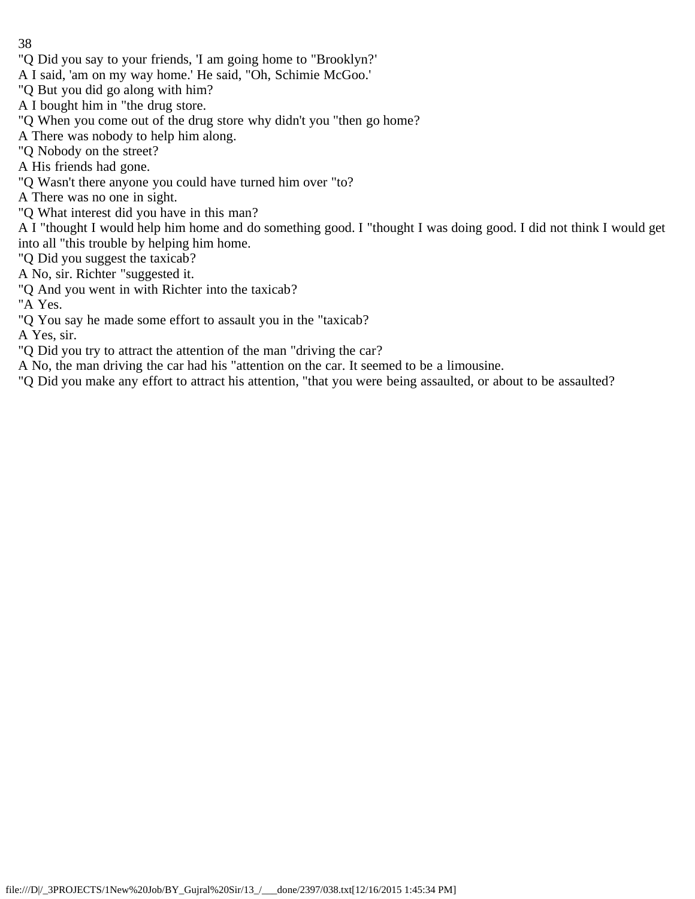- 38
- "Q Did you say to your friends, 'I am going home to "Brooklyn?'
- A I said, 'am on my way home.' He said, "Oh, Schimie McGoo.'
- "Q But you did go along with him?
- A I bought him in "the drug store.
- "Q When you come out of the drug store why didn't you "then go home?
- A There was nobody to help him along.
- "Q Nobody on the street?
- A His friends had gone.
- "Q Wasn't there anyone you could have turned him over "to?
- A There was no one in sight.
- "Q What interest did you have in this man?
- A I "thought I would help him home and do something good. I "thought I was doing good. I did not think I would get into all "this trouble by helping him home.
- "Q Did you suggest the taxicab?
- A No, sir. Richter "suggested it.
- "Q And you went in with Richter into the taxicab?
- "A Yes.
- "Q You say he made some effort to assault you in the "taxicab?
- A Yes, sir.
- "Q Did you try to attract the attention of the man "driving the car?
- A No, the man driving the car had his "attention on the car. It seemed to be a limousine.
- "Q Did you make any effort to attract his attention, "that you were being assaulted, or about to be assaulted?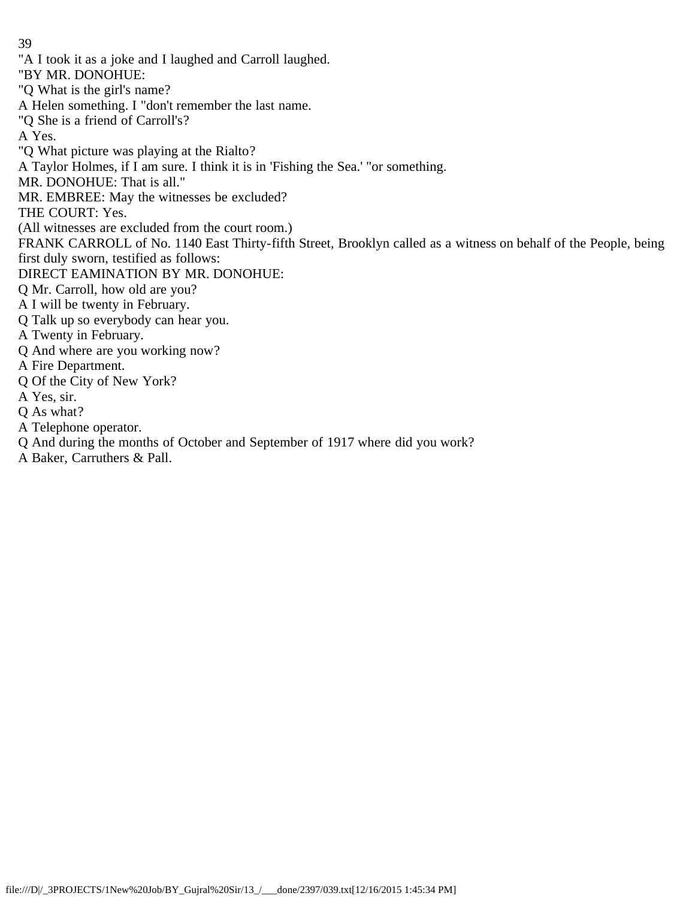"A I took it as a joke and I laughed and Carroll laughed.

"BY MR. DONOHUE:

"Q What is the girl's name?

A Helen something. I "don't remember the last name.

"Q She is a friend of Carroll's?

A Yes.

"Q What picture was playing at the Rialto?

A Taylor Holmes, if I am sure. I think it is in 'Fishing the Sea.' "or something.

MR. DONOHUE: That is all."

MR. EMBREE: May the witnesses be excluded?

THE COURT: Yes.

(All witnesses are excluded from the court room.)

FRANK CARROLL of No. 1140 East Thirty-fifth Street, Brooklyn called as a witness on behalf of the People, being first duly sworn, testified as follows:

DIRECT EAMINATION BY MR. DONOHUE:

Q Mr. Carroll, how old are you?

A I will be twenty in February.

Q Talk up so everybody can hear you.

A Twenty in February.

Q And where are you working now?

A Fire Department.

Q Of the City of New York?

A Yes, sir.

Q As what?

A Telephone operator.

Q And during the months of October and September of 1917 where did you work?

A Baker, Carruthers & Pall.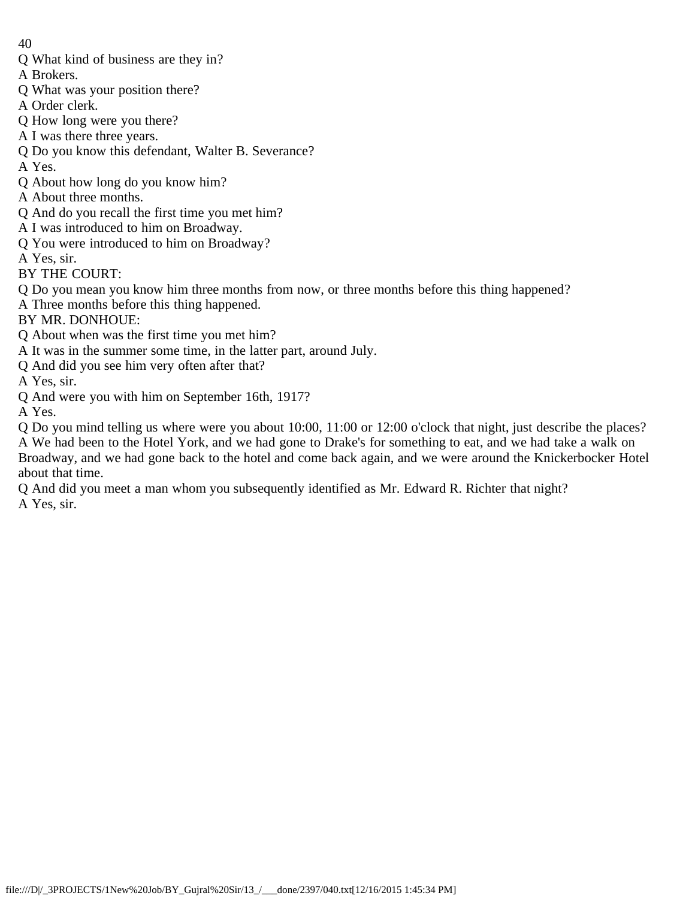- Q What kind of business are they in?
- A Brokers.
- Q What was your position there?
- A Order clerk.
- Q How long were you there?
- A I was there three years.
- Q Do you know this defendant, Walter B. Severance?

A Yes.

- Q About how long do you know him?
- A About three months.
- Q And do you recall the first time you met him?
- A I was introduced to him on Broadway.
- Q You were introduced to him on Broadway?
- A Yes, sir.
- BY THE COURT:
- Q Do you mean you know him three months from now, or three months before this thing happened?
- A Three months before this thing happened.
- BY MR. DONHOUE:
- Q About when was the first time you met him?
- A It was in the summer some time, in the latter part, around July.
- Q And did you see him very often after that?
- A Yes, sir.
- Q And were you with him on September 16th, 1917?
- A Yes.

Q Do you mind telling us where were you about 10:00, 11:00 or 12:00 o'clock that night, just describe the places? A We had been to the Hotel York, and we had gone to Drake's for something to eat, and we had take a walk on Broadway, and we had gone back to the hotel and come back again, and we were around the Knickerbocker Hotel about that time.

Q And did you meet a man whom you subsequently identified as Mr. Edward R. Richter that night? A Yes, sir.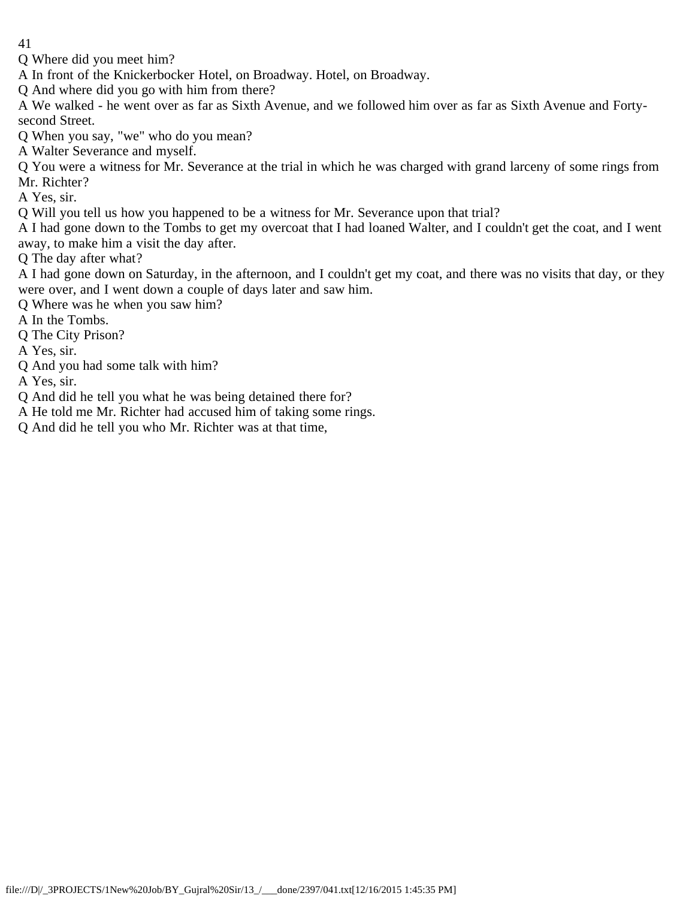Q Where did you meet him?

A In front of the Knickerbocker Hotel, on Broadway. Hotel, on Broadway.

Q And where did you go with him from there?

A We walked - he went over as far as Sixth Avenue, and we followed him over as far as Sixth Avenue and Fortysecond Street.

Q When you say, "we" who do you mean?

A Walter Severance and myself.

Q You were a witness for Mr. Severance at the trial in which he was charged with grand larceny of some rings from Mr. Richter?

A Yes, sir.

Q Will you tell us how you happened to be a witness for Mr. Severance upon that trial?

A I had gone down to the Tombs to get my overcoat that I had loaned Walter, and I couldn't get the coat, and I went away, to make him a visit the day after.

Q The day after what?

A I had gone down on Saturday, in the afternoon, and I couldn't get my coat, and there was no visits that day, or they were over, and I went down a couple of days later and saw him.

Q Where was he when you saw him?

A In the Tombs.

Q The City Prison?

A Yes, sir.

Q And you had some talk with him?

A Yes, sir.

Q And did he tell you what he was being detained there for?

A He told me Mr. Richter had accused him of taking some rings.

Q And did he tell you who Mr. Richter was at that time,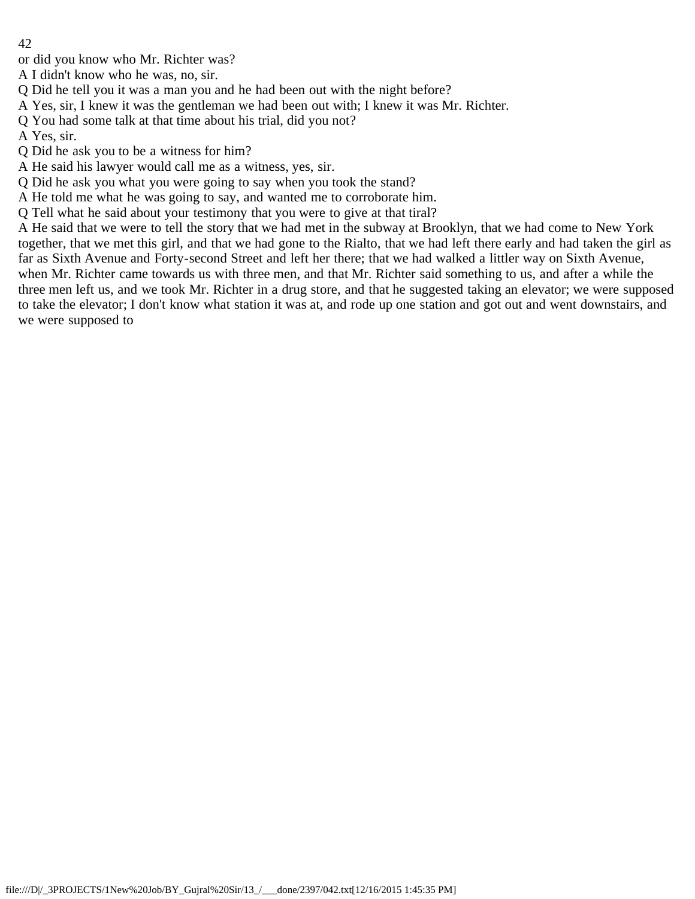or did you know who Mr. Richter was?

A I didn't know who he was, no, sir.

Q Did he tell you it was a man you and he had been out with the night before?

A Yes, sir, I knew it was the gentleman we had been out with; I knew it was Mr. Richter.

Q You had some talk at that time about his trial, did you not?

A Yes, sir.

Q Did he ask you to be a witness for him?

A He said his lawyer would call me as a witness, yes, sir.

Q Did he ask you what you were going to say when you took the stand?

A He told me what he was going to say, and wanted me to corroborate him.

Q Tell what he said about your testimony that you were to give at that tiral?

A He said that we were to tell the story that we had met in the subway at Brooklyn, that we had come to New York together, that we met this girl, and that we had gone to the Rialto, that we had left there early and had taken the girl as far as Sixth Avenue and Forty-second Street and left her there; that we had walked a littler way on Sixth Avenue, when Mr. Richter came towards us with three men, and that Mr. Richter said something to us, and after a while the three men left us, and we took Mr. Richter in a drug store, and that he suggested taking an elevator; we were supposed to take the elevator; I don't know what station it was at, and rode up one station and got out and went downstairs, and we were supposed to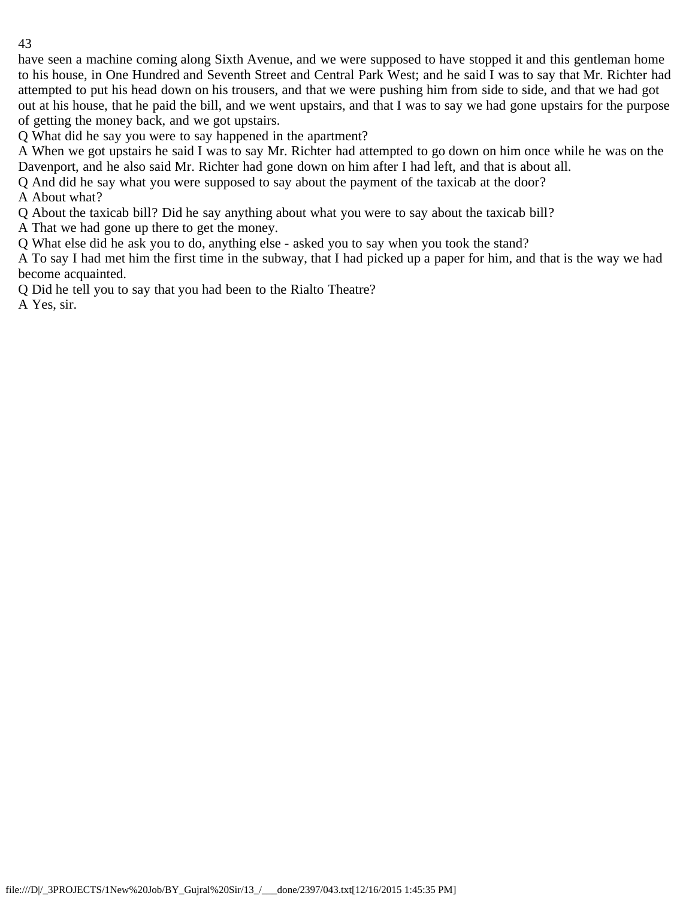have seen a machine coming along Sixth Avenue, and we were supposed to have stopped it and this gentleman home to his house, in One Hundred and Seventh Street and Central Park West; and he said I was to say that Mr. Richter had attempted to put his head down on his trousers, and that we were pushing him from side to side, and that we had got out at his house, that he paid the bill, and we went upstairs, and that I was to say we had gone upstairs for the purpose of getting the money back, and we got upstairs.

Q What did he say you were to say happened in the apartment?

A When we got upstairs he said I was to say Mr. Richter had attempted to go down on him once while he was on the Davenport, and he also said Mr. Richter had gone down on him after I had left, and that is about all.

Q And did he say what you were supposed to say about the payment of the taxicab at the door?

A About what?

Q About the taxicab bill? Did he say anything about what you were to say about the taxicab bill?

A That we had gone up there to get the money.

Q What else did he ask you to do, anything else - asked you to say when you took the stand?

A To say I had met him the first time in the subway, that I had picked up a paper for him, and that is the way we had become acquainted.

Q Did he tell you to say that you had been to the Rialto Theatre?

A Yes, sir.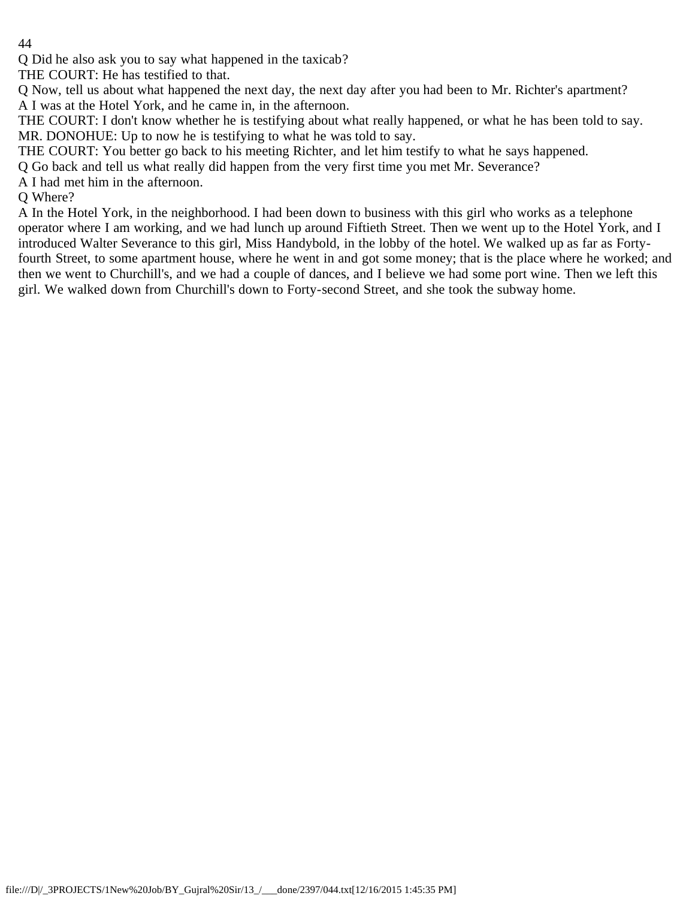Q Did he also ask you to say what happened in the taxicab?

THE COURT: He has testified to that.

Q Now, tell us about what happened the next day, the next day after you had been to Mr. Richter's apartment? A I was at the Hotel York, and he came in, in the afternoon.

THE COURT: I don't know whether he is testifying about what really happened, or what he has been told to say. MR. DONOHUE: Up to now he is testifying to what he was told to say.

THE COURT: You better go back to his meeting Richter, and let him testify to what he says happened.

Q Go back and tell us what really did happen from the very first time you met Mr. Severance?

A I had met him in the afternoon.

Q Where?

A In the Hotel York, in the neighborhood. I had been down to business with this girl who works as a telephone operator where I am working, and we had lunch up around Fiftieth Street. Then we went up to the Hotel York, and I introduced Walter Severance to this girl, Miss Handybold, in the lobby of the hotel. We walked up as far as Fortyfourth Street, to some apartment house, where he went in and got some money; that is the place where he worked; and then we went to Churchill's, and we had a couple of dances, and I believe we had some port wine. Then we left this girl. We walked down from Churchill's down to Forty-second Street, and she took the subway home.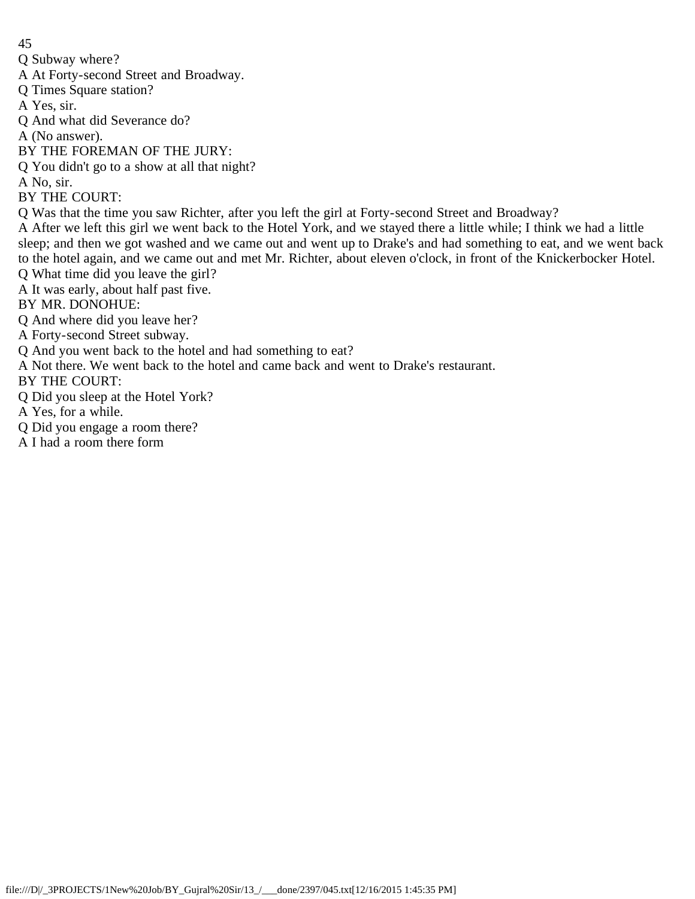Q Subway where?

A At Forty-second Street and Broadway.

Q Times Square station?

A Yes, sir.

Q And what did Severance do?

A (No answer).

BY THE FOREMAN OF THE JURY:

Q You didn't go to a show at all that night?

A No, sir.

BY THE COURT:

Q Was that the time you saw Richter, after you left the girl at Forty-second Street and Broadway?

A After we left this girl we went back to the Hotel York, and we stayed there a little while; I think we had a little sleep; and then we got washed and we came out and went up to Drake's and had something to eat, and we went back to the hotel again, and we came out and met Mr. Richter, about eleven o'clock, in front of the Knickerbocker Hotel. Q What time did you leave the girl?

A It was early, about half past five.

BY MR. DONOHUE:

Q And where did you leave her?

A Forty-second Street subway.

Q And you went back to the hotel and had something to eat?

A Not there. We went back to the hotel and came back and went to Drake's restaurant.

BY THE COURT:

Q Did you sleep at the Hotel York?

A Yes, for a while.

Q Did you engage a room there?

A I had a room there form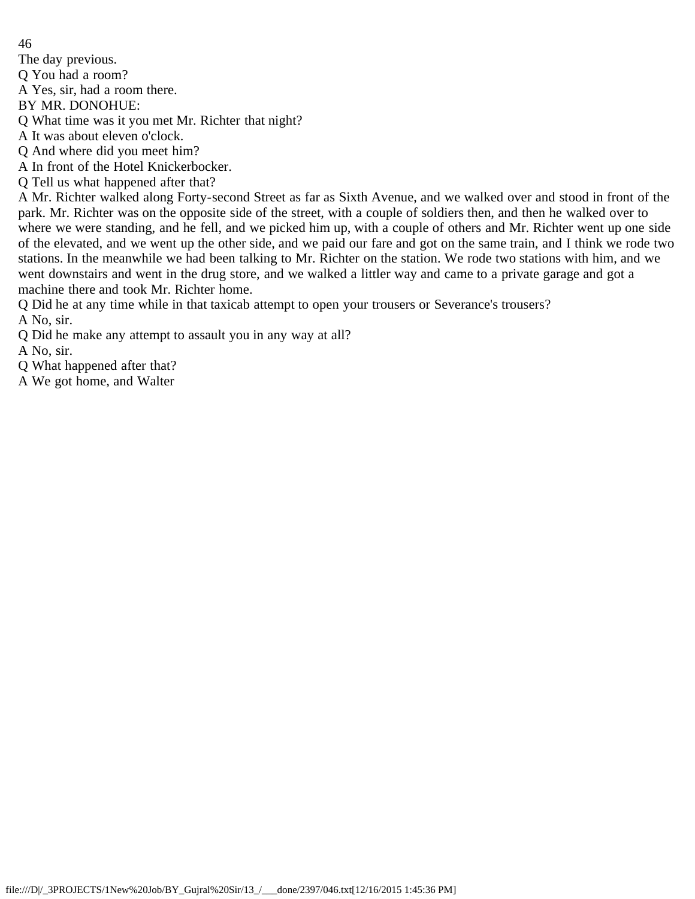The day previous.

Q You had a room?

A Yes, sir, had a room there.

BY MR. DONOHUE:

Q What time was it you met Mr. Richter that night?

A It was about eleven o'clock.

Q And where did you meet him?

A In front of the Hotel Knickerbocker.

Q Tell us what happened after that?

A Mr. Richter walked along Forty-second Street as far as Sixth Avenue, and we walked over and stood in front of the park. Mr. Richter was on the opposite side of the street, with a couple of soldiers then, and then he walked over to where we were standing, and he fell, and we picked him up, with a couple of others and Mr. Richter went up one side of the elevated, and we went up the other side, and we paid our fare and got on the same train, and I think we rode two stations. In the meanwhile we had been talking to Mr. Richter on the station. We rode two stations with him, and we went downstairs and went in the drug store, and we walked a littler way and came to a private garage and got a machine there and took Mr. Richter home.

Q Did he at any time while in that taxicab attempt to open your trousers or Severance's trousers? A No, sir.

Q Did he make any attempt to assault you in any way at all?

A No, sir.

Q What happened after that?

A We got home, and Walter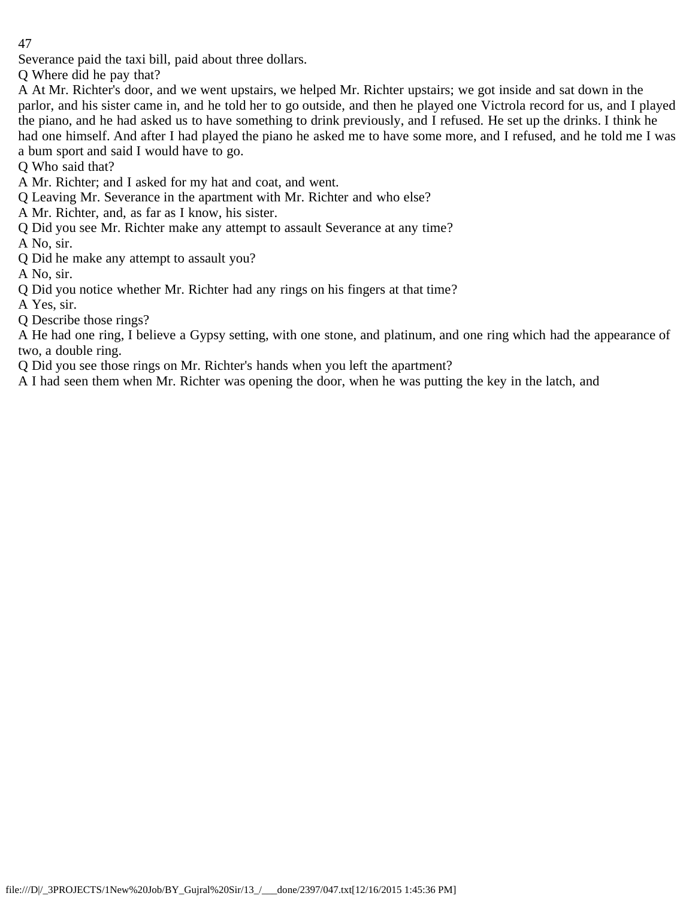Severance paid the taxi bill, paid about three dollars.

Q Where did he pay that?

A At Mr. Richter's door, and we went upstairs, we helped Mr. Richter upstairs; we got inside and sat down in the parlor, and his sister came in, and he told her to go outside, and then he played one Victrola record for us, and I played the piano, and he had asked us to have something to drink previously, and I refused. He set up the drinks. I think he had one himself. And after I had played the piano he asked me to have some more, and I refused, and he told me I was a bum sport and said I would have to go.

Q Who said that?

A Mr. Richter; and I asked for my hat and coat, and went.

Q Leaving Mr. Severance in the apartment with Mr. Richter and who else?

A Mr. Richter, and, as far as I know, his sister.

Q Did you see Mr. Richter make any attempt to assault Severance at any time?

A No, sir.

Q Did he make any attempt to assault you?

A No, sir.

Q Did you notice whether Mr. Richter had any rings on his fingers at that time?

A Yes, sir.

Q Describe those rings?

A He had one ring, I believe a Gypsy setting, with one stone, and platinum, and one ring which had the appearance of two, a double ring.

Q Did you see those rings on Mr. Richter's hands when you left the apartment?

A I had seen them when Mr. Richter was opening the door, when he was putting the key in the latch, and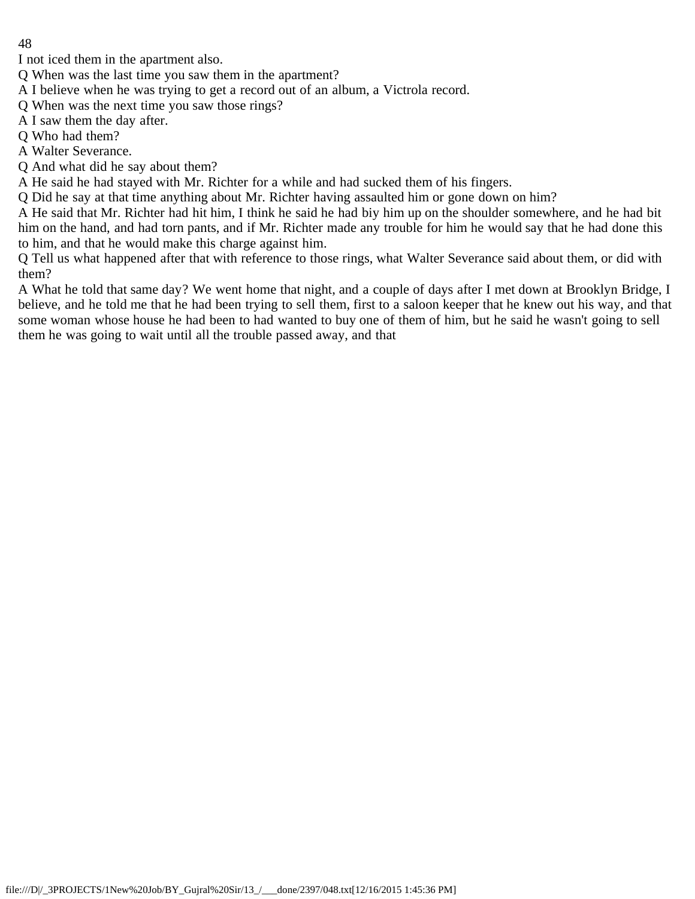I not iced them in the apartment also.

Q When was the last time you saw them in the apartment?

A I believe when he was trying to get a record out of an album, a Victrola record.

Q When was the next time you saw those rings?

A I saw them the day after.

Q Who had them?

A Walter Severance.

Q And what did he say about them?

A He said he had stayed with Mr. Richter for a while and had sucked them of his fingers.

Q Did he say at that time anything about Mr. Richter having assaulted him or gone down on him?

A He said that Mr. Richter had hit him, I think he said he had biy him up on the shoulder somewhere, and he had bit him on the hand, and had torn pants, and if Mr. Richter made any trouble for him he would say that he had done this to him, and that he would make this charge against him.

Q Tell us what happened after that with reference to those rings, what Walter Severance said about them, or did with them?

A What he told that same day? We went home that night, and a couple of days after I met down at Brooklyn Bridge, I believe, and he told me that he had been trying to sell them, first to a saloon keeper that he knew out his way, and that some woman whose house he had been to had wanted to buy one of them of him, but he said he wasn't going to sell them he was going to wait until all the trouble passed away, and that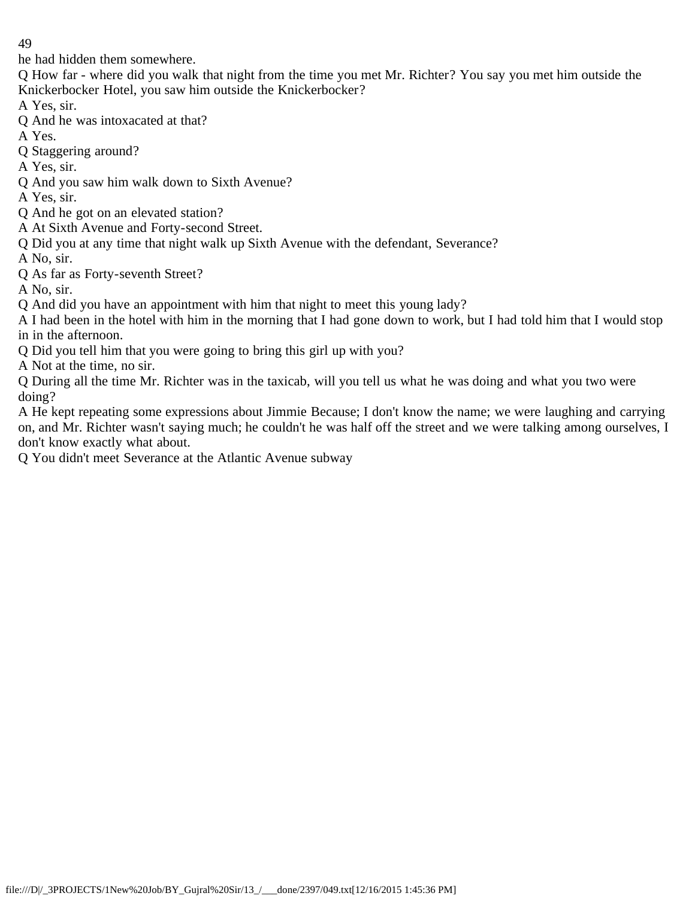he had hidden them somewhere.

Q How far - where did you walk that night from the time you met Mr. Richter? You say you met him outside the Knickerbocker Hotel, you saw him outside the Knickerbocker?

A Yes, sir.

Q And he was intoxacated at that?

A Yes.

Q Staggering around?

A Yes, sir.

Q And you saw him walk down to Sixth Avenue?

A Yes, sir.

- Q And he got on an elevated station?
- A At Sixth Avenue and Forty-second Street.
- Q Did you at any time that night walk up Sixth Avenue with the defendant, Severance?

A No, sir.

Q As far as Forty-seventh Street?

A No, sir.

- Q And did you have an appointment with him that night to meet this young lady?
- A I had been in the hotel with him in the morning that I had gone down to work, but I had told him that I would stop in in the afternoon.
- Q Did you tell him that you were going to bring this girl up with you?

A Not at the time, no sir.

Q During all the time Mr. Richter was in the taxicab, will you tell us what he was doing and what you two were doing?

A He kept repeating some expressions about Jimmie Because; I don't know the name; we were laughing and carrying on, and Mr. Richter wasn't saying much; he couldn't he was half off the street and we were talking among ourselves, I don't know exactly what about.

Q You didn't meet Severance at the Atlantic Avenue subway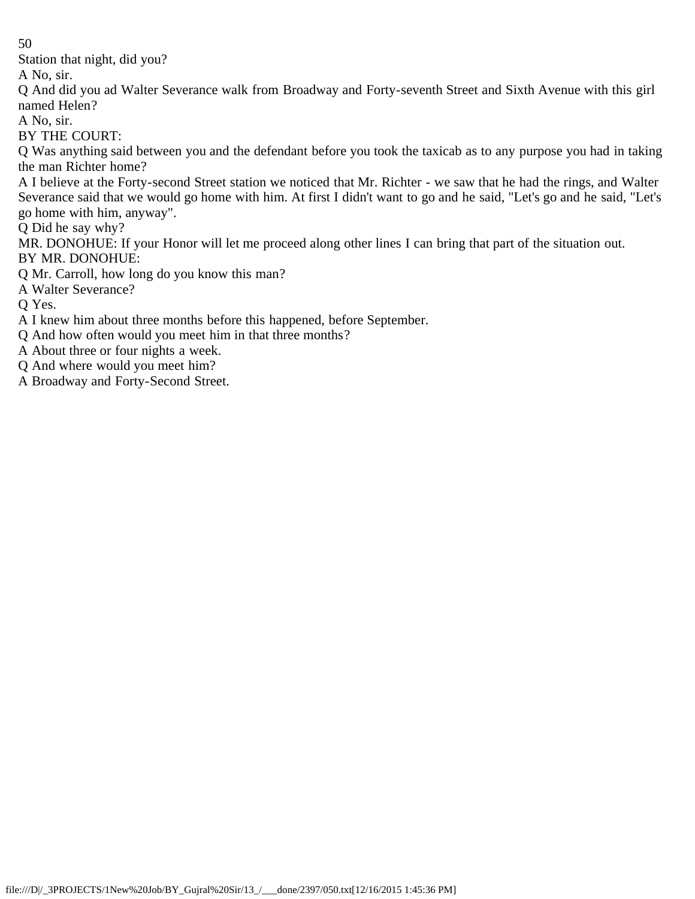Station that night, did you?

A No, sir.

Q And did you ad Walter Severance walk from Broadway and Forty-seventh Street and Sixth Avenue with this girl named Helen?

A No, sir.

BY THE COURT:

Q Was anything said between you and the defendant before you took the taxicab as to any purpose you had in taking the man Richter home?

A I believe at the Forty-second Street station we noticed that Mr. Richter - we saw that he had the rings, and Walter Severance said that we would go home with him. At first I didn't want to go and he said, "Let's go and he said, "Let's go home with him, anyway".

Q Did he say why?

MR. DONOHUE: If your Honor will let me proceed along other lines I can bring that part of the situation out. BY MR. DONOHUE:

Q Mr. Carroll, how long do you know this man?

A Walter Severance?

Q Yes.

A I knew him about three months before this happened, before September.

Q And how often would you meet him in that three months?

A About three or four nights a week.

Q And where would you meet him?

A Broadway and Forty-Second Street.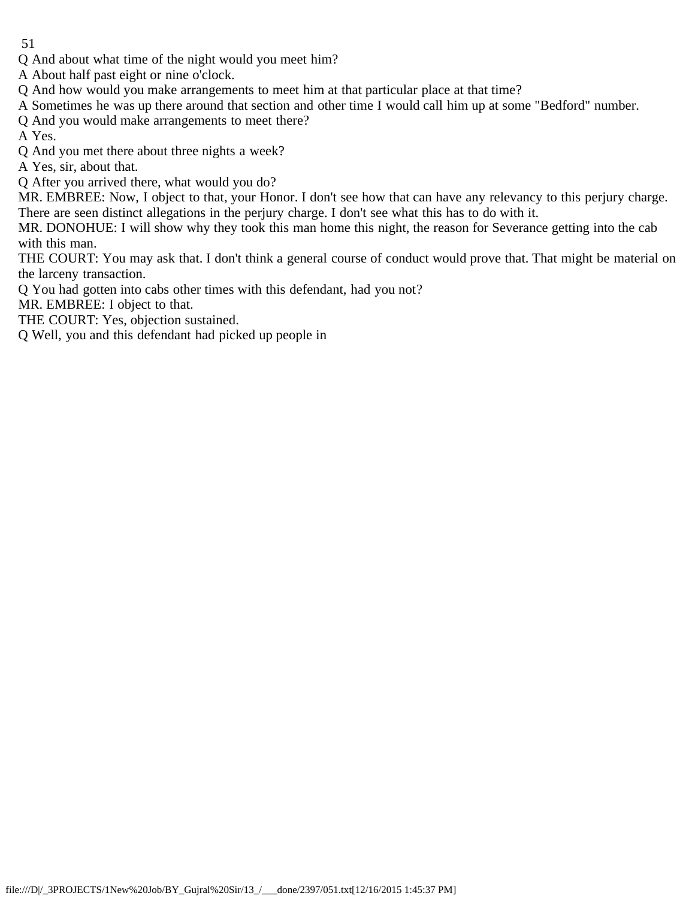Q And about what time of the night would you meet him?

A About half past eight or nine o'clock.

Q And how would you make arrangements to meet him at that particular place at that time?

A Sometimes he was up there around that section and other time I would call him up at some "Bedford" number.

Q And you would make arrangements to meet there?

A Yes.

Q And you met there about three nights a week?

A Yes, sir, about that.

Q After you arrived there, what would you do?

MR. EMBREE: Now, I object to that, your Honor. I don't see how that can have any relevancy to this perjury charge. There are seen distinct allegations in the perjury charge. I don't see what this has to do with it.

MR. DONOHUE: I will show why they took this man home this night, the reason for Severance getting into the cab with this man.

THE COURT: You may ask that. I don't think a general course of conduct would prove that. That might be material on the larceny transaction.

Q You had gotten into cabs other times with this defendant, had you not?

MR. EMBREE: I object to that.

THE COURT: Yes, objection sustained.

Q Well, you and this defendant had picked up people in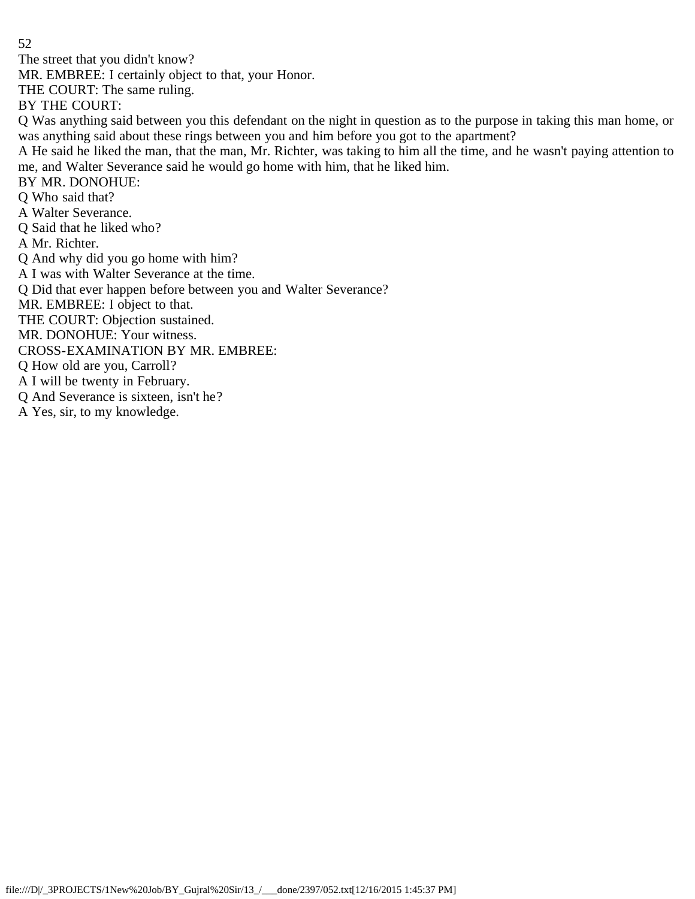The street that you didn't know?

MR. EMBREE: I certainly object to that, your Honor.

THE COURT: The same ruling.

BY THE COURT:

Q Was anything said between you this defendant on the night in question as to the purpose in taking this man home, or was anything said about these rings between you and him before you got to the apartment?

A He said he liked the man, that the man, Mr. Richter, was taking to him all the time, and he wasn't paying attention to me, and Walter Severance said he would go home with him, that he liked him.

BY MR. DONOHUE:

Q Who said that?

A Walter Severance.

Q Said that he liked who?

A Mr. Richter.

Q And why did you go home with him?

A I was with Walter Severance at the time.

Q Did that ever happen before between you and Walter Severance?

MR. EMBREE: I object to that.

THE COURT: Objection sustained.

MR. DONOHUE: Your witness.

CROSS-EXAMINATION BY MR. EMBREE:

Q How old are you, Carroll?

A I will be twenty in February.

Q And Severance is sixteen, isn't he?

A Yes, sir, to my knowledge.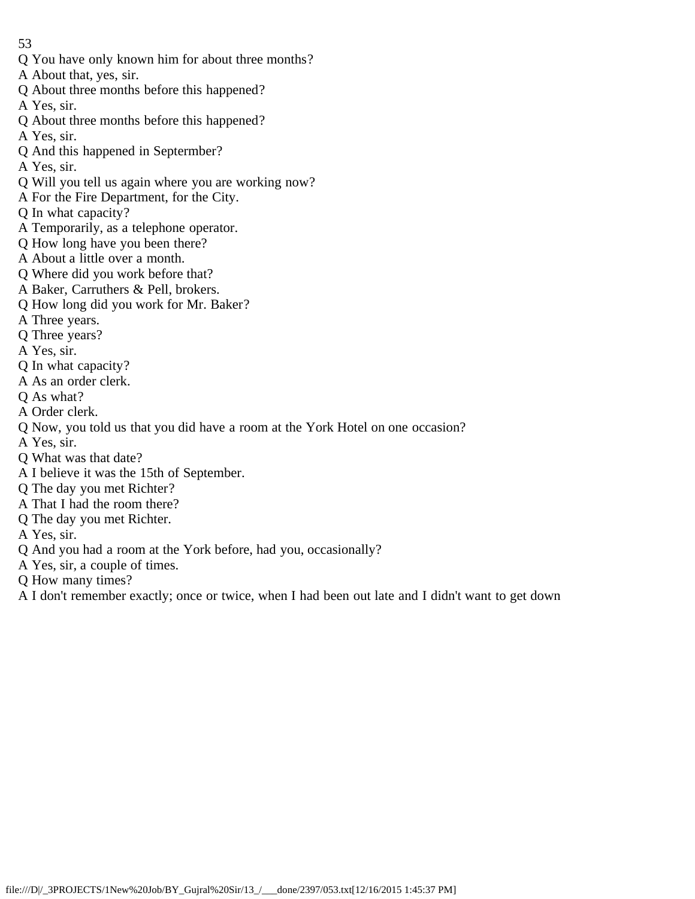- Q You have only known him for about three months?
- A About that, yes, sir.
- Q About three months before this happened?
- A Yes, sir.
- Q About three months before this happened?
- A Yes, sir.
- Q And this happened in Septermber?
- A Yes, sir.
- Q Will you tell us again where you are working now?
- A For the Fire Department, for the City.
- Q In what capacity?
- A Temporarily, as a telephone operator.
- Q How long have you been there?
- A About a little over a month.
- Q Where did you work before that?
- A Baker, Carruthers & Pell, brokers.
- Q How long did you work for Mr. Baker?
- A Three years.
- Q Three years?
- A Yes, sir.
- Q In what capacity?
- A As an order clerk.
- Q As what?
- A Order clerk.
- Q Now, you told us that you did have a room at the York Hotel on one occasion?
- A Yes, sir.
- Q What was that date?
- A I believe it was the 15th of September.
- Q The day you met Richter?
- A That I had the room there?
- Q The day you met Richter.
- A Yes, sir.
- Q And you had a room at the York before, had you, occasionally?
- A Yes, sir, a couple of times.
- Q How many times?
- A I don't remember exactly; once or twice, when I had been out late and I didn't want to get down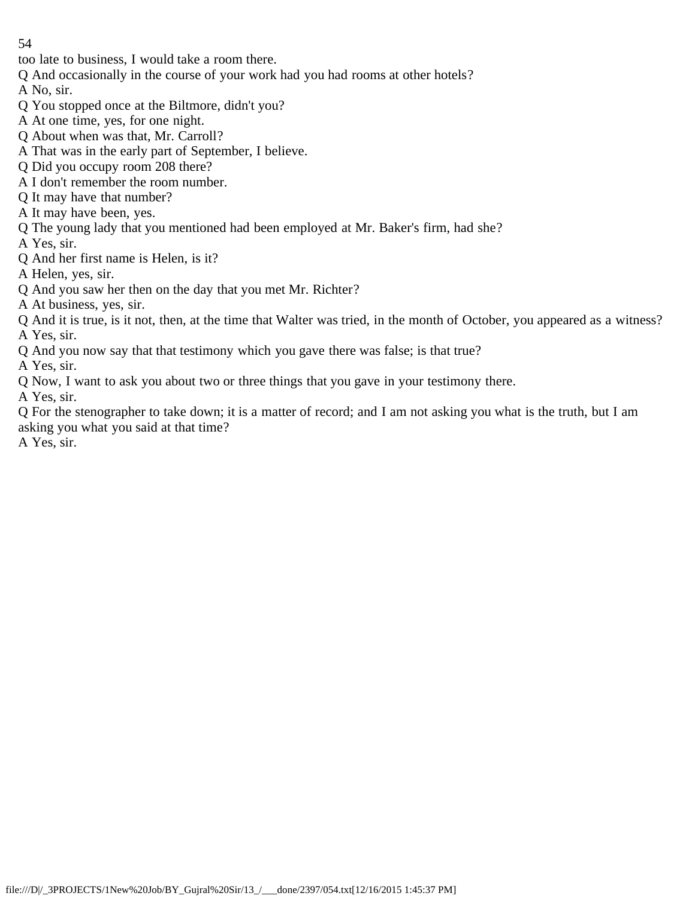too late to business, I would take a room there.

Q And occasionally in the course of your work had you had rooms at other hotels?

A No, sir.

- Q You stopped once at the Biltmore, didn't you?
- A At one time, yes, for one night.
- Q About when was that, Mr. Carroll?
- A That was in the early part of September, I believe.
- Q Did you occupy room 208 there?
- A I don't remember the room number.
- Q It may have that number?
- A It may have been, yes.
- Q The young lady that you mentioned had been employed at Mr. Baker's firm, had she?
- A Yes, sir.
- Q And her first name is Helen, is it?
- A Helen, yes, sir.
- Q And you saw her then on the day that you met Mr. Richter?
- A At business, yes, sir.
- Q And it is true, is it not, then, at the time that Walter was tried, in the month of October, you appeared as a witness? A Yes, sir.
- Q And you now say that that testimony which you gave there was false; is that true?
- A Yes, sir.
- Q Now, I want to ask you about two or three things that you gave in your testimony there.
- A Yes, sir.

Q For the stenographer to take down; it is a matter of record; and I am not asking you what is the truth, but I am asking you what you said at that time?

A Yes, sir.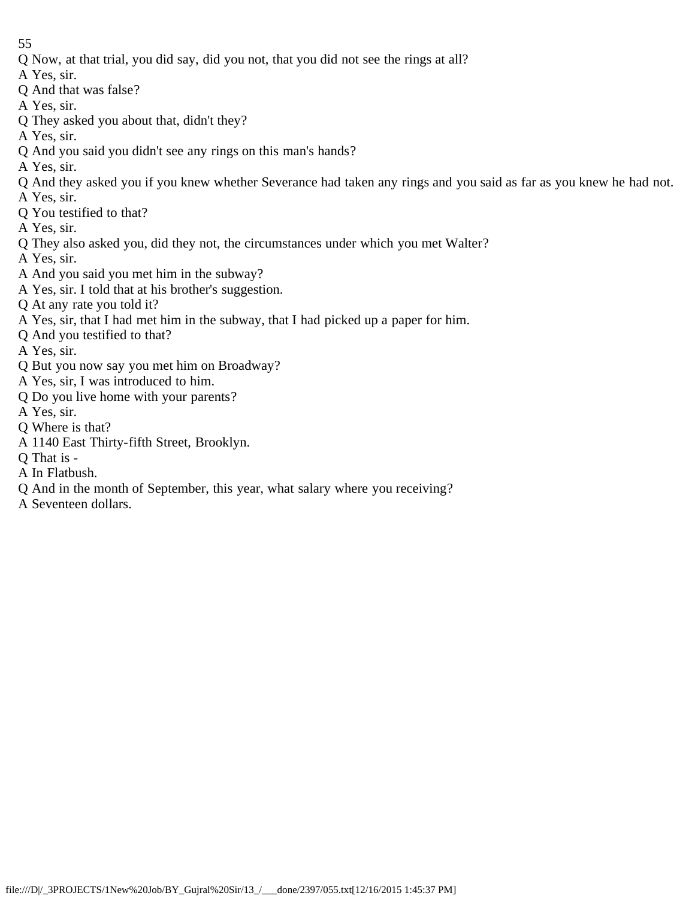- Q Now, at that trial, you did say, did you not, that you did not see the rings at all?
- A Yes, sir.
- Q And that was false?
- A Yes, sir.
- Q They asked you about that, didn't they?
- A Yes, sir.
- Q And you said you didn't see any rings on this man's hands?
- A Yes, sir.
- Q And they asked you if you knew whether Severance had taken any rings and you said as far as you knew he had not.
- A Yes, sir.
- Q You testified to that?
- A Yes, sir.
- Q They also asked you, did they not, the circumstances under which you met Walter?
- A Yes, sir.
- A And you said you met him in the subway?
- A Yes, sir. I told that at his brother's suggestion.
- Q At any rate you told it?
- A Yes, sir, that I had met him in the subway, that I had picked up a paper for him.
- Q And you testified to that?
- A Yes, sir.
- Q But you now say you met him on Broadway?
- A Yes, sir, I was introduced to him.
- Q Do you live home with your parents?
- A Yes, sir.
- Q Where is that?
- A 1140 East Thirty-fifth Street, Brooklyn.
- Q That is -
- A In Flatbush.
- Q And in the month of September, this year, what salary where you receiving?
- A Seventeen dollars.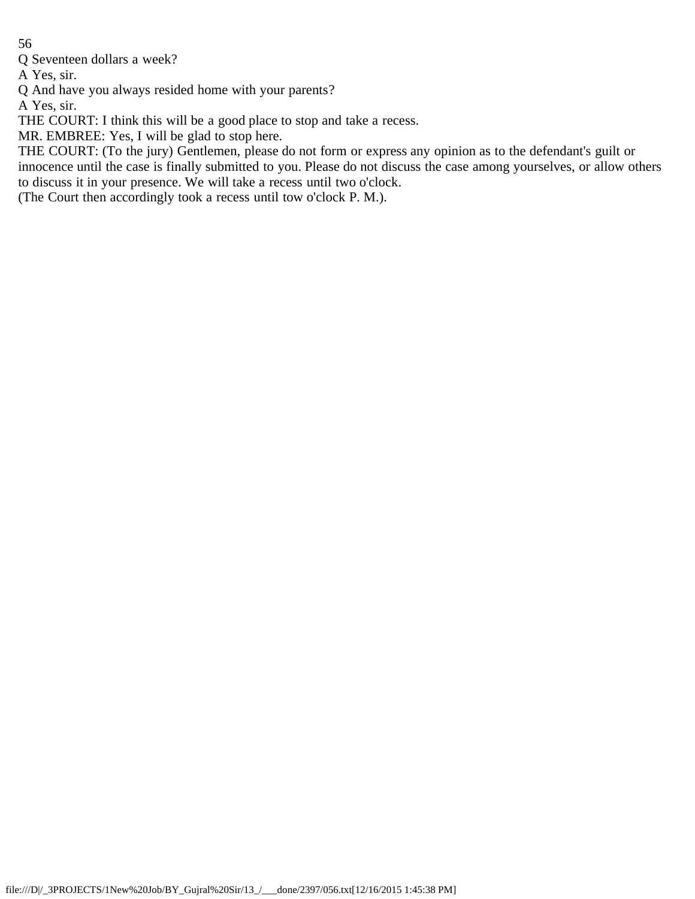Q Seventeen dollars a week?

A Yes, sir.

Q And have you always resided home with your parents?

A Yes, sir.

THE COURT: I think this will be a good place to stop and take a recess.

MR. EMBREE: Yes, I will be glad to stop here.

THE COURT: (To the jury) Gentlemen, please do not form or express any opinion as to the defendant's guilt or innocence until the case is finally submitted to you. Please do not discuss the case among yourselves, or allow others to discuss it in your presence. We will take a recess until two o'clock.

(The Court then accordingly took a recess until tow o'clock P. M.).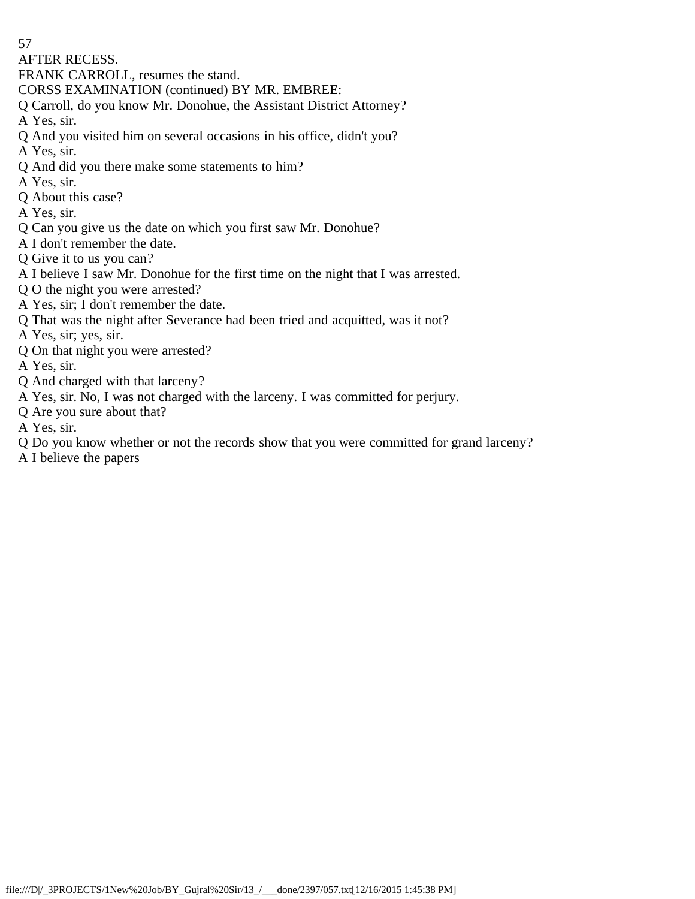AFTER RECESS.

- FRANK CARROLL, resumes the stand.
- CORSS EXAMINATION (continued) BY MR. EMBREE:
- Q Carroll, do you know Mr. Donohue, the Assistant District Attorney?
- A Yes, sir.
- Q And you visited him on several occasions in his office, didn't you?
- A Yes, sir.
- Q And did you there make some statements to him?
- A Yes, sir.
- Q About this case?
- A Yes, sir.
- Q Can you give us the date on which you first saw Mr. Donohue?
- A I don't remember the date.
- Q Give it to us you can?
- A I believe I saw Mr. Donohue for the first time on the night that I was arrested.
- Q O the night you were arrested?
- A Yes, sir; I don't remember the date.
- Q That was the night after Severance had been tried and acquitted, was it not?
- A Yes, sir; yes, sir.
- Q On that night you were arrested?
- A Yes, sir.
- Q And charged with that larceny?
- A Yes, sir. No, I was not charged with the larceny. I was committed for perjury.
- Q Are you sure about that?
- A Yes, sir.
- Q Do you know whether or not the records show that you were committed for grand larceny?
- A I believe the papers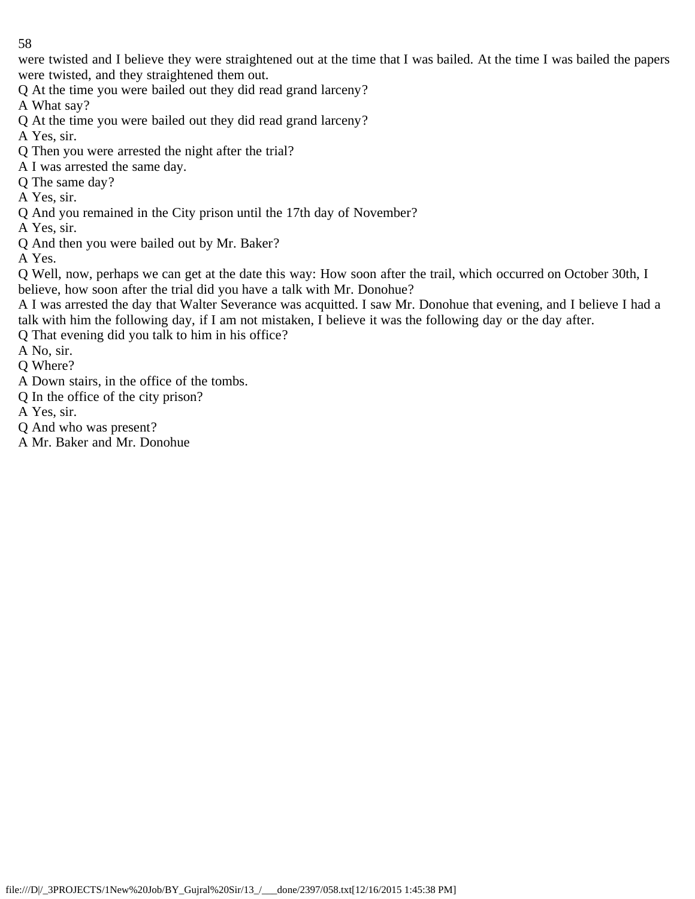were twisted and I believe they were straightened out at the time that I was bailed. At the time I was bailed the papers were twisted, and they straightened them out.

Q At the time you were bailed out they did read grand larceny?

A What say?

Q At the time you were bailed out they did read grand larceny?

A Yes, sir.

- Q Then you were arrested the night after the trial?
- A I was arrested the same day.
- Q The same day?
- A Yes, sir.
- Q And you remained in the City prison until the 17th day of November?

A Yes, sir.

Q And then you were bailed out by Mr. Baker?

A Yes.

Q Well, now, perhaps we can get at the date this way: How soon after the trail, which occurred on October 30th, I believe, how soon after the trial did you have a talk with Mr. Donohue?

A I was arrested the day that Walter Severance was acquitted. I saw Mr. Donohue that evening, and I believe I had a talk with him the following day, if I am not mistaken, I believe it was the following day or the day after.

Q That evening did you talk to him in his office?

A No, sir.

- Q Where?
- A Down stairs, in the office of the tombs.
- Q In the office of the city prison?

A Yes, sir.

- Q And who was present?
- A Mr. Baker and Mr. Donohue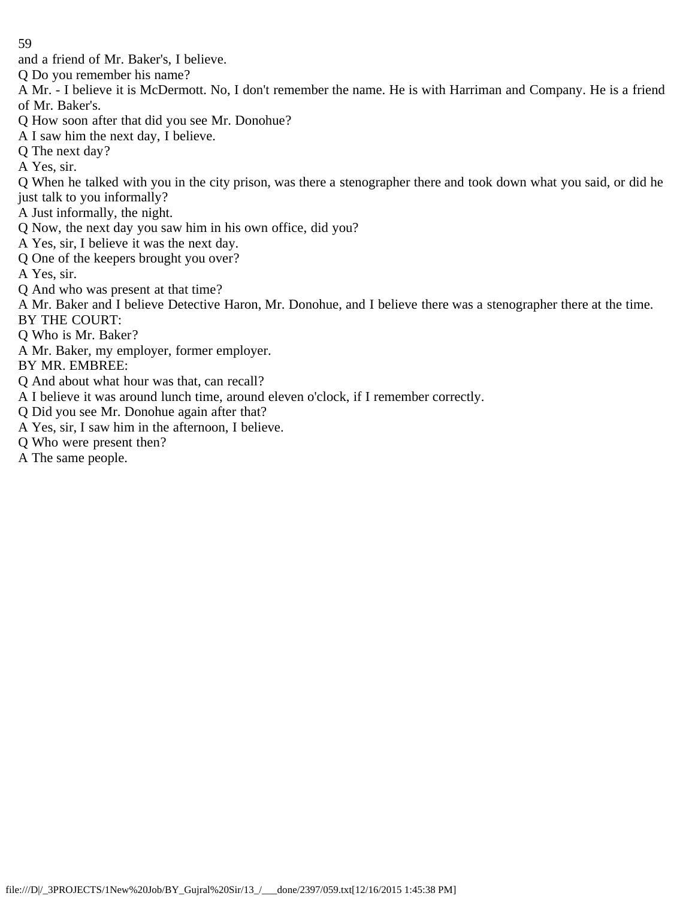- and a friend of Mr. Baker's, I believe.
- Q Do you remember his name?
- A Mr. I believe it is McDermott. No, I don't remember the name. He is with Harriman and Company. He is a friend of Mr. Baker's.
- Q How soon after that did you see Mr. Donohue?
- A I saw him the next day, I believe.
- Q The next day?
- A Yes, sir.
- Q When he talked with you in the city prison, was there a stenographer there and took down what you said, or did he just talk to you informally?
- A Just informally, the night.
- Q Now, the next day you saw him in his own office, did you?
- A Yes, sir, I believe it was the next day.
- Q One of the keepers brought you over?
- A Yes, sir.
- Q And who was present at that time?
- A Mr. Baker and I believe Detective Haron, Mr. Donohue, and I believe there was a stenographer there at the time. BY THE COURT:
- Q Who is Mr. Baker?
- A Mr. Baker, my employer, former employer.
- BY MR. EMBREE:
- Q And about what hour was that, can recall?
- A I believe it was around lunch time, around eleven o'clock, if I remember correctly.
- Q Did you see Mr. Donohue again after that?
- A Yes, sir, I saw him in the afternoon, I believe.
- Q Who were present then?
- A The same people.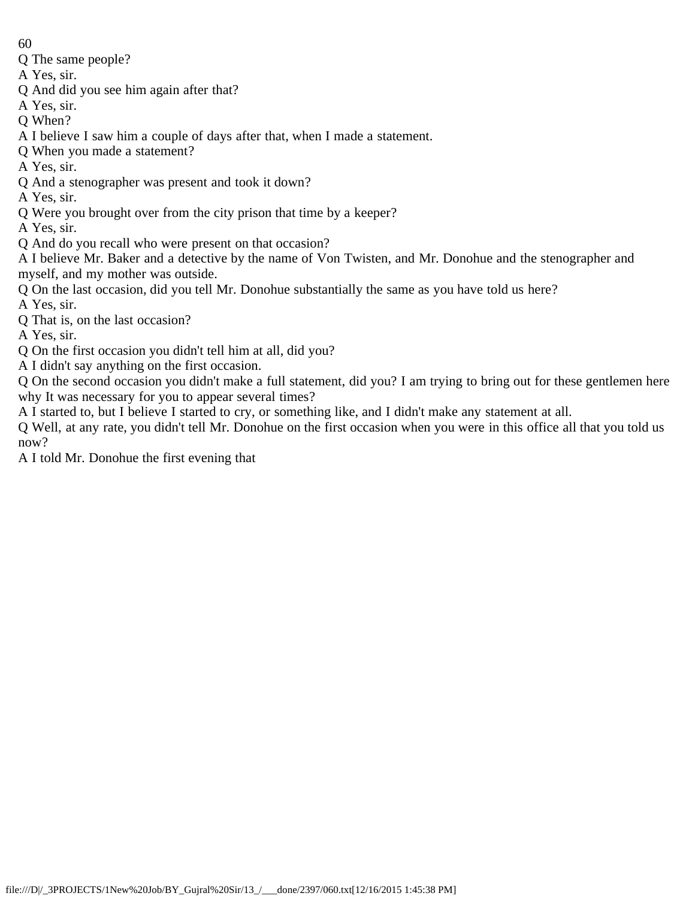- 60
- Q The same people?
- A Yes, sir.
- Q And did you see him again after that?
- A Yes, sir.
- Q When?
- A I believe I saw him a couple of days after that, when I made a statement.
- Q When you made a statement?
- A Yes, sir.
- Q And a stenographer was present and took it down?
- A Yes, sir.
- Q Were you brought over from the city prison that time by a keeper?
- A Yes, sir.
- Q And do you recall who were present on that occasion?
- A I believe Mr. Baker and a detective by the name of Von Twisten, and Mr. Donohue and the stenographer and myself, and my mother was outside.
- Q On the last occasion, did you tell Mr. Donohue substantially the same as you have told us here?
- A Yes, sir.
- Q That is, on the last occasion?
- A Yes, sir.
- Q On the first occasion you didn't tell him at all, did you?
- A I didn't say anything on the first occasion.
- Q On the second occasion you didn't make a full statement, did you? I am trying to bring out for these gentlemen here why It was necessary for you to appear several times?
- A I started to, but I believe I started to cry, or something like, and I didn't make any statement at all.
- Q Well, at any rate, you didn't tell Mr. Donohue on the first occasion when you were in this office all that you told us now?
- A I told Mr. Donohue the first evening that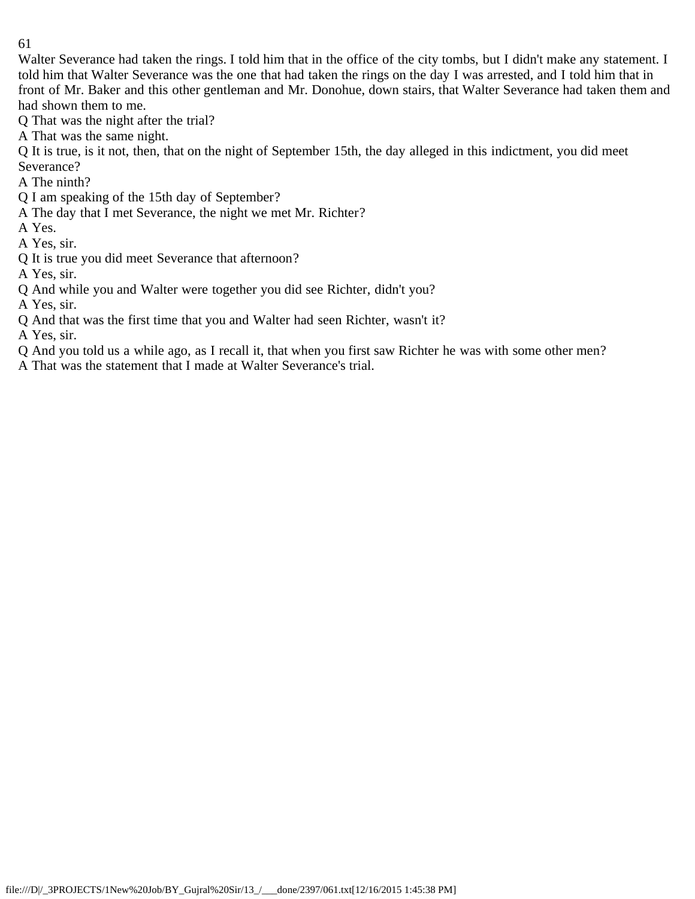Walter Severance had taken the rings. I told him that in the office of the city tombs, but I didn't make any statement. I told him that Walter Severance was the one that had taken the rings on the day I was arrested, and I told him that in front of Mr. Baker and this other gentleman and Mr. Donohue, down stairs, that Walter Severance had taken them and had shown them to me.

Q That was the night after the trial?

A That was the same night.

Q It is true, is it not, then, that on the night of September 15th, the day alleged in this indictment, you did meet Severance?

- A The ninth?
- Q I am speaking of the 15th day of September?
- A The day that I met Severance, the night we met Mr. Richter?
- A Yes.
- A Yes, sir.
- Q It is true you did meet Severance that afternoon?
- A Yes, sir.
- Q And while you and Walter were together you did see Richter, didn't you?
- A Yes, sir.
- Q And that was the first time that you and Walter had seen Richter, wasn't it?

A Yes, sir.

- Q And you told us a while ago, as I recall it, that when you first saw Richter he was with some other men?
- A That was the statement that I made at Walter Severance's trial.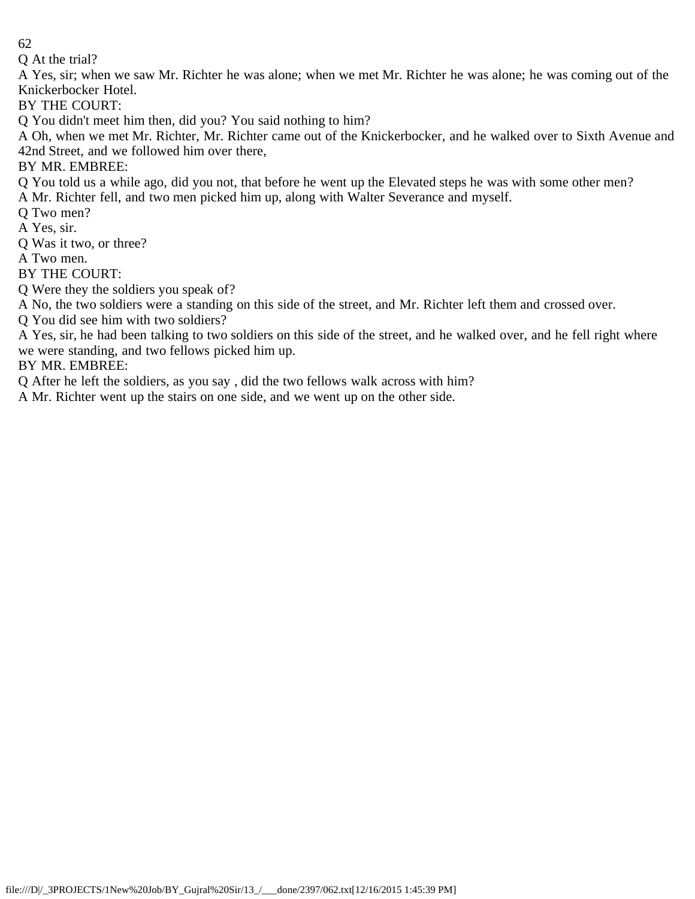Q At the trial?

A Yes, sir; when we saw Mr. Richter he was alone; when we met Mr. Richter he was alone; he was coming out of the Knickerbocker Hotel.

BY THE COURT:

Q You didn't meet him then, did you? You said nothing to him?

A Oh, when we met Mr. Richter, Mr. Richter came out of the Knickerbocker, and he walked over to Sixth Avenue and 42nd Street, and we followed him over there,

BY MR. EMBREE:

Q You told us a while ago, did you not, that before he went up the Elevated steps he was with some other men?

A Mr. Richter fell, and two men picked him up, along with Walter Severance and myself.

Q Two men?

A Yes, sir.

Q Was it two, or three?

A Two men.

BY THE COURT:

Q Were they the soldiers you speak of?

A No, the two soldiers were a standing on this side of the street, and Mr. Richter left them and crossed over.

Q You did see him with two soldiers?

A Yes, sir, he had been talking to two soldiers on this side of the street, and he walked over, and he fell right where we were standing, and two fellows picked him up.

BY MR. EMBREE:

Q After he left the soldiers, as you say , did the two fellows walk across with him?

A Mr. Richter went up the stairs on one side, and we went up on the other side.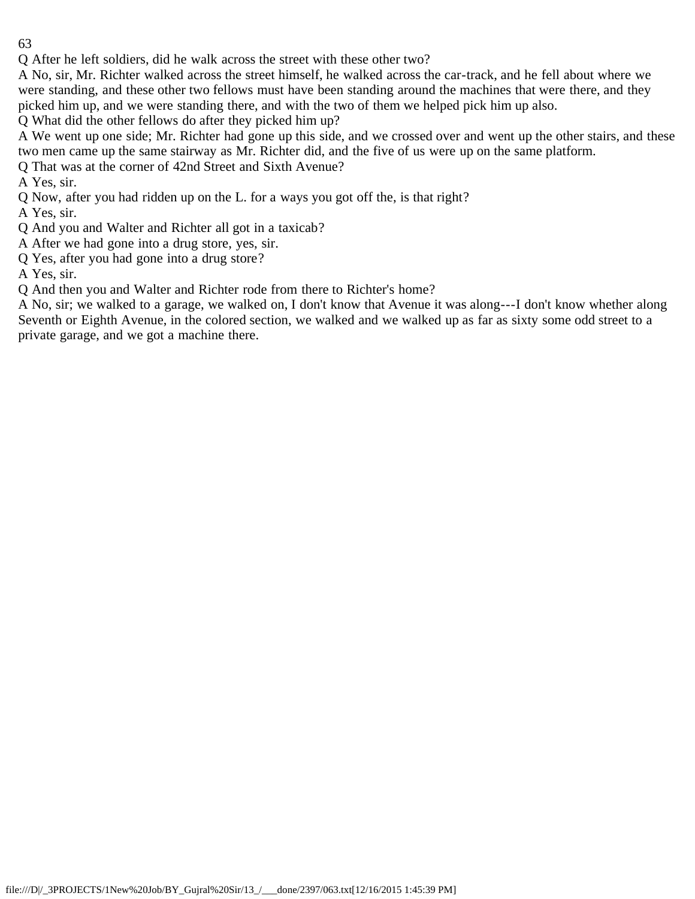Q After he left soldiers, did he walk across the street with these other two?

A No, sir, Mr. Richter walked across the street himself, he walked across the car-track, and he fell about where we were standing, and these other two fellows must have been standing around the machines that were there, and they picked him up, and we were standing there, and with the two of them we helped pick him up also.

Q What did the other fellows do after they picked him up?

- A We went up one side; Mr. Richter had gone up this side, and we crossed over and went up the other stairs, and these two men came up the same stairway as Mr. Richter did, and the five of us were up on the same platform.
- Q That was at the corner of 42nd Street and Sixth Avenue?

A Yes, sir.

Q Now, after you had ridden up on the L. for a ways you got off the, is that right?

A Yes, sir.

- Q And you and Walter and Richter all got in a taxicab?
- A After we had gone into a drug store, yes, sir.
- Q Yes, after you had gone into a drug store?

A Yes, sir.

Q And then you and Walter and Richter rode from there to Richter's home?

A No, sir; we walked to a garage, we walked on, I don't know that Avenue it was along---I don't know whether along Seventh or Eighth Avenue, in the colored section, we walked and we walked up as far as sixty some odd street to a private garage, and we got a machine there.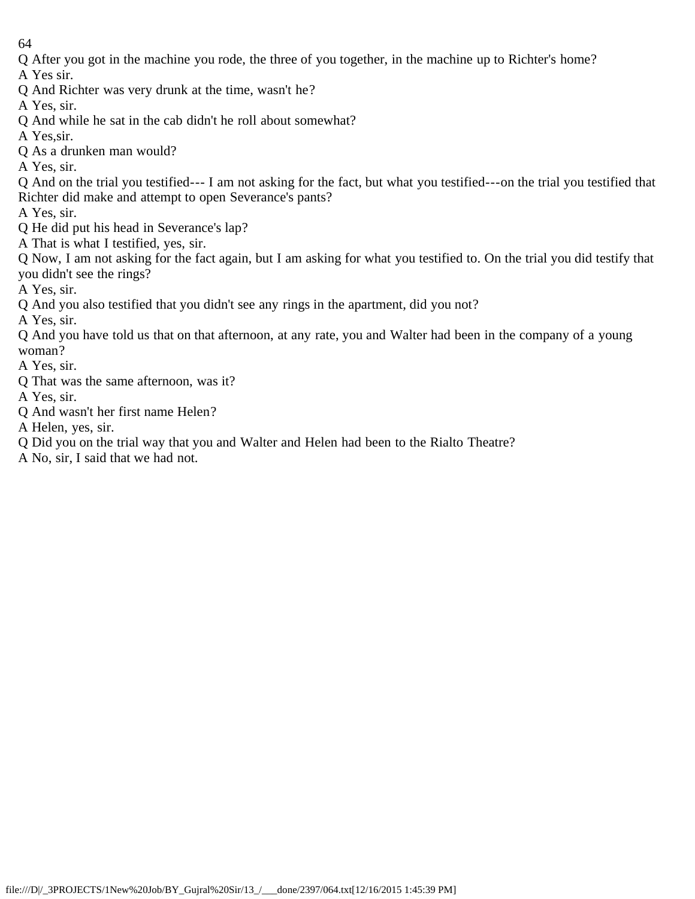Q After you got in the machine you rode, the three of you together, in the machine up to Richter's home?

A Yes sir.

Q And Richter was very drunk at the time, wasn't he?

A Yes, sir.

- Q And while he sat in the cab didn't he roll about somewhat?
- A Yes,sir.
- Q As a drunken man would?

A Yes, sir.

Q And on the trial you testified--- I am not asking for the fact, but what you testified---on the trial you testified that Richter did make and attempt to open Severance's pants?

A Yes, sir.

- Q He did put his head in Severance's lap?
- A That is what I testified, yes, sir.
- Q Now, I am not asking for the fact again, but I am asking for what you testified to. On the trial you did testify that you didn't see the rings?

A Yes, sir.

Q And you also testified that you didn't see any rings in the apartment, did you not?

A Yes, sir.

Q And you have told us that on that afternoon, at any rate, you and Walter had been in the company of a young woman?

A Yes, sir.

Q That was the same afternoon, was it?

A Yes, sir.

Q And wasn't her first name Helen?

A Helen, yes, sir.

Q Did you on the trial way that you and Walter and Helen had been to the Rialto Theatre?

A No, sir, I said that we had not.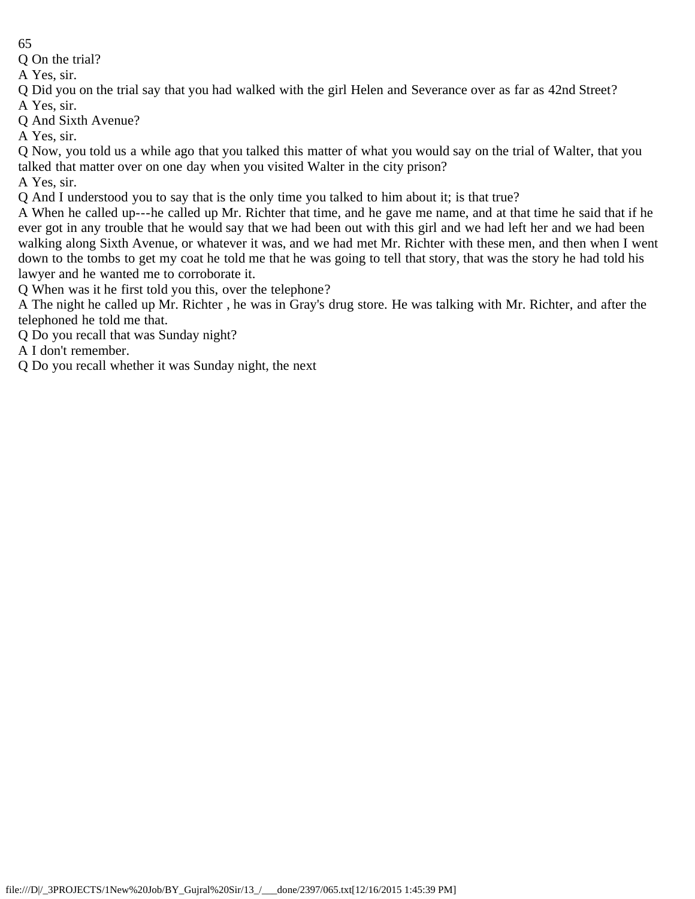Q On the trial?

A Yes, sir.

Q Did you on the trial say that you had walked with the girl Helen and Severance over as far as 42nd Street? A Yes, sir.

Q And Sixth Avenue?

A Yes, sir.

Q Now, you told us a while ago that you talked this matter of what you would say on the trial of Walter, that you talked that matter over on one day when you visited Walter in the city prison?

A Yes, sir.

Q And I understood you to say that is the only time you talked to him about it; is that true?

A When he called up---he called up Mr. Richter that time, and he gave me name, and at that time he said that if he ever got in any trouble that he would say that we had been out with this girl and we had left her and we had been walking along Sixth Avenue, or whatever it was, and we had met Mr. Richter with these men, and then when I went down to the tombs to get my coat he told me that he was going to tell that story, that was the story he had told his lawyer and he wanted me to corroborate it.

Q When was it he first told you this, over the telephone?

A The night he called up Mr. Richter , he was in Gray's drug store. He was talking with Mr. Richter, and after the telephoned he told me that.

Q Do you recall that was Sunday night?

A I don't remember.

Q Do you recall whether it was Sunday night, the next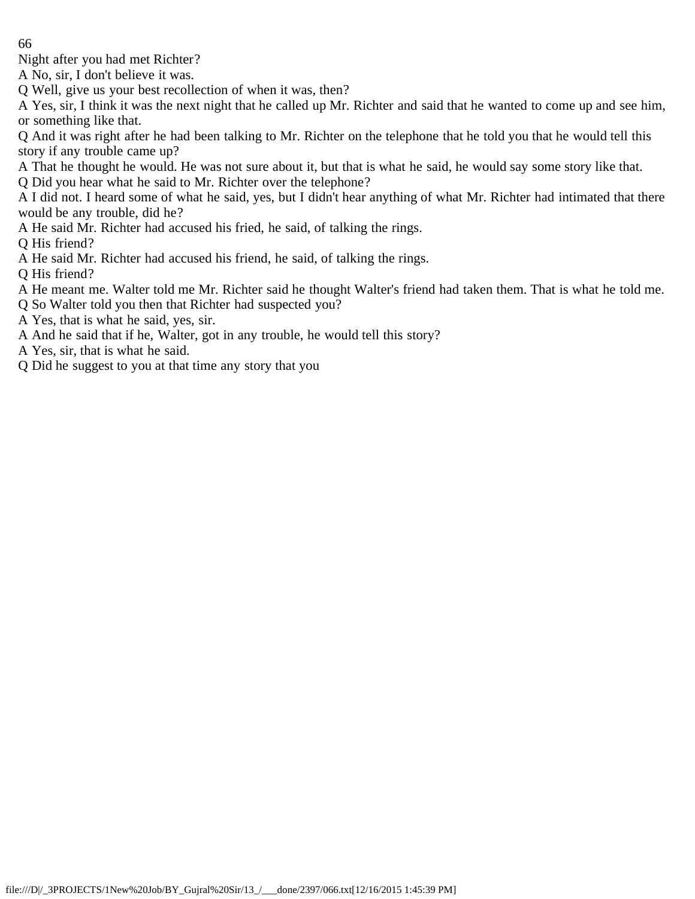Night after you had met Richter?

A No, sir, I don't believe it was.

Q Well, give us your best recollection of when it was, then?

A Yes, sir, I think it was the next night that he called up Mr. Richter and said that he wanted to come up and see him, or something like that.

Q And it was right after he had been talking to Mr. Richter on the telephone that he told you that he would tell this story if any trouble came up?

A That he thought he would. He was not sure about it, but that is what he said, he would say some story like that.

Q Did you hear what he said to Mr. Richter over the telephone?

A I did not. I heard some of what he said, yes, but I didn't hear anything of what Mr. Richter had intimated that there would be any trouble, did he?

A He said Mr. Richter had accused his fried, he said, of talking the rings.

Q His friend?

A He said Mr. Richter had accused his friend, he said, of talking the rings.

Q His friend?

- A He meant me. Walter told me Mr. Richter said he thought Walter's friend had taken them. That is what he told me.
- Q So Walter told you then that Richter had suspected you?
- A Yes, that is what he said, yes, sir.
- A And he said that if he, Walter, got in any trouble, he would tell this story?

A Yes, sir, that is what he said.

Q Did he suggest to you at that time any story that you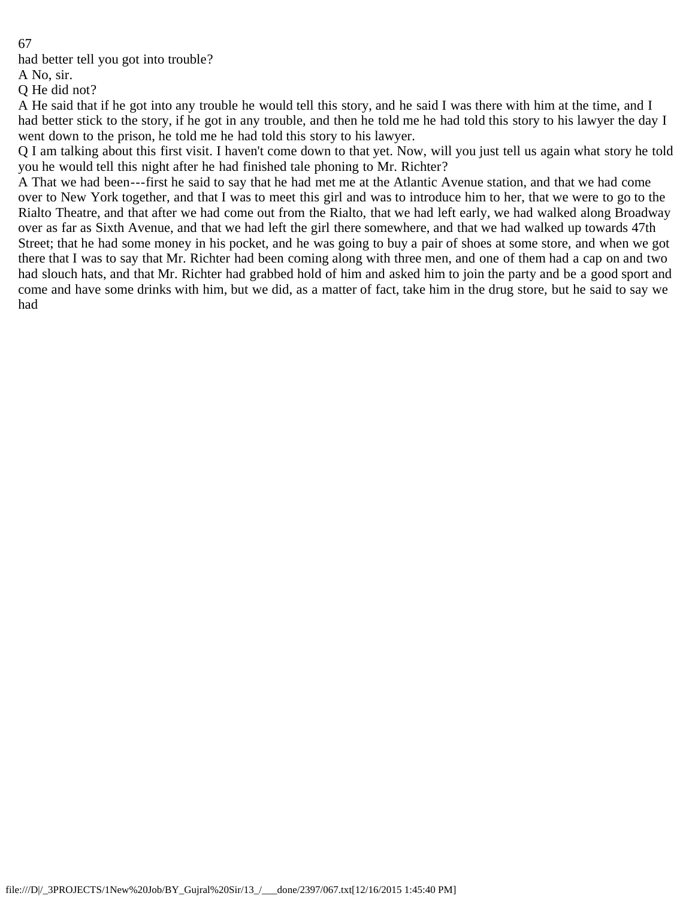had better tell you got into trouble?

A No, sir.

Q He did not?

A He said that if he got into any trouble he would tell this story, and he said I was there with him at the time, and I had better stick to the story, if he got in any trouble, and then he told me he had told this story to his lawyer the day I went down to the prison, he told me he had told this story to his lawyer.

Q I am talking about this first visit. I haven't come down to that yet. Now, will you just tell us again what story he told you he would tell this night after he had finished tale phoning to Mr. Richter?

A That we had been---first he said to say that he had met me at the Atlantic Avenue station, and that we had come over to New York together, and that I was to meet this girl and was to introduce him to her, that we were to go to the Rialto Theatre, and that after we had come out from the Rialto, that we had left early, we had walked along Broadway over as far as Sixth Avenue, and that we had left the girl there somewhere, and that we had walked up towards 47th Street; that he had some money in his pocket, and he was going to buy a pair of shoes at some store, and when we got there that I was to say that Mr. Richter had been coming along with three men, and one of them had a cap on and two had slouch hats, and that Mr. Richter had grabbed hold of him and asked him to join the party and be a good sport and come and have some drinks with him, but we did, as a matter of fact, take him in the drug store, but he said to say we had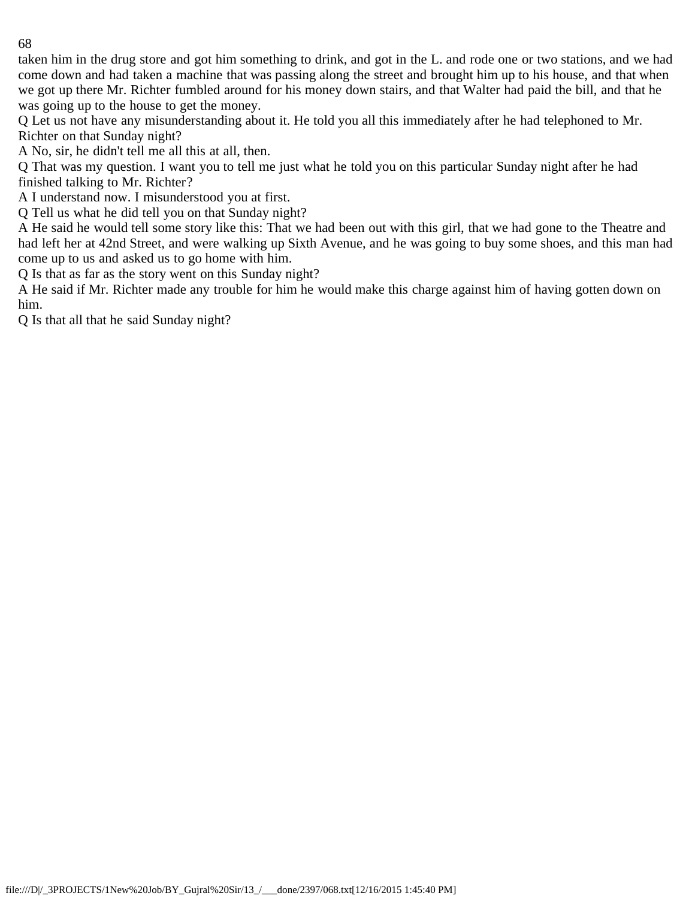taken him in the drug store and got him something to drink, and got in the L. and rode one or two stations, and we had come down and had taken a machine that was passing along the street and brought him up to his house, and that when we got up there Mr. Richter fumbled around for his money down stairs, and that Walter had paid the bill, and that he was going up to the house to get the money.

Q Let us not have any misunderstanding about it. He told you all this immediately after he had telephoned to Mr. Richter on that Sunday night?

A No, sir, he didn't tell me all this at all, then.

Q That was my question. I want you to tell me just what he told you on this particular Sunday night after he had finished talking to Mr. Richter?

A I understand now. I misunderstood you at first.

Q Tell us what he did tell you on that Sunday night?

A He said he would tell some story like this: That we had been out with this girl, that we had gone to the Theatre and had left her at 42nd Street, and were walking up Sixth Avenue, and he was going to buy some shoes, and this man had come up to us and asked us to go home with him.

Q Is that as far as the story went on this Sunday night?

A He said if Mr. Richter made any trouble for him he would make this charge against him of having gotten down on him.

Q Is that all that he said Sunday night?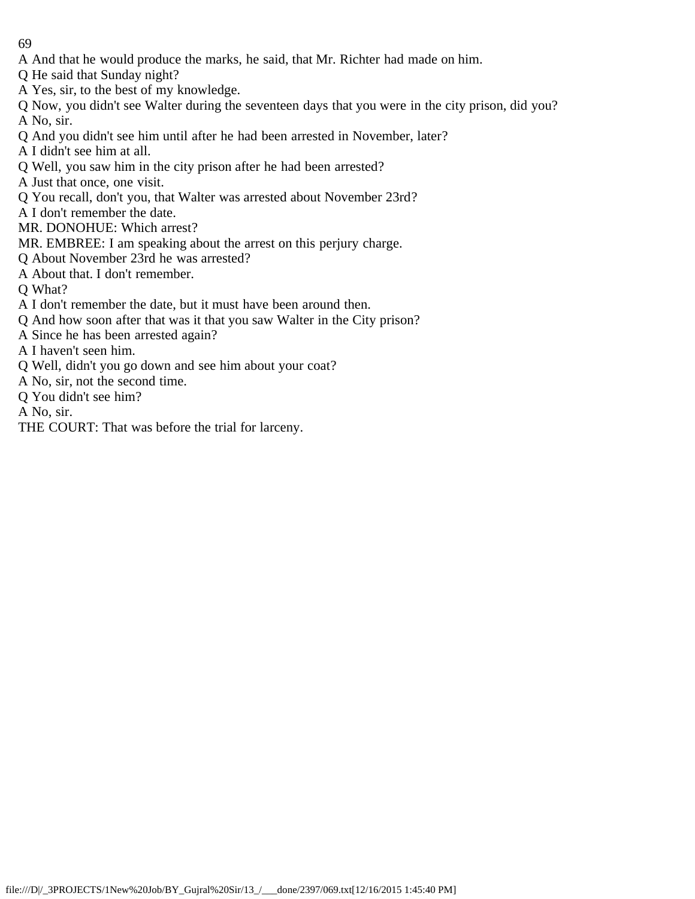- A And that he would produce the marks, he said, that Mr. Richter had made on him.
- Q He said that Sunday night?
- A Yes, sir, to the best of my knowledge.
- Q Now, you didn't see Walter during the seventeen days that you were in the city prison, did you? A No, sir.
- Q And you didn't see him until after he had been arrested in November, later?
- A I didn't see him at all.
- Q Well, you saw him in the city prison after he had been arrested?
- A Just that once, one visit.
- Q You recall, don't you, that Walter was arrested about November 23rd?
- A I don't remember the date.
- MR. DONOHUE: Which arrest?
- MR. EMBREE: I am speaking about the arrest on this perjury charge.
- Q About November 23rd he was arrested?
- A About that. I don't remember.
- Q What?
- A I don't remember the date, but it must have been around then.
- Q And how soon after that was it that you saw Walter in the City prison?
- A Since he has been arrested again?
- A I haven't seen him.
- Q Well, didn't you go down and see him about your coat?
- A No, sir, not the second time.
- Q You didn't see him?
- A No, sir.
- THE COURT: That was before the trial for larceny.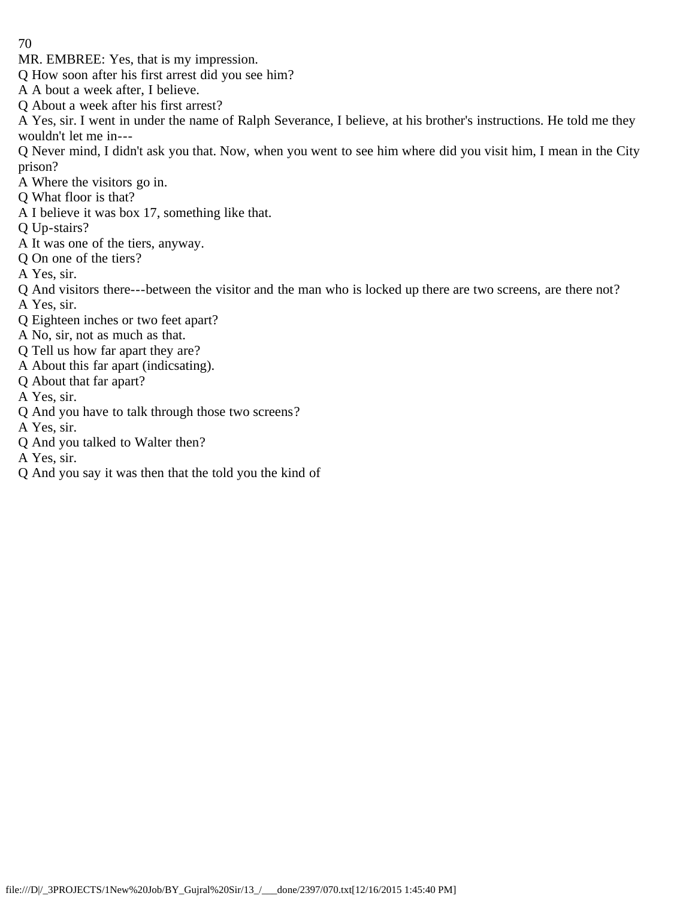MR. EMBREE: Yes, that is my impression.

Q How soon after his first arrest did you see him?

A A bout a week after, I believe.

Q About a week after his first arrest?

A Yes, sir. I went in under the name of Ralph Severance, I believe, at his brother's instructions. He told me they wouldn't let me in---

Q Never mind, I didn't ask you that. Now, when you went to see him where did you visit him, I mean in the City prison?

- A Where the visitors go in.
- Q What floor is that?
- A I believe it was box 17, something like that.
- Q Up-stairs?
- A It was one of the tiers, anyway.
- Q On one of the tiers?
- A Yes, sir.
- Q And visitors there---between the visitor and the man who is locked up there are two screens, are there not? A Yes, sir.
- Q Eighteen inches or two feet apart?
- A No, sir, not as much as that.
- Q Tell us how far apart they are?
- A About this far apart (indicsating).
- Q About that far apart?
- A Yes, sir.
- Q And you have to talk through those two screens?

A Yes, sir.

Q And you talked to Walter then?

A Yes, sir.

Q And you say it was then that the told you the kind of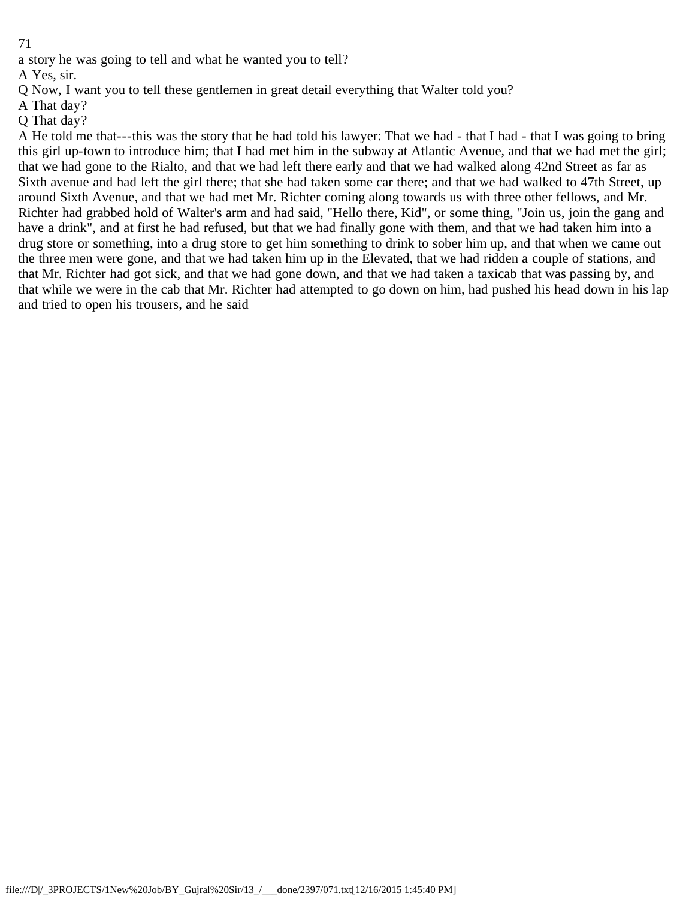a story he was going to tell and what he wanted you to tell?

A Yes, sir.

Q Now, I want you to tell these gentlemen in great detail everything that Walter told you?

A That day?

Q That day?

A He told me that---this was the story that he had told his lawyer: That we had - that I had - that I was going to bring this girl up-town to introduce him; that I had met him in the subway at Atlantic Avenue, and that we had met the girl; that we had gone to the Rialto, and that we had left there early and that we had walked along 42nd Street as far as Sixth avenue and had left the girl there; that she had taken some car there; and that we had walked to 47th Street, up around Sixth Avenue, and that we had met Mr. Richter coming along towards us with three other fellows, and Mr. Richter had grabbed hold of Walter's arm and had said, "Hello there, Kid", or some thing, "Join us, join the gang and have a drink", and at first he had refused, but that we had finally gone with them, and that we had taken him into a drug store or something, into a drug store to get him something to drink to sober him up, and that when we came out the three men were gone, and that we had taken him up in the Elevated, that we had ridden a couple of stations, and that Mr. Richter had got sick, and that we had gone down, and that we had taken a taxicab that was passing by, and that while we were in the cab that Mr. Richter had attempted to go down on him, had pushed his head down in his lap and tried to open his trousers, and he said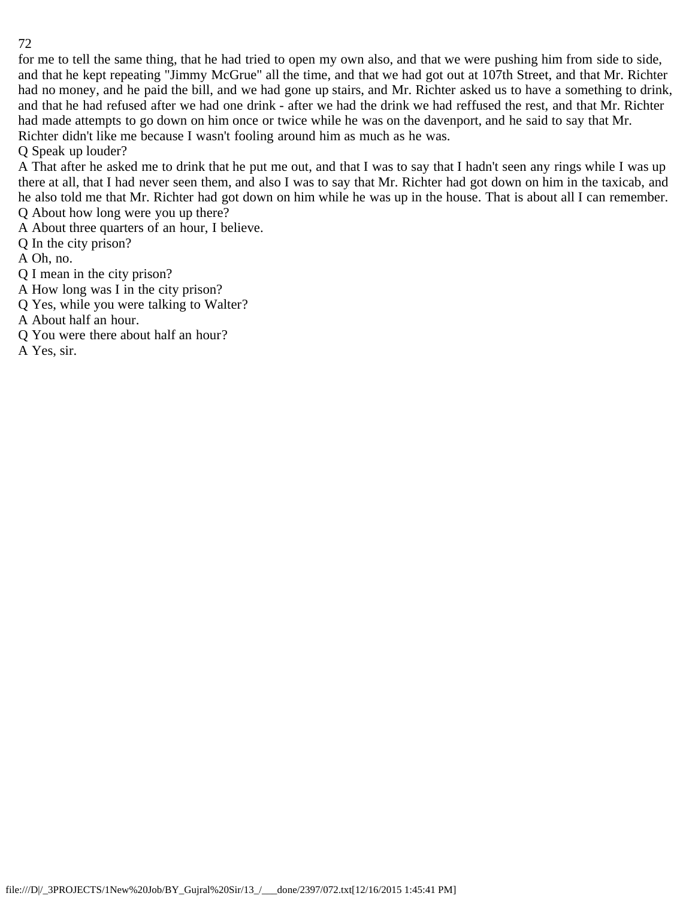for me to tell the same thing, that he had tried to open my own also, and that we were pushing him from side to side, and that he kept repeating "Jimmy McGrue" all the time, and that we had got out at 107th Street, and that Mr. Richter had no money, and he paid the bill, and we had gone up stairs, and Mr. Richter asked us to have a something to drink, and that he had refused after we had one drink - after we had the drink we had reffused the rest, and that Mr. Richter had made attempts to go down on him once or twice while he was on the davenport, and he said to say that Mr. Richter didn't like me because I wasn't fooling around him as much as he was.

Q Speak up louder?

A That after he asked me to drink that he put me out, and that I was to say that I hadn't seen any rings while I was up there at all, that I had never seen them, and also I was to say that Mr. Richter had got down on him in the taxicab, and he also told me that Mr. Richter had got down on him while he was up in the house. That is about all I can remember. Q About how long were you up there?

A About three quarters of an hour, I believe.

Q In the city prison?

A Oh, no.

Q I mean in the city prison?

A How long was I in the city prison?

Q Yes, while you were talking to Walter?

A About half an hour.

Q You were there about half an hour?

A Yes, sir.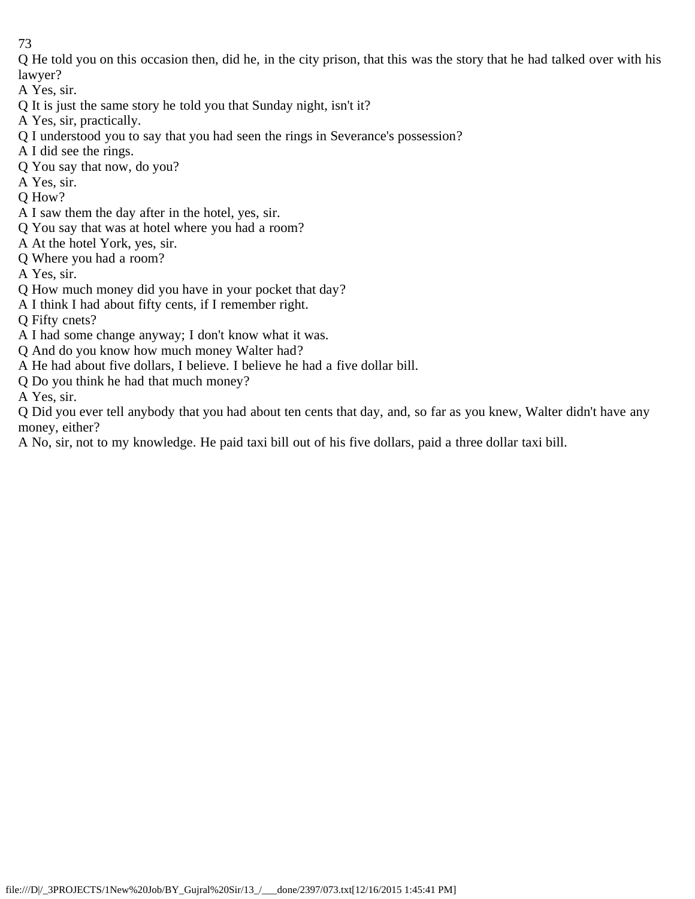Q He told you on this occasion then, did he, in the city prison, that this was the story that he had talked over with his lawyer?

A Yes, sir.

- Q It is just the same story he told you that Sunday night, isn't it?
- A Yes, sir, practically.
- Q I understood you to say that you had seen the rings in Severance's possession?
- A I did see the rings.
- Q You say that now, do you?
- A Yes, sir.
- Q How?
- A I saw them the day after in the hotel, yes, sir.
- Q You say that was at hotel where you had a room?
- A At the hotel York, yes, sir.
- Q Where you had a room?
- A Yes, sir.
- Q How much money did you have in your pocket that day?
- A I think I had about fifty cents, if I remember right.
- Q Fifty cnets?
- A I had some change anyway; I don't know what it was.
- Q And do you know how much money Walter had?
- A He had about five dollars, I believe. I believe he had a five dollar bill.
- Q Do you think he had that much money?
- A Yes, sir.

Q Did you ever tell anybody that you had about ten cents that day, and, so far as you knew, Walter didn't have any money, either?

A No, sir, not to my knowledge. He paid taxi bill out of his five dollars, paid a three dollar taxi bill.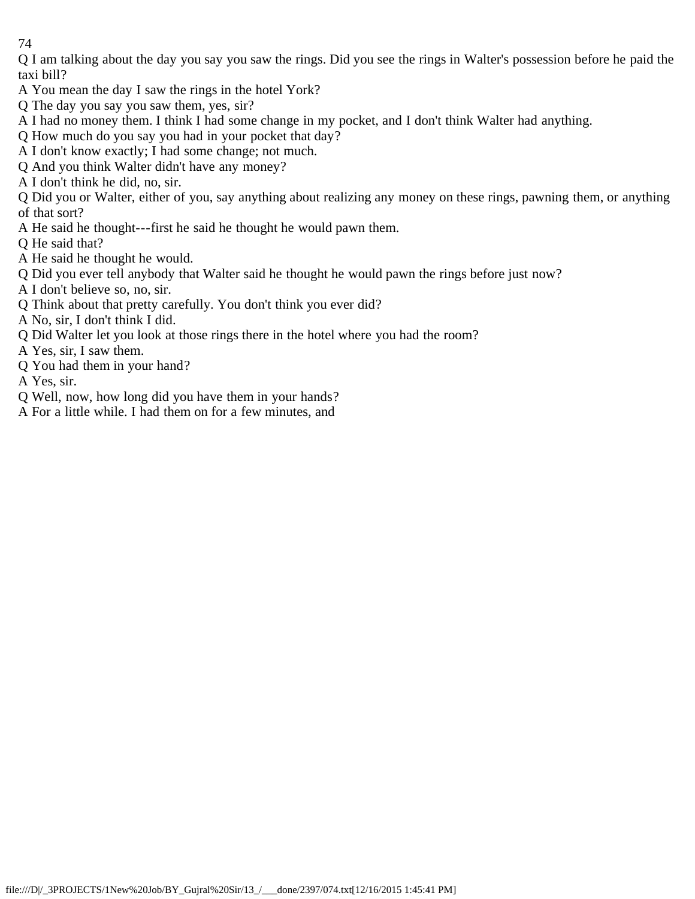Q I am talking about the day you say you saw the rings. Did you see the rings in Walter's possession before he paid the taxi bill?

- A You mean the day I saw the rings in the hotel York?
- Q The day you say you saw them, yes, sir?
- A I had no money them. I think I had some change in my pocket, and I don't think Walter had anything.
- Q How much do you say you had in your pocket that day?
- A I don't know exactly; I had some change; not much.
- Q And you think Walter didn't have any money?
- A I don't think he did, no, sir.

Q Did you or Walter, either of you, say anything about realizing any money on these rings, pawning them, or anything of that sort?

A He said he thought---first he said he thought he would pawn them.

Q He said that?

- A He said he thought he would.
- Q Did you ever tell anybody that Walter said he thought he would pawn the rings before just now?
- A I don't believe so, no, sir.
- Q Think about that pretty carefully. You don't think you ever did?
- A No, sir, I don't think I did.
- Q Did Walter let you look at those rings there in the hotel where you had the room?
- A Yes, sir, I saw them.
- Q You had them in your hand?
- A Yes, sir.
- Q Well, now, how long did you have them in your hands?
- A For a little while. I had them on for a few minutes, and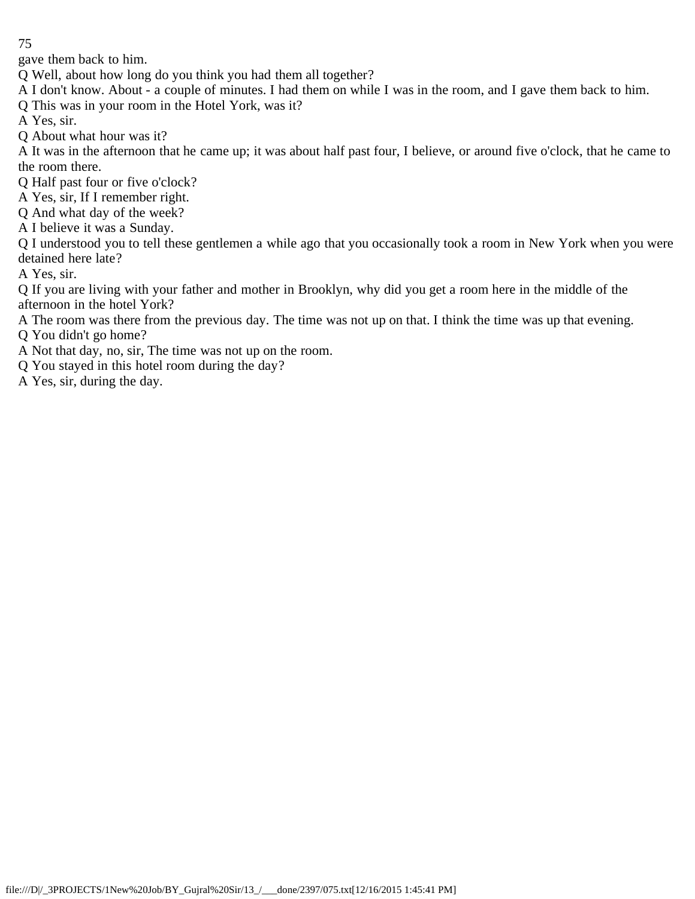gave them back to him.

Q Well, about how long do you think you had them all together?

A I don't know. About - a couple of minutes. I had them on while I was in the room, and I gave them back to him.

Q This was in your room in the Hotel York, was it?

A Yes, sir.

Q About what hour was it?

A It was in the afternoon that he came up; it was about half past four, I believe, or around five o'clock, that he came to the room there.

Q Half past four or five o'clock?

A Yes, sir, If I remember right.

Q And what day of the week?

A I believe it was a Sunday.

Q I understood you to tell these gentlemen a while ago that you occasionally took a room in New York when you were detained here late?

A Yes, sir.

Q If you are living with your father and mother in Brooklyn, why did you get a room here in the middle of the afternoon in the hotel York?

A The room was there from the previous day. The time was not up on that. I think the time was up that evening.

Q You didn't go home?

A Not that day, no, sir, The time was not up on the room.

Q You stayed in this hotel room during the day?

A Yes, sir, during the day.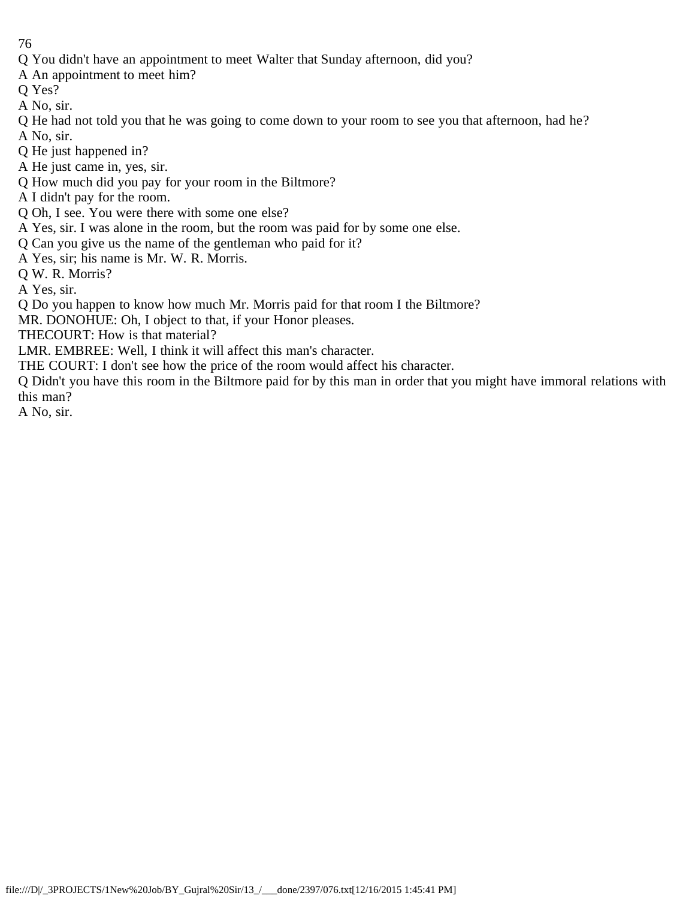- Q You didn't have an appointment to meet Walter that Sunday afternoon, did you?
- A An appointment to meet him?
- Q Yes?
- A No, sir.
- Q He had not told you that he was going to come down to your room to see you that afternoon, had he? A No, sir.
- Q He just happened in?
- A He just came in, yes, sir.
- Q How much did you pay for your room in the Biltmore?
- A I didn't pay for the room.
- Q Oh, I see. You were there with some one else?
- A Yes, sir. I was alone in the room, but the room was paid for by some one else.
- Q Can you give us the name of the gentleman who paid for it?
- A Yes, sir; his name is Mr. W. R. Morris.
- Q W. R. Morris?
- A Yes, sir.
- Q Do you happen to know how much Mr. Morris paid for that room I the Biltmore?
- MR. DONOHUE: Oh, I object to that, if your Honor pleases.
- THECOURT: How is that material?
- LMR. EMBREE: Well, I think it will affect this man's character.
- THE COURT: I don't see how the price of the room would affect his character.
- Q Didn't you have this room in the Biltmore paid for by this man in order that you might have immoral relations with this man?
- A No, sir.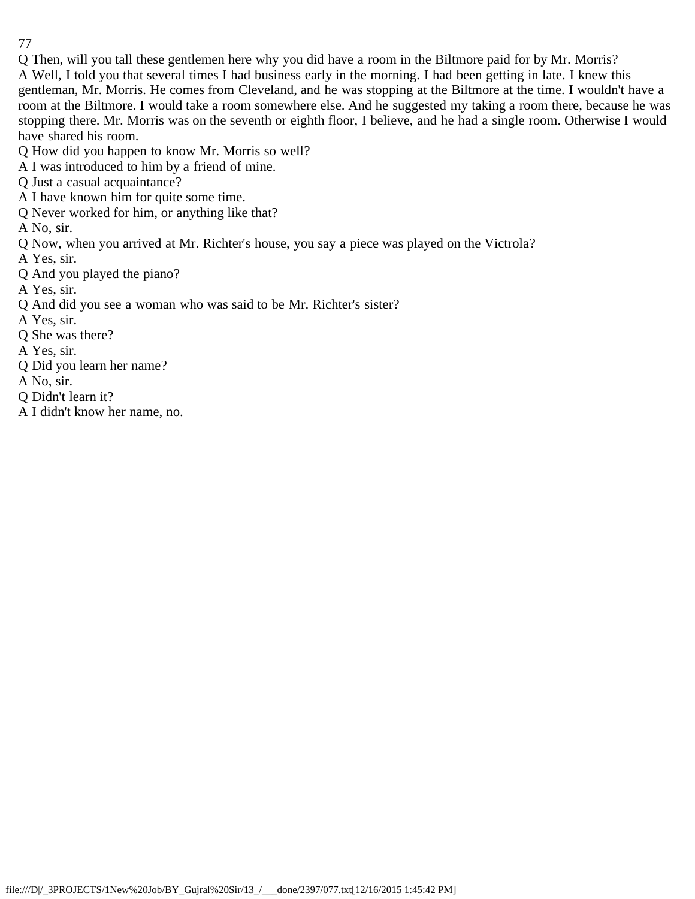Q Then, will you tall these gentlemen here why you did have a room in the Biltmore paid for by Mr. Morris? A Well, I told you that several times I had business early in the morning. I had been getting in late. I knew this gentleman, Mr. Morris. He comes from Cleveland, and he was stopping at the Biltmore at the time. I wouldn't have a room at the Biltmore. I would take a room somewhere else. And he suggested my taking a room there, because he was stopping there. Mr. Morris was on the seventh or eighth floor, I believe, and he had a single room. Otherwise I would have shared his room.

Q How did you happen to know Mr. Morris so well?

A I was introduced to him by a friend of mine.

Q Just a casual acquaintance?

A I have known him for quite some time.

Q Never worked for him, or anything like that?

A No, sir.

Q Now, when you arrived at Mr. Richter's house, you say a piece was played on the Victrola?

A Yes, sir.

Q And you played the piano?

A Yes, sir.

Q And did you see a woman who was said to be Mr. Richter's sister?

A Yes, sir.

Q She was there?

A Yes, sir.

Q Did you learn her name?

A No, sir.

Q Didn't learn it?

A I didn't know her name, no.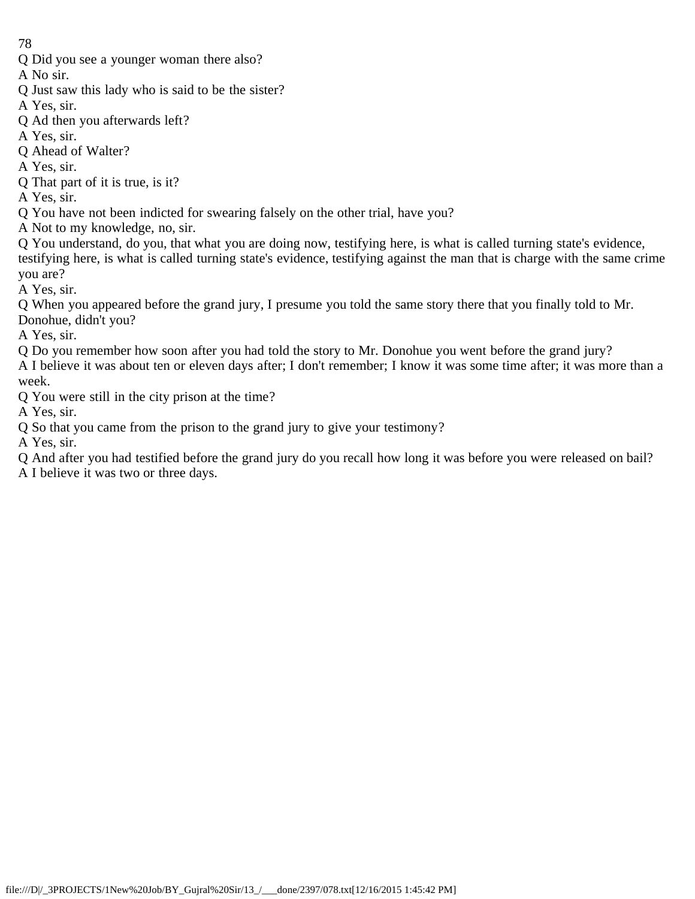Q Did you see a younger woman there also?

A No sir.

- Q Just saw this lady who is said to be the sister?
- A Yes, sir.
- Q Ad then you afterwards left?
- A Yes, sir.
- Q Ahead of Walter?
- A Yes, sir.
- Q That part of it is true, is it?

A Yes, sir.

- Q You have not been indicted for swearing falsely on the other trial, have you?
- A Not to my knowledge, no, sir.

Q You understand, do you, that what you are doing now, testifying here, is what is called turning state's evidence, testifying here, is what is called turning state's evidence, testifying against the man that is charge with the same crime you are?

A Yes, sir.

Q When you appeared before the grand jury, I presume you told the same story there that you finally told to Mr. Donohue, didn't you?

A Yes, sir.

Q Do you remember how soon after you had told the story to Mr. Donohue you went before the grand jury? A I believe it was about ten or eleven days after; I don't remember; I know it was some time after; it was more than a week.

Q You were still in the city prison at the time?

A Yes, sir.

Q So that you came from the prison to the grand jury to give your testimony?

A Yes, sir.

Q And after you had testified before the grand jury do you recall how long it was before you were released on bail?

A I believe it was two or three days.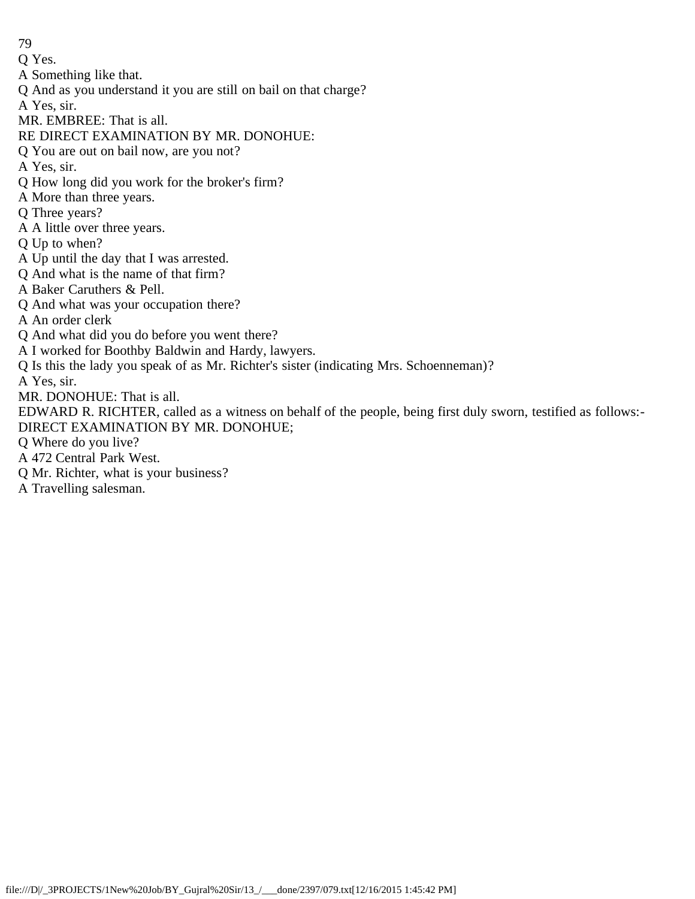- Q Yes.
- A Something like that.
- Q And as you understand it you are still on bail on that charge?
- A Yes, sir.
- MR. EMBREE: That is all.
- RE DIRECT EXAMINATION BY MR. DONOHUE:
- Q You are out on bail now, are you not?
- A Yes, sir.
- Q How long did you work for the broker's firm?
- A More than three years.
- Q Three years?
- A A little over three years.
- Q Up to when?
- A Up until the day that I was arrested.
- Q And what is the name of that firm?
- A Baker Caruthers & Pell.
- Q And what was your occupation there?
- A An order clerk
- Q And what did you do before you went there?
- A I worked for Boothby Baldwin and Hardy, lawyers.
- Q Is this the lady you speak of as Mr. Richter's sister (indicating Mrs. Schoenneman)?
- A Yes, sir.
- MR. DONOHUE: That is all.
- EDWARD R. RICHTER, called as a witness on behalf of the people, being first duly sworn, testified as follows:- DIRECT EXAMINATION BY MR. DONOHUE;
- Q Where do you live?
- A 472 Central Park West.
- Q Mr. Richter, what is your business?
- A Travelling salesman.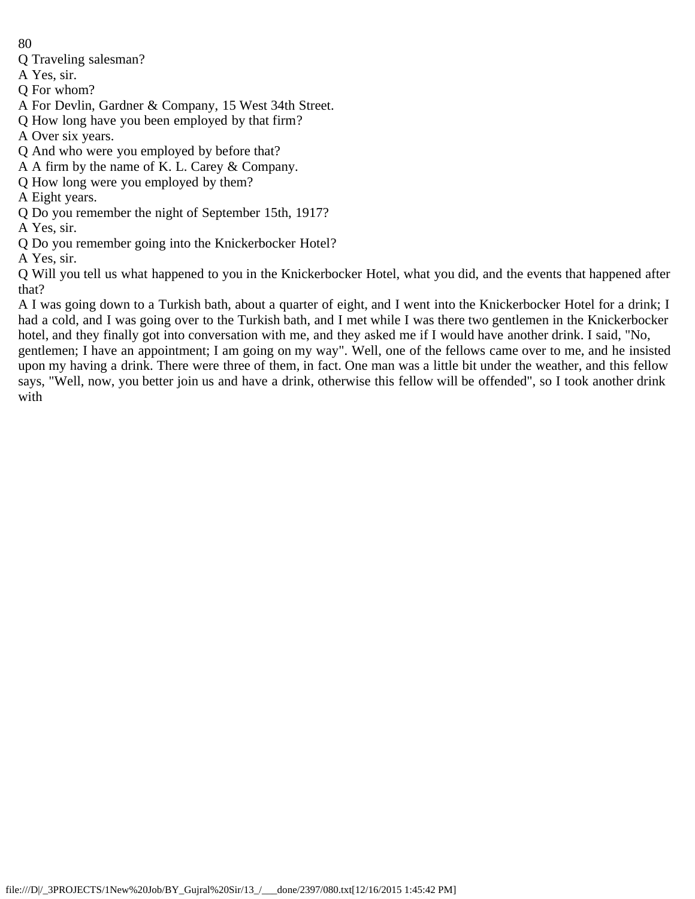- Q Traveling salesman?
- A Yes, sir.
- Q For whom?
- A For Devlin, Gardner & Company, 15 West 34th Street.
- Q How long have you been employed by that firm?
- A Over six years.
- Q And who were you employed by before that?
- A A firm by the name of K. L. Carey & Company.
- Q How long were you employed by them?
- A Eight years.
- Q Do you remember the night of September 15th, 1917?
- A Yes, sir.
- Q Do you remember going into the Knickerbocker Hotel?
- A Yes, sir.

Q Will you tell us what happened to you in the Knickerbocker Hotel, what you did, and the events that happened after that?

A I was going down to a Turkish bath, about a quarter of eight, and I went into the Knickerbocker Hotel for a drink; I had a cold, and I was going over to the Turkish bath, and I met while I was there two gentlemen in the Knickerbocker hotel, and they finally got into conversation with me, and they asked me if I would have another drink. I said, "No, gentlemen; I have an appointment; I am going on my way". Well, one of the fellows came over to me, and he insisted upon my having a drink. There were three of them, in fact. One man was a little bit under the weather, and this fellow says, "Well, now, you better join us and have a drink, otherwise this fellow will be offended", so I took another drink with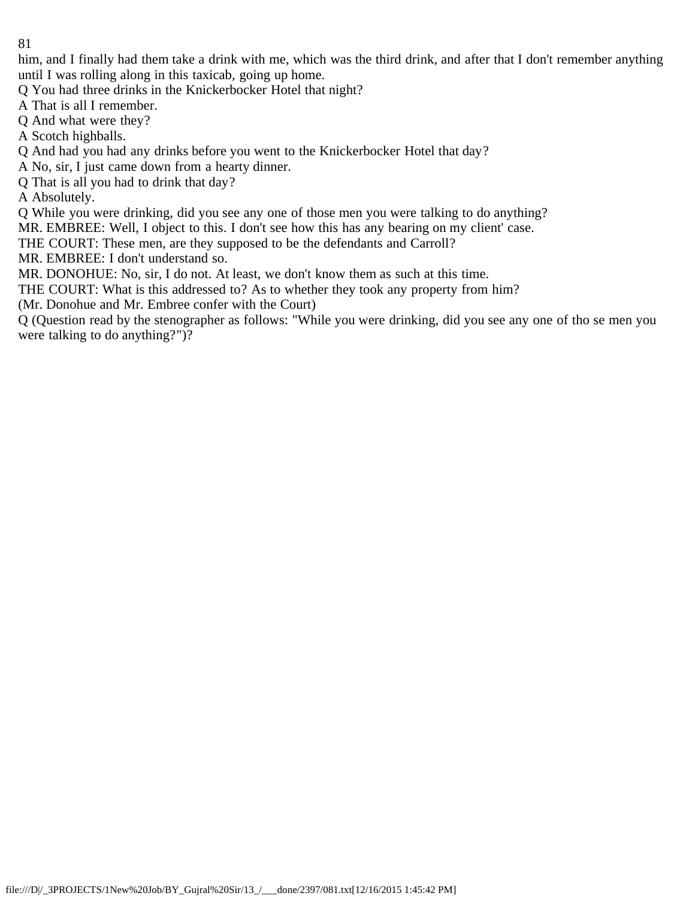him, and I finally had them take a drink with me, which was the third drink, and after that I don't remember anything until I was rolling along in this taxicab, going up home.

Q You had three drinks in the Knickerbocker Hotel that night?

A That is all I remember.

Q And what were they?

A Scotch highballs.

Q And had you had any drinks before you went to the Knickerbocker Hotel that day?

A No, sir, I just came down from a hearty dinner.

Q That is all you had to drink that day?

A Absolutely.

Q While you were drinking, did you see any one of those men you were talking to do anything?

MR. EMBREE: Well, I object to this. I don't see how this has any bearing on my client' case.

THE COURT: These men, are they supposed to be the defendants and Carroll?

MR. EMBREE: I don't understand so.

MR. DONOHUE: No, sir, I do not. At least, we don't know them as such at this time.

THE COURT: What is this addressed to? As to whether they took any property from him?

(Mr. Donohue and Mr. Embree confer with the Court)

Q (Question read by the stenographer as follows: "While you were drinking, did you see any one of tho se men you were talking to do anything?")?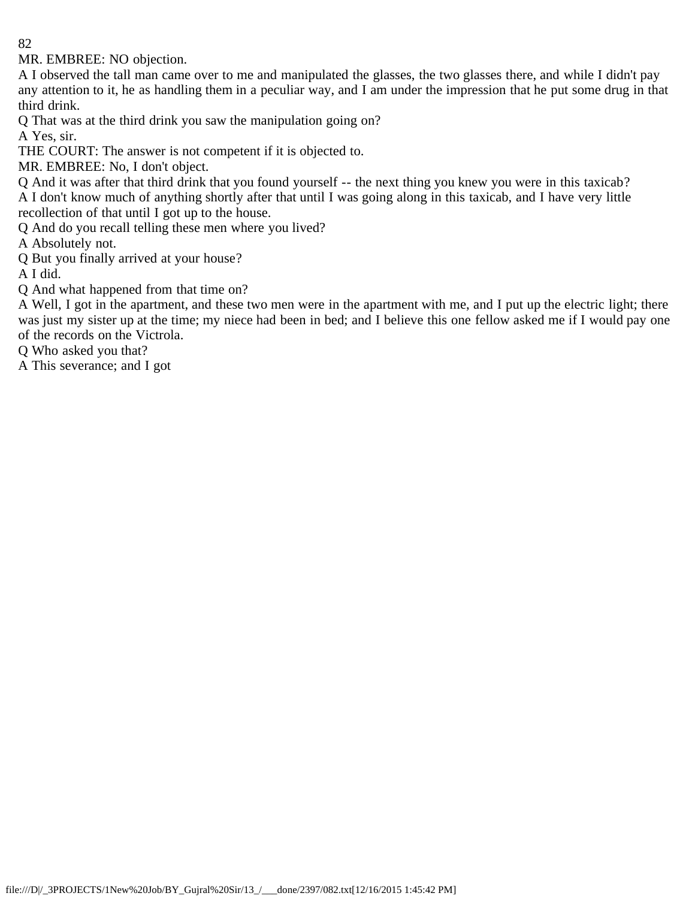MR. EMBREE: NO objection.

A I observed the tall man came over to me and manipulated the glasses, the two glasses there, and while I didn't pay any attention to it, he as handling them in a peculiar way, and I am under the impression that he put some drug in that third drink.

Q That was at the third drink you saw the manipulation going on?

A Yes, sir.

THE COURT: The answer is not competent if it is objected to.

MR. EMBREE: No, I don't object.

Q And it was after that third drink that you found yourself -- the next thing you knew you were in this taxicab? A I don't know much of anything shortly after that until I was going along in this taxicab, and I have very little recollection of that until I got up to the house.

Q And do you recall telling these men where you lived?

A Absolutely not.

Q But you finally arrived at your house?

A I did.

Q And what happened from that time on?

A Well, I got in the apartment, and these two men were in the apartment with me, and I put up the electric light; there was just my sister up at the time; my niece had been in bed; and I believe this one fellow asked me if I would pay one of the records on the Victrola.

Q Who asked you that?

A This severance; and I got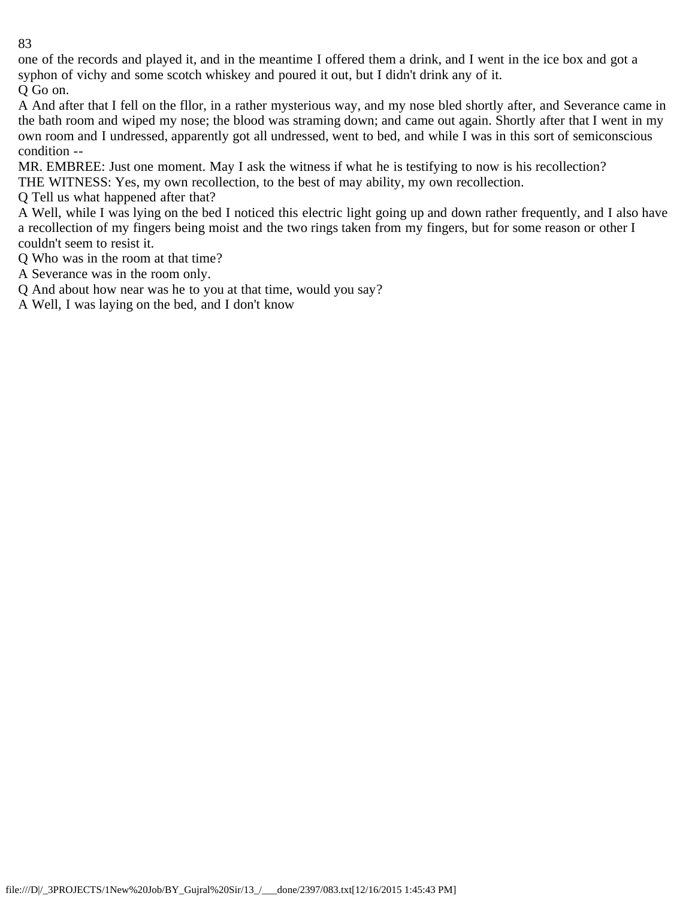one of the records and played it, and in the meantime I offered them a drink, and I went in the ice box and got a syphon of vichy and some scotch whiskey and poured it out, but I didn't drink any of it.

Q Go on.

A And after that I fell on the fllor, in a rather mysterious way, and my nose bled shortly after, and Severance came in the bath room and wiped my nose; the blood was straming down; and came out again. Shortly after that I went in my own room and I undressed, apparently got all undressed, went to bed, and while I was in this sort of semiconscious condition --

MR. EMBREE: Just one moment. May I ask the witness if what he is testifying to now is his recollection?

THE WITNESS: Yes, my own recollection, to the best of may ability, my own recollection.

Q Tell us what happened after that?

A Well, while I was lying on the bed I noticed this electric light going up and down rather frequently, and I also have a recollection of my fingers being moist and the two rings taken from my fingers, but for some reason or other I couldn't seem to resist it.

Q Who was in the room at that time?

A Severance was in the room only.

Q And about how near was he to you at that time, would you say?

A Well, I was laying on the bed, and I don't know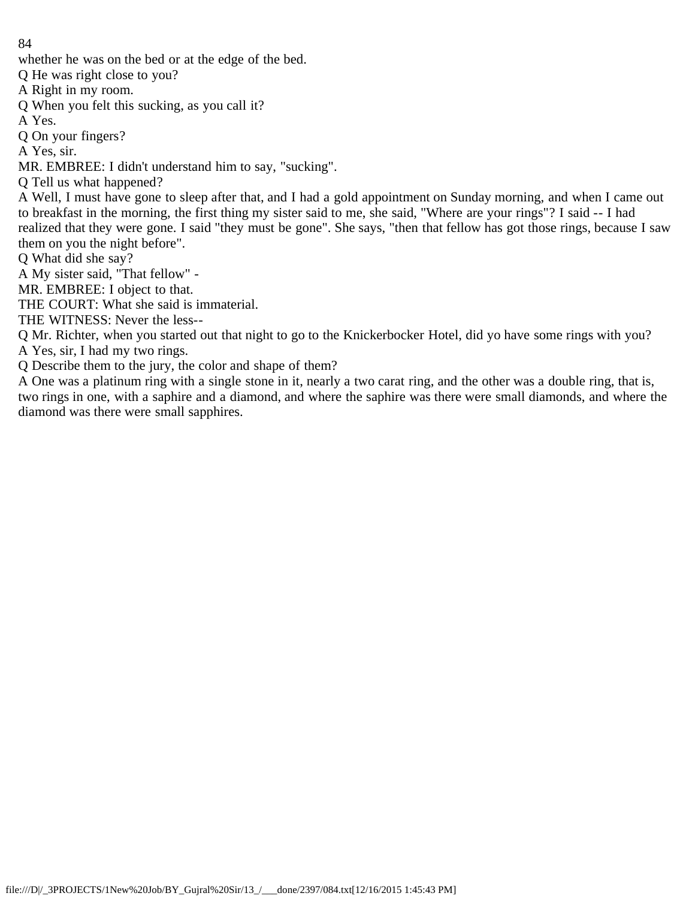whether he was on the bed or at the edge of the bed.

Q He was right close to you?

A Right in my room.

Q When you felt this sucking, as you call it?

A Yes.

Q On your fingers?

A Yes, sir.

MR. EMBREE: I didn't understand him to say, "sucking".

Q Tell us what happened?

A Well, I must have gone to sleep after that, and I had a gold appointment on Sunday morning, and when I came out to breakfast in the morning, the first thing my sister said to me, she said, "Where are your rings"? I said -- I had realized that they were gone. I said "they must be gone". She says, "then that fellow has got those rings, because I saw them on you the night before".

Q What did she say?

A My sister said, "That fellow" -

MR. EMBREE: I object to that.

THE COURT: What she said is immaterial.

THE WITNESS: Never the less--

Q Mr. Richter, when you started out that night to go to the Knickerbocker Hotel, did yo have some rings with you?

A Yes, sir, I had my two rings.

Q Describe them to the jury, the color and shape of them?

A One was a platinum ring with a single stone in it, nearly a two carat ring, and the other was a double ring, that is, two rings in one, with a saphire and a diamond, and where the saphire was there were small diamonds, and where the diamond was there were small sapphires.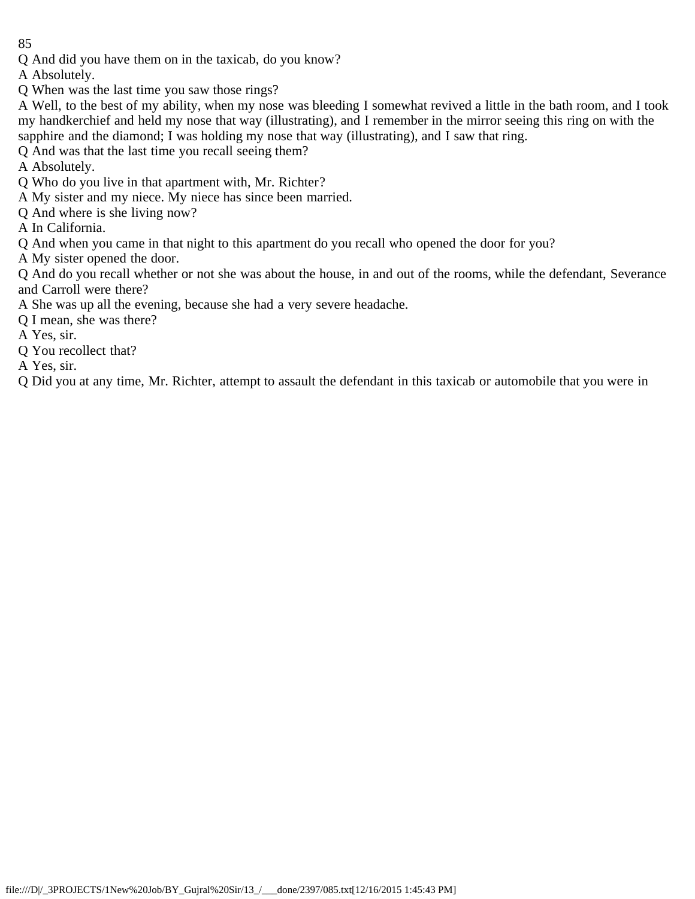Q And did you have them on in the taxicab, do you know?

A Absolutely.

Q When was the last time you saw those rings?

A Well, to the best of my ability, when my nose was bleeding I somewhat revived a little in the bath room, and I took my handkerchief and held my nose that way (illustrating), and I remember in the mirror seeing this ring on with the sapphire and the diamond; I was holding my nose that way (illustrating), and I saw that ring.

Q And was that the last time you recall seeing them?

A Absolutely.

Q Who do you live in that apartment with, Mr. Richter?

A My sister and my niece. My niece has since been married.

Q And where is she living now?

A In California.

Q And when you came in that night to this apartment do you recall who opened the door for you?

A My sister opened the door.

Q And do you recall whether or not she was about the house, in and out of the rooms, while the defendant, Severance and Carroll were there?

A She was up all the evening, because she had a very severe headache.

Q I mean, she was there?

A Yes, sir.

Q You recollect that?

A Yes, sir.

Q Did you at any time, Mr. Richter, attempt to assault the defendant in this taxicab or automobile that you were in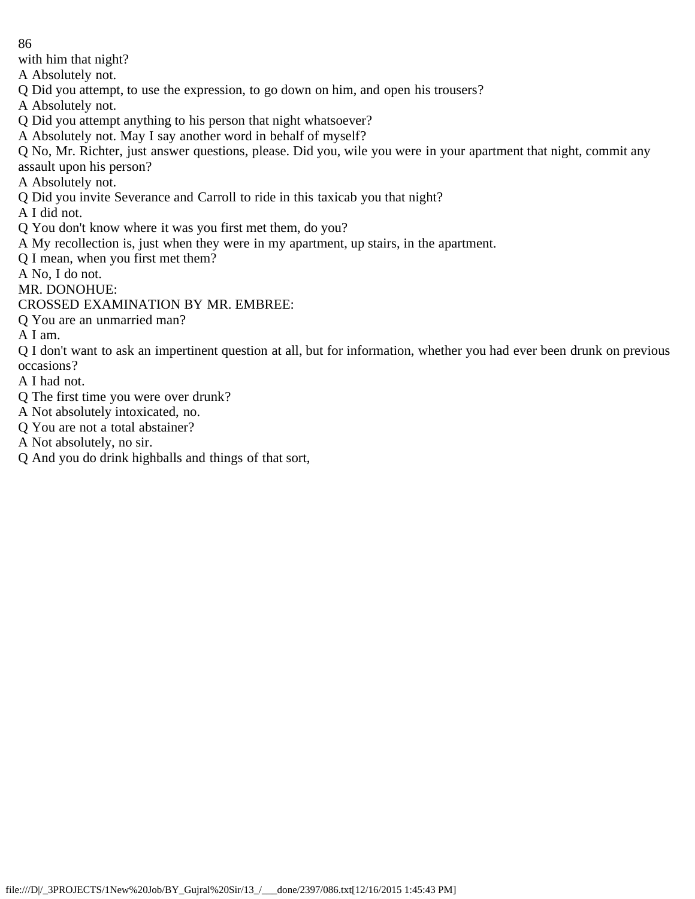with him that night?

A Absolutely not.

Q Did you attempt, to use the expression, to go down on him, and open his trousers?

A Absolutely not.

Q Did you attempt anything to his person that night whatsoever?

A Absolutely not. May I say another word in behalf of myself?

Q No, Mr. Richter, just answer questions, please. Did you, wile you were in your apartment that night, commit any assault upon his person?

A Absolutely not.

Q Did you invite Severance and Carroll to ride in this taxicab you that night?

A I did not.

Q You don't know where it was you first met them, do you?

A My recollection is, just when they were in my apartment, up stairs, in the apartment.

Q I mean, when you first met them?

A No, I do not.

MR. DONOHUE:

CROSSED EXAMINATION BY MR. EMBREE:

Q You are an unmarried man?

A I am.

Q I don't want to ask an impertinent question at all, but for information, whether you had ever been drunk on previous occasions?

A I had not.

- Q The first time you were over drunk?
- A Not absolutely intoxicated, no.
- Q You are not a total abstainer?
- A Not absolutely, no sir.
- Q And you do drink highballs and things of that sort,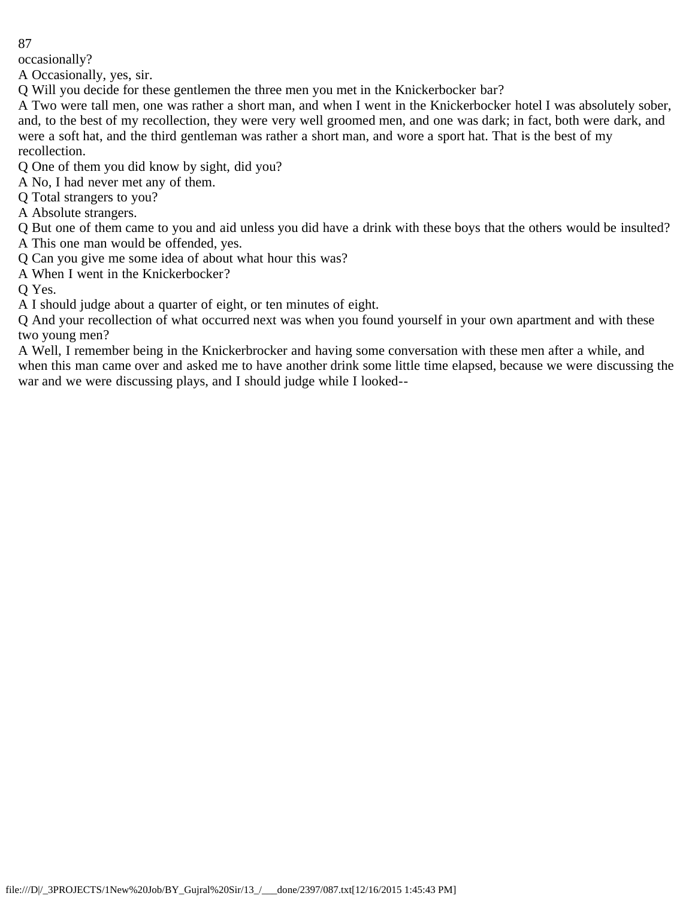occasionally?

A Occasionally, yes, sir.

Q Will you decide for these gentlemen the three men you met in the Knickerbocker bar?

A Two were tall men, one was rather a short man, and when I went in the Knickerbocker hotel I was absolutely sober, and, to the best of my recollection, they were very well groomed men, and one was dark; in fact, both were dark, and were a soft hat, and the third gentleman was rather a short man, and wore a sport hat. That is the best of my recollection.

Q One of them you did know by sight, did you?

A No, I had never met any of them.

Q Total strangers to you?

A Absolute strangers.

Q But one of them came to you and aid unless you did have a drink with these boys that the others would be insulted? A This one man would be offended, yes.

Q Can you give me some idea of about what hour this was?

A When I went in the Knickerbocker?

Q Yes.

A I should judge about a quarter of eight, or ten minutes of eight.

Q And your recollection of what occurred next was when you found yourself in your own apartment and with these two young men?

A Well, I remember being in the Knickerbrocker and having some conversation with these men after a while, and when this man came over and asked me to have another drink some little time elapsed, because we were discussing the war and we were discussing plays, and I should judge while I looked--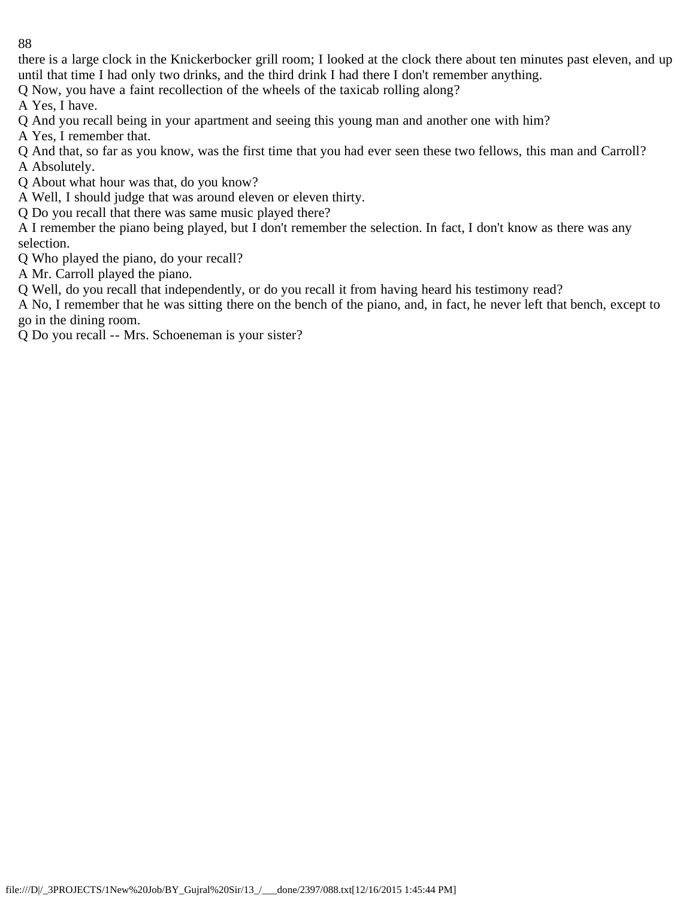there is a large clock in the Knickerbocker grill room; I looked at the clock there about ten minutes past eleven, and up until that time I had only two drinks, and the third drink I had there I don't remember anything.

Q Now, you have a faint recollection of the wheels of the taxicab rolling along?

A Yes, I have.

Q And you recall being in your apartment and seeing this young man and another one with him?

A Yes, I remember that.

Q And that, so far as you know, was the first time that you had ever seen these two fellows, this man and Carroll? A Absolutely.

Q About what hour was that, do you know?

A Well, I should judge that was around eleven or eleven thirty.

Q Do you recall that there was same music played there?

A I remember the piano being played, but I don't remember the selection. In fact, I don't know as there was any selection.

Q Who played the piano, do your recall?

A Mr. Carroll played the piano.

Q Well, do you recall that independently, or do you recall it from having heard his testimony read?

A No, I remember that he was sitting there on the bench of the piano, and, in fact, he never left that bench, except to go in the dining room.

Q Do you recall -- Mrs. Schoeneman is your sister?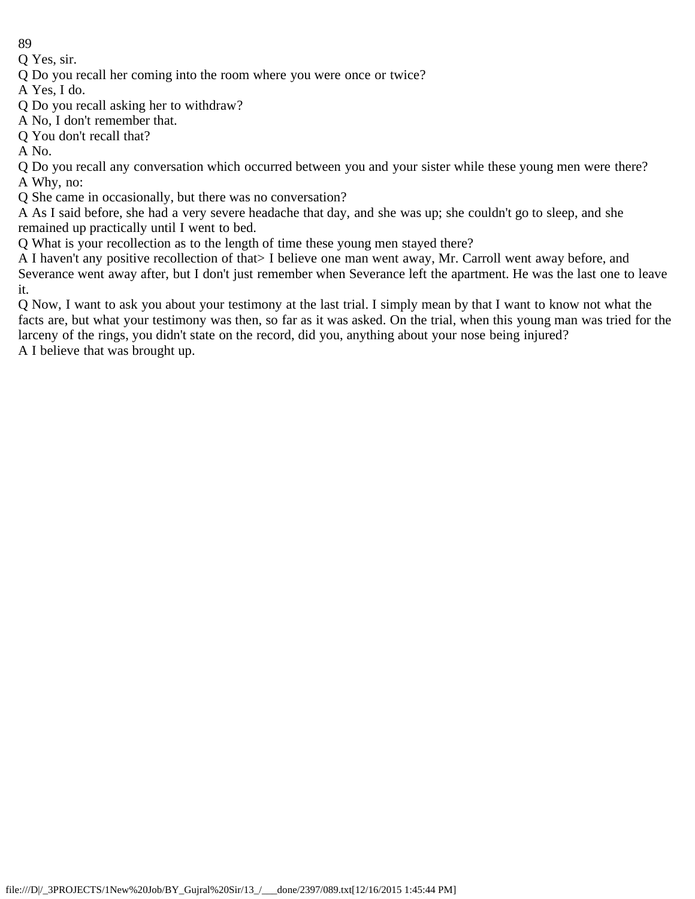Q Yes, sir.

Q Do you recall her coming into the room where you were once or twice?

A Yes, I do.

Q Do you recall asking her to withdraw?

A No, I don't remember that.

Q You don't recall that?

A No.

Q Do you recall any conversation which occurred between you and your sister while these young men were there? A Why, no:

Q She came in occasionally, but there was no conversation?

A As I said before, she had a very severe headache that day, and she was up; she couldn't go to sleep, and she remained up practically until I went to bed.

Q What is your recollection as to the length of time these young men stayed there?

A I haven't any positive recollection of that> I believe one man went away, Mr. Carroll went away before, and Severance went away after, but I don't just remember when Severance left the apartment. He was the last one to leave it.

Q Now, I want to ask you about your testimony at the last trial. I simply mean by that I want to know not what the facts are, but what your testimony was then, so far as it was asked. On the trial, when this young man was tried for the larceny of the rings, you didn't state on the record, did you, anything about your nose being injured? A I believe that was brought up.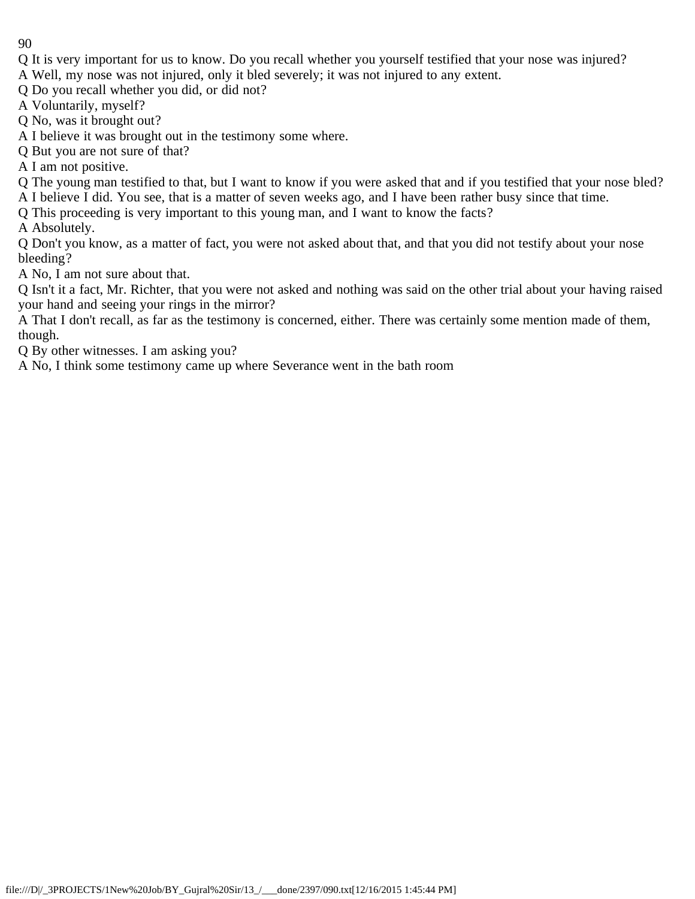- Q It is very important for us to know. Do you recall whether you yourself testified that your nose was injured?
- A Well, my nose was not injured, only it bled severely; it was not injured to any extent.
- Q Do you recall whether you did, or did not?
- A Voluntarily, myself?
- Q No, was it brought out?
- A I believe it was brought out in the testimony some where.
- Q But you are not sure of that?
- A I am not positive.
- Q The young man testified to that, but I want to know if you were asked that and if you testified that your nose bled?
- A I believe I did. You see, that is a matter of seven weeks ago, and I have been rather busy since that time.
- Q This proceeding is very important to this young man, and I want to know the facts?
- A Absolutely.
- Q Don't you know, as a matter of fact, you were not asked about that, and that you did not testify about your nose bleeding?
- A No, I am not sure about that.
- Q Isn't it a fact, Mr. Richter, that you were not asked and nothing was said on the other trial about your having raised your hand and seeing your rings in the mirror?
- A That I don't recall, as far as the testimony is concerned, either. There was certainly some mention made of them, though.
- Q By other witnesses. I am asking you?
- A No, I think some testimony came up where Severance went in the bath room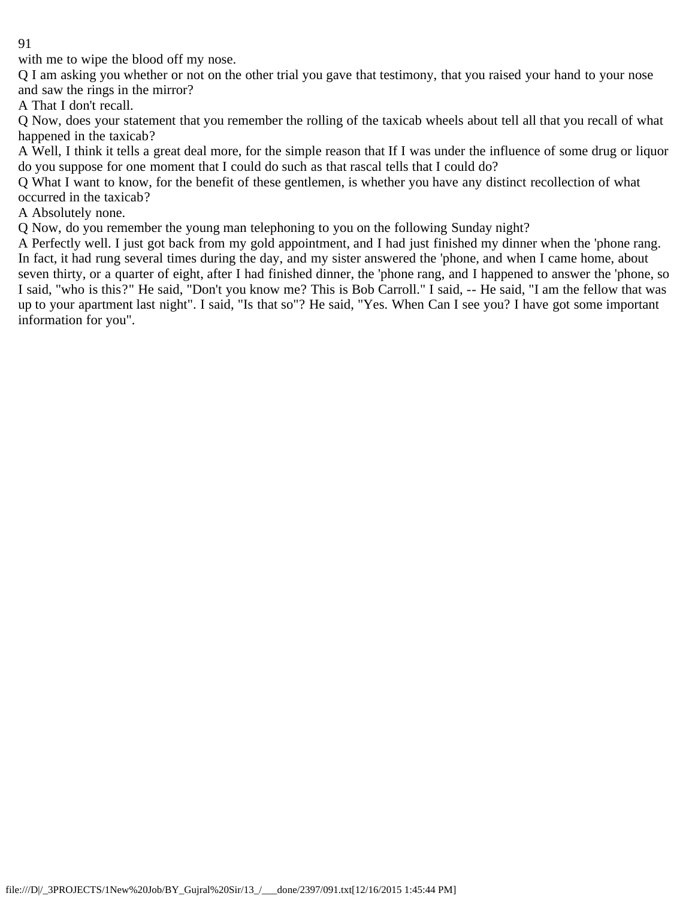with me to wipe the blood off my nose.

Q I am asking you whether or not on the other trial you gave that testimony, that you raised your hand to your nose and saw the rings in the mirror?

A That I don't recall.

Q Now, does your statement that you remember the rolling of the taxicab wheels about tell all that you recall of what happened in the taxicab?

A Well, I think it tells a great deal more, for the simple reason that If I was under the influence of some drug or liquor do you suppose for one moment that I could do such as that rascal tells that I could do?

Q What I want to know, for the benefit of these gentlemen, is whether you have any distinct recollection of what occurred in the taxicab?

A Absolutely none.

Q Now, do you remember the young man telephoning to you on the following Sunday night?

A Perfectly well. I just got back from my gold appointment, and I had just finished my dinner when the 'phone rang. In fact, it had rung several times during the day, and my sister answered the 'phone, and when I came home, about seven thirty, or a quarter of eight, after I had finished dinner, the 'phone rang, and I happened to answer the 'phone, so I said, "who is this?" He said, "Don't you know me? This is Bob Carroll." I said, -- He said, "I am the fellow that was up to your apartment last night". I said, "Is that so"? He said, "Yes. When Can I see you? I have got some important information for you".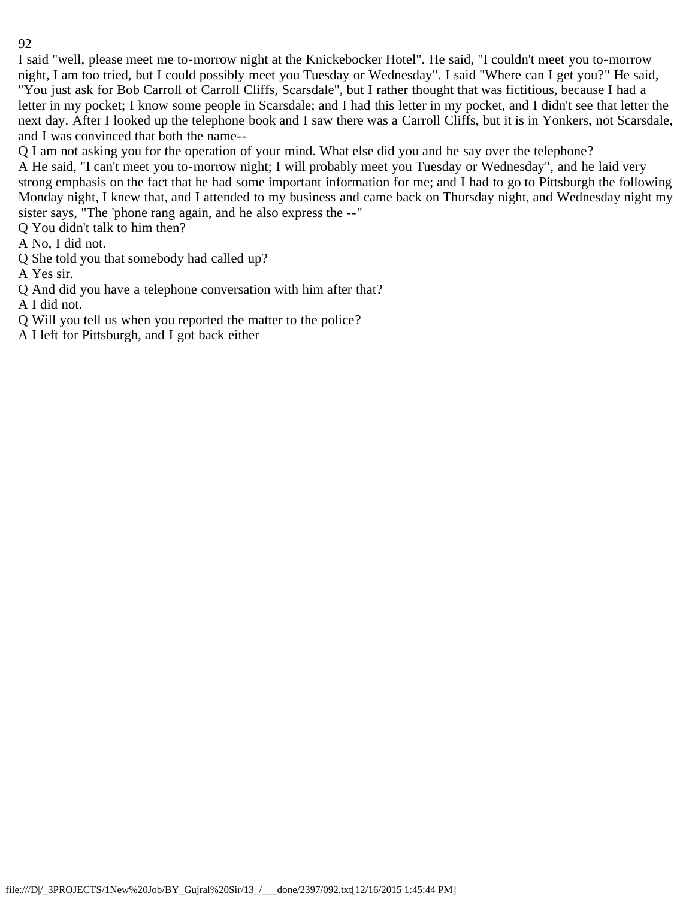I said "well, please meet me to-morrow night at the Knickebocker Hotel". He said, "I couldn't meet you to-morrow night, I am too tried, but I could possibly meet you Tuesday or Wednesday". I said "Where can I get you?" He said, "You just ask for Bob Carroll of Carroll Cliffs, Scarsdale", but I rather thought that was fictitious, because I had a letter in my pocket; I know some people in Scarsdale; and I had this letter in my pocket, and I didn't see that letter the next day. After I looked up the telephone book and I saw there was a Carroll Cliffs, but it is in Yonkers, not Scarsdale, and I was convinced that both the name--

Q I am not asking you for the operation of your mind. What else did you and he say over the telephone?

A He said, "I can't meet you to-morrow night; I will probably meet you Tuesday or Wednesday", and he laid very strong emphasis on the fact that he had some important information for me; and I had to go to Pittsburgh the following Monday night, I knew that, and I attended to my business and came back on Thursday night, and Wednesday night my sister says, "The 'phone rang again, and he also express the --"

Q You didn't talk to him then?

A No, I did not.

Q She told you that somebody had called up?

A Yes sir.

Q And did you have a telephone conversation with him after that?

A I did not.

Q Will you tell us when you reported the matter to the police?

A I left for Pittsburgh, and I got back either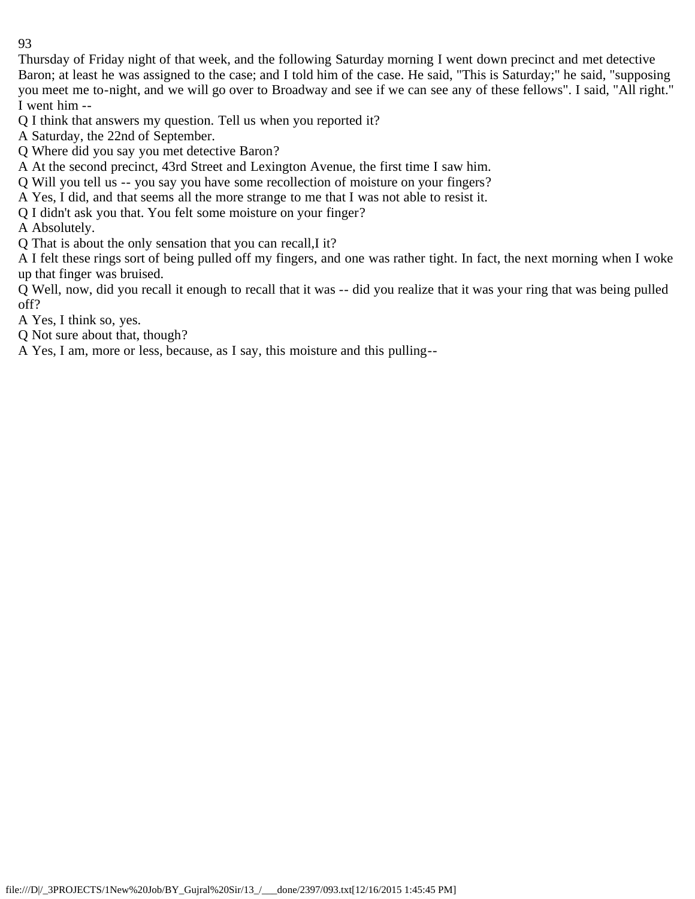Thursday of Friday night of that week, and the following Saturday morning I went down precinct and met detective Baron; at least he was assigned to the case; and I told him of the case. He said, "This is Saturday;" he said, "supposing you meet me to-night, and we will go over to Broadway and see if we can see any of these fellows". I said, "All right." I went him --

Q I think that answers my question. Tell us when you reported it?

A Saturday, the 22nd of September.

Q Where did you say you met detective Baron?

A At the second precinct, 43rd Street and Lexington Avenue, the first time I saw him.

Q Will you tell us -- you say you have some recollection of moisture on your fingers?

A Yes, I did, and that seems all the more strange to me that I was not able to resist it.

Q I didn't ask you that. You felt some moisture on your finger?

A Absolutely.

Q That is about the only sensation that you can recall,I it?

A I felt these rings sort of being pulled off my fingers, and one was rather tight. In fact, the next morning when I woke up that finger was bruised.

Q Well, now, did you recall it enough to recall that it was -- did you realize that it was your ring that was being pulled off?

A Yes, I think so, yes.

Q Not sure about that, though?

A Yes, I am, more or less, because, as I say, this moisture and this pulling--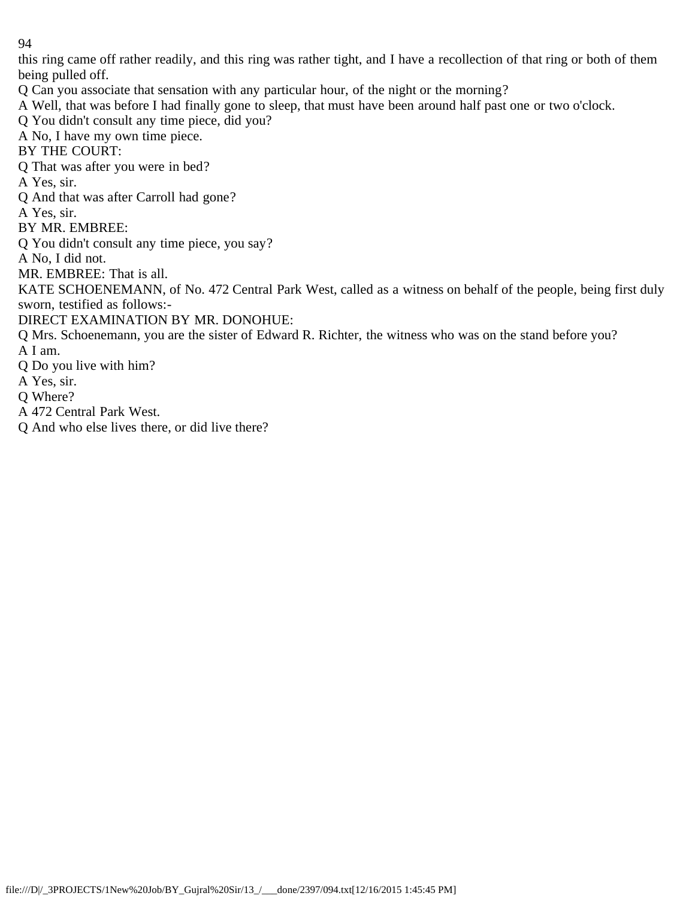this ring came off rather readily, and this ring was rather tight, and I have a recollection of that ring or both of them being pulled off.

- Q Can you associate that sensation with any particular hour, of the night or the morning?
- A Well, that was before I had finally gone to sleep, that must have been around half past one or two o'clock.
- Q You didn't consult any time piece, did you?

A No, I have my own time piece.

BY THE COURT:

Q That was after you were in bed?

A Yes, sir.

- Q And that was after Carroll had gone?
- A Yes, sir.

BY MR. EMBREE:

Q You didn't consult any time piece, you say?

A No, I did not.

MR. EMBREE: That is all.

KATE SCHOENEMANN, of No. 472 Central Park West, called as a witness on behalf of the people, being first duly sworn, testified as follows:-

DIRECT EXAMINATION BY MR. DONOHUE:

Q Mrs. Schoenemann, you are the sister of Edward R. Richter, the witness who was on the stand before you? A I am.

- Q Do you live with him?
- A Yes, sir.
- Q Where?
- A 472 Central Park West.
- Q And who else lives there, or did live there?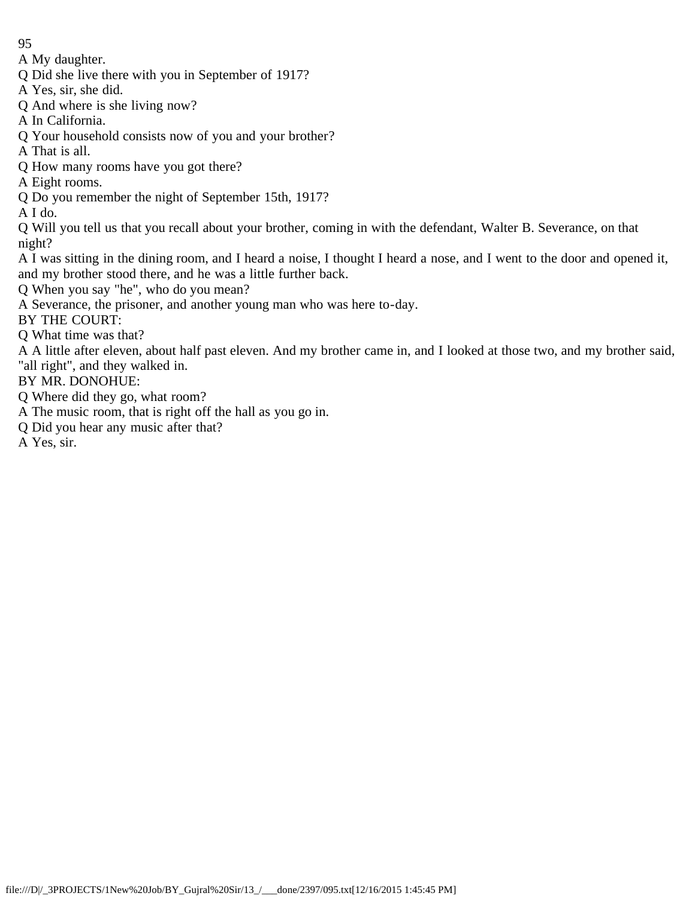A My daughter.

Q Did she live there with you in September of 1917?

A Yes, sir, she did.

Q And where is she living now?

A In California.

Q Your household consists now of you and your brother?

A That is all.

Q How many rooms have you got there?

A Eight rooms.

Q Do you remember the night of September 15th, 1917?

A I do.

Q Will you tell us that you recall about your brother, coming in with the defendant, Walter B. Severance, on that night?

A I was sitting in the dining room, and I heard a noise, I thought I heard a nose, and I went to the door and opened it, and my brother stood there, and he was a little further back.

Q When you say "he", who do you mean?

A Severance, the prisoner, and another young man who was here to-day.

BY THE COURT:

Q What time was that?

A A little after eleven, about half past eleven. And my brother came in, and I looked at those two, and my brother said, "all right", and they walked in.

BY MR. DONOHUE:

Q Where did they go, what room?

A The music room, that is right off the hall as you go in.

Q Did you hear any music after that?

A Yes, sir.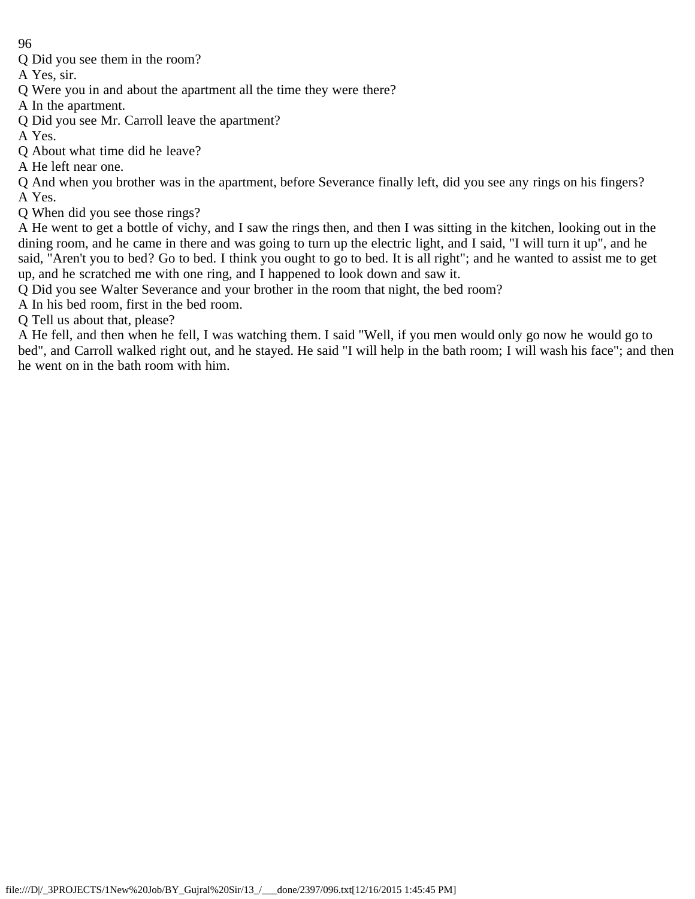Q Did you see them in the room?

A Yes, sir.

Q Were you in and about the apartment all the time they were there?

A In the apartment.

Q Did you see Mr. Carroll leave the apartment?

A Yes.

- Q About what time did he leave?
- A He left near one.

Q And when you brother was in the apartment, before Severance finally left, did you see any rings on his fingers? A Yes.

Q When did you see those rings?

A He went to get a bottle of vichy, and I saw the rings then, and then I was sitting in the kitchen, looking out in the dining room, and he came in there and was going to turn up the electric light, and I said, "I will turn it up", and he said, "Aren't you to bed? Go to bed. I think you ought to go to bed. It is all right"; and he wanted to assist me to get up, and he scratched me with one ring, and I happened to look down and saw it.

Q Did you see Walter Severance and your brother in the room that night, the bed room?

A In his bed room, first in the bed room.

Q Tell us about that, please?

A He fell, and then when he fell, I was watching them. I said "Well, if you men would only go now he would go to bed", and Carroll walked right out, and he stayed. He said "I will help in the bath room; I will wash his face"; and then he went on in the bath room with him.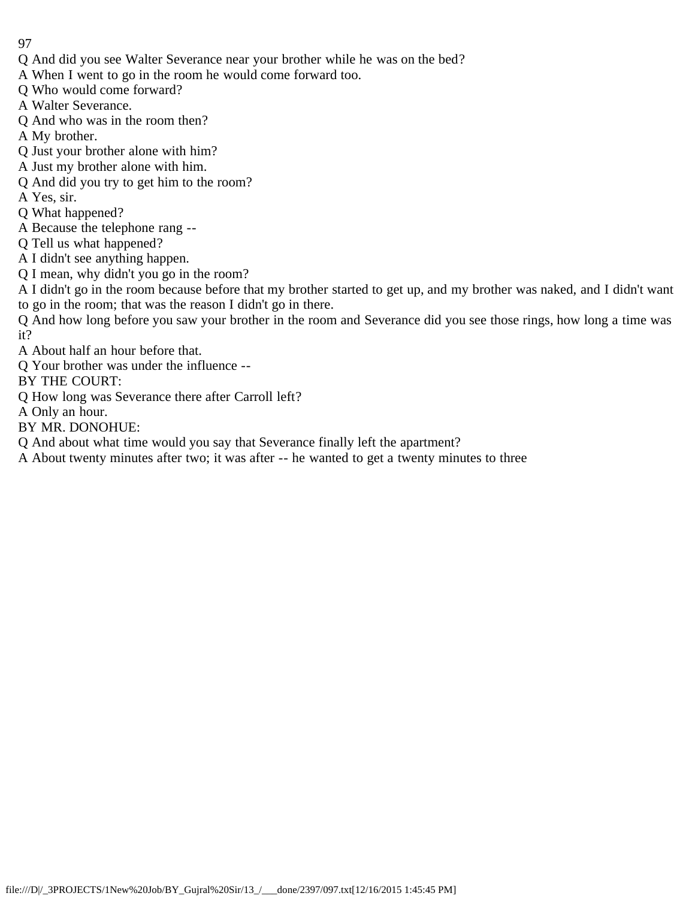- 97
- Q And did you see Walter Severance near your brother while he was on the bed?
- A When I went to go in the room he would come forward too.
- Q Who would come forward?
- A Walter Severance.
- Q And who was in the room then?
- A My brother.
- Q Just your brother alone with him?
- A Just my brother alone with him.
- Q And did you try to get him to the room?
- A Yes, sir.
- Q What happened?
- A Because the telephone rang --
- Q Tell us what happened?
- A I didn't see anything happen.
- Q I mean, why didn't you go in the room?
- A I didn't go in the room because before that my brother started to get up, and my brother was naked, and I didn't want to go in the room; that was the reason I didn't go in there.
- Q And how long before you saw your brother in the room and Severance did you see those rings, how long a time was it?
- A About half an hour before that.
- Q Your brother was under the influence --
- BY THE COURT:
- Q How long was Severance there after Carroll left?
- A Only an hour.
- BY MR. DONOHUE:
- Q And about what time would you say that Severance finally left the apartment?
- A About twenty minutes after two; it was after -- he wanted to get a twenty minutes to three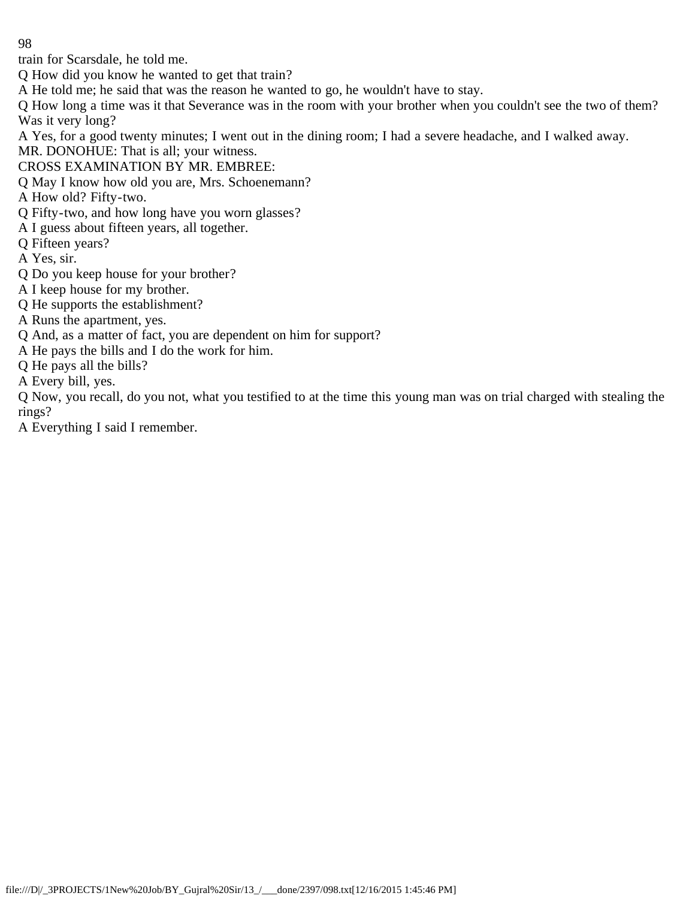train for Scarsdale, he told me.

Q How did you know he wanted to get that train?

A He told me; he said that was the reason he wanted to go, he wouldn't have to stay.

Q How long a time was it that Severance was in the room with your brother when you couldn't see the two of them? Was it very long?

A Yes, for a good twenty minutes; I went out in the dining room; I had a severe headache, and I walked away.

MR. DONOHUE: That is all; your witness.

CROSS EXAMINATION BY MR. EMBREE:

Q May I know how old you are, Mrs. Schoenemann?

A How old? Fifty-two.

Q Fifty-two, and how long have you worn glasses?

A I guess about fifteen years, all together.

Q Fifteen years?

A Yes, sir.

Q Do you keep house for your brother?

A I keep house for my brother.

Q He supports the establishment?

A Runs the apartment, yes.

Q And, as a matter of fact, you are dependent on him for support?

A He pays the bills and I do the work for him.

Q He pays all the bills?

A Every bill, yes.

Q Now, you recall, do you not, what you testified to at the time this young man was on trial charged with stealing the rings?

A Everything I said I remember.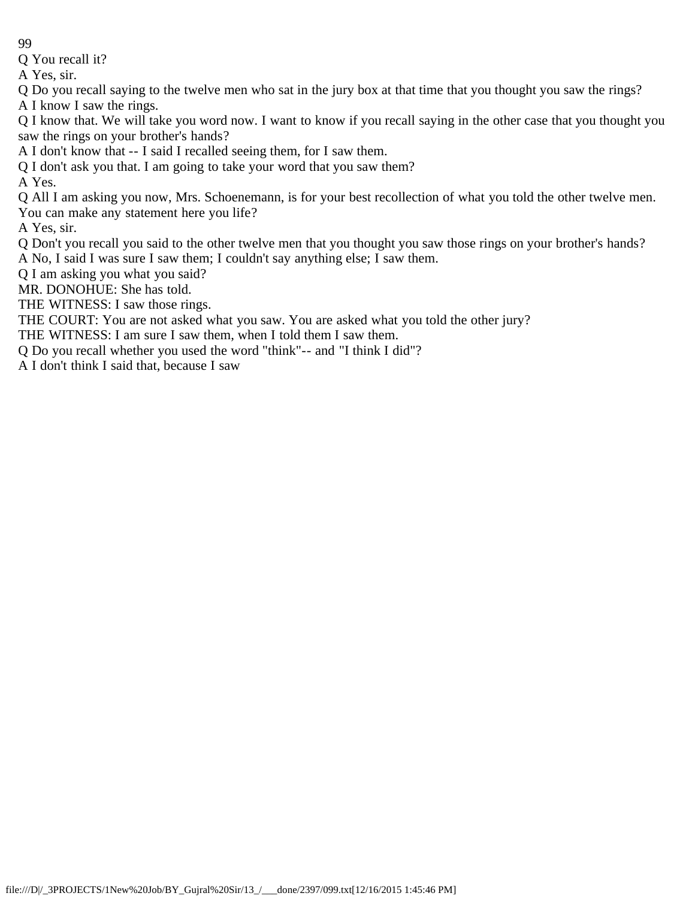Q You recall it?

A Yes, sir.

Q Do you recall saying to the twelve men who sat in the jury box at that time that you thought you saw the rings? A I know I saw the rings.

Q I know that. We will take you word now. I want to know if you recall saying in the other case that you thought you saw the rings on your brother's hands?

A I don't know that -- I said I recalled seeing them, for I saw them.

Q I don't ask you that. I am going to take your word that you saw them?

A Yes.

Q All I am asking you now, Mrs. Schoenemann, is for your best recollection of what you told the other twelve men. You can make any statement here you life?

A Yes, sir.

Q Don't you recall you said to the other twelve men that you thought you saw those rings on your brother's hands? A No, I said I was sure I saw them; I couldn't say anything else; I saw them.

Q I am asking you what you said?

MR. DONOHUE: She has told.

THE WITNESS: I saw those rings.

THE COURT: You are not asked what you saw. You are asked what you told the other jury?

THE WITNESS: I am sure I saw them, when I told them I saw them.

Q Do you recall whether you used the word "think"-- and "I think I did"?

A I don't think I said that, because I saw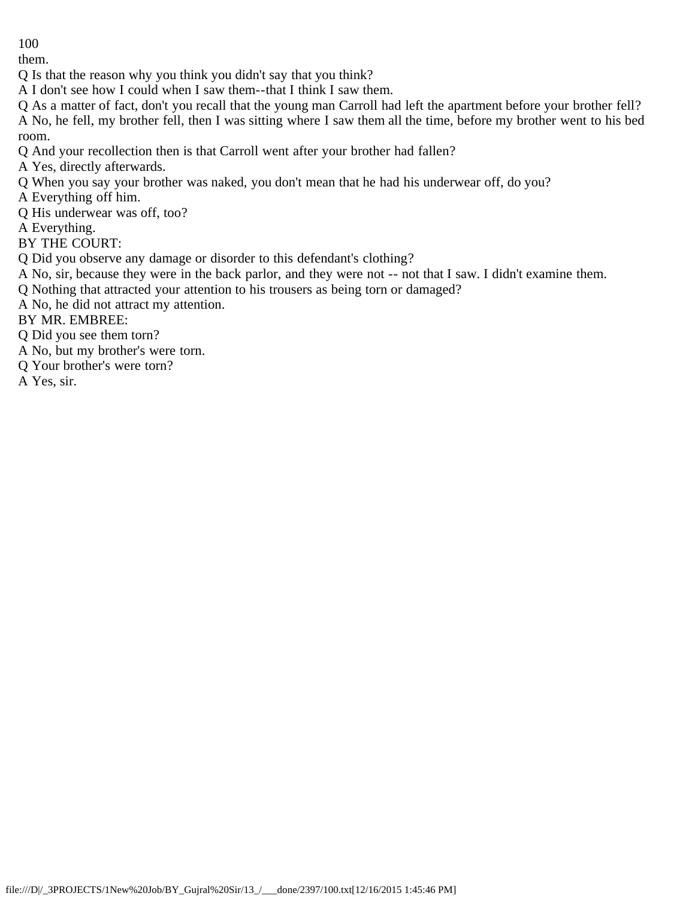them.

Q Is that the reason why you think you didn't say that you think?

A I don't see how I could when I saw them--that I think I saw them.

Q As a matter of fact, don't you recall that the young man Carroll had left the apartment before your brother fell? A No, he fell, my brother fell, then I was sitting where I saw them all the time, before my brother went to his bed room.

Q And your recollection then is that Carroll went after your brother had fallen?

A Yes, directly afterwards.

Q When you say your brother was naked, you don't mean that he had his underwear off, do you?

A Everything off him.

Q His underwear was off, too?

A Everything.

BY THE COURT:

Q Did you observe any damage or disorder to this defendant's clothing?

A No, sir, because they were in the back parlor, and they were not -- not that I saw. I didn't examine them.

Q Nothing that attracted your attention to his trousers as being torn or damaged?

A No, he did not attract my attention.

BY MR. EMBREE:

Q Did you see them torn?

A No, but my brother's were torn.

Q Your brother's were torn?

A Yes, sir.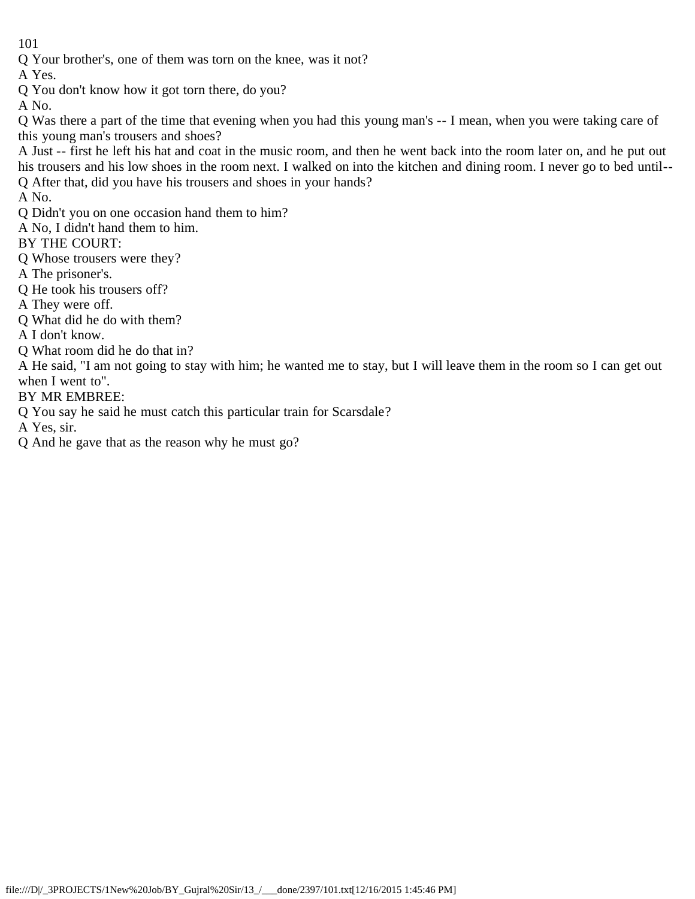Q Your brother's, one of them was torn on the knee, was it not?

A Yes.

Q You don't know how it got torn there, do you?

A No.

Q Was there a part of the time that evening when you had this young man's -- I mean, when you were taking care of this young man's trousers and shoes?

A Just -- first he left his hat and coat in the music room, and then he went back into the room later on, and he put out his trousers and his low shoes in the room next. I walked on into the kitchen and dining room. I never go to bed until-- Q After that, did you have his trousers and shoes in your hands?

A No.

Q Didn't you on one occasion hand them to him?

A No, I didn't hand them to him.

BY THE COURT:

Q Whose trousers were they?

A The prisoner's.

Q He took his trousers off?

A They were off.

Q What did he do with them?

A I don't know.

Q What room did he do that in?

A He said, "I am not going to stay with him; he wanted me to stay, but I will leave them in the room so I can get out when I went to".

BY MR EMBREE:

Q You say he said he must catch this particular train for Scarsdale?

A Yes, sir.

Q And he gave that as the reason why he must go?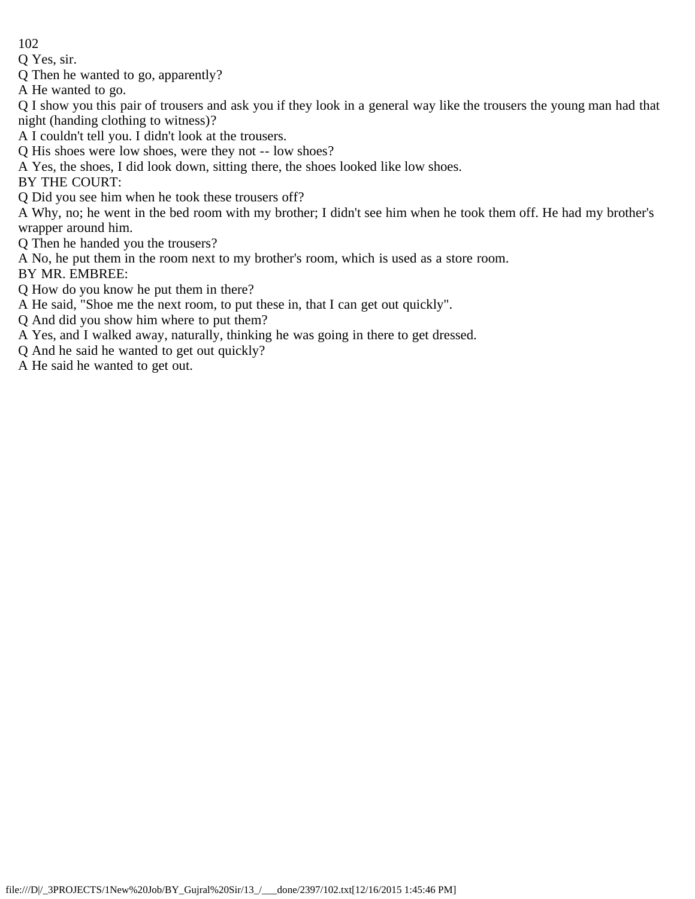Q Yes, sir.

Q Then he wanted to go, apparently?

A He wanted to go.

Q I show you this pair of trousers and ask you if they look in a general way like the trousers the young man had that night (handing clothing to witness)?

A I couldn't tell you. I didn't look at the trousers.

Q His shoes were low shoes, were they not -- low shoes?

A Yes, the shoes, I did look down, sitting there, the shoes looked like low shoes.

BY THE COURT:

Q Did you see him when he took these trousers off?

A Why, no; he went in the bed room with my brother; I didn't see him when he took them off. He had my brother's wrapper around him.

Q Then he handed you the trousers?

A No, he put them in the room next to my brother's room, which is used as a store room.

BY MR. EMBREE:

Q How do you know he put them in there?

A He said, "Shoe me the next room, to put these in, that I can get out quickly".

Q And did you show him where to put them?

A Yes, and I walked away, naturally, thinking he was going in there to get dressed.

Q And he said he wanted to get out quickly?

A He said he wanted to get out.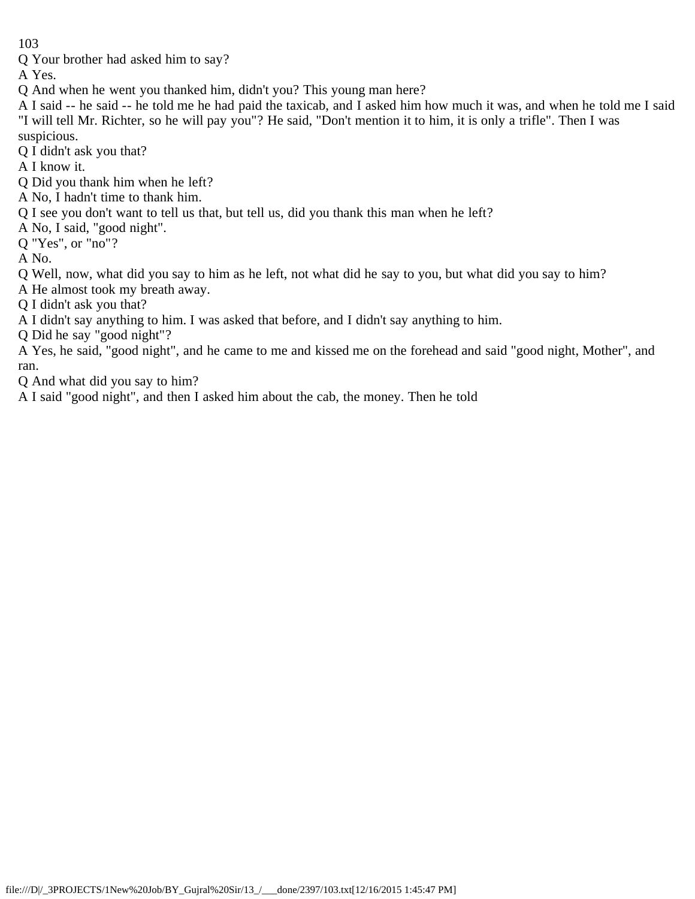Q Your brother had asked him to say?

A Yes.

Q And when he went you thanked him, didn't you? This young man here?

A I said -- he said -- he told me he had paid the taxicab, and I asked him how much it was, and when he told me I said "I will tell Mr. Richter, so he will pay you"? He said, "Don't mention it to him, it is only a trifle". Then I was suspicious.

Q I didn't ask you that?

A I know it.

Q Did you thank him when he left?

A No, I hadn't time to thank him.

Q I see you don't want to tell us that, but tell us, did you thank this man when he left?

A No, I said, "good night".

Q "Yes", or "no"?

A No.

Q Well, now, what did you say to him as he left, not what did he say to you, but what did you say to him?

A He almost took my breath away.

Q I didn't ask you that?

A I didn't say anything to him. I was asked that before, and I didn't say anything to him.

Q Did he say "good night"?

A Yes, he said, "good night", and he came to me and kissed me on the forehead and said "good night, Mother", and ran.

Q And what did you say to him?

A I said "good night", and then I asked him about the cab, the money. Then he told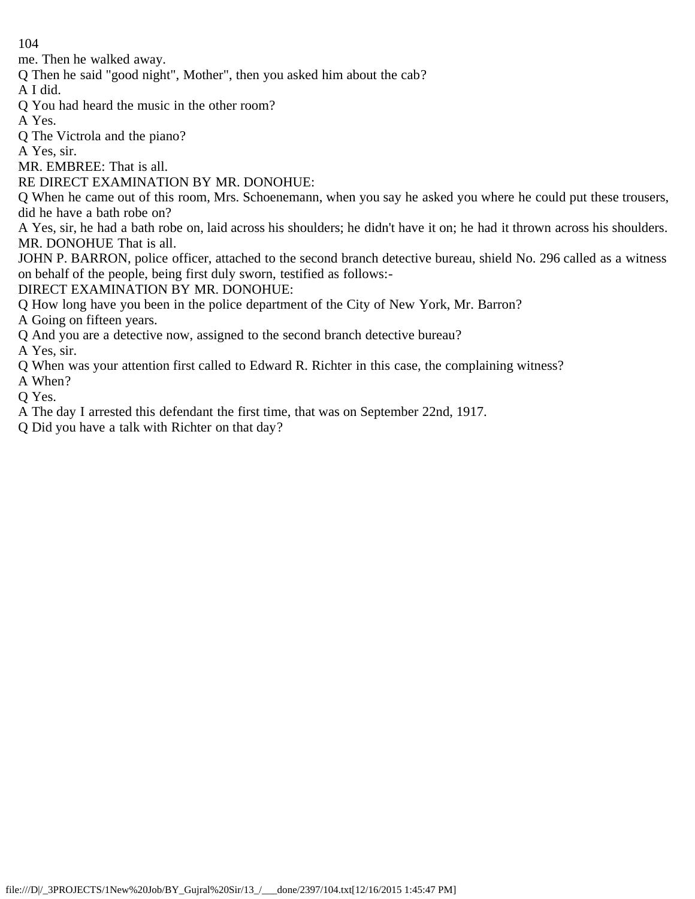me. Then he walked away.

Q Then he said "good night", Mother", then you asked him about the cab?

A I did.

- Q You had heard the music in the other room?
- A Yes.

Q The Victrola and the piano?

A Yes, sir.

MR. EMBREE: That is all.

RE DIRECT EXAMINATION BY MR. DONOHUE:

Q When he came out of this room, Mrs. Schoenemann, when you say he asked you where he could put these trousers, did he have a bath robe on?

A Yes, sir, he had a bath robe on, laid across his shoulders; he didn't have it on; he had it thrown across his shoulders. MR. DONOHUE That is all.

JOHN P. BARRON, police officer, attached to the second branch detective bureau, shield No. 296 called as a witness on behalf of the people, being first duly sworn, testified as follows:-

DIRECT EXAMINATION BY MR. DONOHUE:

Q How long have you been in the police department of the City of New York, Mr. Barron?

A Going on fifteen years.

Q And you are a detective now, assigned to the second branch detective bureau?

A Yes, sir.

Q When was your attention first called to Edward R. Richter in this case, the complaining witness?

A When?

Q Yes.

A The day I arrested this defendant the first time, that was on September 22nd, 1917.

Q Did you have a talk with Richter on that day?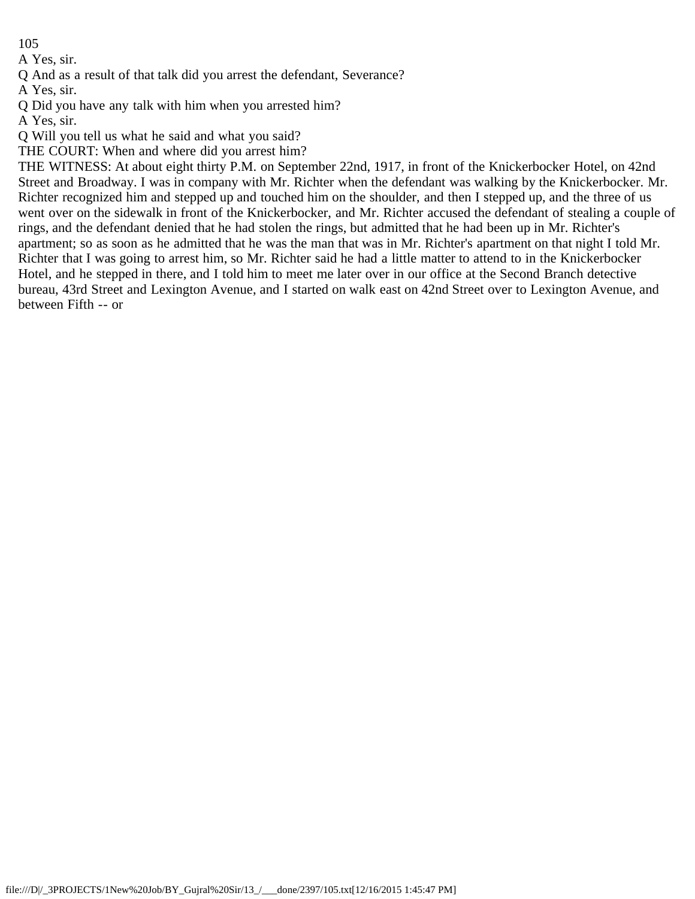A Yes, sir.

Q And as a result of that talk did you arrest the defendant, Severance?

A Yes, sir.

Q Did you have any talk with him when you arrested him?

A Yes, sir.

Q Will you tell us what he said and what you said?

THE COURT: When and where did you arrest him?

THE WITNESS: At about eight thirty P.M. on September 22nd, 1917, in front of the Knickerbocker Hotel, on 42nd Street and Broadway. I was in company with Mr. Richter when the defendant was walking by the Knickerbocker. Mr. Richter recognized him and stepped up and touched him on the shoulder, and then I stepped up, and the three of us went over on the sidewalk in front of the Knickerbocker, and Mr. Richter accused the defendant of stealing a couple of rings, and the defendant denied that he had stolen the rings, but admitted that he had been up in Mr. Richter's apartment; so as soon as he admitted that he was the man that was in Mr. Richter's apartment on that night I told Mr. Richter that I was going to arrest him, so Mr. Richter said he had a little matter to attend to in the Knickerbocker Hotel, and he stepped in there, and I told him to meet me later over in our office at the Second Branch detective bureau, 43rd Street and Lexington Avenue, and I started on walk east on 42nd Street over to Lexington Avenue, and between Fifth -- or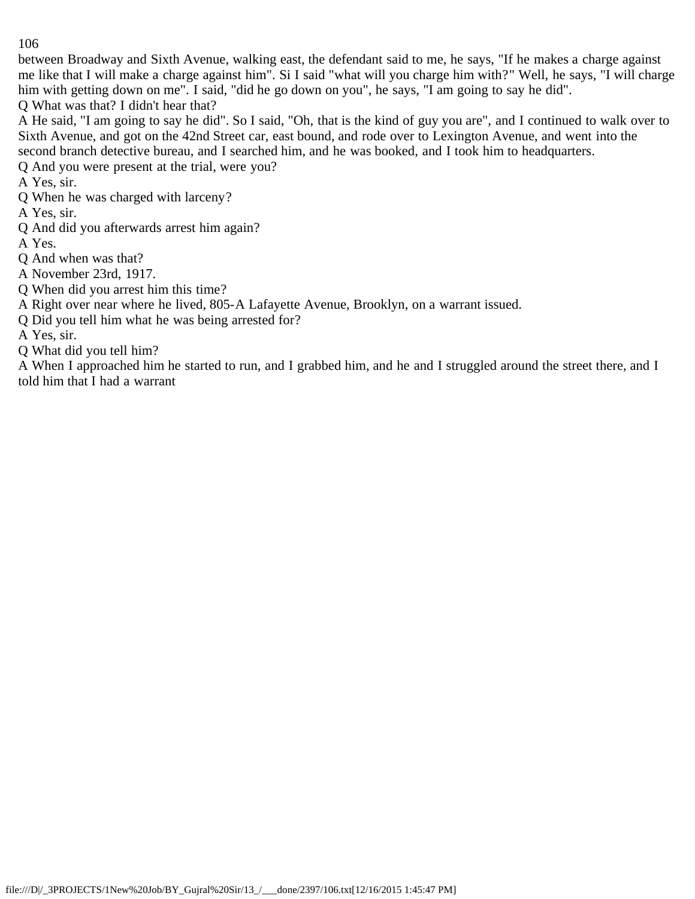between Broadway and Sixth Avenue, walking east, the defendant said to me, he says, "If he makes a charge against me like that I will make a charge against him". Si I said "what will you charge him with?" Well, he says, "I will charge him with getting down on me". I said, "did he go down on you", he says, "I am going to say he did". Q What was that? I didn't hear that?

A He said, "I am going to say he did". So I said, "Oh, that is the kind of guy you are", and I continued to walk over to Sixth Avenue, and got on the 42nd Street car, east bound, and rode over to Lexington Avenue, and went into the second branch detective bureau, and I searched him, and he was booked, and I took him to headquarters.

Q And you were present at the trial, were you?

A Yes, sir.

Q When he was charged with larceny?

A Yes, sir.

Q And did you afterwards arrest him again?

A Yes.

Q And when was that?

A November 23rd, 1917.

Q When did you arrest him this time?

A Right over near where he lived, 805-A Lafayette Avenue, Brooklyn, on a warrant issued.

Q Did you tell him what he was being arrested for?

A Yes, sir.

Q What did you tell him?

A When I approached him he started to run, and I grabbed him, and he and I struggled around the street there, and I told him that I had a warrant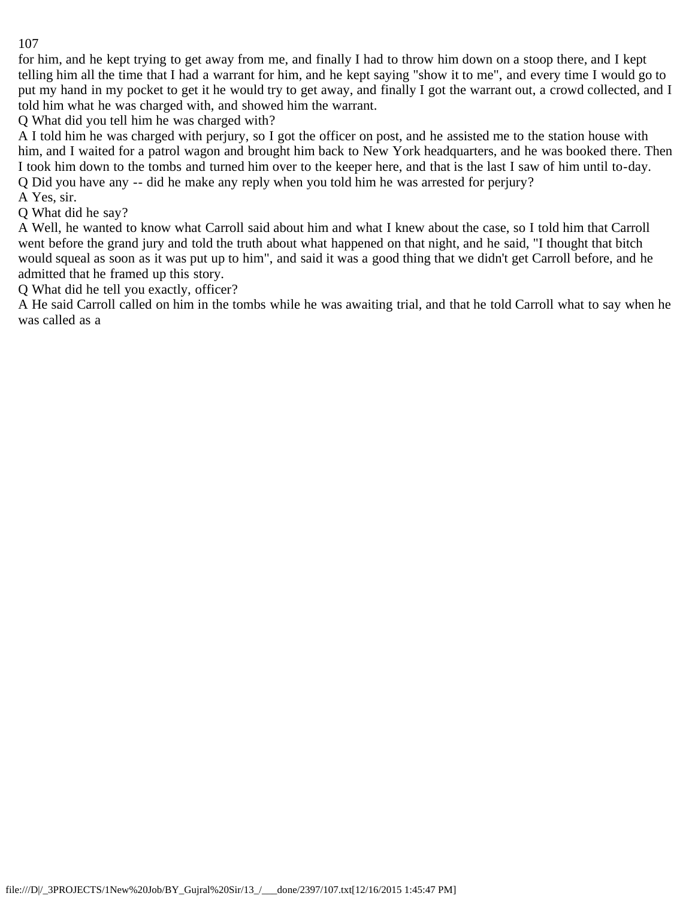for him, and he kept trying to get away from me, and finally I had to throw him down on a stoop there, and I kept telling him all the time that I had a warrant for him, and he kept saying "show it to me", and every time I would go to put my hand in my pocket to get it he would try to get away, and finally I got the warrant out, a crowd collected, and I told him what he was charged with, and showed him the warrant.

Q What did you tell him he was charged with?

A I told him he was charged with perjury, so I got the officer on post, and he assisted me to the station house with him, and I waited for a patrol wagon and brought him back to New York headquarters, and he was booked there. Then I took him down to the tombs and turned him over to the keeper here, and that is the last I saw of him until to-day. Q Did you have any -- did he make any reply when you told him he was arrested for perjury?

A Yes, sir.

Q What did he say?

A Well, he wanted to know what Carroll said about him and what I knew about the case, so I told him that Carroll went before the grand jury and told the truth about what happened on that night, and he said, "I thought that bitch would squeal as soon as it was put up to him", and said it was a good thing that we didn't get Carroll before, and he admitted that he framed up this story.

Q What did he tell you exactly, officer?

A He said Carroll called on him in the tombs while he was awaiting trial, and that he told Carroll what to say when he was called as a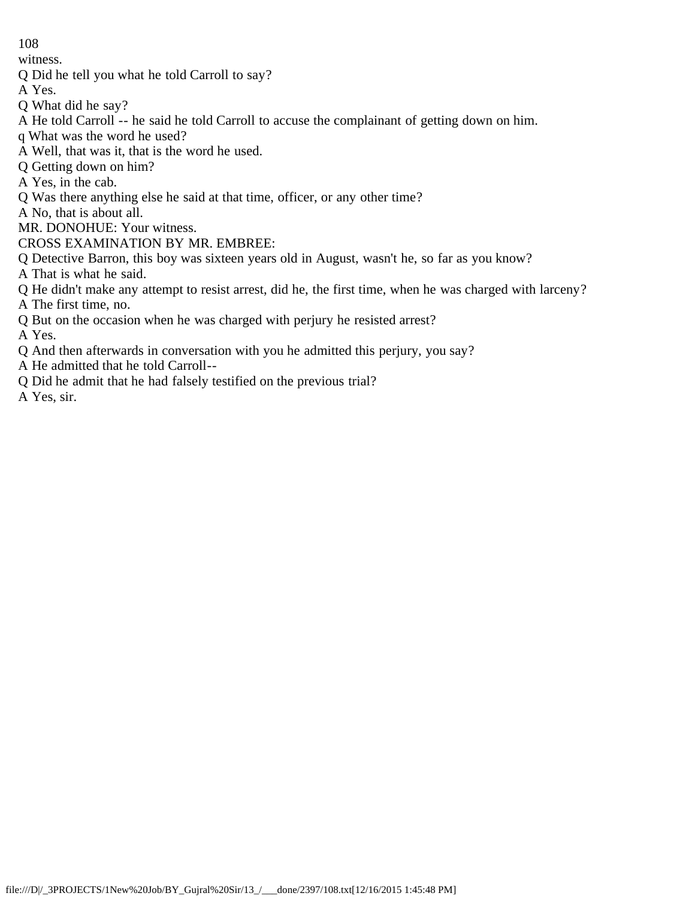witness.

- Q Did he tell you what he told Carroll to say?
- A Yes.
- Q What did he say?
- A He told Carroll -- he said he told Carroll to accuse the complainant of getting down on him.
- q What was the word he used?
- A Well, that was it, that is the word he used.
- Q Getting down on him?
- A Yes, in the cab.
- Q Was there anything else he said at that time, officer, or any other time?
- A No, that is about all.
- MR. DONOHUE: Your witness.
- CROSS EXAMINATION BY MR. EMBREE:
- Q Detective Barron, this boy was sixteen years old in August, wasn't he, so far as you know?
- A That is what he said.
- Q He didn't make any attempt to resist arrest, did he, the first time, when he was charged with larceny?
- A The first time, no.
- Q But on the occasion when he was charged with perjury he resisted arrest?

A Yes.

- Q And then afterwards in conversation with you he admitted this perjury, you say?
- A He admitted that he told Carroll--
- Q Did he admit that he had falsely testified on the previous trial?

A Yes, sir.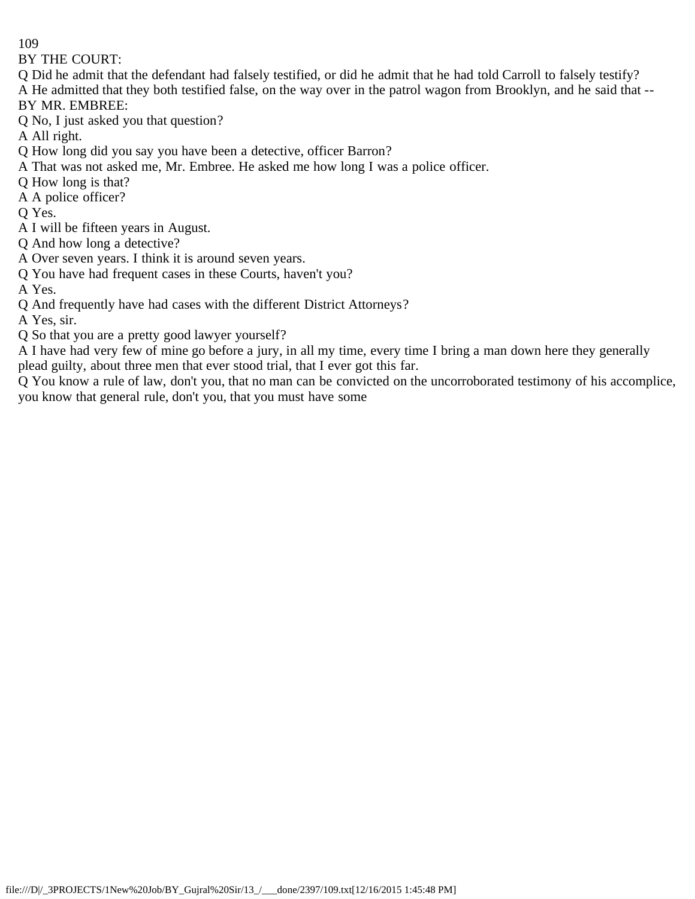BY THE COURT:

- Q Did he admit that the defendant had falsely testified, or did he admit that he had told Carroll to falsely testify? A He admitted that they both testified false, on the way over in the patrol wagon from Brooklyn, and he said that -- BY MR. EMBREE:
- Q No, I just asked you that question?

A All right.

- Q How long did you say you have been a detective, officer Barron?
- A That was not asked me, Mr. Embree. He asked me how long I was a police officer.
- Q How long is that?
- A A police officer?
- Q Yes.
- A I will be fifteen years in August.
- Q And how long a detective?
- A Over seven years. I think it is around seven years.
- Q You have had frequent cases in these Courts, haven't you?
- A Yes.
- Q And frequently have had cases with the different District Attorneys?

A Yes, sir.

Q So that you are a pretty good lawyer yourself?

A I have had very few of mine go before a jury, in all my time, every time I bring a man down here they generally plead guilty, about three men that ever stood trial, that I ever got this far.

Q You know a rule of law, don't you, that no man can be convicted on the uncorroborated testimony of his accomplice, you know that general rule, don't you, that you must have some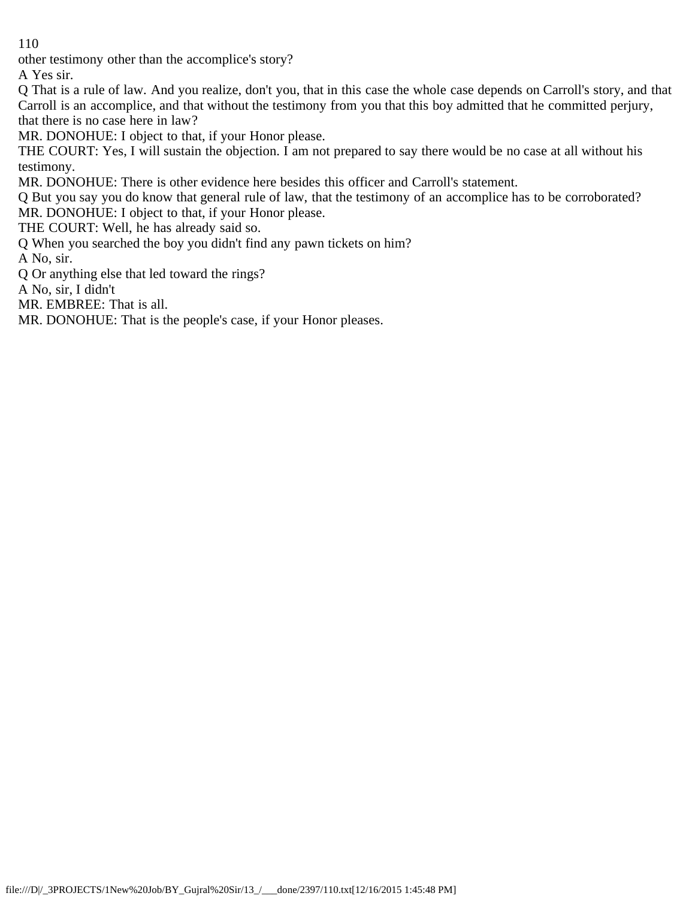other testimony other than the accomplice's story?

A Yes sir.

Q That is a rule of law. And you realize, don't you, that in this case the whole case depends on Carroll's story, and that Carroll is an accomplice, and that without the testimony from you that this boy admitted that he committed perjury, that there is no case here in law?

MR. DONOHUE: I object to that, if your Honor please.

THE COURT: Yes, I will sustain the objection. I am not prepared to say there would be no case at all without his testimony.

MR. DONOHUE: There is other evidence here besides this officer and Carroll's statement.

Q But you say you do know that general rule of law, that the testimony of an accomplice has to be corroborated? MR. DONOHUE: I object to that, if your Honor please.

THE COURT: Well, he has already said so.

Q When you searched the boy you didn't find any pawn tickets on him?

A No, sir.

Q Or anything else that led toward the rings?

A No, sir, I didn't

MR. EMBREE: That is all.

MR. DONOHUE: That is the people's case, if your Honor pleases.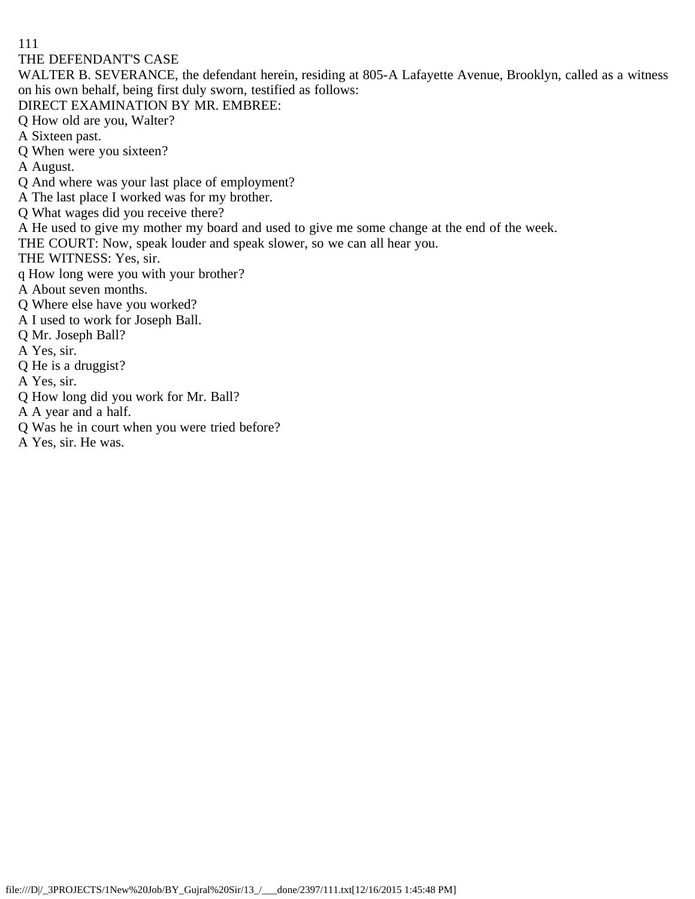THE DEFENDANT'S CASE

WALTER B. SEVERANCE, the defendant herein, residing at 805-A Lafayette Avenue, Brooklyn, called as a witness on his own behalf, being first duly sworn, testified as follows:

DIRECT EXAMINATION BY MR. EMBREE:

Q How old are you, Walter?

A Sixteen past.

Q When were you sixteen?

A August.

Q And where was your last place of employment?

A The last place I worked was for my brother.

Q What wages did you receive there?

A He used to give my mother my board and used to give me some change at the end of the week.

THE COURT: Now, speak louder and speak slower, so we can all hear you.

THE WITNESS: Yes, sir.

q How long were you with your brother?

A About seven months.

Q Where else have you worked?

A I used to work for Joseph Ball.

Q Mr. Joseph Ball?

A Yes, sir.

Q He is a druggist?

A Yes, sir.

Q How long did you work for Mr. Ball?

A A year and a half.

Q Was he in court when you were tried before?

A Yes, sir. He was.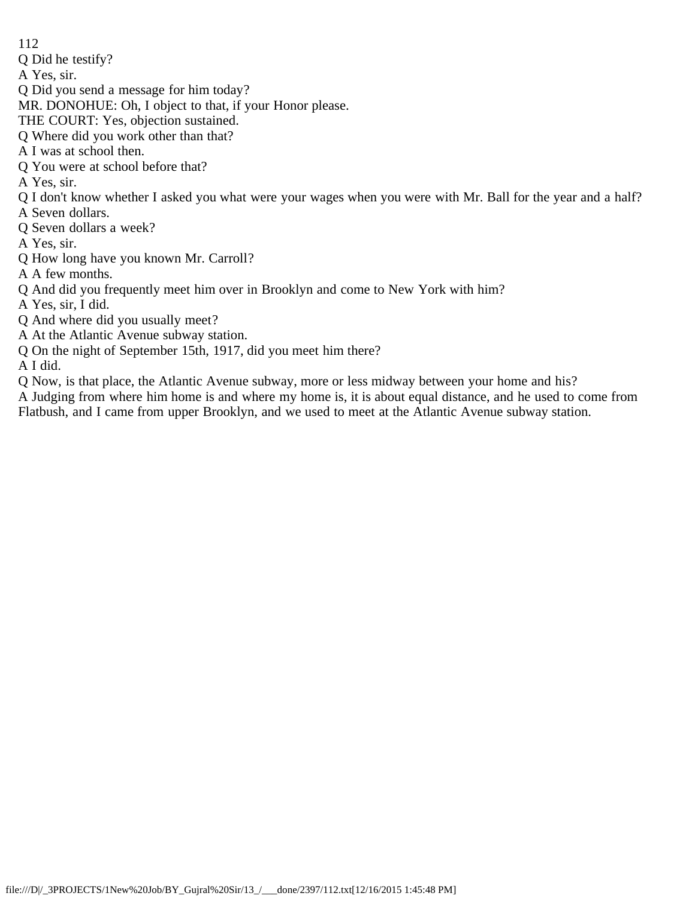Q Did he testify?

A Yes, sir.

Q Did you send a message for him today?

MR. DONOHUE: Oh, I object to that, if your Honor please.

THE COURT: Yes, objection sustained.

Q Where did you work other than that?

A I was at school then.

Q You were at school before that?

A Yes, sir.

Q I don't know whether I asked you what were your wages when you were with Mr. Ball for the year and a half?

A Seven dollars.

Q Seven dollars a week?

A Yes, sir.

Q How long have you known Mr. Carroll?

A A few months.

Q And did you frequently meet him over in Brooklyn and come to New York with him?

A Yes, sir, I did.

Q And where did you usually meet?

A At the Atlantic Avenue subway station.

Q On the night of September 15th, 1917, did you meet him there?

A I did.

Q Now, is that place, the Atlantic Avenue subway, more or less midway between your home and his?

A Judging from where him home is and where my home is, it is about equal distance, and he used to come from Flatbush, and I came from upper Brooklyn, and we used to meet at the Atlantic Avenue subway station.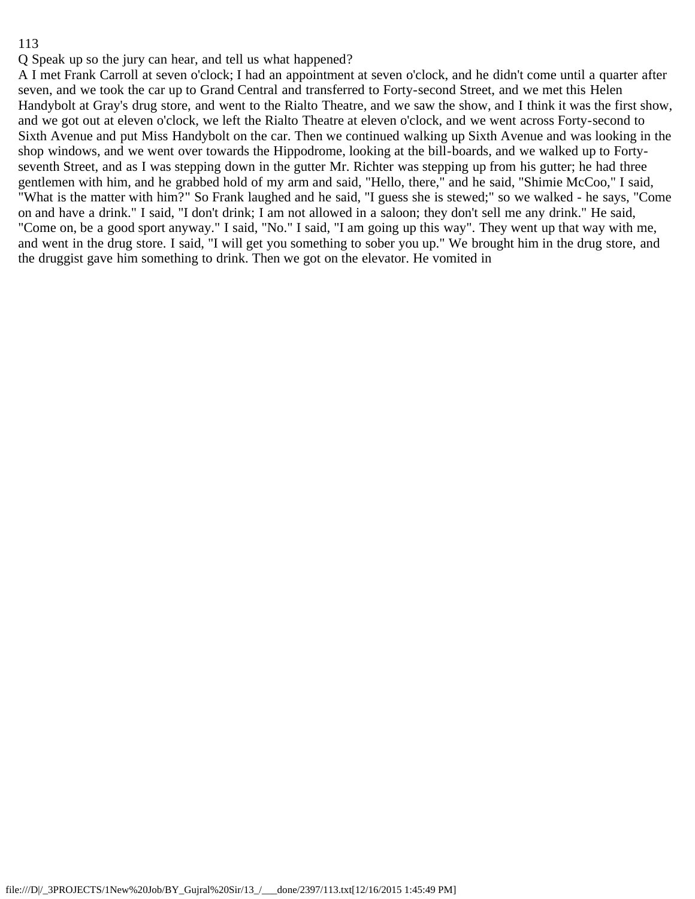Q Speak up so the jury can hear, and tell us what happened?

A I met Frank Carroll at seven o'clock; I had an appointment at seven o'clock, and he didn't come until a quarter after seven, and we took the car up to Grand Central and transferred to Forty-second Street, and we met this Helen Handybolt at Gray's drug store, and went to the Rialto Theatre, and we saw the show, and I think it was the first show, and we got out at eleven o'clock, we left the Rialto Theatre at eleven o'clock, and we went across Forty-second to Sixth Avenue and put Miss Handybolt on the car. Then we continued walking up Sixth Avenue and was looking in the shop windows, and we went over towards the Hippodrome, looking at the bill-boards, and we walked up to Fortyseventh Street, and as I was stepping down in the gutter Mr. Richter was stepping up from his gutter; he had three gentlemen with him, and he grabbed hold of my arm and said, "Hello, there," and he said, "Shimie McCoo," I said, "What is the matter with him?" So Frank laughed and he said, "I guess she is stewed;" so we walked - he says, "Come on and have a drink." I said, "I don't drink; I am not allowed in a saloon; they don't sell me any drink." He said, "Come on, be a good sport anyway." I said, "No." I said, "I am going up this way". They went up that way with me, and went in the drug store. I said, "I will get you something to sober you up." We brought him in the drug store, and the druggist gave him something to drink. Then we got on the elevator. He vomited in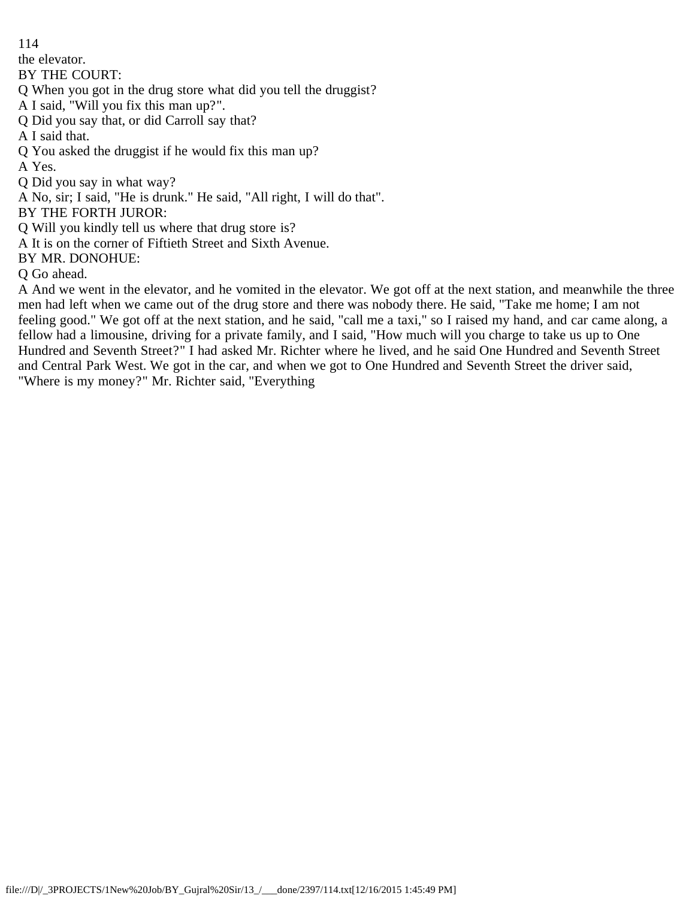the elevator.

BY THE COURT:

Q When you got in the drug store what did you tell the druggist?

A I said, "Will you fix this man up?".

Q Did you say that, or did Carroll say that?

A I said that.

Q You asked the druggist if he would fix this man up?

A Yes.

Q Did you say in what way?

A No, sir; I said, "He is drunk." He said, "All right, I will do that".

BY THE FORTH JUROR:

Q Will you kindly tell us where that drug store is?

A It is on the corner of Fiftieth Street and Sixth Avenue.

BY MR. DONOHUE:

Q Go ahead.

A And we went in the elevator, and he vomited in the elevator. We got off at the next station, and meanwhile the three men had left when we came out of the drug store and there was nobody there. He said, "Take me home; I am not feeling good." We got off at the next station, and he said, "call me a taxi," so I raised my hand, and car came along, a fellow had a limousine, driving for a private family, and I said, "How much will you charge to take us up to One Hundred and Seventh Street?" I had asked Mr. Richter where he lived, and he said One Hundred and Seventh Street and Central Park West. We got in the car, and when we got to One Hundred and Seventh Street the driver said, "Where is my money?" Mr. Richter said, "Everything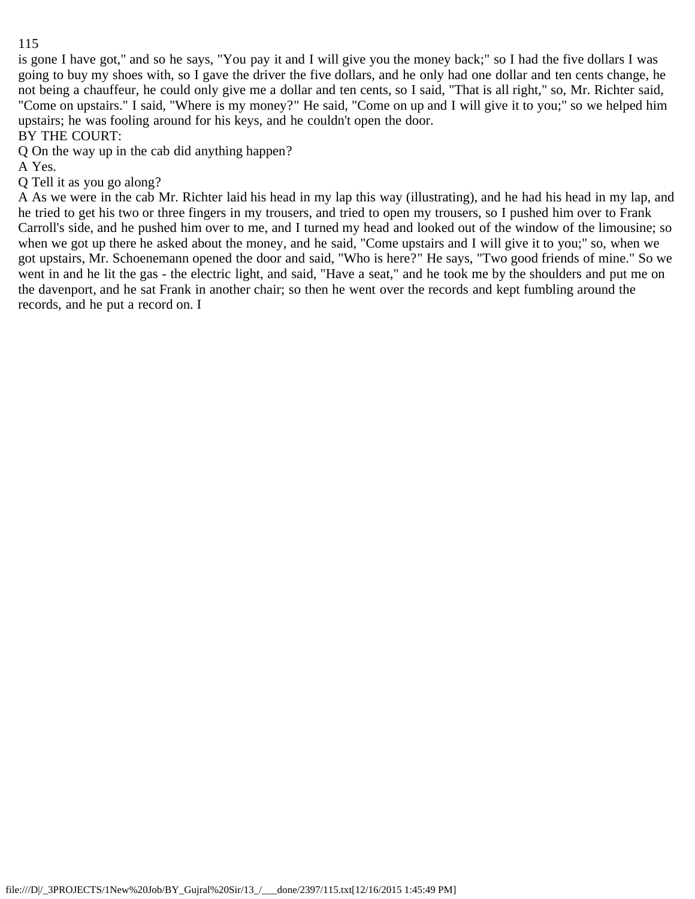is gone I have got," and so he says, "You pay it and I will give you the money back;" so I had the five dollars I was going to buy my shoes with, so I gave the driver the five dollars, and he only had one dollar and ten cents change, he not being a chauffeur, he could only give me a dollar and ten cents, so I said, "That is all right," so, Mr. Richter said, "Come on upstairs." I said, "Where is my money?" He said, "Come on up and I will give it to you;" so we helped him upstairs; he was fooling around for his keys, and he couldn't open the door.

BY THE COURT:

Q On the way up in the cab did anything happen?

A Yes.

Q Tell it as you go along?

A As we were in the cab Mr. Richter laid his head in my lap this way (illustrating), and he had his head in my lap, and he tried to get his two or three fingers in my trousers, and tried to open my trousers, so I pushed him over to Frank Carroll's side, and he pushed him over to me, and I turned my head and looked out of the window of the limousine; so when we got up there he asked about the money, and he said, "Come upstairs and I will give it to you;" so, when we got upstairs, Mr. Schoenemann opened the door and said, "Who is here?" He says, "Two good friends of mine." So we went in and he lit the gas - the electric light, and said, "Have a seat," and he took me by the shoulders and put me on the davenport, and he sat Frank in another chair; so then he went over the records and kept fumbling around the records, and he put a record on. I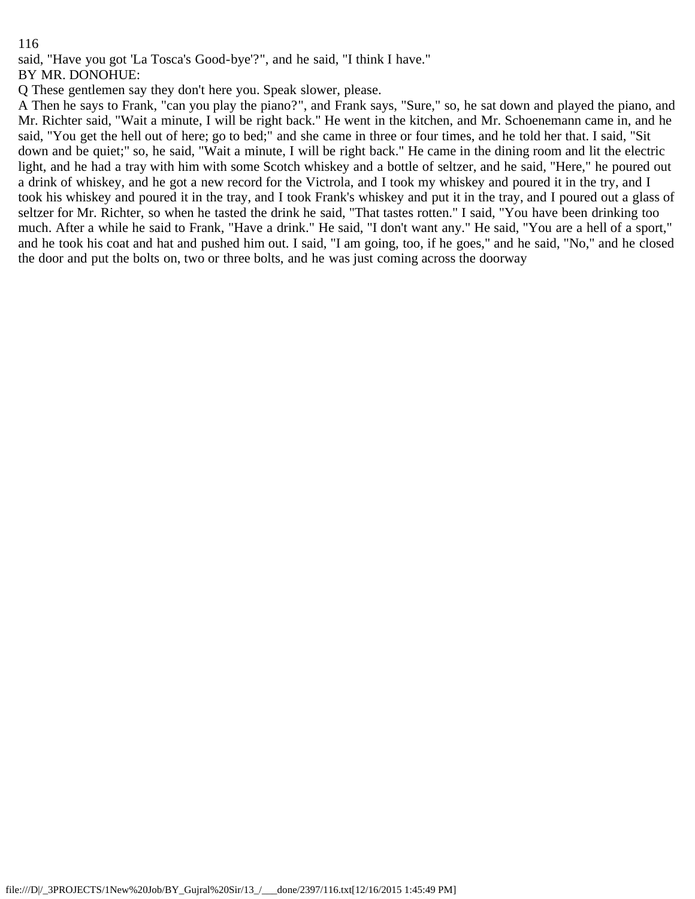said, "Have you got 'La Tosca's Good-bye'?", and he said, "I think I have."

BY MR. DONOHUE:

Q These gentlemen say they don't here you. Speak slower, please.

A Then he says to Frank, "can you play the piano?", and Frank says, "Sure," so, he sat down and played the piano, and Mr. Richter said, "Wait a minute, I will be right back." He went in the kitchen, and Mr. Schoenemann came in, and he said, "You get the hell out of here; go to bed;" and she came in three or four times, and he told her that. I said, "Sit down and be quiet;" so, he said, "Wait a minute, I will be right back." He came in the dining room and lit the electric light, and he had a tray with him with some Scotch whiskey and a bottle of seltzer, and he said, "Here," he poured out a drink of whiskey, and he got a new record for the Victrola, and I took my whiskey and poured it in the try, and I took his whiskey and poured it in the tray, and I took Frank's whiskey and put it in the tray, and I poured out a glass of seltzer for Mr. Richter, so when he tasted the drink he said, "That tastes rotten." I said, "You have been drinking too much. After a while he said to Frank, "Have a drink." He said, "I don't want any." He said, "You are a hell of a sport," and he took his coat and hat and pushed him out. I said, "I am going, too, if he goes," and he said, "No," and he closed the door and put the bolts on, two or three bolts, and he was just coming across the doorway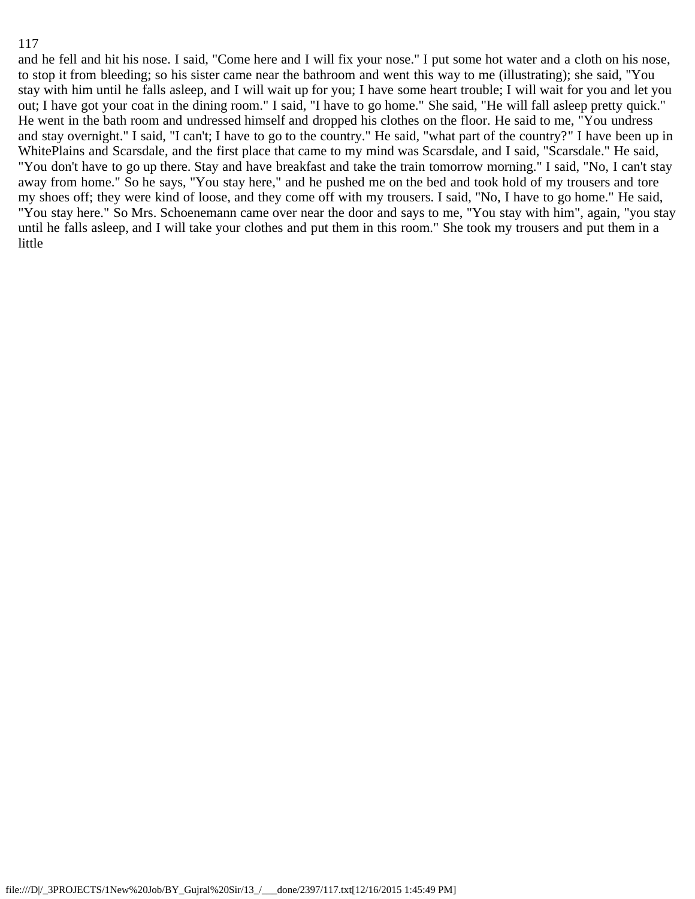and he fell and hit his nose. I said, "Come here and I will fix your nose." I put some hot water and a cloth on his nose, to stop it from bleeding; so his sister came near the bathroom and went this way to me (illustrating); she said, "You stay with him until he falls asleep, and I will wait up for you; I have some heart trouble; I will wait for you and let you out; I have got your coat in the dining room." I said, "I have to go home." She said, "He will fall asleep pretty quick." He went in the bath room and undressed himself and dropped his clothes on the floor. He said to me, "You undress and stay overnight." I said, "I can't; I have to go to the country." He said, "what part of the country?" I have been up in WhitePlains and Scarsdale, and the first place that came to my mind was Scarsdale, and I said, "Scarsdale." He said, "You don't have to go up there. Stay and have breakfast and take the train tomorrow morning." I said, "No, I can't stay away from home." So he says, "You stay here," and he pushed me on the bed and took hold of my trousers and tore my shoes off; they were kind of loose, and they come off with my trousers. I said, "No, I have to go home." He said, "You stay here." So Mrs. Schoenemann came over near the door and says to me, "You stay with him", again, "you stay until he falls asleep, and I will take your clothes and put them in this room." She took my trousers and put them in a little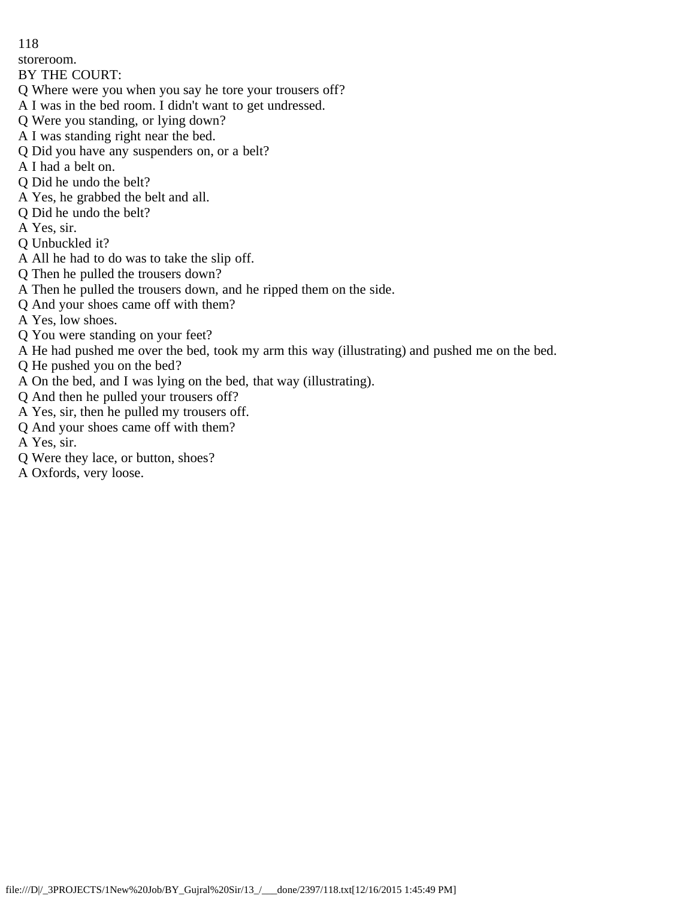storeroom.

## BY THE COURT:

- Q Where were you when you say he tore your trousers off?
- A I was in the bed room. I didn't want to get undressed.
- Q Were you standing, or lying down?
- A I was standing right near the bed.
- Q Did you have any suspenders on, or a belt?
- A I had a belt on.
- Q Did he undo the belt?
- A Yes, he grabbed the belt and all.
- Q Did he undo the belt?
- A Yes, sir.
- Q Unbuckled it?
- A All he had to do was to take the slip off.
- Q Then he pulled the trousers down?
- A Then he pulled the trousers down, and he ripped them on the side.
- Q And your shoes came off with them?
- A Yes, low shoes.
- Q You were standing on your feet?
- A He had pushed me over the bed, took my arm this way (illustrating) and pushed me on the bed.
- Q He pushed you on the bed?
- A On the bed, and I was lying on the bed, that way (illustrating).
- Q And then he pulled your trousers off?
- A Yes, sir, then he pulled my trousers off.
- Q And your shoes came off with them?
- A Yes, sir.
- Q Were they lace, or button, shoes?
- A Oxfords, very loose.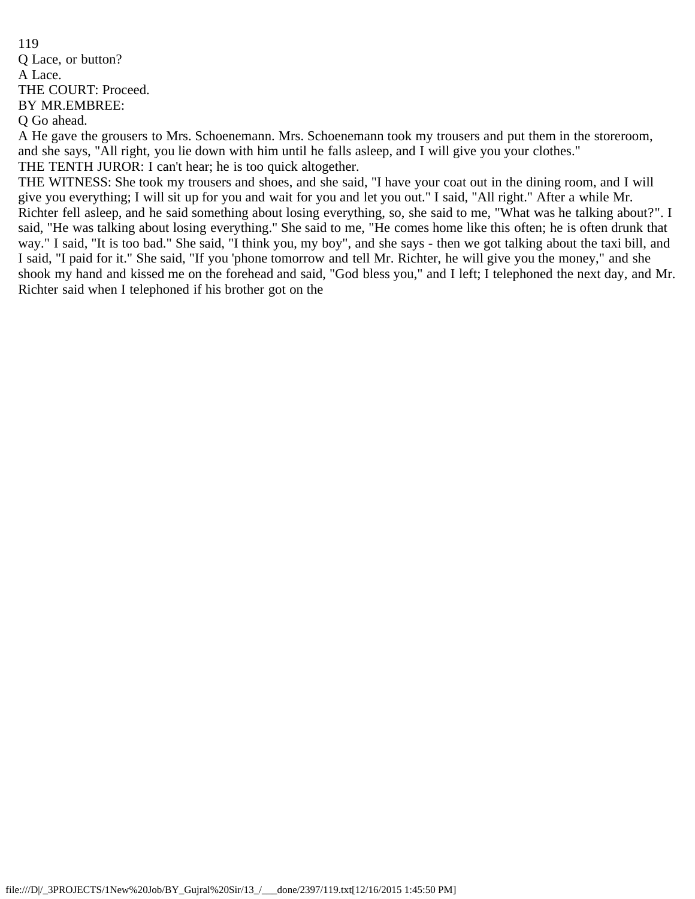119 Q Lace, or button? A Lace. THE COURT: Proceed. BY MR.EMBREE: Q Go ahead.

A He gave the grousers to Mrs. Schoenemann. Mrs. Schoenemann took my trousers and put them in the storeroom, and she says, "All right, you lie down with him until he falls asleep, and I will give you your clothes." THE TENTH JUROR: I can't hear; he is too quick altogether.

THE WITNESS: She took my trousers and shoes, and she said, "I have your coat out in the dining room, and I will give you everything; I will sit up for you and wait for you and let you out." I said, "All right." After a while Mr. Richter fell asleep, and he said something about losing everything, so, she said to me, "What was he talking about?". I said, "He was talking about losing everything." She said to me, "He comes home like this often; he is often drunk that way." I said, "It is too bad." She said, "I think you, my boy", and she says - then we got talking about the taxi bill, and I said, "I paid for it." She said, "If you 'phone tomorrow and tell Mr. Richter, he will give you the money," and she shook my hand and kissed me on the forehead and said, "God bless you," and I left; I telephoned the next day, and Mr. Richter said when I telephoned if his brother got on the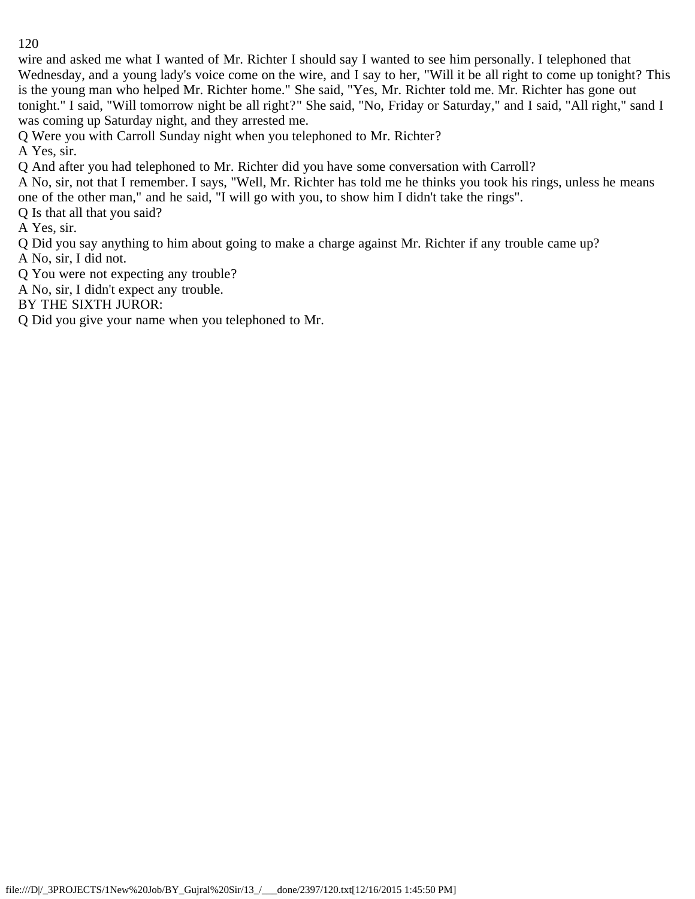wire and asked me what I wanted of Mr. Richter I should say I wanted to see him personally. I telephoned that Wednesday, and a young lady's voice come on the wire, and I say to her, "Will it be all right to come up tonight? This is the young man who helped Mr. Richter home." She said, "Yes, Mr. Richter told me. Mr. Richter has gone out tonight." I said, "Will tomorrow night be all right?" She said, "No, Friday or Saturday," and I said, "All right," sand I was coming up Saturday night, and they arrested me.

Q Were you with Carroll Sunday night when you telephoned to Mr. Richter?

A Yes, sir.

Q And after you had telephoned to Mr. Richter did you have some conversation with Carroll?

A No, sir, not that I remember. I says, "Well, Mr. Richter has told me he thinks you took his rings, unless he means one of the other man," and he said, "I will go with you, to show him I didn't take the rings".

Q Is that all that you said?

A Yes, sir.

Q Did you say anything to him about going to make a charge against Mr. Richter if any trouble came up? A No, sir, I did not.

Q You were not expecting any trouble?

A No, sir, I didn't expect any trouble.

BY THE SIXTH JUROR:

Q Did you give your name when you telephoned to Mr.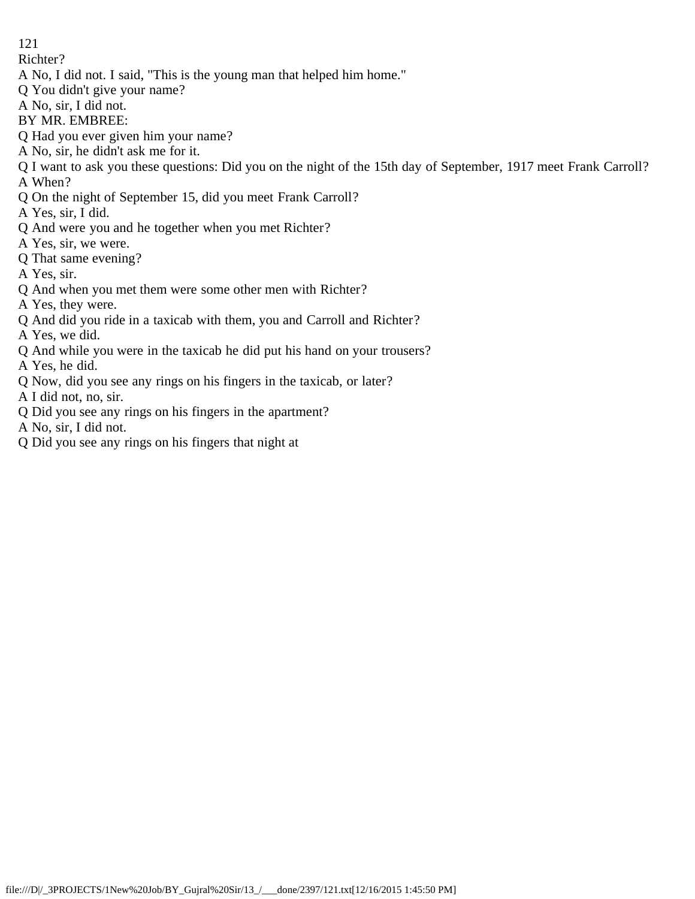Richter?

- A No, I did not. I said, "This is the young man that helped him home."
- Q You didn't give your name?
- A No, sir, I did not.
- BY MR. EMBREE:
- Q Had you ever given him your name?
- A No, sir, he didn't ask me for it.
- Q I want to ask you these questions: Did you on the night of the 15th day of September, 1917 meet Frank Carroll? A When?
- Q On the night of September 15, did you meet Frank Carroll?
- A Yes, sir, I did.
- Q And were you and he together when you met Richter?
- A Yes, sir, we were.
- Q That same evening?
- A Yes, sir.
- Q And when you met them were some other men with Richter?
- A Yes, they were.
- Q And did you ride in a taxicab with them, you and Carroll and Richter?
- A Yes, we did.
- Q And while you were in the taxicab he did put his hand on your trousers?
- A Yes, he did.
- Q Now, did you see any rings on his fingers in the taxicab, or later?
- A I did not, no, sir.
- Q Did you see any rings on his fingers in the apartment?
- A No, sir, I did not.
- Q Did you see any rings on his fingers that night at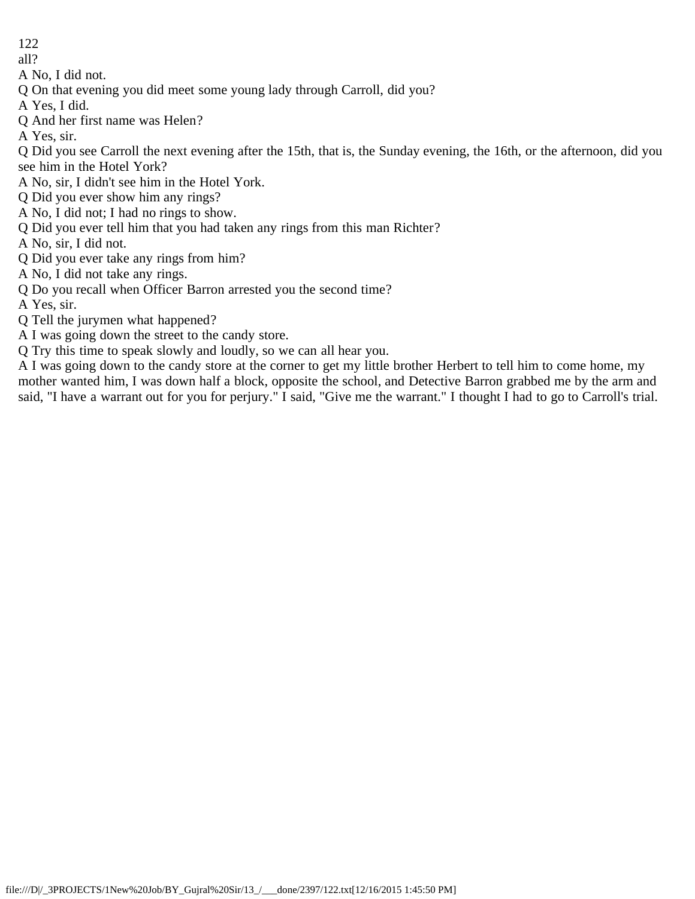all?

A No, I did not.

Q On that evening you did meet some young lady through Carroll, did you?

A Yes, I did.

Q And her first name was Helen?

A Yes, sir.

Q Did you see Carroll the next evening after the 15th, that is, the Sunday evening, the 16th, or the afternoon, did you see him in the Hotel York?

A No, sir, I didn't see him in the Hotel York.

Q Did you ever show him any rings?

A No, I did not; I had no rings to show.

Q Did you ever tell him that you had taken any rings from this man Richter?

A No, sir, I did not.

Q Did you ever take any rings from him?

A No, I did not take any rings.

Q Do you recall when Officer Barron arrested you the second time?

A Yes, sir.

Q Tell the jurymen what happened?

A I was going down the street to the candy store.

Q Try this time to speak slowly and loudly, so we can all hear you.

A I was going down to the candy store at the corner to get my little brother Herbert to tell him to come home, my mother wanted him, I was down half a block, opposite the school, and Detective Barron grabbed me by the arm and said, "I have a warrant out for you for perjury." I said, "Give me the warrant." I thought I had to go to Carroll's trial.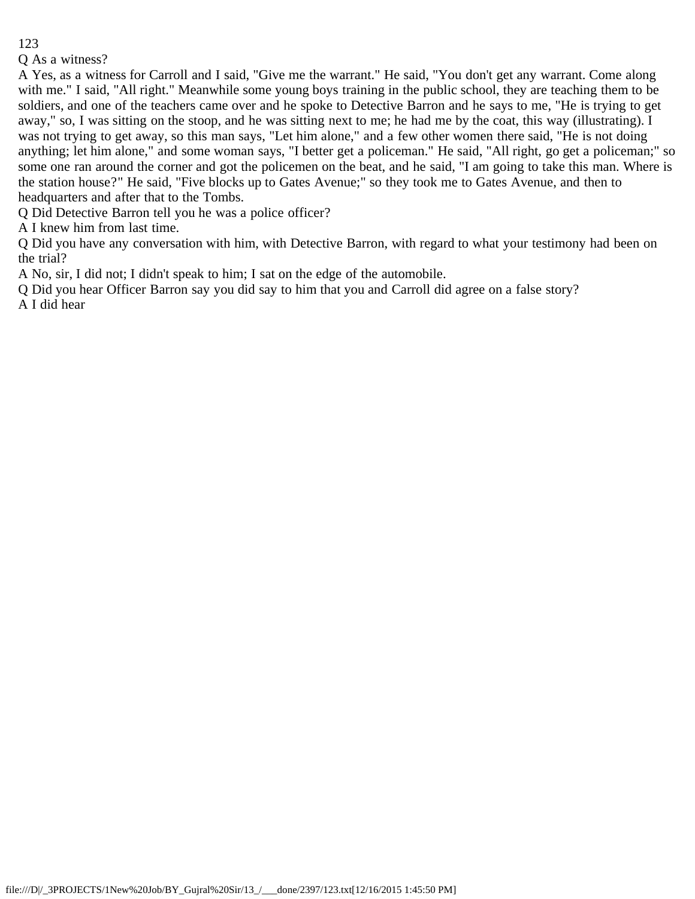#### Q As a witness?

A Yes, as a witness for Carroll and I said, "Give me the warrant." He said, "You don't get any warrant. Come along with me." I said, "All right." Meanwhile some young boys training in the public school, they are teaching them to be soldiers, and one of the teachers came over and he spoke to Detective Barron and he says to me, "He is trying to get away," so, I was sitting on the stoop, and he was sitting next to me; he had me by the coat, this way (illustrating). I was not trying to get away, so this man says, "Let him alone," and a few other women there said, "He is not doing anything; let him alone," and some woman says, "I better get a policeman." He said, "All right, go get a policeman;" so some one ran around the corner and got the policemen on the beat, and he said, "I am going to take this man. Where is the station house?" He said, "Five blocks up to Gates Avenue;" so they took me to Gates Avenue, and then to headquarters and after that to the Tombs.

Q Did Detective Barron tell you he was a police officer?

A I knew him from last time.

Q Did you have any conversation with him, with Detective Barron, with regard to what your testimony had been on the trial?

A No, sir, I did not; I didn't speak to him; I sat on the edge of the automobile.

Q Did you hear Officer Barron say you did say to him that you and Carroll did agree on a false story? A I did hear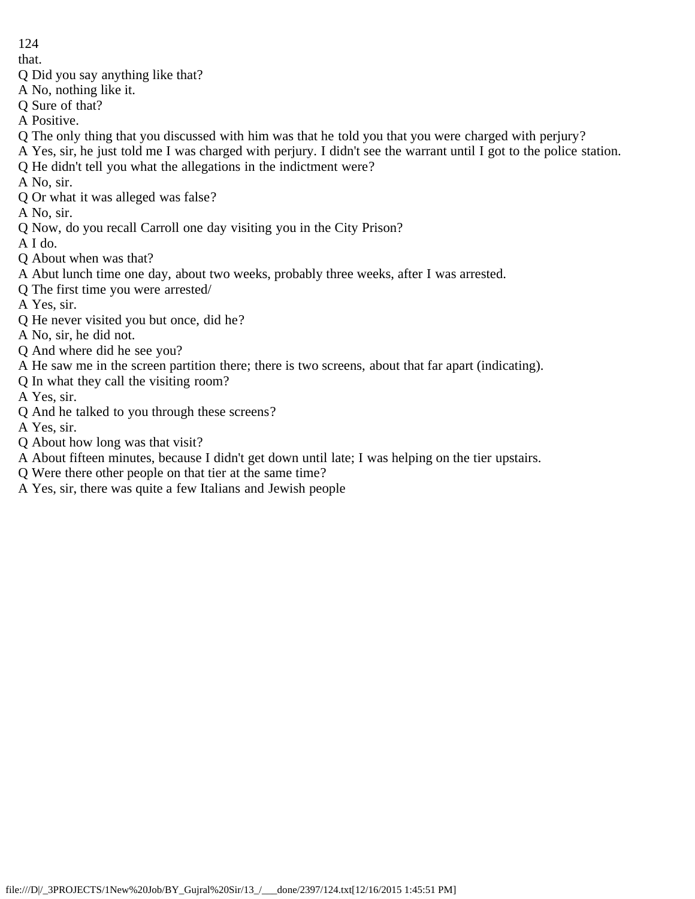that.

- Q Did you say anything like that?
- A No, nothing like it.
- Q Sure of that?
- A Positive.
- Q The only thing that you discussed with him was that he told you that you were charged with perjury?
- A Yes, sir, he just told me I was charged with perjury. I didn't see the warrant until I got to the police station.
- Q He didn't tell you what the allegations in the indictment were?
- A No, sir.
- Q Or what it was alleged was false?
- A No, sir.
- Q Now, do you recall Carroll one day visiting you in the City Prison?
- A I do.
- Q About when was that?
- A Abut lunch time one day, about two weeks, probably three weeks, after I was arrested.
- Q The first time you were arrested/
- A Yes, sir.
- Q He never visited you but once, did he?
- A No, sir, he did not.
- Q And where did he see you?
- A He saw me in the screen partition there; there is two screens, about that far apart (indicating).
- Q In what they call the visiting room?
- A Yes, sir.
- Q And he talked to you through these screens?
- A Yes, sir.
- Q About how long was that visit?
- A About fifteen minutes, because I didn't get down until late; I was helping on the tier upstairs.
- Q Were there other people on that tier at the same time?
- A Yes, sir, there was quite a few Italians and Jewish people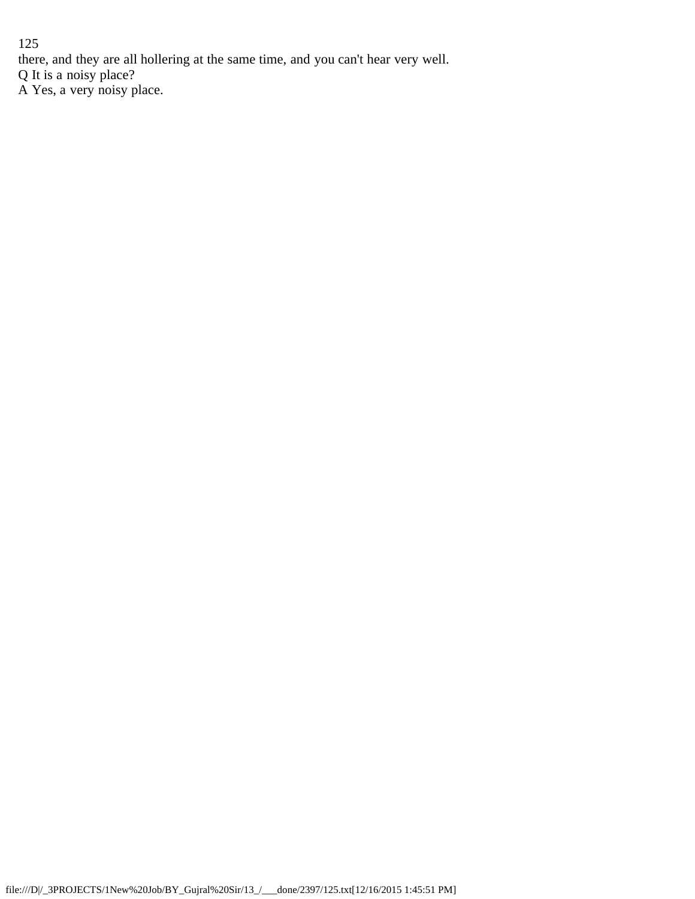125 there, and they are all hollering at the same time, and you can't hear very well. Q It is a noisy place? A Yes, a very noisy place.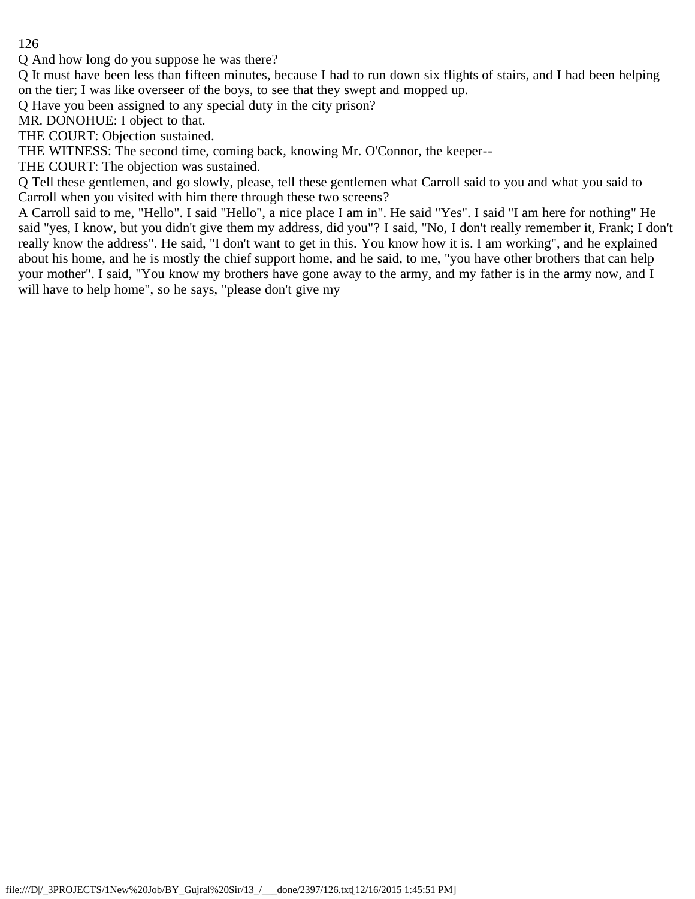Q And how long do you suppose he was there?

Q It must have been less than fifteen minutes, because I had to run down six flights of stairs, and I had been helping on the tier; I was like overseer of the boys, to see that they swept and mopped up.

Q Have you been assigned to any special duty in the city prison?

MR. DONOHUE: I object to that.

THE COURT: Objection sustained.

THE WITNESS: The second time, coming back, knowing Mr. O'Connor, the keeper--

THE COURT: The objection was sustained.

Q Tell these gentlemen, and go slowly, please, tell these gentlemen what Carroll said to you and what you said to Carroll when you visited with him there through these two screens?

A Carroll said to me, "Hello". I said "Hello", a nice place I am in". He said "Yes". I said "I am here for nothing" He said "yes, I know, but you didn't give them my address, did you"? I said, "No, I don't really remember it, Frank; I don't really know the address". He said, "I don't want to get in this. You know how it is. I am working", and he explained about his home, and he is mostly the chief support home, and he said, to me, "you have other brothers that can help your mother". I said, "You know my brothers have gone away to the army, and my father is in the army now, and I will have to help home", so he says, "please don't give my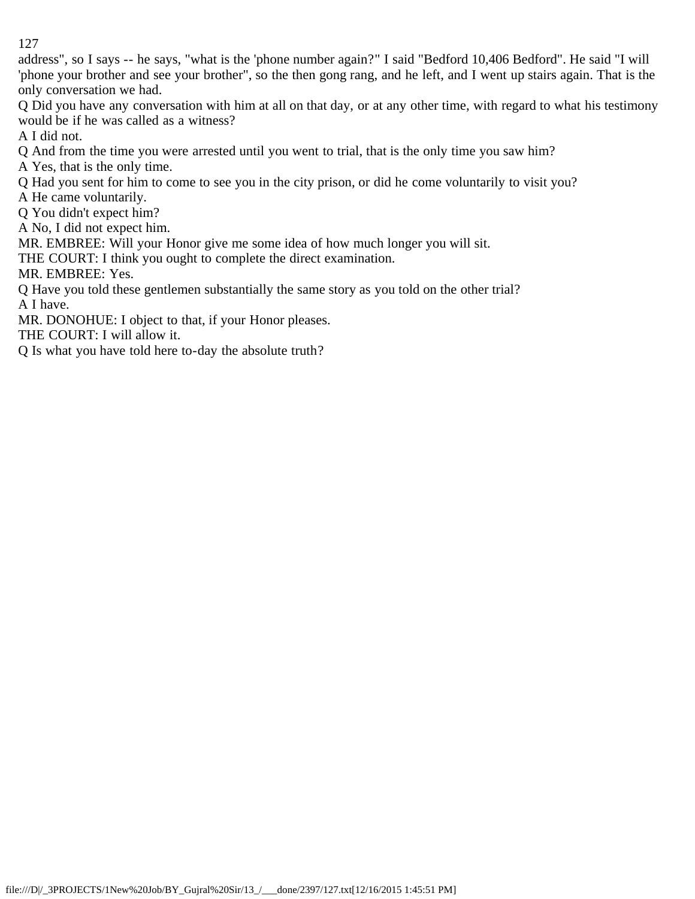address", so I says -- he says, "what is the 'phone number again?" I said "Bedford 10,406 Bedford". He said "I will 'phone your brother and see your brother", so the then gong rang, and he left, and I went up stairs again. That is the only conversation we had.

Q Did you have any conversation with him at all on that day, or at any other time, with regard to what his testimony would be if he was called as a witness?

A I did not.

Q And from the time you were arrested until you went to trial, that is the only time you saw him?

A Yes, that is the only time.

Q Had you sent for him to come to see you in the city prison, or did he come voluntarily to visit you?

A He came voluntarily.

Q You didn't expect him?

A No, I did not expect him.

MR. EMBREE: Will your Honor give me some idea of how much longer you will sit.

THE COURT: I think you ought to complete the direct examination.

MR. EMBREE: Yes.

Q Have you told these gentlemen substantially the same story as you told on the other trial? A I have.

MR. DONOHUE: I object to that, if your Honor pleases.

THE COURT: I will allow it.

Q Is what you have told here to-day the absolute truth?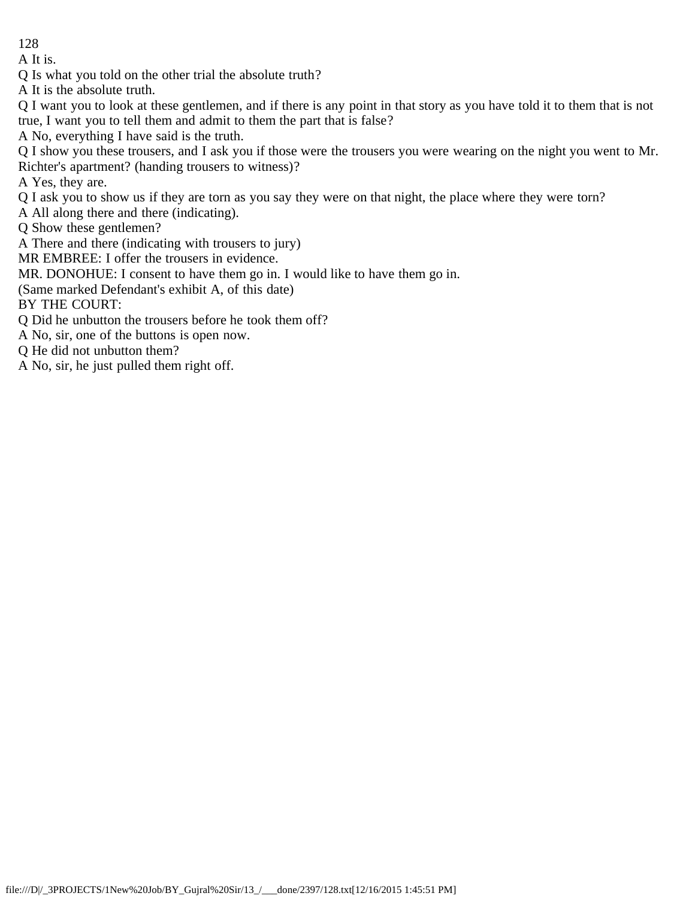A It is.

Q Is what you told on the other trial the absolute truth?

A It is the absolute truth.

Q I want you to look at these gentlemen, and if there is any point in that story as you have told it to them that is not true, I want you to tell them and admit to them the part that is false?

A No, everything I have said is the truth.

Q I show you these trousers, and I ask you if those were the trousers you were wearing on the night you went to Mr. Richter's apartment? (handing trousers to witness)?

A Yes, they are.

Q I ask you to show us if they are torn as you say they were on that night, the place where they were torn?

A All along there and there (indicating).

Q Show these gentlemen?

A There and there (indicating with trousers to jury)

MR EMBREE: I offer the trousers in evidence.

MR. DONOHUE: I consent to have them go in. I would like to have them go in.

(Same marked Defendant's exhibit A, of this date)

BY THE COURT:

Q Did he unbutton the trousers before he took them off?

A No, sir, one of the buttons is open now.

Q He did not unbutton them?

A No, sir, he just pulled them right off.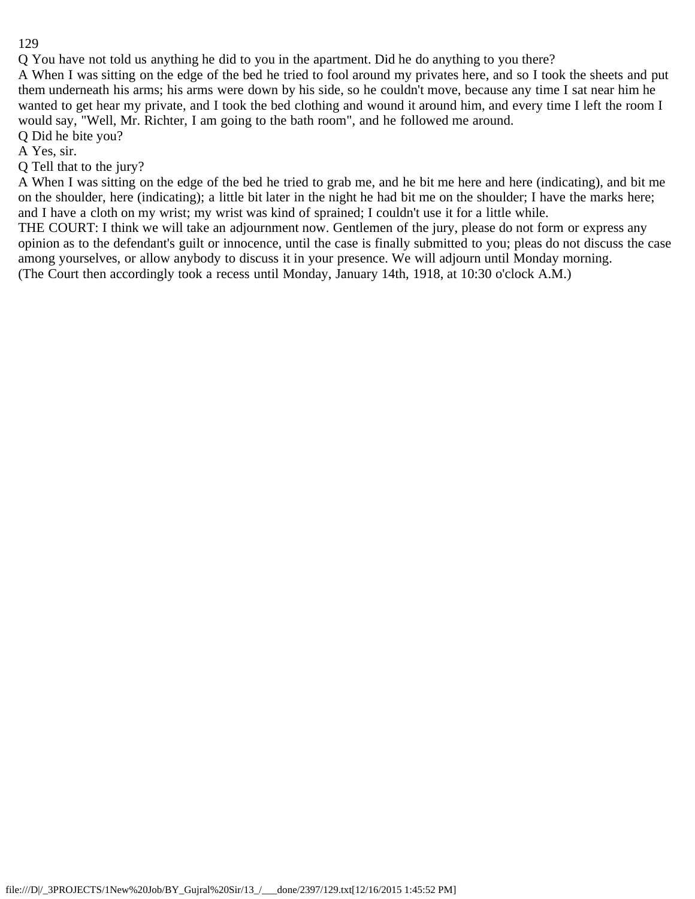Q You have not told us anything he did to you in the apartment. Did he do anything to you there? A When I was sitting on the edge of the bed he tried to fool around my privates here, and so I took the sheets and put them underneath his arms; his arms were down by his side, so he couldn't move, because any time I sat near him he wanted to get hear my private, and I took the bed clothing and wound it around him, and every time I left the room I would say, "Well, Mr. Richter, I am going to the bath room", and he followed me around.

Q Did he bite you?

A Yes, sir.

Q Tell that to the jury?

A When I was sitting on the edge of the bed he tried to grab me, and he bit me here and here (indicating), and bit me on the shoulder, here (indicating); a little bit later in the night he had bit me on the shoulder; I have the marks here; and I have a cloth on my wrist; my wrist was kind of sprained; I couldn't use it for a little while.

THE COURT: I think we will take an adjournment now. Gentlemen of the jury, please do not form or express any opinion as to the defendant's guilt or innocence, until the case is finally submitted to you; pleas do not discuss the case among yourselves, or allow anybody to discuss it in your presence. We will adjourn until Monday morning. (The Court then accordingly took a recess until Monday, January 14th, 1918, at 10:30 o'clock A.M.)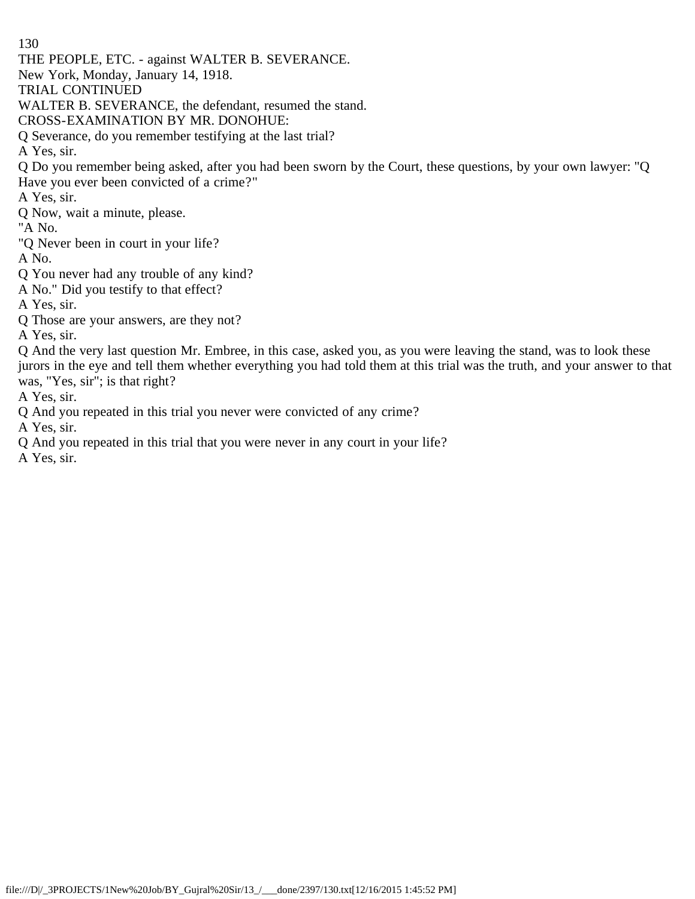THE PEOPLE, ETC. - against WALTER B. SEVERANCE.

New York, Monday, January 14, 1918.

TRIAL CONTINUED

WALTER B. SEVERANCE, the defendant, resumed the stand.

CROSS-EXAMINATION BY MR. DONOHUE:

Q Severance, do you remember testifying at the last trial?

A Yes, sir.

Q Do you remember being asked, after you had been sworn by the Court, these questions, by your own lawyer: "Q Have you ever been convicted of a crime?"

A Yes, sir.

Q Now, wait a minute, please.

"A No.

"Q Never been in court in your life?

A No.

- Q You never had any trouble of any kind?
- A No." Did you testify to that effect?

A Yes, sir.

Q Those are your answers, are they not?

A Yes, sir.

Q And the very last question Mr. Embree, in this case, asked you, as you were leaving the stand, was to look these jurors in the eye and tell them whether everything you had told them at this trial was the truth, and your answer to that was, "Yes, sir"; is that right?

A Yes, sir.

Q And you repeated in this trial you never were convicted of any crime?

A Yes, sir.

Q And you repeated in this trial that you were never in any court in your life?

A Yes, sir.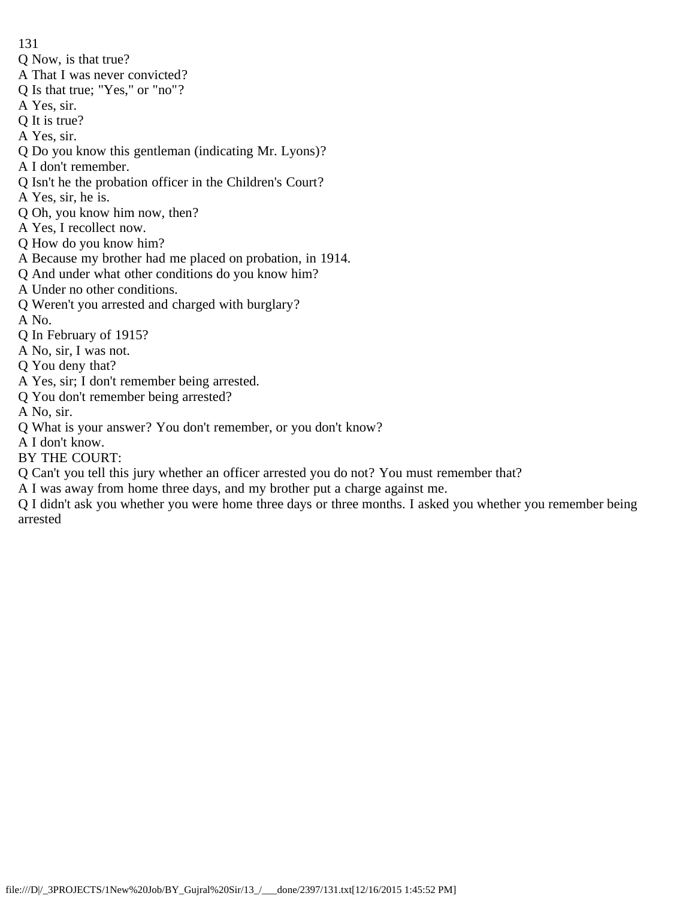- 131
- Q Now, is that true?
- A That I was never convicted?
- Q Is that true; "Yes," or "no"?
- A Yes, sir.
- Q It is true?
- A Yes, sir.
- Q Do you know this gentleman (indicating Mr. Lyons)?
- A I don't remember.
- Q Isn't he the probation officer in the Children's Court?
- A Yes, sir, he is.
- Q Oh, you know him now, then?
- A Yes, I recollect now.
- Q How do you know him?
- A Because my brother had me placed on probation, in 1914.
- Q And under what other conditions do you know him?
- A Under no other conditions.
- Q Weren't you arrested and charged with burglary?
- A No.
- Q In February of 1915?
- A No, sir, I was not.
- Q You deny that?
- A Yes, sir; I don't remember being arrested.
- Q You don't remember being arrested?
- A No, sir.
- Q What is your answer? You don't remember, or you don't know?
- A I don't know.
- BY THE COURT:
- Q Can't you tell this jury whether an officer arrested you do not? You must remember that?
- A I was away from home three days, and my brother put a charge against me.
- Q I didn't ask you whether you were home three days or three months. I asked you whether you remember being arrested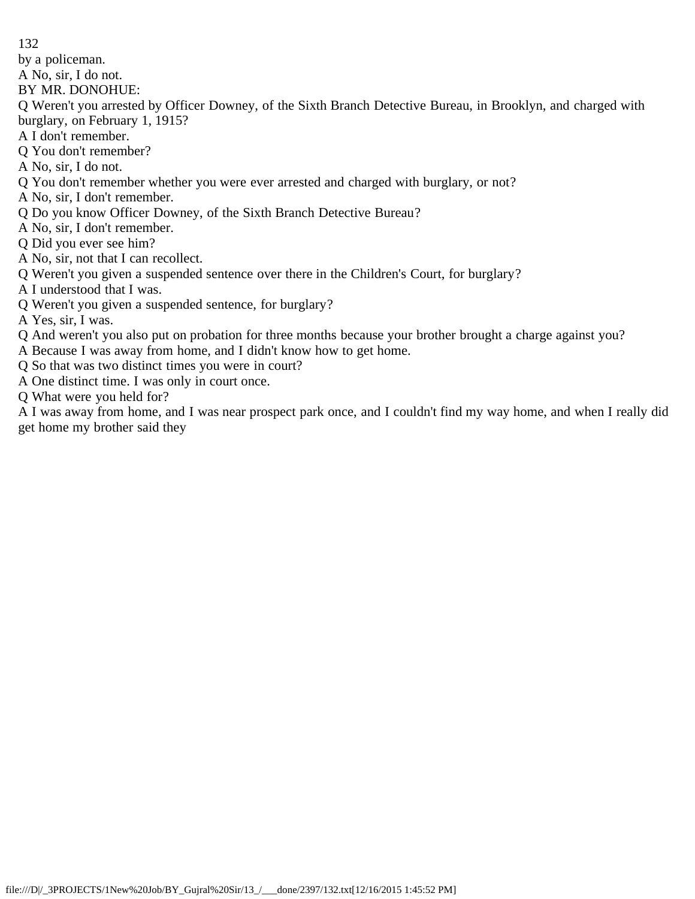by a policeman.

A No, sir, I do not.

BY MR. DONOHUE:

Q Weren't you arrested by Officer Downey, of the Sixth Branch Detective Bureau, in Brooklyn, and charged with burglary, on February 1, 1915?

A I don't remember.

Q You don't remember?

A No, sir, I do not.

Q You don't remember whether you were ever arrested and charged with burglary, or not?

- A No, sir, I don't remember.
- Q Do you know Officer Downey, of the Sixth Branch Detective Bureau?
- A No, sir, I don't remember.
- Q Did you ever see him?

A No, sir, not that I can recollect.

Q Weren't you given a suspended sentence over there in the Children's Court, for burglary?

A I understood that I was.

Q Weren't you given a suspended sentence, for burglary?

A Yes, sir, I was.

Q And weren't you also put on probation for three months because your brother brought a charge against you?

A Because I was away from home, and I didn't know how to get home.

Q So that was two distinct times you were in court?

A One distinct time. I was only in court once.

Q What were you held for?

A I was away from home, and I was near prospect park once, and I couldn't find my way home, and when I really did get home my brother said they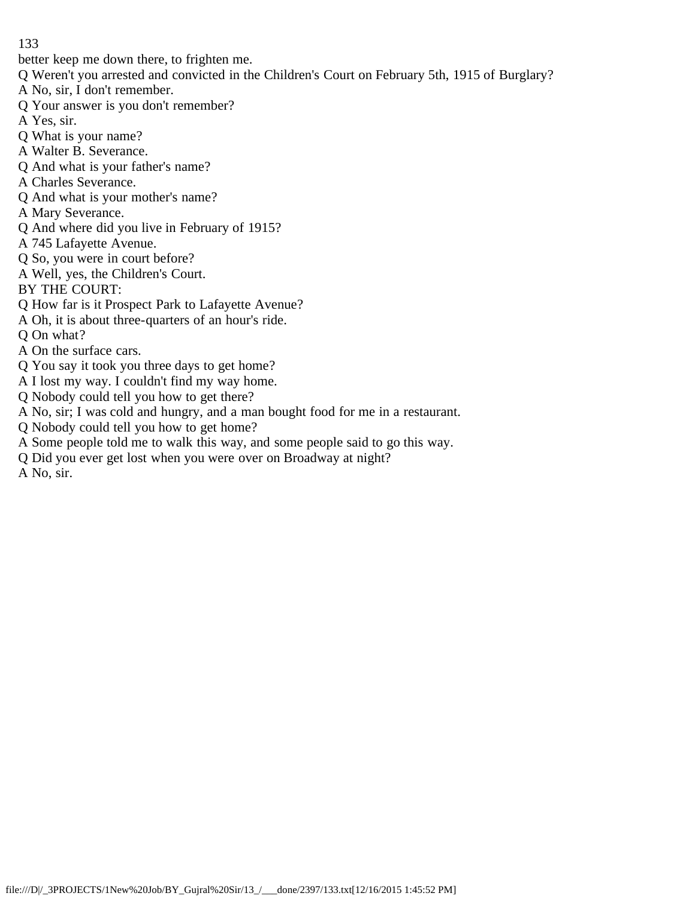better keep me down there, to frighten me.

- Q Weren't you arrested and convicted in the Children's Court on February 5th, 1915 of Burglary?
- A No, sir, I don't remember.
- Q Your answer is you don't remember?
- A Yes, sir.
- Q What is your name?
- A Walter B. Severance.
- Q And what is your father's name?
- A Charles Severance.
- Q And what is your mother's name?
- A Mary Severance.
- Q And where did you live in February of 1915?
- A 745 Lafayette Avenue.
- Q So, you were in court before?
- A Well, yes, the Children's Court.
- BY THE COURT:
- Q How far is it Prospect Park to Lafayette Avenue?
- A Oh, it is about three-quarters of an hour's ride.
- Q On what?
- A On the surface cars.
- Q You say it took you three days to get home?
- A I lost my way. I couldn't find my way home.
- Q Nobody could tell you how to get there?
- A No, sir; I was cold and hungry, and a man bought food for me in a restaurant.
- Q Nobody could tell you how to get home?
- A Some people told me to walk this way, and some people said to go this way.
- Q Did you ever get lost when you were over on Broadway at night?
- A No, sir.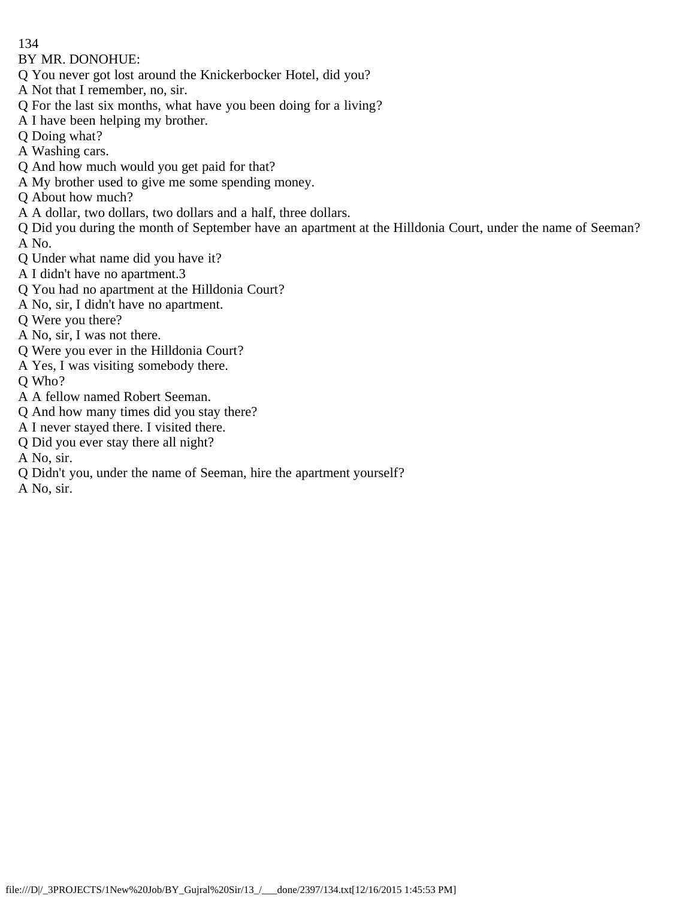BY MR. DONOHUE:

- Q You never got lost around the Knickerbocker Hotel, did you?
- A Not that I remember, no, sir.
- Q For the last six months, what have you been doing for a living?
- A I have been helping my brother.
- Q Doing what?
- A Washing cars.
- Q And how much would you get paid for that?
- A My brother used to give me some spending money.
- Q About how much?
- A A dollar, two dollars, two dollars and a half, three dollars.
- Q Did you during the month of September have an apartment at the Hilldonia Court, under the name of Seeman? A No.
- Q Under what name did you have it?
- A I didn't have no apartment.3
- Q You had no apartment at the Hilldonia Court?
- A No, sir, I didn't have no apartment.
- Q Were you there?
- A No, sir, I was not there.
- Q Were you ever in the Hilldonia Court?
- A Yes, I was visiting somebody there.
- Q Who?
- A A fellow named Robert Seeman.
- Q And how many times did you stay there?
- A I never stayed there. I visited there.
- Q Did you ever stay there all night?
- A No, sir.
- Q Didn't you, under the name of Seeman, hire the apartment yourself?
- A No, sir.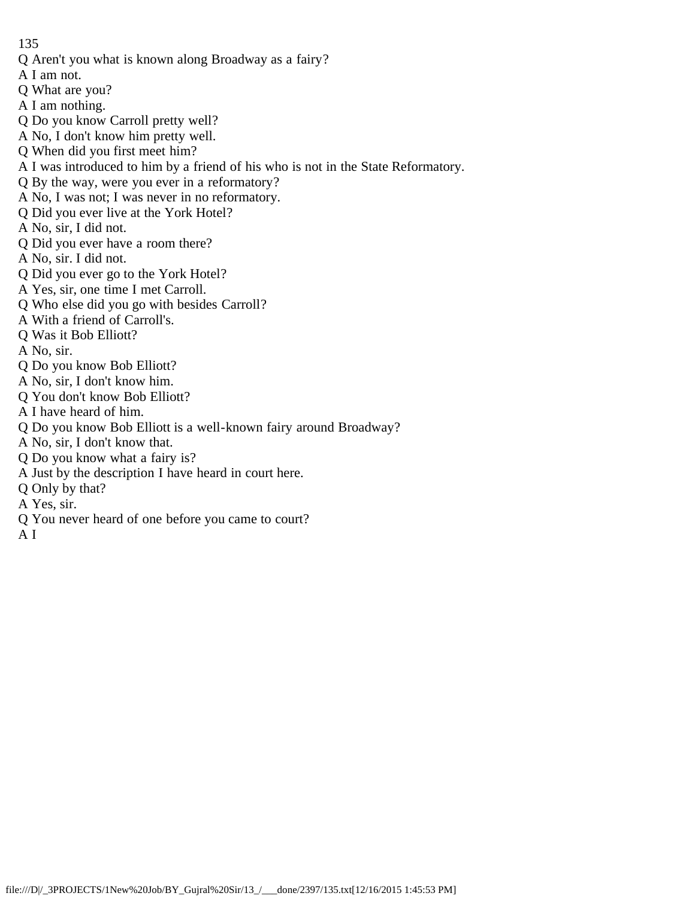- Q Aren't you what is known along Broadway as a fairy?
- A I am not.
- Q What are you?
- A I am nothing.
- Q Do you know Carroll pretty well?
- A No, I don't know him pretty well.
- Q When did you first meet him?
- A I was introduced to him by a friend of his who is not in the State Reformatory.
- Q By the way, were you ever in a reformatory?
- A No, I was not; I was never in no reformatory.
- Q Did you ever live at the York Hotel?
- A No, sir, I did not.
- Q Did you ever have a room there?
- A No, sir. I did not.
- Q Did you ever go to the York Hotel?
- A Yes, sir, one time I met Carroll.
- Q Who else did you go with besides Carroll?
- A With a friend of Carroll's.
- Q Was it Bob Elliott?
- A No, sir.
- Q Do you know Bob Elliott?
- A No, sir, I don't know him.
- Q You don't know Bob Elliott?
- A I have heard of him.
- Q Do you know Bob Elliott is a well-known fairy around Broadway?
- A No, sir, I don't know that.
- Q Do you know what a fairy is?
- A Just by the description I have heard in court here.
- Q Only by that?
- A Yes, sir.
- Q You never heard of one before you came to court?
- A I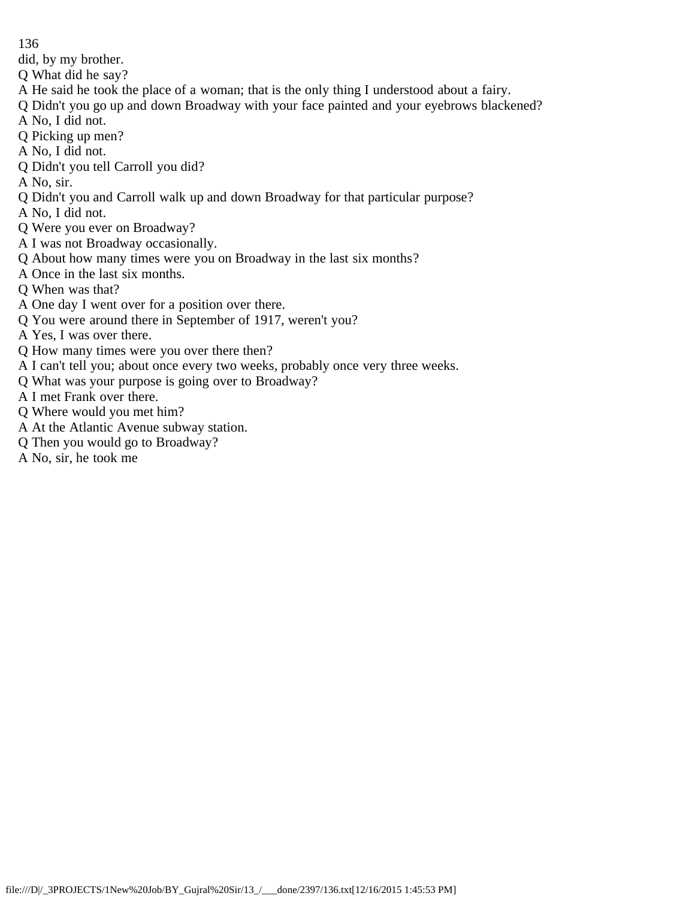did, by my brother.

- Q What did he say?
- A He said he took the place of a woman; that is the only thing I understood about a fairy.
- Q Didn't you go up and down Broadway with your face painted and your eyebrows blackened?
- A No, I did not.
- Q Picking up men?
- A No, I did not.
- Q Didn't you tell Carroll you did?
- A No, sir.
- Q Didn't you and Carroll walk up and down Broadway for that particular purpose?
- A No, I did not.
- Q Were you ever on Broadway?
- A I was not Broadway occasionally.
- Q About how many times were you on Broadway in the last six months?
- A Once in the last six months.
- Q When was that?
- A One day I went over for a position over there.
- Q You were around there in September of 1917, weren't you?
- A Yes, I was over there.
- Q How many times were you over there then?
- A I can't tell you; about once every two weeks, probably once very three weeks.
- Q What was your purpose is going over to Broadway?
- A I met Frank over there.
- Q Where would you met him?
- A At the Atlantic Avenue subway station.
- Q Then you would go to Broadway?
- A No, sir, he took me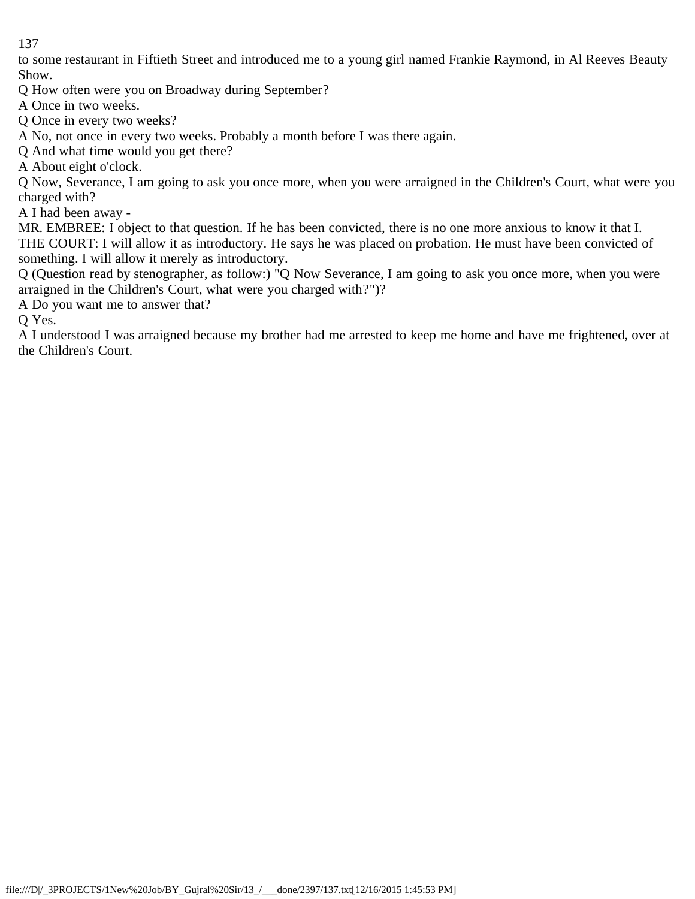to some restaurant in Fiftieth Street and introduced me to a young girl named Frankie Raymond, in Al Reeves Beauty Show.

Q How often were you on Broadway during September?

A Once in two weeks.

Q Once in every two weeks?

A No, not once in every two weeks. Probably a month before I was there again.

Q And what time would you get there?

A About eight o'clock.

Q Now, Severance, I am going to ask you once more, when you were arraigned in the Children's Court, what were you charged with?

A I had been away -

MR. EMBREE: I object to that question. If he has been convicted, there is no one more anxious to know it that I. THE COURT: I will allow it as introductory. He says he was placed on probation. He must have been convicted of something. I will allow it merely as introductory.

Q (Question read by stenographer, as follow:) "Q Now Severance, I am going to ask you once more, when you were arraigned in the Children's Court, what were you charged with?")?

A Do you want me to answer that?

Q Yes.

A I understood I was arraigned because my brother had me arrested to keep me home and have me frightened, over at the Children's Court.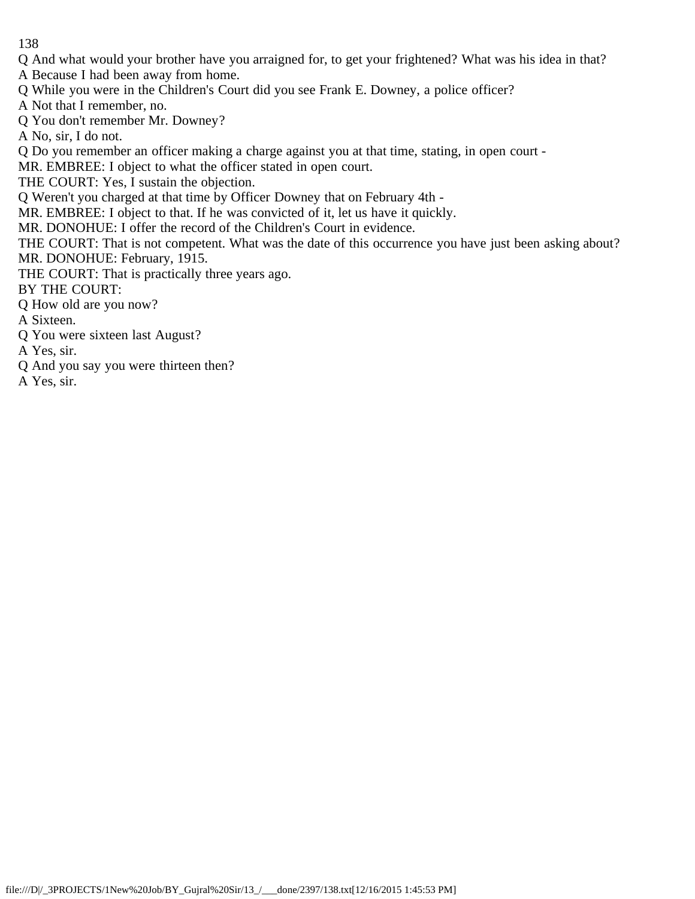Q And what would your brother have you arraigned for, to get your frightened? What was his idea in that? A Because I had been away from home.

Q While you were in the Children's Court did you see Frank E. Downey, a police officer?

A Not that I remember, no.

Q You don't remember Mr. Downey?

A No, sir, I do not.

Q Do you remember an officer making a charge against you at that time, stating, in open court -

MR. EMBREE: I object to what the officer stated in open court.

THE COURT: Yes, I sustain the objection.

Q Weren't you charged at that time by Officer Downey that on February 4th -

MR. EMBREE: I object to that. If he was convicted of it, let us have it quickly.

MR. DONOHUE: I offer the record of the Children's Court in evidence.

THE COURT: That is not competent. What was the date of this occurrence you have just been asking about? MR. DONOHUE: February, 1915.

THE COURT: That is practically three years ago.

BY THE COURT:

Q How old are you now?

A Sixteen.

Q You were sixteen last August?

A Yes, sir.

- Q And you say you were thirteen then?
- A Yes, sir.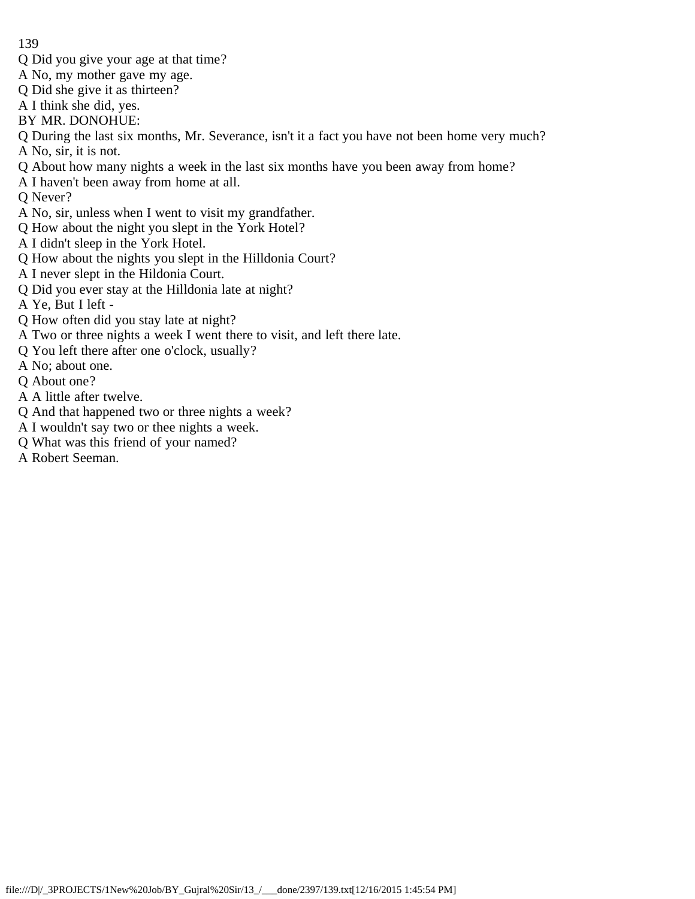- Q Did you give your age at that time?
- A No, my mother gave my age.
- Q Did she give it as thirteen?
- A I think she did, yes.
- BY MR. DONOHUE:
- Q During the last six months, Mr. Severance, isn't it a fact you have not been home very much? A No, sir, it is not.
- Q About how many nights a week in the last six months have you been away from home?
- A I haven't been away from home at all.
- Q Never?
- A No, sir, unless when I went to visit my grandfather.
- Q How about the night you slept in the York Hotel?
- A I didn't sleep in the York Hotel.
- Q How about the nights you slept in the Hilldonia Court?
- A I never slept in the Hildonia Court.
- Q Did you ever stay at the Hilldonia late at night?
- A Ye, But I left -
- Q How often did you stay late at night?
- A Two or three nights a week I went there to visit, and left there late.
- Q You left there after one o'clock, usually?
- A No; about one.
- Q About one?
- A A little after twelve.
- Q And that happened two or three nights a week?
- A I wouldn't say two or thee nights a week.
- Q What was this friend of your named?
- A Robert Seeman.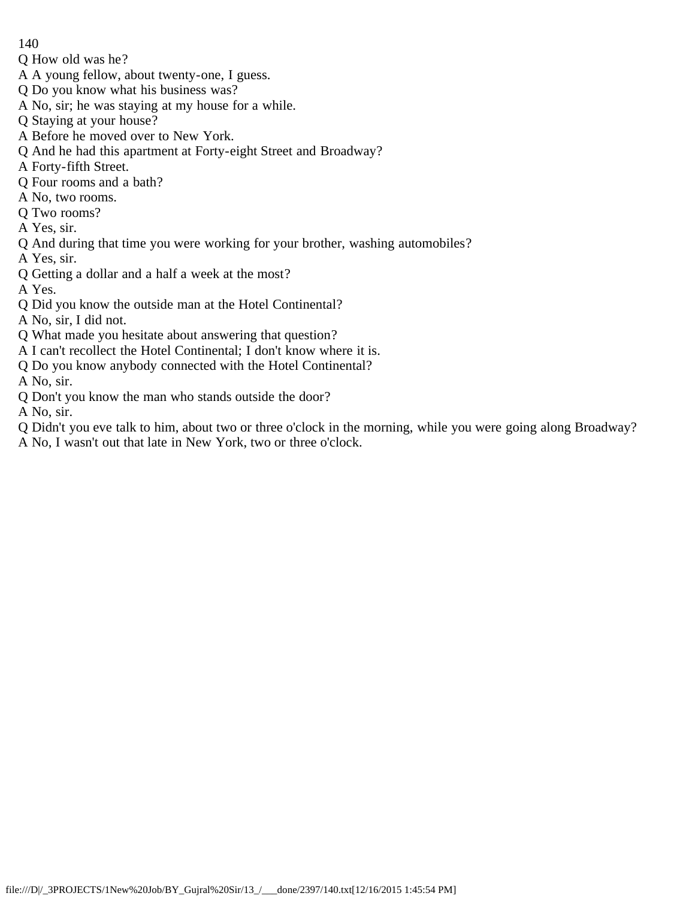- 140
- Q How old was he?
- A A young fellow, about twenty-one, I guess.
- Q Do you know what his business was?
- A No, sir; he was staying at my house for a while.
- Q Staying at your house?
- A Before he moved over to New York.
- Q And he had this apartment at Forty-eight Street and Broadway?
- A Forty-fifth Street.
- Q Four rooms and a bath?
- A No, two rooms.
- Q Two rooms?
- A Yes, sir.
- Q And during that time you were working for your brother, washing automobiles?
- A Yes, sir.
- Q Getting a dollar and a half a week at the most?
- A Yes.
- Q Did you know the outside man at the Hotel Continental?
- A No, sir, I did not.
- Q What made you hesitate about answering that question?
- A I can't recollect the Hotel Continental; I don't know where it is.
- Q Do you know anybody connected with the Hotel Continental?
- A No, sir.
- Q Don't you know the man who stands outside the door?
- A No, sir.
- Q Didn't you eve talk to him, about two or three o'clock in the morning, while you were going along Broadway?
- A No, I wasn't out that late in New York, two or three o'clock.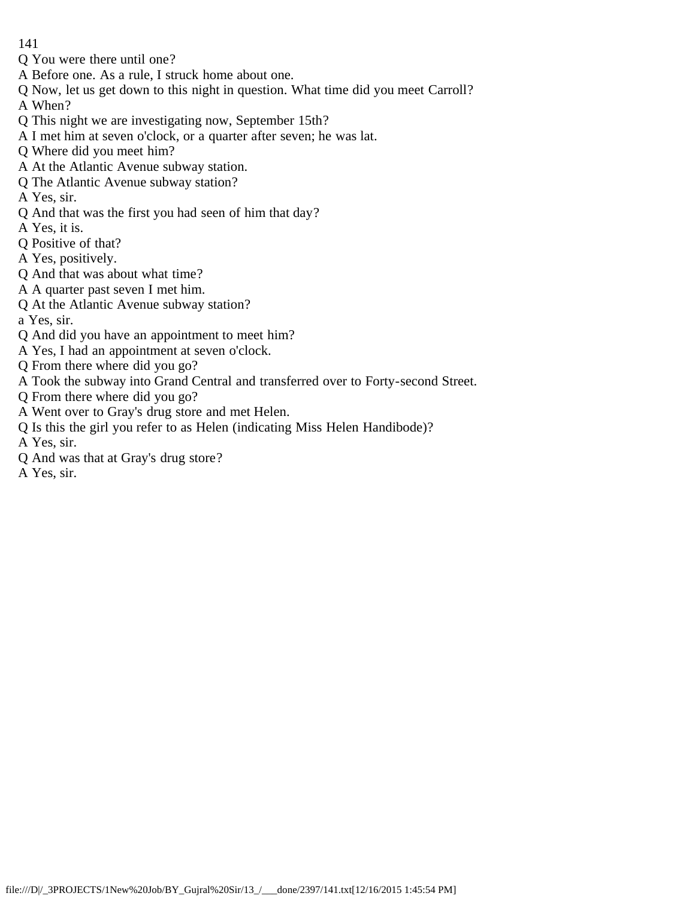- Q You were there until one?
- A Before one. As a rule, I struck home about one.
- Q Now, let us get down to this night in question. What time did you meet Carroll?

A When?

- Q This night we are investigating now, September 15th?
- A I met him at seven o'clock, or a quarter after seven; he was lat.
- Q Where did you meet him?
- A At the Atlantic Avenue subway station.
- Q The Atlantic Avenue subway station?
- A Yes, sir.
- Q And that was the first you had seen of him that day?
- A Yes, it is.
- Q Positive of that?
- A Yes, positively.
- Q And that was about what time?
- A A quarter past seven I met him.
- Q At the Atlantic Avenue subway station?

a Yes, sir.

- Q And did you have an appointment to meet him?
- A Yes, I had an appointment at seven o'clock.
- Q From there where did you go?
- A Took the subway into Grand Central and transferred over to Forty-second Street.
- Q From there where did you go?
- A Went over to Gray's drug store and met Helen.
- Q Is this the girl you refer to as Helen (indicating Miss Helen Handibode)?

A Yes, sir.

- Q And was that at Gray's drug store?
- A Yes, sir.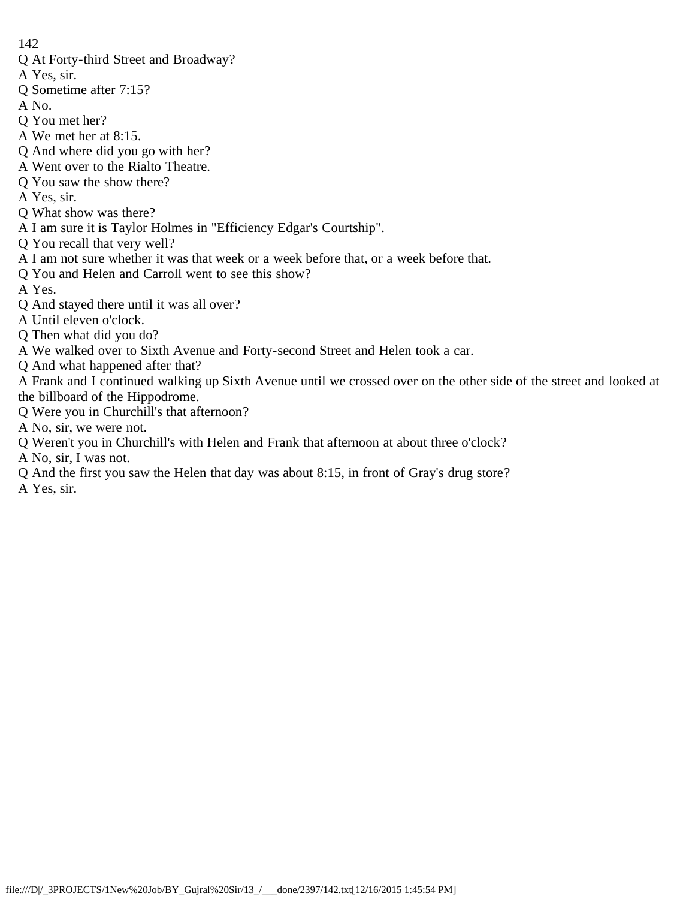- Q At Forty-third Street and Broadway?
- A Yes, sir.
- Q Sometime after 7:15?
- A No.
- Q You met her?
- A We met her at 8:15.
- Q And where did you go with her?
- A Went over to the Rialto Theatre.
- Q You saw the show there?
- A Yes, sir.
- Q What show was there?
- A I am sure it is Taylor Holmes in "Efficiency Edgar's Courtship".
- Q You recall that very well?
- A I am not sure whether it was that week or a week before that, or a week before that.
- Q You and Helen and Carroll went to see this show?
- A Yes.
- Q And stayed there until it was all over?
- A Until eleven o'clock.
- Q Then what did you do?
- A We walked over to Sixth Avenue and Forty-second Street and Helen took a car.
- Q And what happened after that?
- A Frank and I continued walking up Sixth Avenue until we crossed over on the other side of the street and looked at the billboard of the Hippodrome.
- Q Were you in Churchill's that afternoon?
- A No, sir, we were not.
- Q Weren't you in Churchill's with Helen and Frank that afternoon at about three o'clock?
- A No, sir, I was not.
- Q And the first you saw the Helen that day was about 8:15, in front of Gray's drug store?
- A Yes, sir.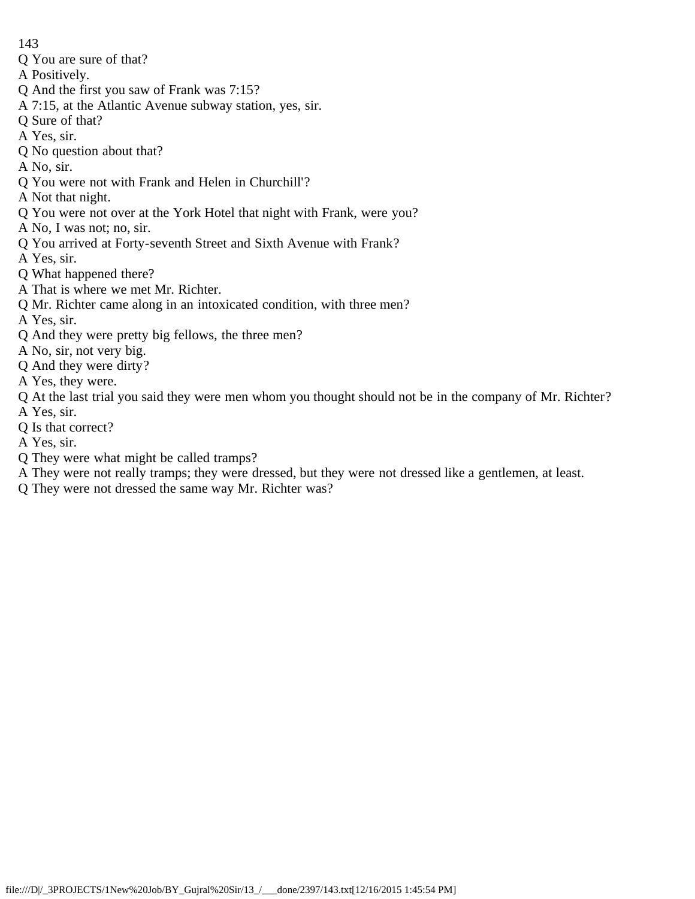- Q You are sure of that?
- A Positively.
- Q And the first you saw of Frank was 7:15?
- A 7:15, at the Atlantic Avenue subway station, yes, sir.
- Q Sure of that?
- A Yes, sir.
- Q No question about that?
- A No, sir.
- Q You were not with Frank and Helen in Churchill'?
- A Not that night.
- Q You were not over at the York Hotel that night with Frank, were you?
- A No, I was not; no, sir.
- Q You arrived at Forty-seventh Street and Sixth Avenue with Frank?
- A Yes, sir.
- Q What happened there?
- A That is where we met Mr. Richter.
- Q Mr. Richter came along in an intoxicated condition, with three men?
- A Yes, sir.
- Q And they were pretty big fellows, the three men?
- A No, sir, not very big.
- Q And they were dirty?
- A Yes, they were.
- Q At the last trial you said they were men whom you thought should not be in the company of Mr. Richter? A Yes, sir.
- Q Is that correct?
- A Yes, sir.
- Q They were what might be called tramps?
- A They were not really tramps; they were dressed, but they were not dressed like a gentlemen, at least.
- Q They were not dressed the same way Mr. Richter was?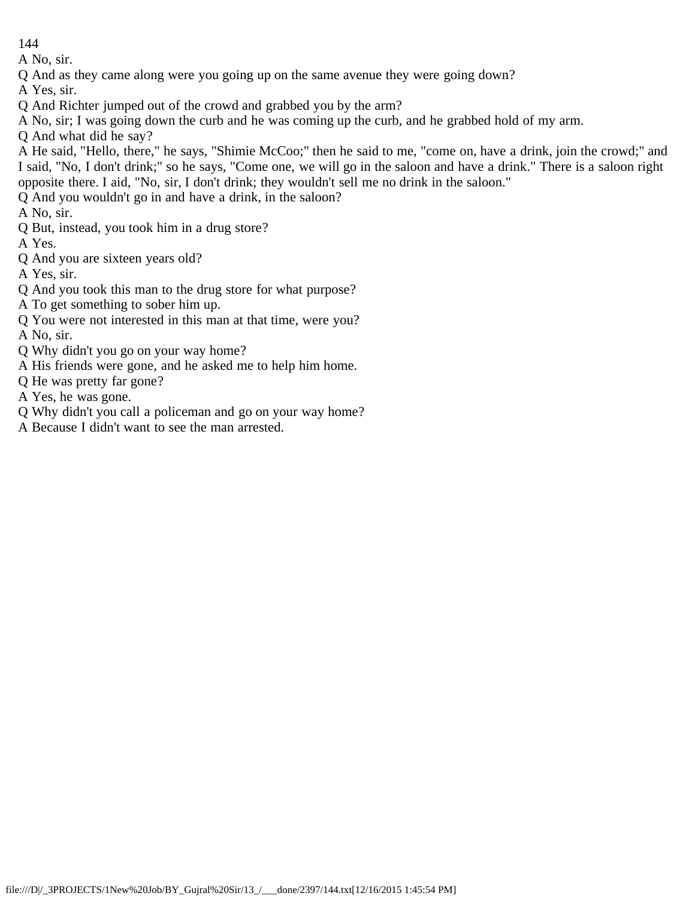A No, sir.

Q And as they came along were you going up on the same avenue they were going down?

A Yes, sir.

- Q And Richter jumped out of the crowd and grabbed you by the arm?
- A No, sir; I was going down the curb and he was coming up the curb, and he grabbed hold of my arm.
- Q And what did he say?

A He said, "Hello, there," he says, "Shimie McCoo;" then he said to me, "come on, have a drink, join the crowd;" and I said, "No, I don't drink;" so he says, "Come one, we will go in the saloon and have a drink." There is a saloon right opposite there. I aid, "No, sir, I don't drink; they wouldn't sell me no drink in the saloon."

Q And you wouldn't go in and have a drink, in the saloon?

A No, sir.

Q But, instead, you took him in a drug store?

A Yes.

Q And you are sixteen years old?

A Yes, sir.

- Q And you took this man to the drug store for what purpose?
- A To get something to sober him up.
- Q You were not interested in this man at that time, were you?

A No, sir.

- Q Why didn't you go on your way home?
- A His friends were gone, and he asked me to help him home.
- Q He was pretty far gone?
- A Yes, he was gone.
- Q Why didn't you call a policeman and go on your way home?
- A Because I didn't want to see the man arrested.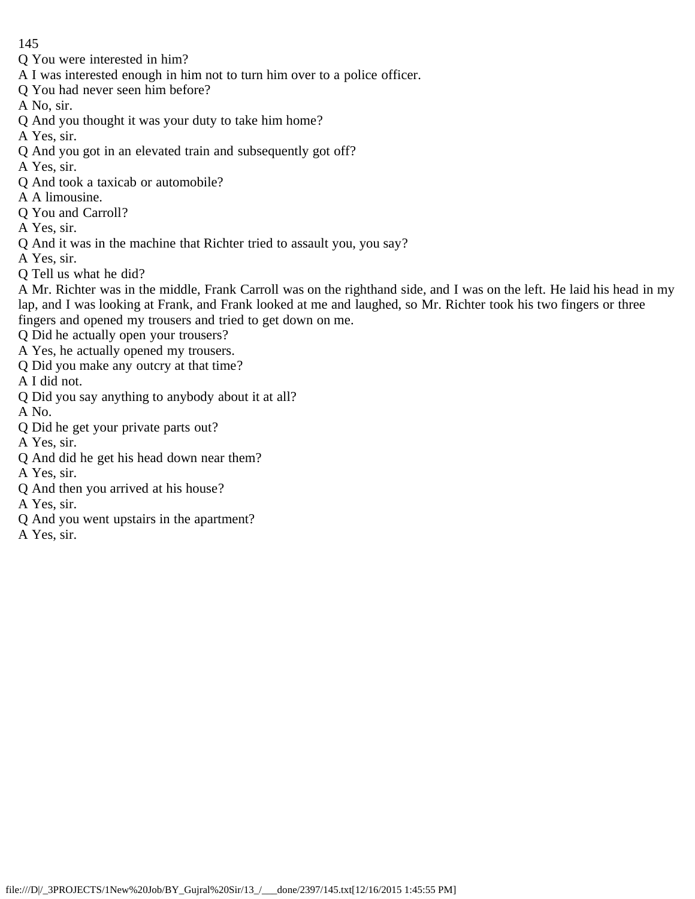- Q You were interested in him?
- A I was interested enough in him not to turn him over to a police officer.
- Q You had never seen him before?
- A No, sir.
- Q And you thought it was your duty to take him home?
- A Yes, sir.
- Q And you got in an elevated train and subsequently got off?
- A Yes, sir.
- Q And took a taxicab or automobile?
- A A limousine.
- Q You and Carroll?
- A Yes, sir.
- Q And it was in the machine that Richter tried to assault you, you say?
- A Yes, sir.
- Q Tell us what he did?
- A Mr. Richter was in the middle, Frank Carroll was on the righthand side, and I was on the left. He laid his head in my lap, and I was looking at Frank, and Frank looked at me and laughed, so Mr. Richter took his two fingers or three fingers and opened my trousers and tried to get down on me.
- Q Did he actually open your trousers?
- A Yes, he actually opened my trousers.
- Q Did you make any outcry at that time?
- A I did not.
- Q Did you say anything to anybody about it at all?
- A No.
- Q Did he get your private parts out?
- A Yes, sir.
- Q And did he get his head down near them?
- A Yes, sir.
- Q And then you arrived at his house?
- A Yes, sir.
- Q And you went upstairs in the apartment?
- A Yes, sir.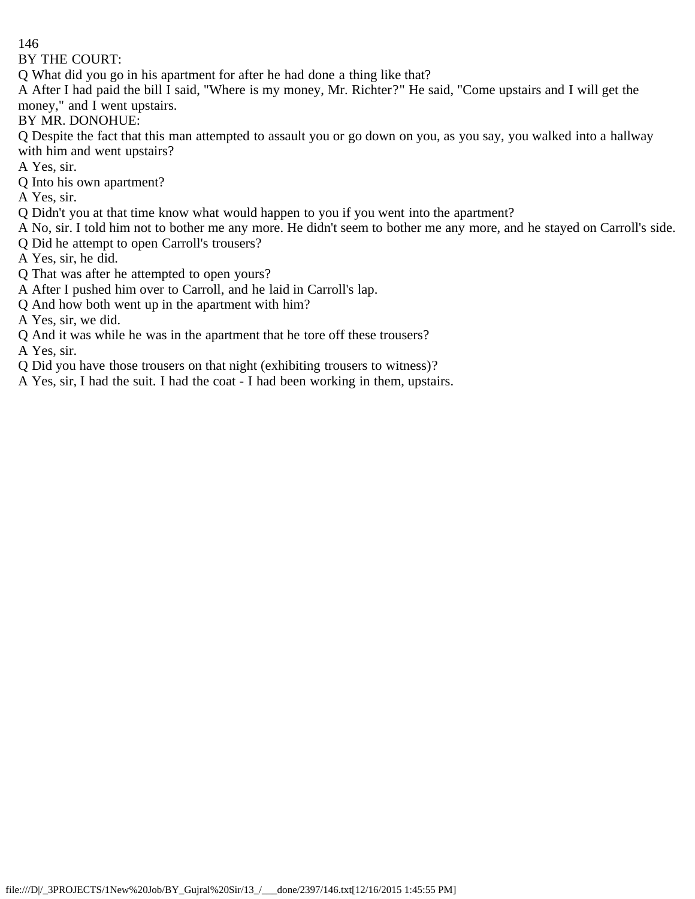BY THE COURT:

Q What did you go in his apartment for after he had done a thing like that?

A After I had paid the bill I said, "Where is my money, Mr. Richter?" He said, "Come upstairs and I will get the money," and I went upstairs.

BY MR. DONOHUE:

Q Despite the fact that this man attempted to assault you or go down on you, as you say, you walked into a hallway with him and went upstairs?

- A Yes, sir.
- Q Into his own apartment?
- A Yes, sir.
- Q Didn't you at that time know what would happen to you if you went into the apartment?
- A No, sir. I told him not to bother me any more. He didn't seem to bother me any more, and he stayed on Carroll's side.
- Q Did he attempt to open Carroll's trousers?
- A Yes, sir, he did.
- Q That was after he attempted to open yours?
- A After I pushed him over to Carroll, and he laid in Carroll's lap.
- Q And how both went up in the apartment with him?

A Yes, sir, we did.

Q And it was while he was in the apartment that he tore off these trousers?

A Yes, sir.

- Q Did you have those trousers on that night (exhibiting trousers to witness)?
- A Yes, sir, I had the suit. I had the coat I had been working in them, upstairs.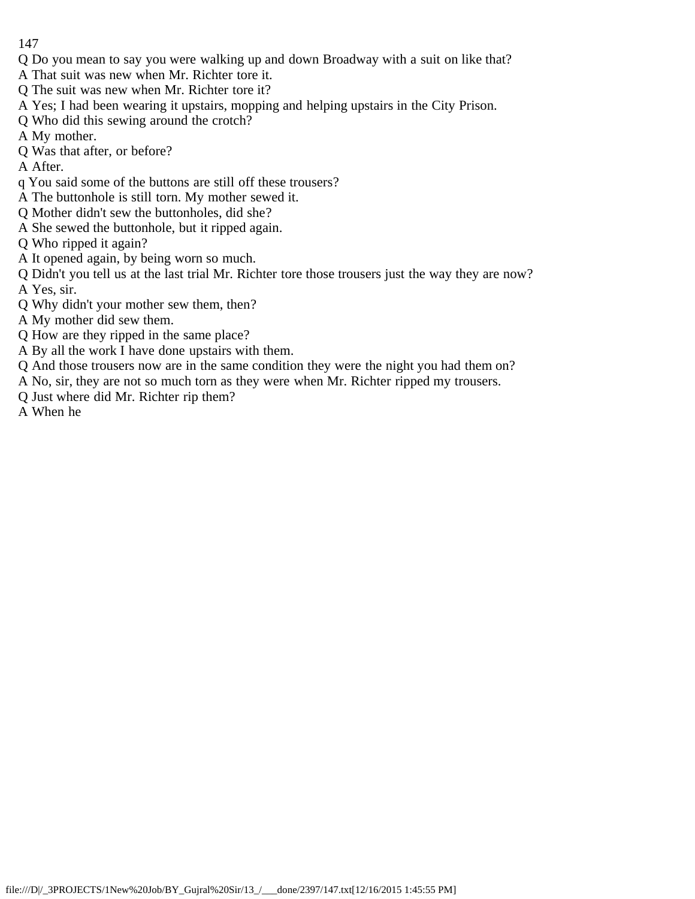- Q Do you mean to say you were walking up and down Broadway with a suit on like that?
- A That suit was new when Mr. Richter tore it.
- Q The suit was new when Mr. Richter tore it?
- A Yes; I had been wearing it upstairs, mopping and helping upstairs in the City Prison.
- Q Who did this sewing around the crotch?
- A My mother.
- Q Was that after, or before?

A After.

- q You said some of the buttons are still off these trousers?
- A The buttonhole is still torn. My mother sewed it.
- Q Mother didn't sew the buttonholes, did she?
- A She sewed the buttonhole, but it ripped again.
- Q Who ripped it again?
- A It opened again, by being worn so much.
- Q Didn't you tell us at the last trial Mr. Richter tore those trousers just the way they are now? A Yes, sir.
- Q Why didn't your mother sew them, then?
- A My mother did sew them.
- Q How are they ripped in the same place?
- A By all the work I have done upstairs with them.
- Q And those trousers now are in the same condition they were the night you had them on?
- A No, sir, they are not so much torn as they were when Mr. Richter ripped my trousers.
- Q Just where did Mr. Richter rip them?
- A When he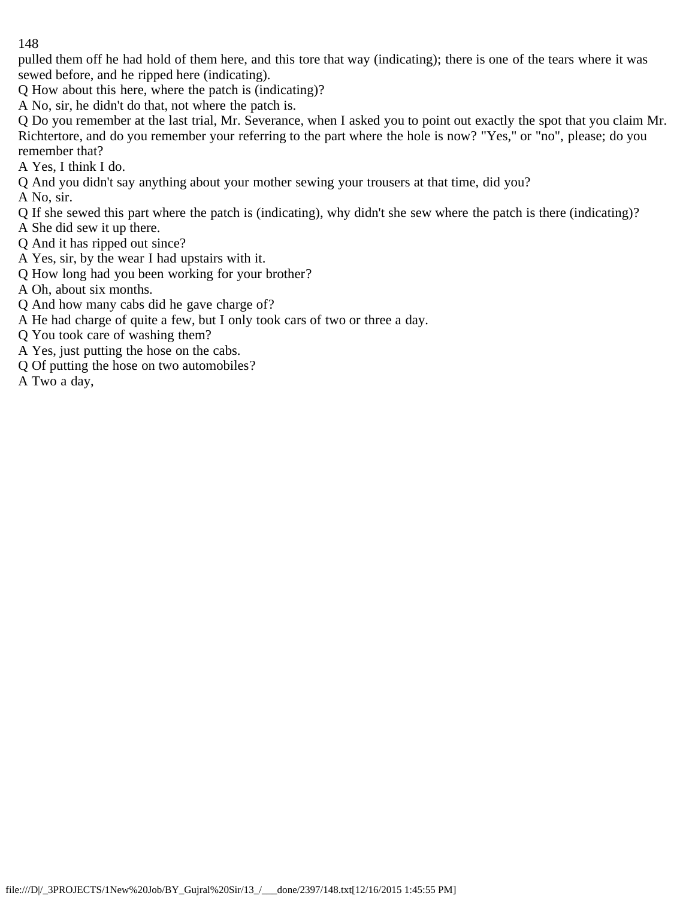pulled them off he had hold of them here, and this tore that way (indicating); there is one of the tears where it was sewed before, and he ripped here (indicating).

Q How about this here, where the patch is (indicating)?

A No, sir, he didn't do that, not where the patch is.

Q Do you remember at the last trial, Mr. Severance, when I asked you to point out exactly the spot that you claim Mr. Richtertore, and do you remember your referring to the part where the hole is now? "Yes," or "no", please; do you remember that?

A Yes, I think I do.

Q And you didn't say anything about your mother sewing your trousers at that time, did you?

A No, sir.

Q If she sewed this part where the patch is (indicating), why didn't she sew where the patch is there (indicating)?

A She did sew it up there.

Q And it has ripped out since?

A Yes, sir, by the wear I had upstairs with it.

Q How long had you been working for your brother?

A Oh, about six months.

Q And how many cabs did he gave charge of?

A He had charge of quite a few, but I only took cars of two or three a day.

Q You took care of washing them?

A Yes, just putting the hose on the cabs.

Q Of putting the hose on two automobiles?

A Two a day,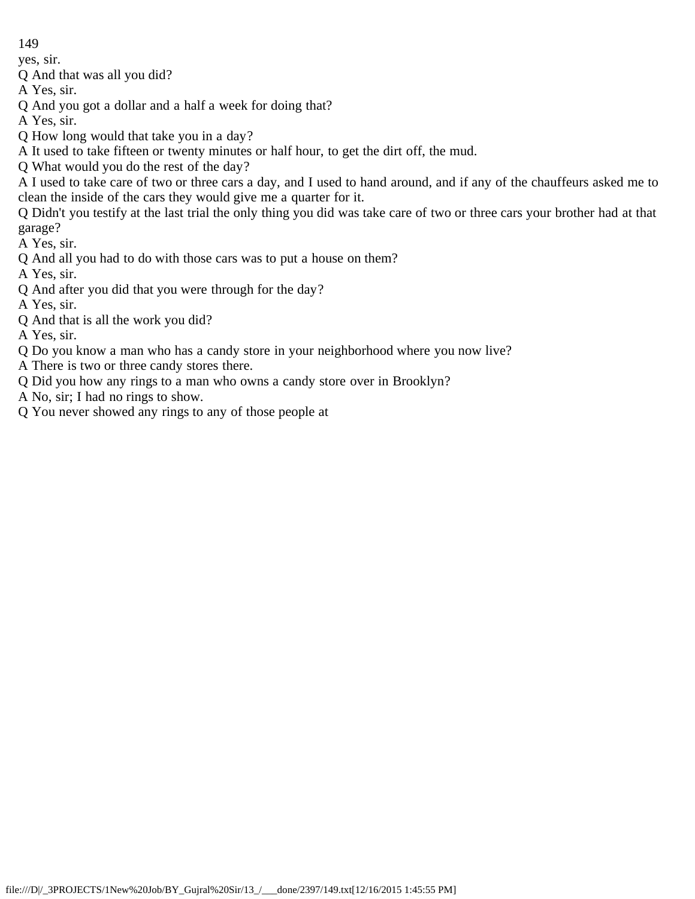yes, sir.

Q And that was all you did?

A Yes, sir.

Q And you got a dollar and a half a week for doing that?

A Yes, sir.

Q How long would that take you in a day?

A It used to take fifteen or twenty minutes or half hour, to get the dirt off, the mud.

Q What would you do the rest of the day?

A I used to take care of two or three cars a day, and I used to hand around, and if any of the chauffeurs asked me to clean the inside of the cars they would give me a quarter for it.

Q Didn't you testify at the last trial the only thing you did was take care of two or three cars your brother had at that garage?

A Yes, sir.

Q And all you had to do with those cars was to put a house on them?

A Yes, sir.

Q And after you did that you were through for the day?

A Yes, sir.

Q And that is all the work you did?

A Yes, sir.

Q Do you know a man who has a candy store in your neighborhood where you now live?

A There is two or three candy stores there.

Q Did you how any rings to a man who owns a candy store over in Brooklyn?

A No, sir; I had no rings to show.

Q You never showed any rings to any of those people at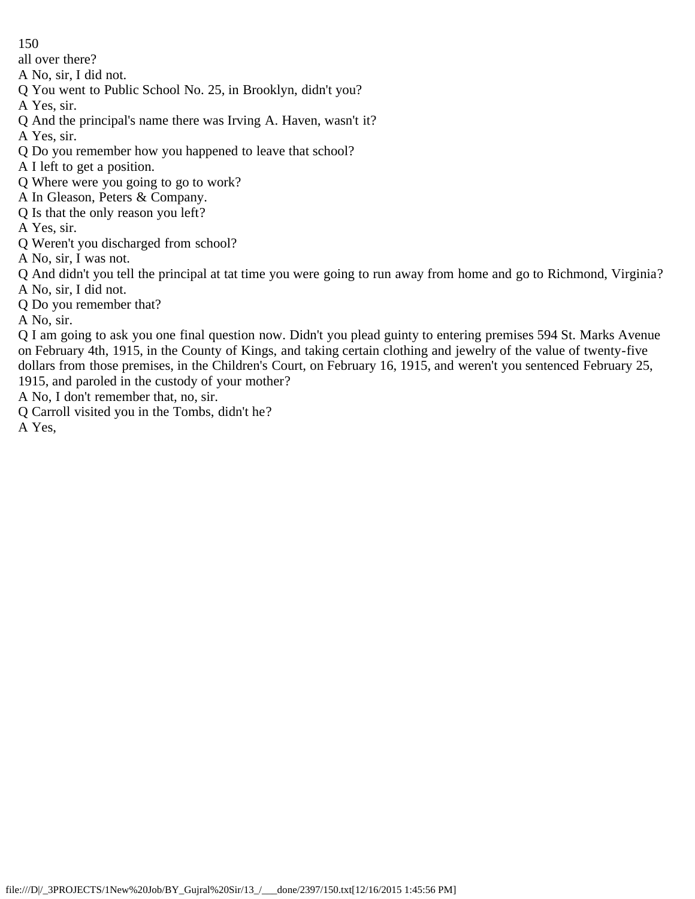all over there?

A No, sir, I did not.

Q You went to Public School No. 25, in Brooklyn, didn't you?

A Yes, sir.

- Q And the principal's name there was Irving A. Haven, wasn't it?
- A Yes, sir.
- Q Do you remember how you happened to leave that school?
- A I left to get a position.
- Q Where were you going to go to work?
- A In Gleason, Peters & Company.
- Q Is that the only reason you left?
- A Yes, sir.
- Q Weren't you discharged from school?
- A No, sir, I was not.

Q And didn't you tell the principal at tat time you were going to run away from home and go to Richmond, Virginia? A No, sir, I did not.

Q Do you remember that?

A No, sir.

Q I am going to ask you one final question now. Didn't you plead guinty to entering premises 594 St. Marks Avenue on February 4th, 1915, in the County of Kings, and taking certain clothing and jewelry of the value of twenty-five dollars from those premises, in the Children's Court, on February 16, 1915, and weren't you sentenced February 25, 1915, and paroled in the custody of your mother?

- A No, I don't remember that, no, sir.
- Q Carroll visited you in the Tombs, didn't he?

A Yes,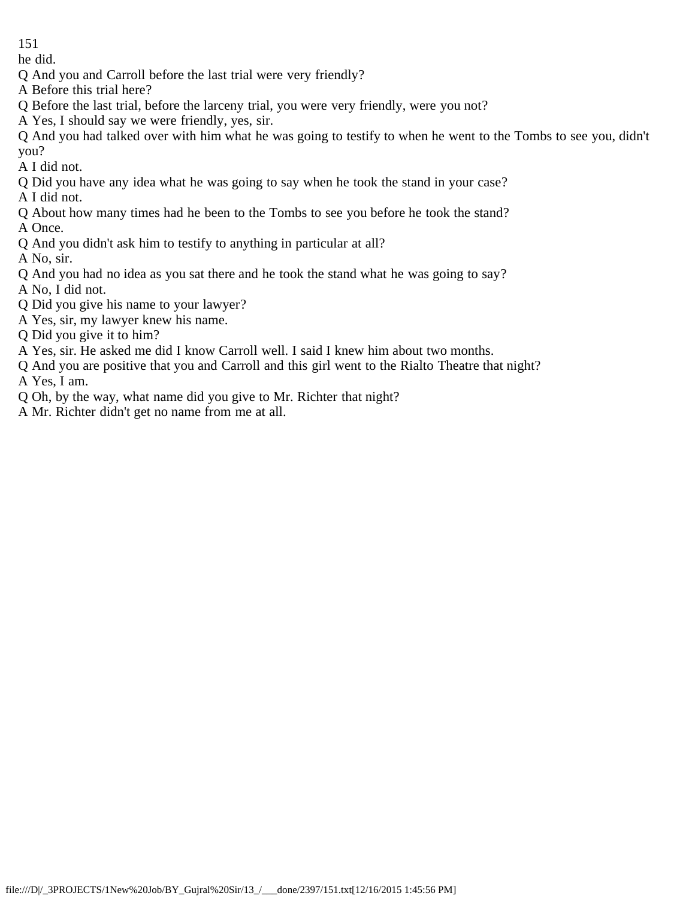he did.

- Q And you and Carroll before the last trial were very friendly?
- A Before this trial here?
- Q Before the last trial, before the larceny trial, you were very friendly, were you not?
- A Yes, I should say we were friendly, yes, sir.

Q And you had talked over with him what he was going to testify to when he went to the Tombs to see you, didn't you?

A I did not.

- Q Did you have any idea what he was going to say when he took the stand in your case?
- A I did not.
- Q About how many times had he been to the Tombs to see you before he took the stand? A Once.
- Q And you didn't ask him to testify to anything in particular at all?

A No, sir.

- Q And you had no idea as you sat there and he took the stand what he was going to say?
- A No, I did not.
- Q Did you give his name to your lawyer?
- A Yes, sir, my lawyer knew his name.
- Q Did you give it to him?
- A Yes, sir. He asked me did I know Carroll well. I said I knew him about two months.
- Q And you are positive that you and Carroll and this girl went to the Rialto Theatre that night?

A Yes, I am.

- Q Oh, by the way, what name did you give to Mr. Richter that night?
- A Mr. Richter didn't get no name from me at all.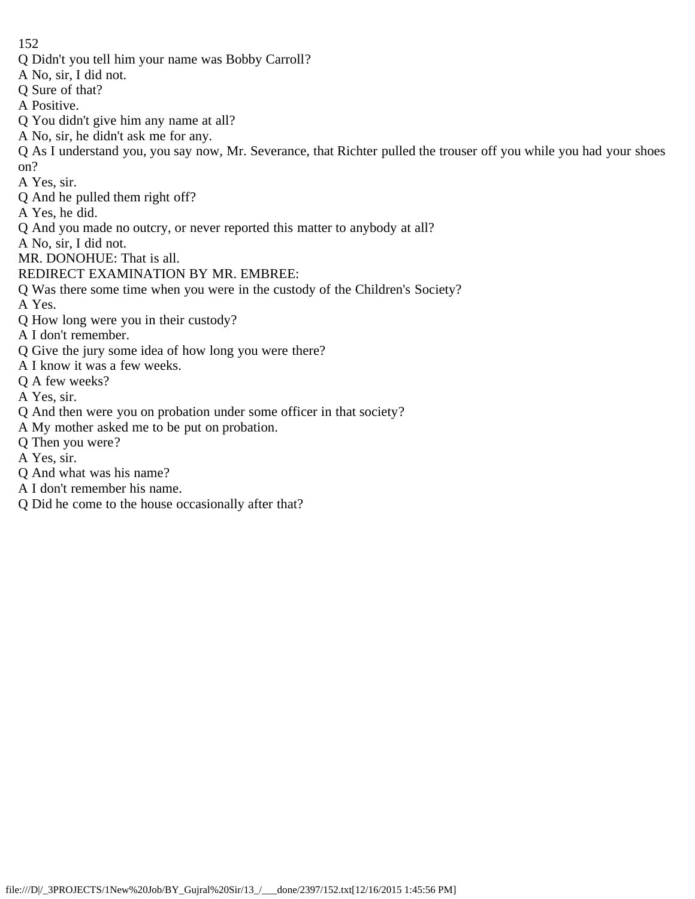- Q Didn't you tell him your name was Bobby Carroll?
- A No, sir, I did not.
- Q Sure of that?
- A Positive.
- Q You didn't give him any name at all?
- A No, sir, he didn't ask me for any.
- Q As I understand you, you say now, Mr. Severance, that Richter pulled the trouser off you while you had your shoes on?
- A Yes, sir.
- Q And he pulled them right off?
- A Yes, he did.
- Q And you made no outcry, or never reported this matter to anybody at all?
- A No, sir, I did not.
- MR. DONOHUE: That is all.
- REDIRECT EXAMINATION BY MR. EMBREE:
- Q Was there some time when you were in the custody of the Children's Society?
- A Yes.
- Q How long were you in their custody?
- A I don't remember.
- Q Give the jury some idea of how long you were there?
- A I know it was a few weeks.
- Q A few weeks?
- A Yes, sir.
- Q And then were you on probation under some officer in that society?
- A My mother asked me to be put on probation.
- Q Then you were?
- A Yes, sir.
- Q And what was his name?
- A I don't remember his name.
- Q Did he come to the house occasionally after that?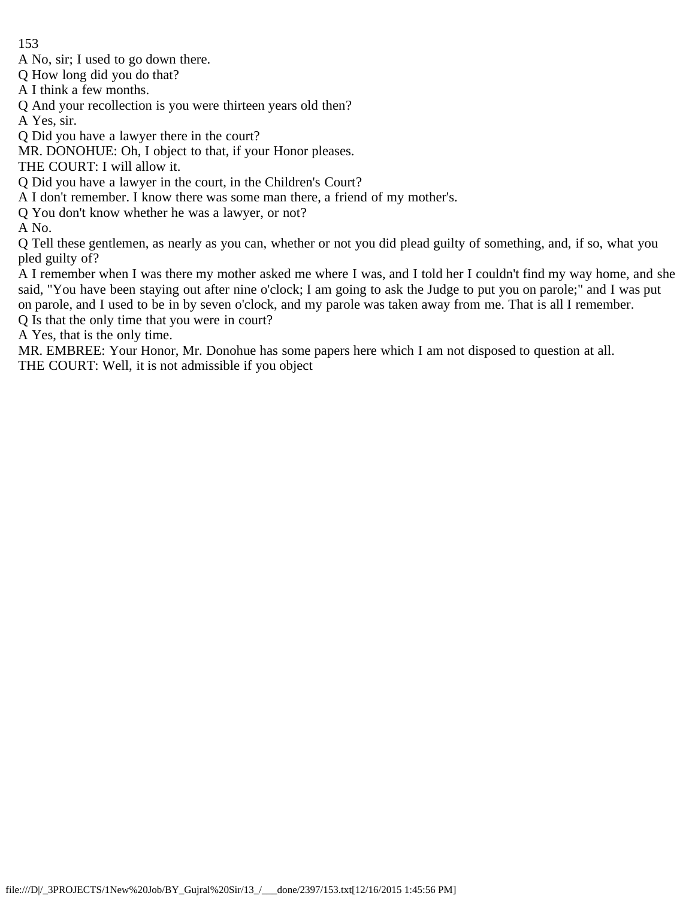A No, sir; I used to go down there.

Q How long did you do that?

A I think a few months.

Q And your recollection is you were thirteen years old then?

A Yes, sir.

Q Did you have a lawyer there in the court?

MR. DONOHUE: Oh, I object to that, if your Honor pleases.

THE COURT: I will allow it.

Q Did you have a lawyer in the court, in the Children's Court?

A I don't remember. I know there was some man there, a friend of my mother's.

Q You don't know whether he was a lawyer, or not?

A No.

Q Tell these gentlemen, as nearly as you can, whether or not you did plead guilty of something, and, if so, what you pled guilty of?

A I remember when I was there my mother asked me where I was, and I told her I couldn't find my way home, and she said, "You have been staying out after nine o'clock; I am going to ask the Judge to put you on parole;" and I was put on parole, and I used to be in by seven o'clock, and my parole was taken away from me. That is all I remember.

Q Is that the only time that you were in court?

A Yes, that is the only time.

MR. EMBREE: Your Honor, Mr. Donohue has some papers here which I am not disposed to question at all.

THE COURT: Well, it is not admissible if you object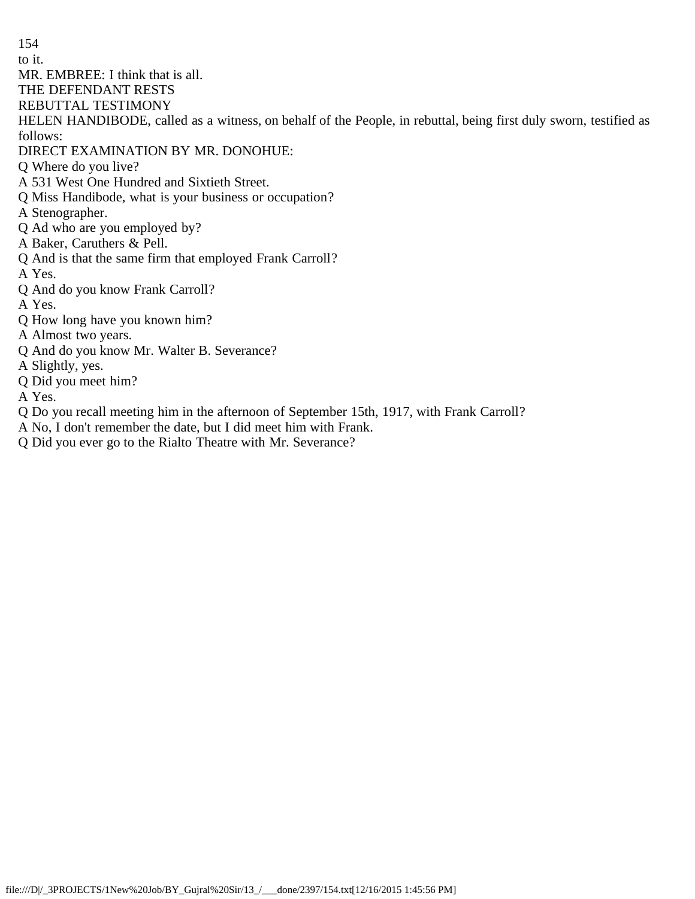to it.

MR. EMBREE: I think that is all.

THE DEFENDANT RESTS

REBUTTAL TESTIMONY

HELEN HANDIBODE, called as a witness, on behalf of the People, in rebuttal, being first duly sworn, testified as follows:

DIRECT EXAMINATION BY MR. DONOHUE:

Q Where do you live?

A 531 West One Hundred and Sixtieth Street.

Q Miss Handibode, what is your business or occupation?

A Stenographer.

Q Ad who are you employed by?

A Baker, Caruthers & Pell.

Q And is that the same firm that employed Frank Carroll?

A Yes.

Q And do you know Frank Carroll?

A Yes.

Q How long have you known him?

A Almost two years.

Q And do you know Mr. Walter B. Severance?

A Slightly, yes.

Q Did you meet him?

A Yes.

Q Do you recall meeting him in the afternoon of September 15th, 1917, with Frank Carroll?

A No, I don't remember the date, but I did meet him with Frank.

Q Did you ever go to the Rialto Theatre with Mr. Severance?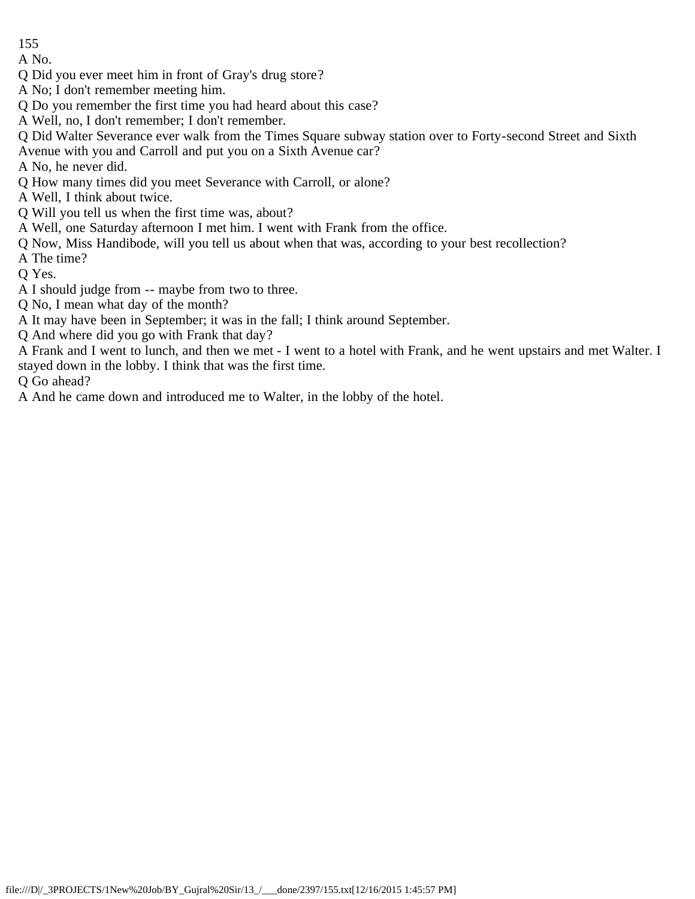A No.

- Q Did you ever meet him in front of Gray's drug store?
- A No; I don't remember meeting him.
- Q Do you remember the first time you had heard about this case?
- A Well, no, I don't remember; I don't remember.
- Q Did Walter Severance ever walk from the Times Square subway station over to Forty-second Street and Sixth
- Avenue with you and Carroll and put you on a Sixth Avenue car?
- A No, he never did.
- Q How many times did you meet Severance with Carroll, or alone?
- A Well, I think about twice.
- Q Will you tell us when the first time was, about?
- A Well, one Saturday afternoon I met him. I went with Frank from the office.
- Q Now, Miss Handibode, will you tell us about when that was, according to your best recollection?
- A The time?
- Q Yes.
- A I should judge from -- maybe from two to three.
- Q No, I mean what day of the month?
- A It may have been in September; it was in the fall; I think around September.
- Q And where did you go with Frank that day?

A Frank and I went to lunch, and then we met - I went to a hotel with Frank, and he went upstairs and met Walter. I stayed down in the lobby. I think that was the first time.

Q Go ahead?

A And he came down and introduced me to Walter, in the lobby of the hotel.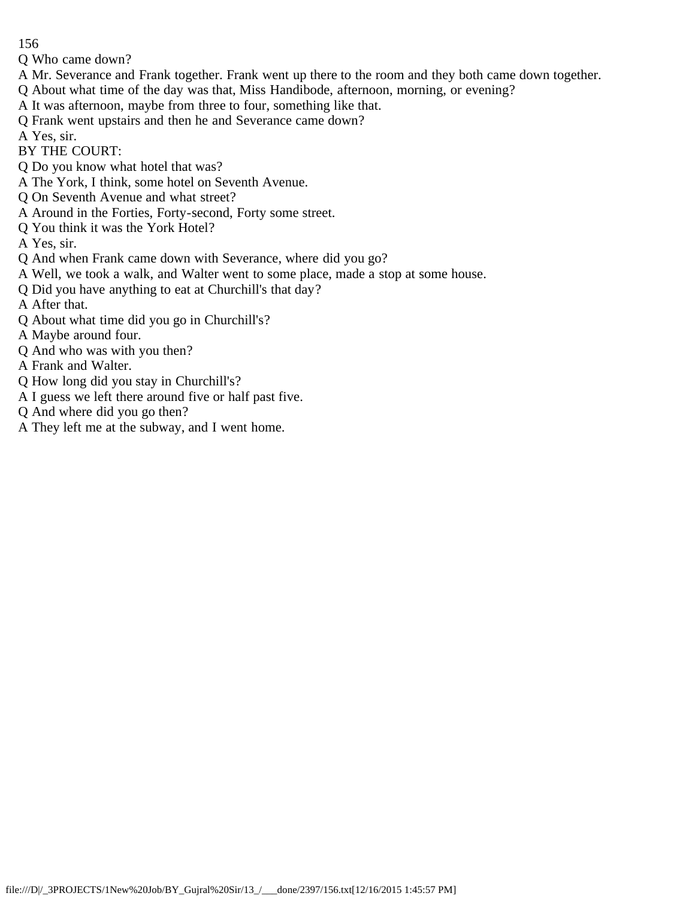Q Who came down?

- A Mr. Severance and Frank together. Frank went up there to the room and they both came down together.
- Q About what time of the day was that, Miss Handibode, afternoon, morning, or evening?
- A It was afternoon, maybe from three to four, something like that.
- Q Frank went upstairs and then he and Severance came down?

A Yes, sir.

- BY THE COURT:
- Q Do you know what hotel that was?
- A The York, I think, some hotel on Seventh Avenue.
- Q On Seventh Avenue and what street?
- A Around in the Forties, Forty-second, Forty some street.
- Q You think it was the York Hotel?
- A Yes, sir.
- Q And when Frank came down with Severance, where did you go?
- A Well, we took a walk, and Walter went to some place, made a stop at some house.
- Q Did you have anything to eat at Churchill's that day?
- A After that.
- Q About what time did you go in Churchill's?
- A Maybe around four.
- Q And who was with you then?
- A Frank and Walter.
- Q How long did you stay in Churchill's?
- A I guess we left there around five or half past five.
- Q And where did you go then?
- A They left me at the subway, and I went home.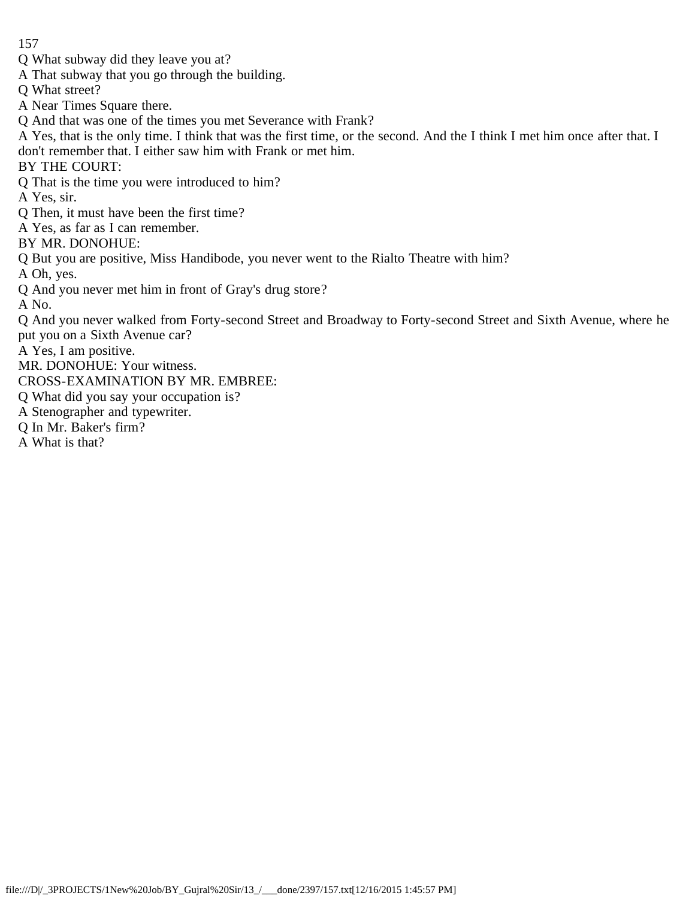- Q What subway did they leave you at?
- A That subway that you go through the building.
- Q What street?
- A Near Times Square there.
- Q And that was one of the times you met Severance with Frank?
- A Yes, that is the only time. I think that was the first time, or the second. And the I think I met him once after that. I don't remember that. I either saw him with Frank or met him.

BY THE COURT:

Q That is the time you were introduced to him?

A Yes, sir.

- Q Then, it must have been the first time?
- A Yes, as far as I can remember.

BY MR. DONOHUE:

Q But you are positive, Miss Handibode, you never went to the Rialto Theatre with him?

A Oh, yes.

Q And you never met him in front of Gray's drug store?

A No.

Q And you never walked from Forty-second Street and Broadway to Forty-second Street and Sixth Avenue, where he put you on a Sixth Avenue car?

A Yes, I am positive.

MR. DONOHUE: Your witness.

- CROSS-EXAMINATION BY MR. EMBREE:
- Q What did you say your occupation is?
- A Stenographer and typewriter.
- Q In Mr. Baker's firm?
- A What is that?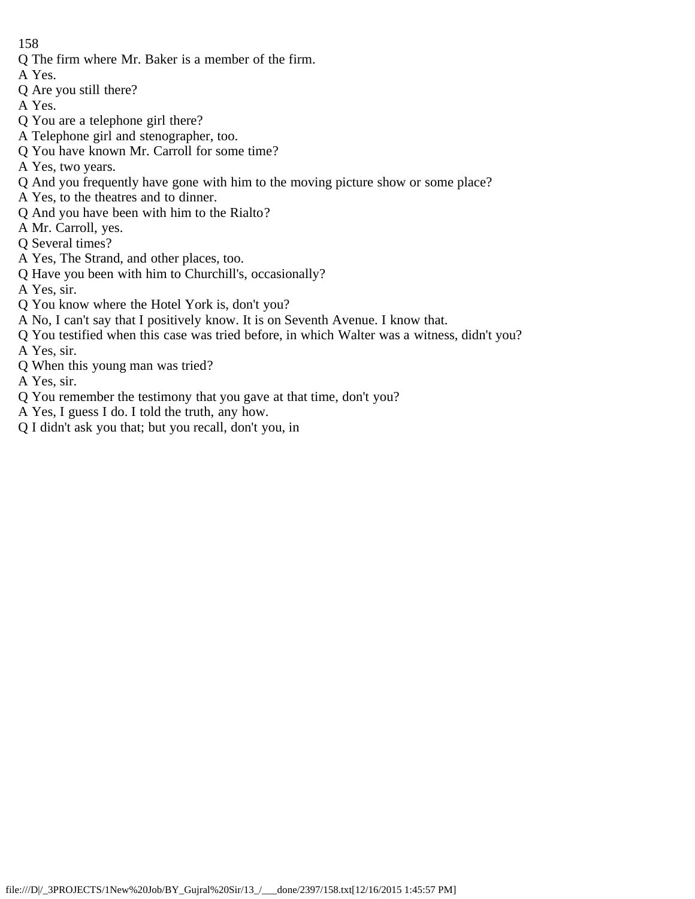- Q The firm where Mr. Baker is a member of the firm.
- A Yes.
- Q Are you still there?
- A Yes.
- Q You are a telephone girl there?
- A Telephone girl and stenographer, too.
- Q You have known Mr. Carroll for some time?
- A Yes, two years.
- Q And you frequently have gone with him to the moving picture show or some place?
- A Yes, to the theatres and to dinner.
- Q And you have been with him to the Rialto?
- A Mr. Carroll, yes.
- Q Several times?
- A Yes, The Strand, and other places, too.
- Q Have you been with him to Churchill's, occasionally?
- A Yes, sir.
- Q You know where the Hotel York is, don't you?
- A No, I can't say that I positively know. It is on Seventh Avenue. I know that.
- Q You testified when this case was tried before, in which Walter was a witness, didn't you?
- A Yes, sir.
- Q When this young man was tried?
- A Yes, sir.
- Q You remember the testimony that you gave at that time, don't you?
- A Yes, I guess I do. I told the truth, any how.
- Q I didn't ask you that; but you recall, don't you, in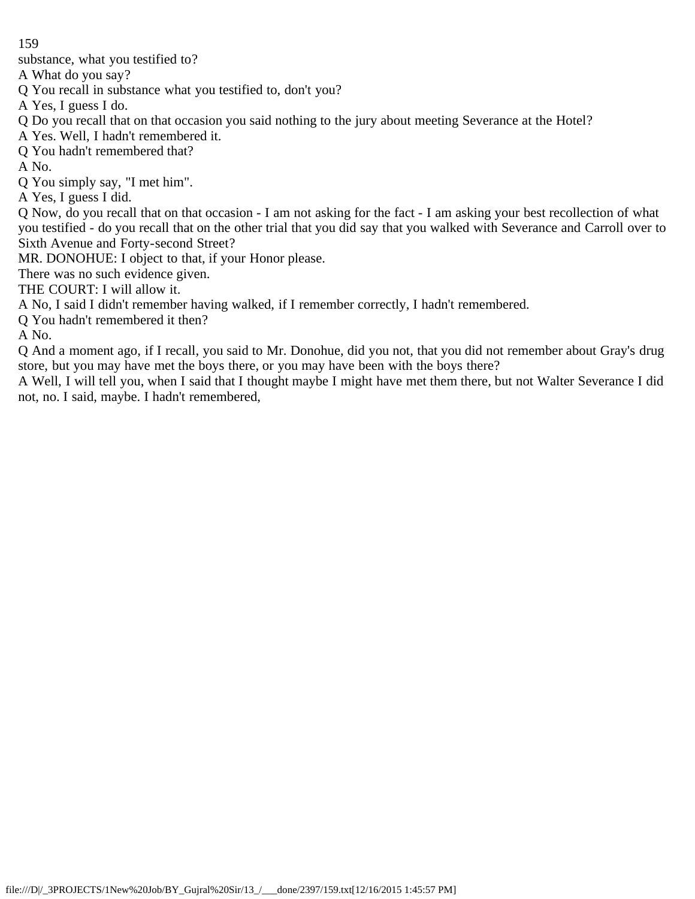substance, what you testified to?

A What do you say?

Q You recall in substance what you testified to, don't you?

A Yes, I guess I do.

Q Do you recall that on that occasion you said nothing to the jury about meeting Severance at the Hotel?

A Yes. Well, I hadn't remembered it.

Q You hadn't remembered that?

A No.

Q You simply say, "I met him".

A Yes, I guess I did.

Q Now, do you recall that on that occasion - I am not asking for the fact - I am asking your best recollection of what you testified - do you recall that on the other trial that you did say that you walked with Severance and Carroll over to Sixth Avenue and Forty-second Street?

MR. DONOHUE: I object to that, if your Honor please.

There was no such evidence given.

THE COURT: I will allow it.

A No, I said I didn't remember having walked, if I remember correctly, I hadn't remembered.

Q You hadn't remembered it then?

A No.

Q And a moment ago, if I recall, you said to Mr. Donohue, did you not, that you did not remember about Gray's drug store, but you may have met the boys there, or you may have been with the boys there?

A Well, I will tell you, when I said that I thought maybe I might have met them there, but not Walter Severance I did not, no. I said, maybe. I hadn't remembered,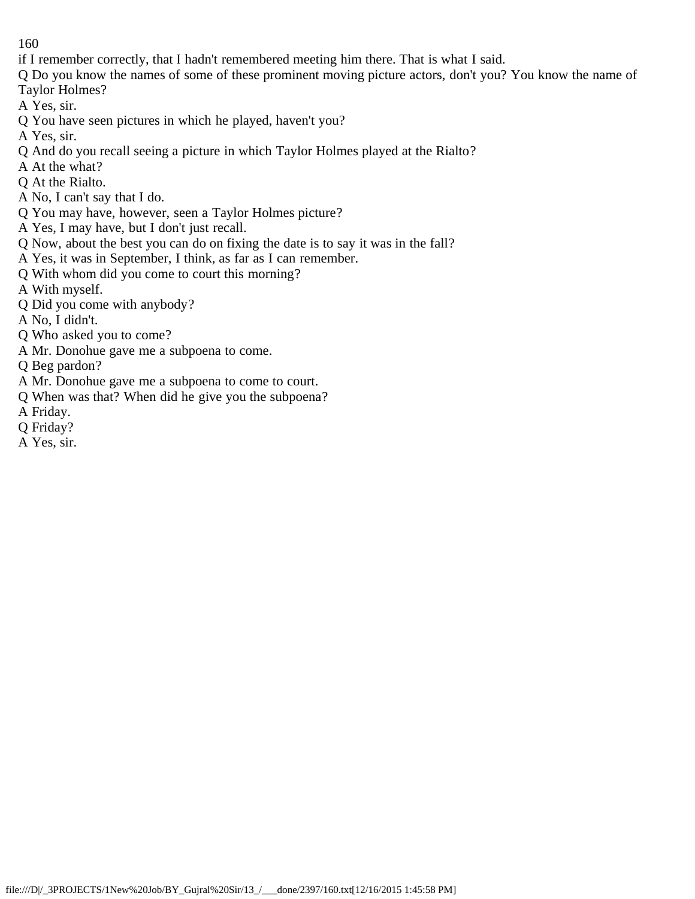- if I remember correctly, that I hadn't remembered meeting him there. That is what I said.
- Q Do you know the names of some of these prominent moving picture actors, don't you? You know the name of Taylor Holmes?
- A Yes, sir.
- Q You have seen pictures in which he played, haven't you?
- A Yes, sir.
- Q And do you recall seeing a picture in which Taylor Holmes played at the Rialto?
- A At the what?
- Q At the Rialto.
- A No, I can't say that I do.
- Q You may have, however, seen a Taylor Holmes picture?
- A Yes, I may have, but I don't just recall.
- Q Now, about the best you can do on fixing the date is to say it was in the fall?
- A Yes, it was in September, I think, as far as I can remember.
- Q With whom did you come to court this morning?
- A With myself.
- Q Did you come with anybody?
- A No, I didn't.
- Q Who asked you to come?
- A Mr. Donohue gave me a subpoena to come.
- Q Beg pardon?
- A Mr. Donohue gave me a subpoena to come to court.
- Q When was that? When did he give you the subpoena?
- A Friday.
- Q Friday?
- A Yes, sir.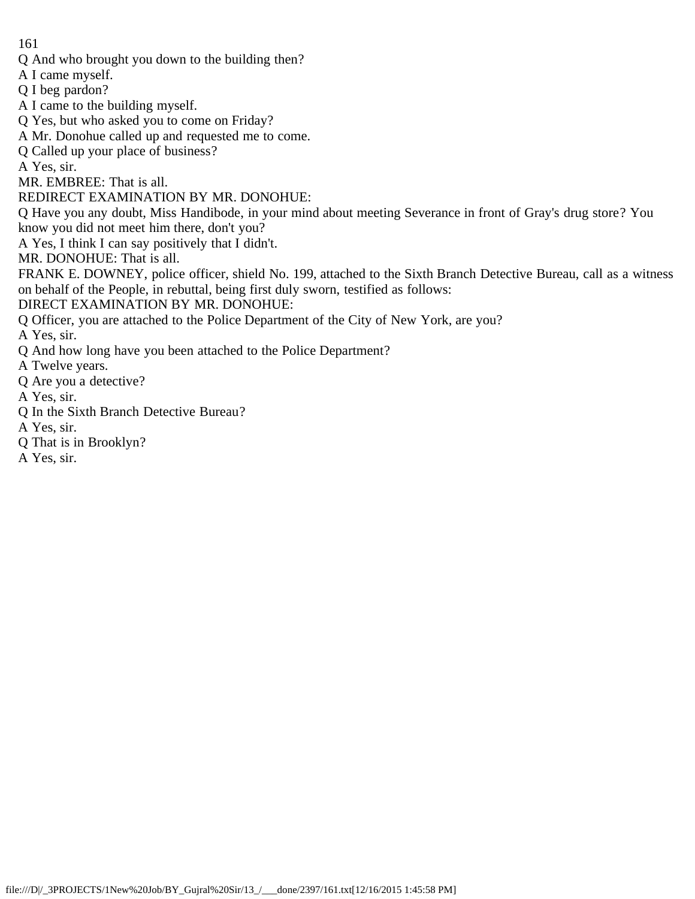- Q And who brought you down to the building then?
- A I came myself.
- Q I beg pardon?
- A I came to the building myself.
- Q Yes, but who asked you to come on Friday?
- A Mr. Donohue called up and requested me to come.
- Q Called up your place of business?

A Yes, sir.

MR. EMBREE: That is all.

REDIRECT EXAMINATION BY MR. DONOHUE:

Q Have you any doubt, Miss Handibode, in your mind about meeting Severance in front of Gray's drug store? You know you did not meet him there, don't you?

A Yes, I think I can say positively that I didn't.

MR. DONOHUE: That is all.

FRANK E. DOWNEY, police officer, shield No. 199, attached to the Sixth Branch Detective Bureau, call as a witness on behalf of the People, in rebuttal, being first duly sworn, testified as follows:

DIRECT EXAMINATION BY MR. DONOHUE:

Q Officer, you are attached to the Police Department of the City of New York, are you?

A Yes, sir.

- Q And how long have you been attached to the Police Department?
- A Twelve years.
- Q Are you a detective?
- A Yes, sir.
- Q In the Sixth Branch Detective Bureau?
- A Yes, sir.
- Q That is in Brooklyn?
- A Yes, sir.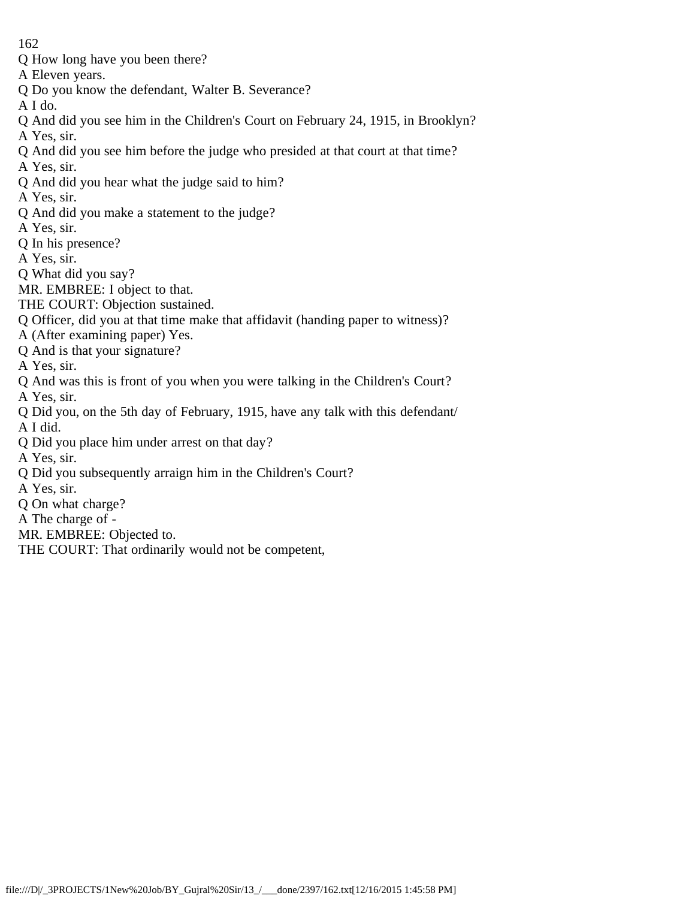- Q How long have you been there?
- A Eleven years.
- Q Do you know the defendant, Walter B. Severance?
- A I do.
- Q And did you see him in the Children's Court on February 24, 1915, in Brooklyn?
- A Yes, sir.
- Q And did you see him before the judge who presided at that court at that time?
- A Yes, sir.
- Q And did you hear what the judge said to him?
- A Yes, sir.
- Q And did you make a statement to the judge?
- A Yes, sir.
- Q In his presence?
- A Yes, sir.
- Q What did you say?
- MR. EMBREE: I object to that.
- THE COURT: Objection sustained.
- Q Officer, did you at that time make that affidavit (handing paper to witness)?
- A (After examining paper) Yes.
- Q And is that your signature?
- A Yes, sir.
- Q And was this is front of you when you were talking in the Children's Court?
- A Yes, sir.
- Q Did you, on the 5th day of February, 1915, have any talk with this defendant/ A I did.
- Q Did you place him under arrest on that day?
- A Yes, sir.
- Q Did you subsequently arraign him in the Children's Court?
- A Yes, sir.
- Q On what charge?
- A The charge of -
- MR. EMBREE: Objected to.
- THE COURT: That ordinarily would not be competent,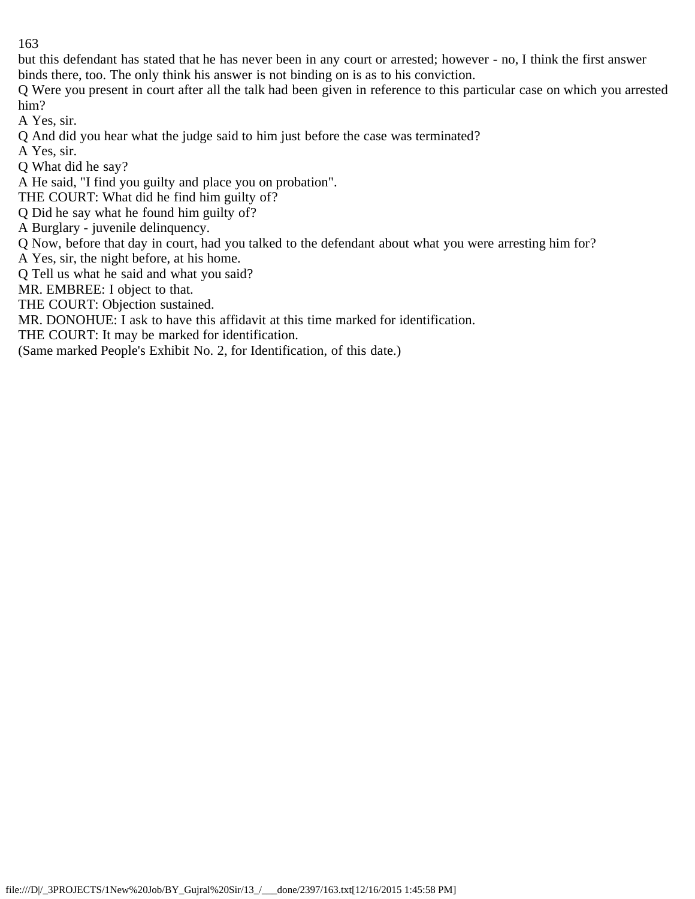but this defendant has stated that he has never been in any court or arrested; however - no, I think the first answer binds there, too. The only think his answer is not binding on is as to his conviction.

Q Were you present in court after all the talk had been given in reference to this particular case on which you arrested him?

A Yes, sir.

Q And did you hear what the judge said to him just before the case was terminated?

A Yes, sir.

Q What did he say?

A He said, "I find you guilty and place you on probation".

THE COURT: What did he find him guilty of?

Q Did he say what he found him guilty of?

A Burglary - juvenile delinquency.

Q Now, before that day in court, had you talked to the defendant about what you were arresting him for?

A Yes, sir, the night before, at his home.

Q Tell us what he said and what you said?

MR. EMBREE: I object to that.

THE COURT: Objection sustained.

MR. DONOHUE: I ask to have this affidavit at this time marked for identification.

THE COURT: It may be marked for identification.

(Same marked People's Exhibit No. 2, for Identification, of this date.)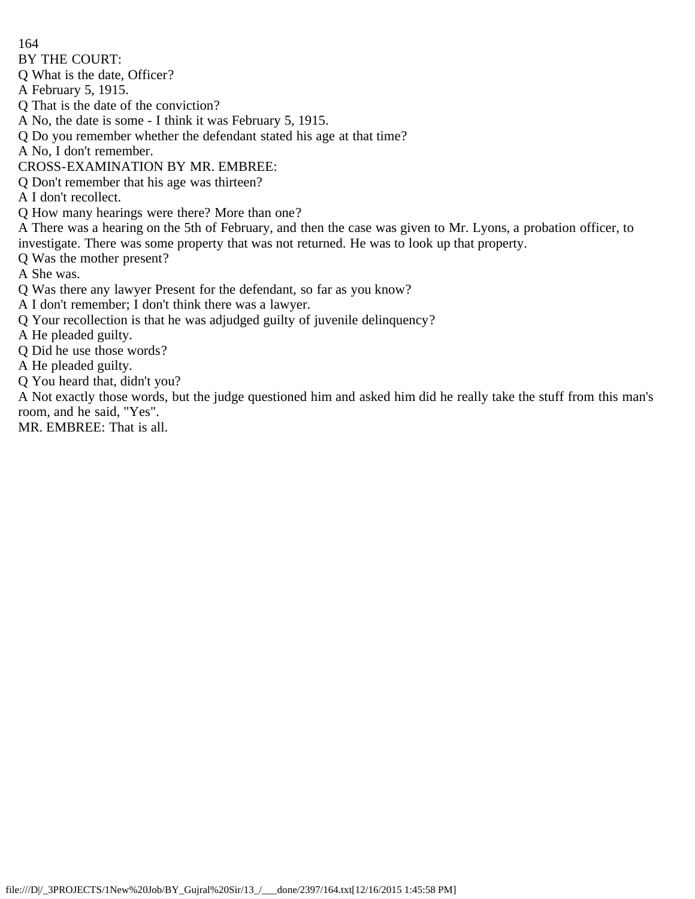BY THE COURT:

Q What is the date, Officer?

A February 5, 1915.

Q That is the date of the conviction?

A No, the date is some - I think it was February 5, 1915.

Q Do you remember whether the defendant stated his age at that time?

A No, I don't remember.

CROSS-EXAMINATION BY MR. EMBREE:

Q Don't remember that his age was thirteen?

A I don't recollect.

Q How many hearings were there? More than one?

A There was a hearing on the 5th of February, and then the case was given to Mr. Lyons, a probation officer, to investigate. There was some property that was not returned. He was to look up that property.

Q Was the mother present?

A She was.

Q Was there any lawyer Present for the defendant, so far as you know?

A I don't remember; I don't think there was a lawyer.

Q Your recollection is that he was adjudged guilty of juvenile delinquency?

A He pleaded guilty.

Q Did he use those words?

A He pleaded guilty.

Q You heard that, didn't you?

A Not exactly those words, but the judge questioned him and asked him did he really take the stuff from this man's room, and he said, "Yes".

MR. EMBREE: That is all.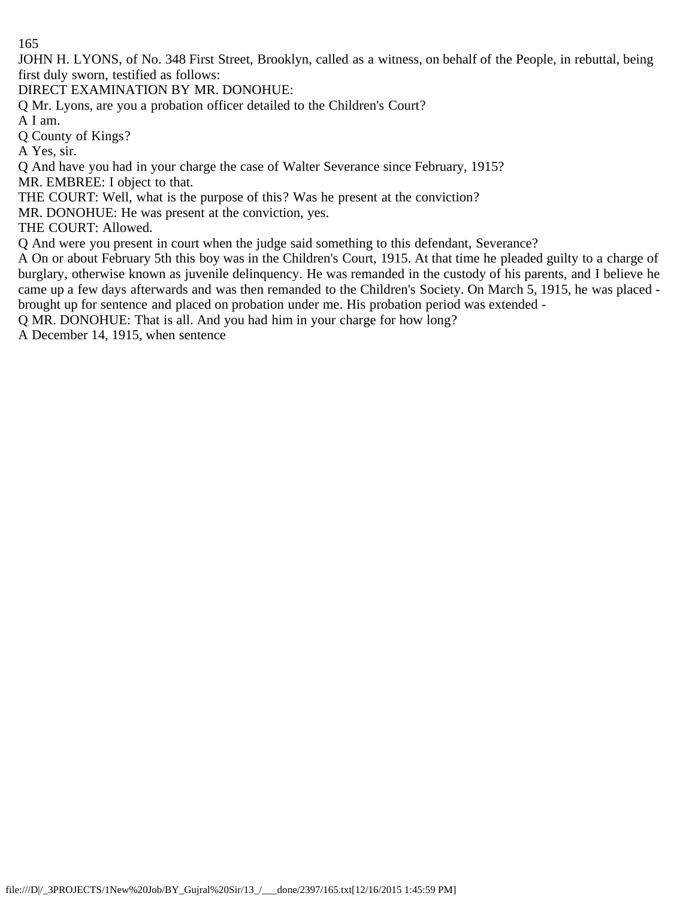JOHN H. LYONS, of No. 348 First Street, Brooklyn, called as a witness, on behalf of the People, in rebuttal, being first duly sworn, testified as follows:

DIRECT EXAMINATION BY MR. DONOHUE:

Q Mr. Lyons, are you a probation officer detailed to the Children's Court?

A I am.

Q County of Kings?

A Yes, sir.

Q And have you had in your charge the case of Walter Severance since February, 1915?

MR. EMBREE: I object to that.

THE COURT: Well, what is the purpose of this? Was he present at the conviction?

MR. DONOHUE: He was present at the conviction, yes.

THE COURT: Allowed.

Q And were you present in court when the judge said something to this defendant, Severance?

A On or about February 5th this boy was in the Children's Court, 1915. At that time he pleaded guilty to a charge of burglary, otherwise known as juvenile delinquency. He was remanded in the custody of his parents, and I believe he came up a few days afterwards and was then remanded to the Children's Society. On March 5, 1915, he was placed brought up for sentence and placed on probation under me. His probation period was extended -

Q MR. DONOHUE: That is all. And you had him in your charge for how long?

A December 14, 1915, when sentence